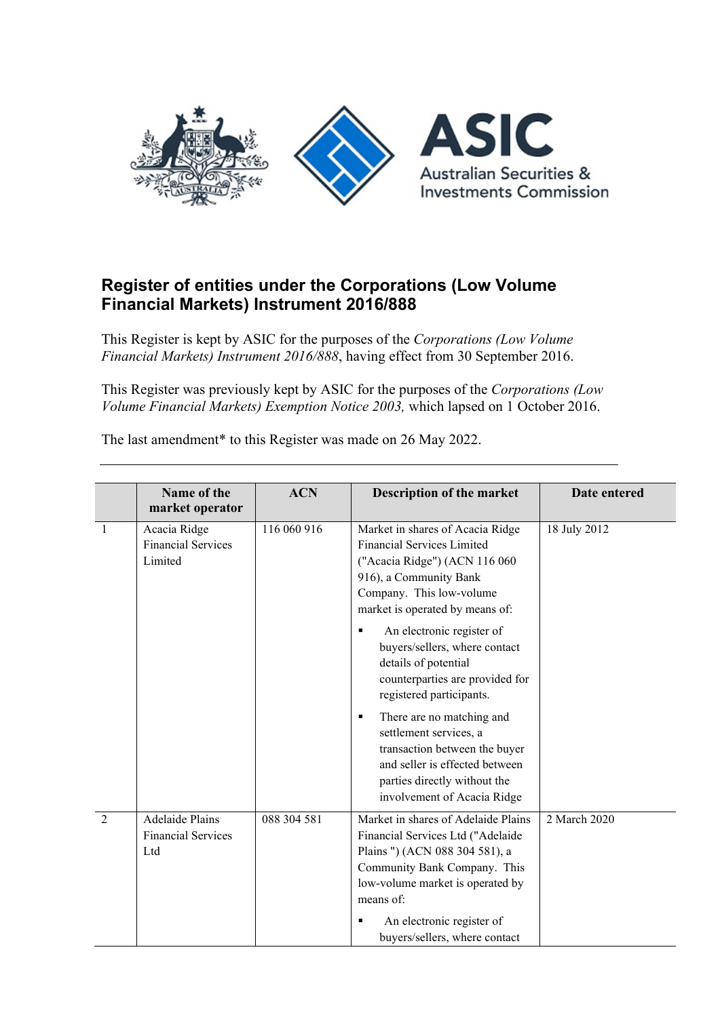

## **Register of entities under the Corporations (Low Volume Financial Markets) Instrument 2016/888**

This Register is kept by ASIC for the purposes of the *Corporations (Low Volume Financial Markets) Instrument 2016/888*, having effect from 30 September 2016.

This Register was previously kept by ASIC for the purposes of the *Corporations (Low Volume Financial Markets) Exemption Notice 2003,* which lapsed on 1 October 2016.

The last amendment\* to this Register was made on 26 May 2022.

|                | Name of the<br>market operator                             | <b>ACN</b>  | Description of the market                                                                                                                                                                                                                                                                                                                                                                                                                                                                                                                               | Date entered |
|----------------|------------------------------------------------------------|-------------|---------------------------------------------------------------------------------------------------------------------------------------------------------------------------------------------------------------------------------------------------------------------------------------------------------------------------------------------------------------------------------------------------------------------------------------------------------------------------------------------------------------------------------------------------------|--------------|
| $\mathbf{1}$   | Acacia Ridge<br><b>Financial Services</b><br>Limited       | 116 060 916 | Market in shares of Acacia Ridge<br><b>Financial Services Limited</b><br>("Acacia Ridge") (ACN 116 060<br>916), a Community Bank<br>Company. This low-volume<br>market is operated by means of:<br>An electronic register of<br>٠<br>buyers/sellers, where contact<br>details of potential<br>counterparties are provided for<br>registered participants.<br>There are no matching and<br>٠<br>settlement services, a<br>transaction between the buyer<br>and seller is effected between<br>parties directly without the<br>involvement of Acacia Ridge | 18 July 2012 |
| $\overline{2}$ | <b>Adelaide Plains</b><br><b>Financial Services</b><br>Ltd | 088 304 581 | Market in shares of Adelaide Plains<br>Financial Services Ltd ("Adelaide<br>Plains ") (ACN 088 304 581), a<br>Community Bank Company. This<br>low-volume market is operated by<br>means of:<br>An electronic register of<br>٠<br>buyers/sellers, where contact                                                                                                                                                                                                                                                                                          | 2 March 2020 |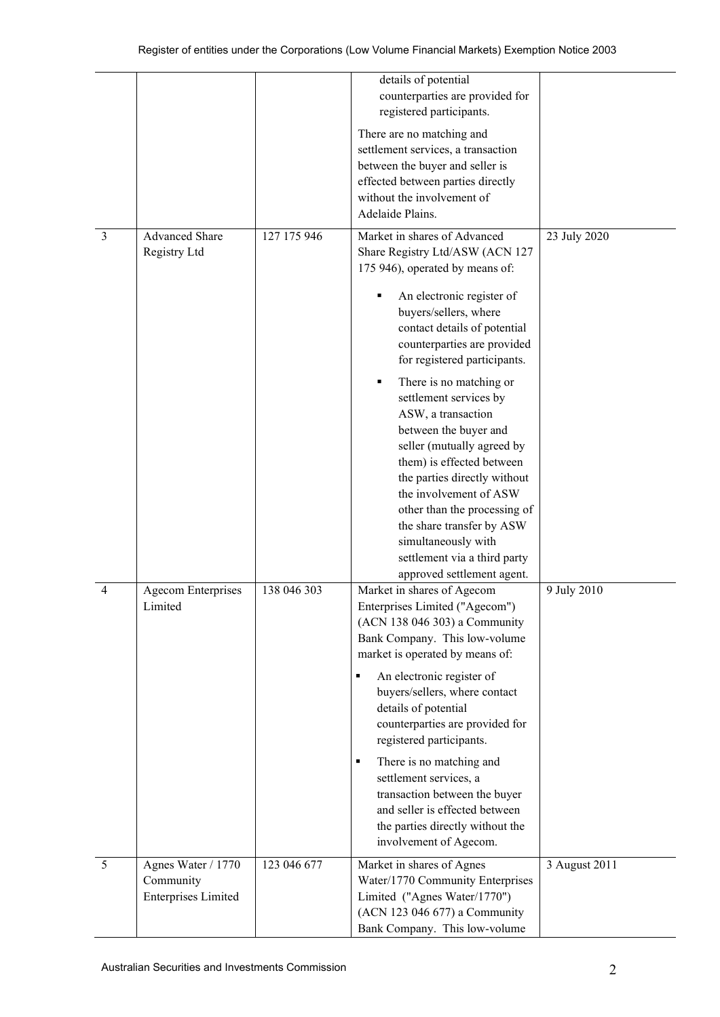|   |                                                               |             | details of potential<br>counterparties are provided for<br>registered participants.                                                                                                                                                                                                                                                                                                                                                                  |               |
|---|---------------------------------------------------------------|-------------|------------------------------------------------------------------------------------------------------------------------------------------------------------------------------------------------------------------------------------------------------------------------------------------------------------------------------------------------------------------------------------------------------------------------------------------------------|---------------|
|   |                                                               |             | There are no matching and<br>settlement services, a transaction<br>between the buyer and seller is<br>effected between parties directly<br>without the involvement of<br>Adelaide Plains.                                                                                                                                                                                                                                                            |               |
| 3 | Advanced Share<br>Registry Ltd                                | 127 175 946 | Market in shares of Advanced<br>Share Registry Ltd/ASW (ACN 127<br>175 946), operated by means of:<br>An electronic register of<br>٠<br>buyers/sellers, where<br>contact details of potential<br>counterparties are provided                                                                                                                                                                                                                         | 23 July 2020  |
|   |                                                               |             | for registered participants.<br>There is no matching or<br>٠<br>settlement services by<br>ASW, a transaction<br>between the buyer and<br>seller (mutually agreed by<br>them) is effected between<br>the parties directly without<br>the involvement of ASW<br>other than the processing of<br>the share transfer by ASW<br>simultaneously with<br>settlement via a third party<br>approved settlement agent.                                         |               |
| 4 | <b>Agecom Enterprises</b><br>Limited                          | 138 046 303 | Market in shares of Agecom<br>Enterprises Limited ("Agecom")<br>(ACN 138 046 303) a Community<br>Bank Company. This low-volume<br>market is operated by means of:<br>An electronic register of<br>buyers/sellers, where contact<br>details of potential<br>counterparties are provided for<br>registered participants.<br>There is no matching and<br>٠<br>settlement services, a<br>transaction between the buyer<br>and seller is effected between | 9 July 2010   |
|   |                                                               |             | the parties directly without the<br>involvement of Agecom.                                                                                                                                                                                                                                                                                                                                                                                           |               |
| 5 | Agnes Water / 1770<br>Community<br><b>Enterprises Limited</b> | 123 046 677 | Market in shares of Agnes<br>Water/1770 Community Enterprises<br>Limited ("Agnes Water/1770")<br>(ACN 123 046 677) a Community<br>Bank Company. This low-volume                                                                                                                                                                                                                                                                                      | 3 August 2011 |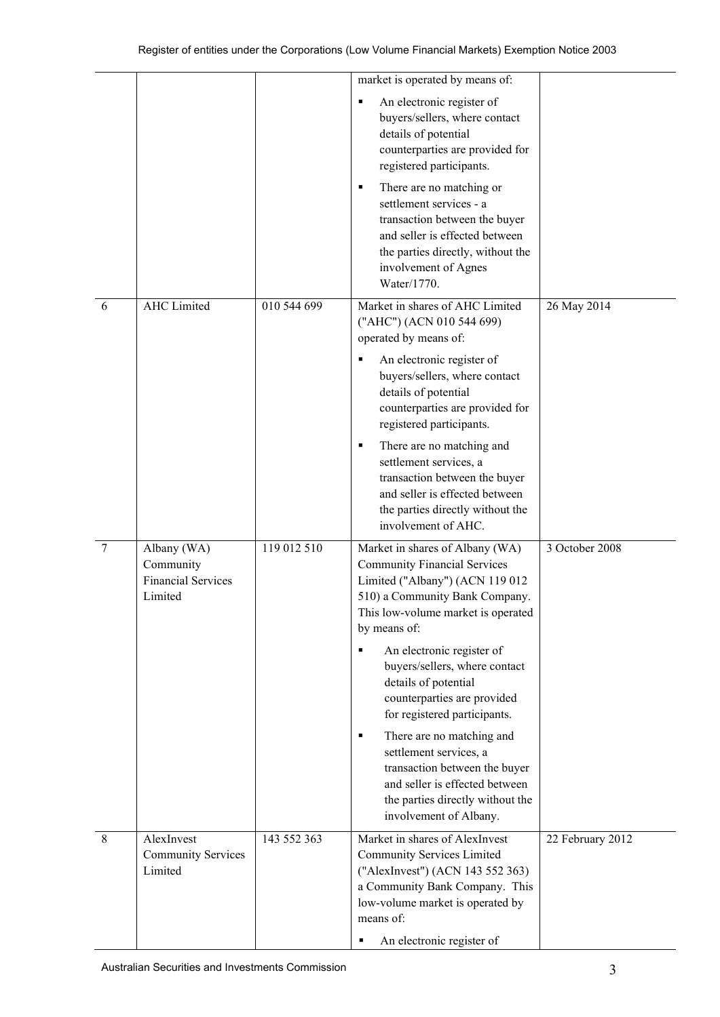|   |                                                                  |             | market is operated by means of:                                                                                                                                                                                              |                  |
|---|------------------------------------------------------------------|-------------|------------------------------------------------------------------------------------------------------------------------------------------------------------------------------------------------------------------------------|------------------|
|   |                                                                  |             | An electronic register of<br>٠<br>buyers/sellers, where contact<br>details of potential<br>counterparties are provided for<br>registered participants.                                                                       |                  |
|   |                                                                  |             | There are no matching or<br>٠<br>settlement services - a<br>transaction between the buyer<br>and seller is effected between<br>the parties directly, without the<br>involvement of Agnes<br>Water/1770.                      |                  |
| 6 | <b>AHC</b> Limited                                               | 010 544 699 | Market in shares of AHC Limited<br>("AHC") (ACN 010 544 699)<br>operated by means of:                                                                                                                                        | 26 May 2014      |
|   |                                                                  |             | An electronic register of<br>buyers/sellers, where contact<br>details of potential<br>counterparties are provided for<br>registered participants.                                                                            |                  |
|   |                                                                  |             | There are no matching and<br>٠<br>settlement services, a<br>transaction between the buyer<br>and seller is effected between<br>the parties directly without the<br>involvement of AHC.                                       |                  |
| 7 | Albany (WA)<br>Community<br><b>Financial Services</b><br>Limited | 119 012 510 | Market in shares of Albany (WA)<br><b>Community Financial Services</b><br>Limited ("Albany") (ACN 119 012<br>510) a Community Bank Company.<br>This low-volume market is operated<br>by means of:                            | 3 October 2008   |
|   |                                                                  |             | An electronic register of<br>п<br>buyers/sellers, where contact<br>details of potential<br>counterparties are provided<br>for registered participants.                                                                       |                  |
|   |                                                                  |             | There are no matching and<br>٠<br>settlement services, a<br>transaction between the buyer<br>and seller is effected between<br>the parties directly without the<br>involvement of Albany.                                    |                  |
| 8 | AlexInvest<br><b>Community Services</b><br>Limited               | 143 552 363 | Market in shares of AlexInvest<br><b>Community Services Limited</b><br>("AlexInvest") (ACN 143 552 363)<br>a Community Bank Company. This<br>low-volume market is operated by<br>means of:<br>An electronic register of<br>٠ | 22 February 2012 |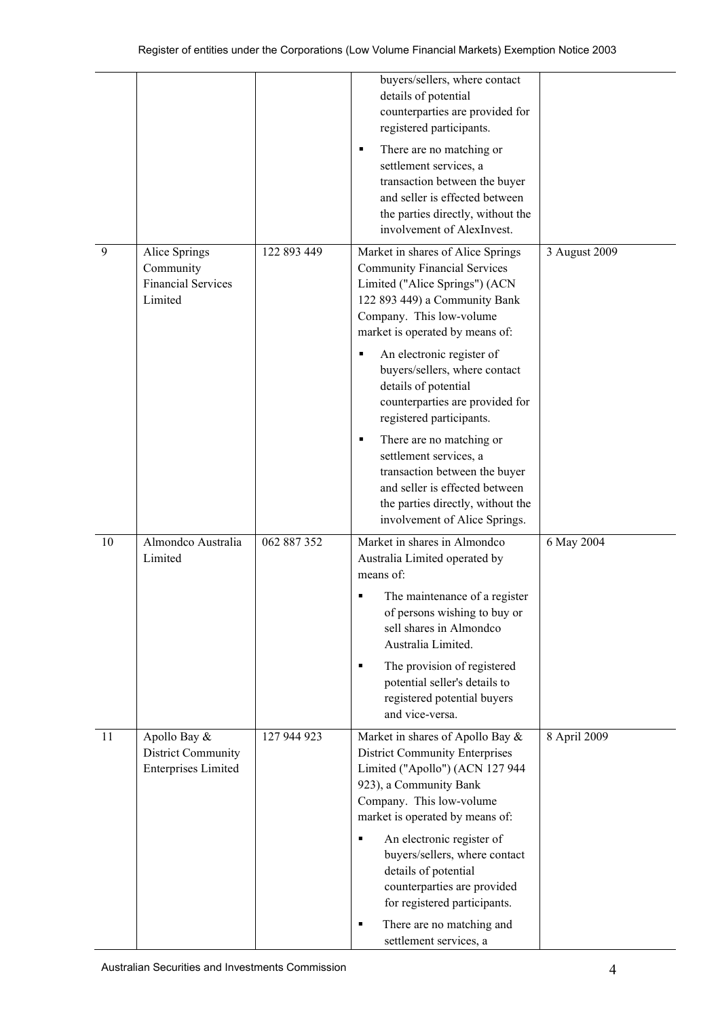|    |                                                                    |             | buyers/sellers, where contact<br>details of potential<br>counterparties are provided for<br>registered participants.<br>There are no matching or<br>٠                                                      |               |
|----|--------------------------------------------------------------------|-------------|------------------------------------------------------------------------------------------------------------------------------------------------------------------------------------------------------------|---------------|
|    |                                                                    |             | settlement services, a<br>transaction between the buyer<br>and seller is effected between<br>the parties directly, without the<br>involvement of AlexInvest.                                               |               |
| 9  | Alice Springs<br>Community<br><b>Financial Services</b><br>Limited | 122 893 449 | Market in shares of Alice Springs<br><b>Community Financial Services</b><br>Limited ("Alice Springs") (ACN<br>122 893 449) a Community Bank<br>Company. This low-volume<br>market is operated by means of: | 3 August 2009 |
|    |                                                                    |             | An electronic register of<br>٠<br>buyers/sellers, where contact<br>details of potential<br>counterparties are provided for<br>registered participants.                                                     |               |
|    |                                                                    |             | There are no matching or<br>٠<br>settlement services, a<br>transaction between the buyer<br>and seller is effected between<br>the parties directly, without the<br>involvement of Alice Springs.           |               |
| 10 | Almondco Australia<br>Limited                                      | 062 887 352 | Market in shares in Almondco<br>Australia Limited operated by<br>means of:                                                                                                                                 | 6 May 2004    |
|    |                                                                    |             | The maintenance of a register<br>of persons wishing to buy or<br>sell shares in Almondco<br>Australia Limited.                                                                                             |               |
|    |                                                                    |             | The provision of registered<br>٠<br>potential seller's details to<br>registered potential buyers<br>and vice-versa.                                                                                        |               |
| 11 | Apollo Bay &<br>District Community<br><b>Enterprises Limited</b>   | 127 944 923 | Market in shares of Apollo Bay &<br><b>District Community Enterprises</b><br>Limited ("Apollo") (ACN 127 944<br>923), a Community Bank<br>Company. This low-volume<br>market is operated by means of:      | 8 April 2009  |
|    |                                                                    |             | An electronic register of<br>٠<br>buyers/sellers, where contact<br>details of potential<br>counterparties are provided<br>for registered participants.                                                     |               |
|    |                                                                    |             | There are no matching and<br>٠<br>settlement services, a                                                                                                                                                   |               |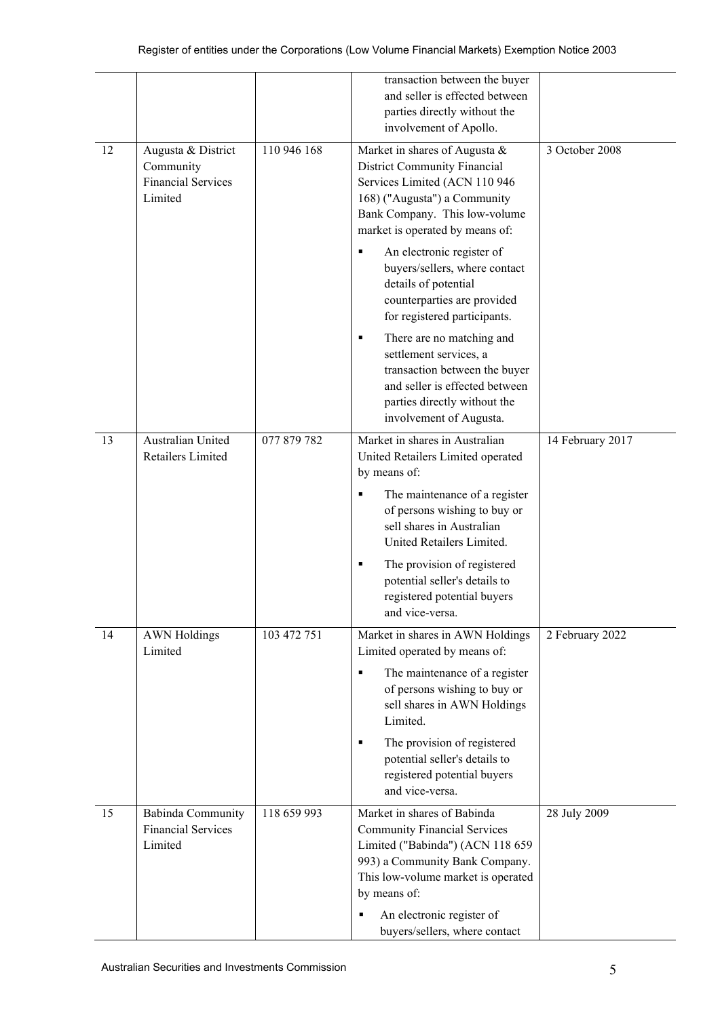|    |                                                                         |             | transaction between the buyer<br>and seller is effected between<br>parties directly without the<br>involvement of Apollo.                                                                                                                                                                                              |                  |
|----|-------------------------------------------------------------------------|-------------|------------------------------------------------------------------------------------------------------------------------------------------------------------------------------------------------------------------------------------------------------------------------------------------------------------------------|------------------|
| 12 | Augusta & District<br>Community<br><b>Financial Services</b><br>Limited | 110 946 168 | Market in shares of Augusta &<br><b>District Community Financial</b><br>Services Limited (ACN 110 946<br>168) ("Augusta") a Community<br>Bank Company. This low-volume<br>market is operated by means of:                                                                                                              | 3 October 2008   |
|    |                                                                         |             | An electronic register of<br>buyers/sellers, where contact<br>details of potential<br>counterparties are provided<br>for registered participants.                                                                                                                                                                      |                  |
|    |                                                                         |             | There are no matching and<br>٠<br>settlement services, a<br>transaction between the buyer<br>and seller is effected between<br>parties directly without the<br>involvement of Augusta.                                                                                                                                 |                  |
| 13 | Australian United<br>Retailers Limited                                  | 077 879 782 | Market in shares in Australian<br>United Retailers Limited operated<br>by means of:                                                                                                                                                                                                                                    | 14 February 2017 |
|    |                                                                         |             | The maintenance of a register<br>٠<br>of persons wishing to buy or<br>sell shares in Australian<br>United Retailers Limited.                                                                                                                                                                                           |                  |
|    |                                                                         |             | The provision of registered<br>٠<br>potential seller's details to<br>registered potential buyers<br>and vice-versa.                                                                                                                                                                                                    |                  |
| 14 | <b>AWN Holdings</b><br>Limited                                          | 103 472 751 | Market in shares in AWN Holdings<br>Limited operated by means of:<br>The maintenance of a register<br>$\blacksquare$<br>of persons wishing to buy or<br>sell shares in AWN Holdings<br>Limited.<br>The provision of registered<br>٠<br>potential seller's details to<br>registered potential buyers<br>and vice-versa. | 2 February 2022  |
| 15 | Babinda Community<br><b>Financial Services</b><br>Limited               | 118 659 993 | Market in shares of Babinda<br><b>Community Financial Services</b><br>Limited ("Babinda") (ACN 118 659<br>993) a Community Bank Company.<br>This low-volume market is operated<br>by means of:<br>An electronic register of<br>buyers/sellers, where contact                                                           | 28 July 2009     |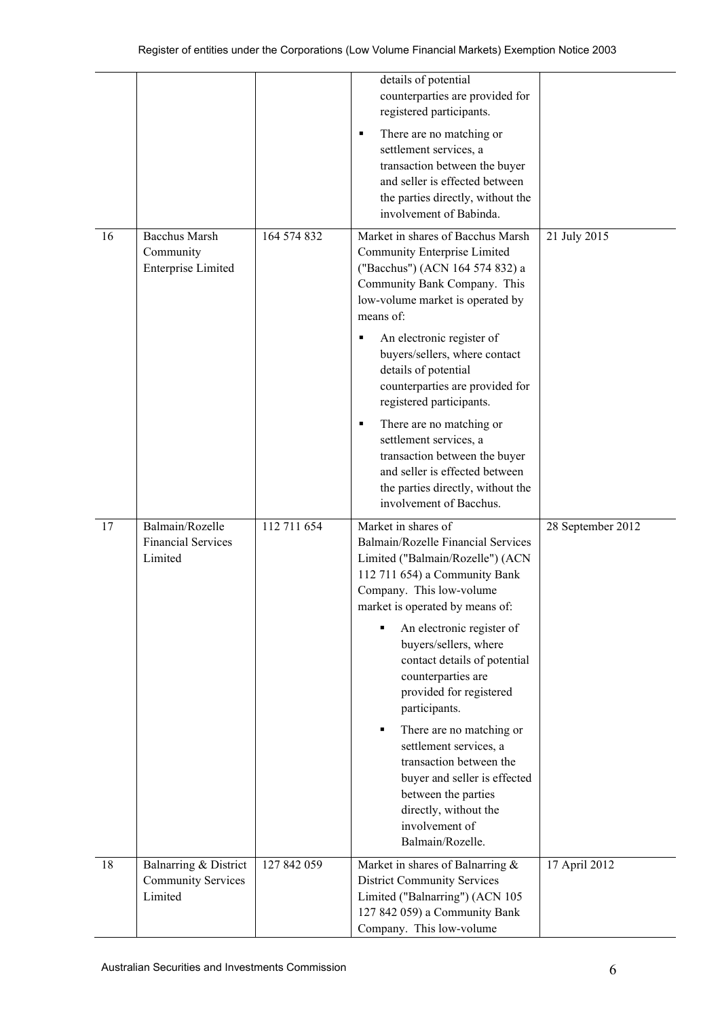|    |                                                                |             | details of potential<br>counterparties are provided for<br>registered participants.<br>There are no matching or<br>٠<br>settlement services, a<br>transaction between the buyer<br>and seller is effected between<br>the parties directly, without the<br>involvement of Babinda.                                                                                                                                                                                                                                                                                      |                   |
|----|----------------------------------------------------------------|-------------|------------------------------------------------------------------------------------------------------------------------------------------------------------------------------------------------------------------------------------------------------------------------------------------------------------------------------------------------------------------------------------------------------------------------------------------------------------------------------------------------------------------------------------------------------------------------|-------------------|
| 16 | <b>Bacchus Marsh</b><br>Community<br><b>Enterprise Limited</b> | 164 574 832 | Market in shares of Bacchus Marsh<br>Community Enterprise Limited<br>("Bacchus") (ACN 164 574 832) a<br>Community Bank Company. This<br>low-volume market is operated by<br>means of:<br>An electronic register of<br>٠<br>buyers/sellers, where contact<br>details of potential<br>counterparties are provided for<br>registered participants.<br>There are no matching or<br>٠<br>settlement services, a<br>transaction between the buyer<br>and seller is effected between<br>the parties directly, without the<br>involvement of Bacchus.                          | 21 July 2015      |
| 17 | Balmain/Rozelle<br><b>Financial Services</b><br>Limited        | 112 711 654 | Market in shares of<br>Balmain/Rozelle Financial Services<br>Limited ("Balmain/Rozelle") (ACN<br>112 711 654) a Community Bank<br>Company. This low-volume<br>market is operated by means of:<br>An electronic register of<br>٠<br>buyers/sellers, where<br>contact details of potential<br>counterparties are<br>provided for registered<br>participants.<br>There are no matching or<br>٠<br>settlement services, a<br>transaction between the<br>buyer and seller is effected<br>between the parties<br>directly, without the<br>involvement of<br>Balmain/Rozelle. | 28 September 2012 |
| 18 | Balnarring & District<br><b>Community Services</b><br>Limited  | 127 842 059 | Market in shares of Balnarring &<br><b>District Community Services</b><br>Limited ("Balnarring") (ACN 105<br>127 842 059) a Community Bank<br>Company. This low-volume                                                                                                                                                                                                                                                                                                                                                                                                 | 17 April 2012     |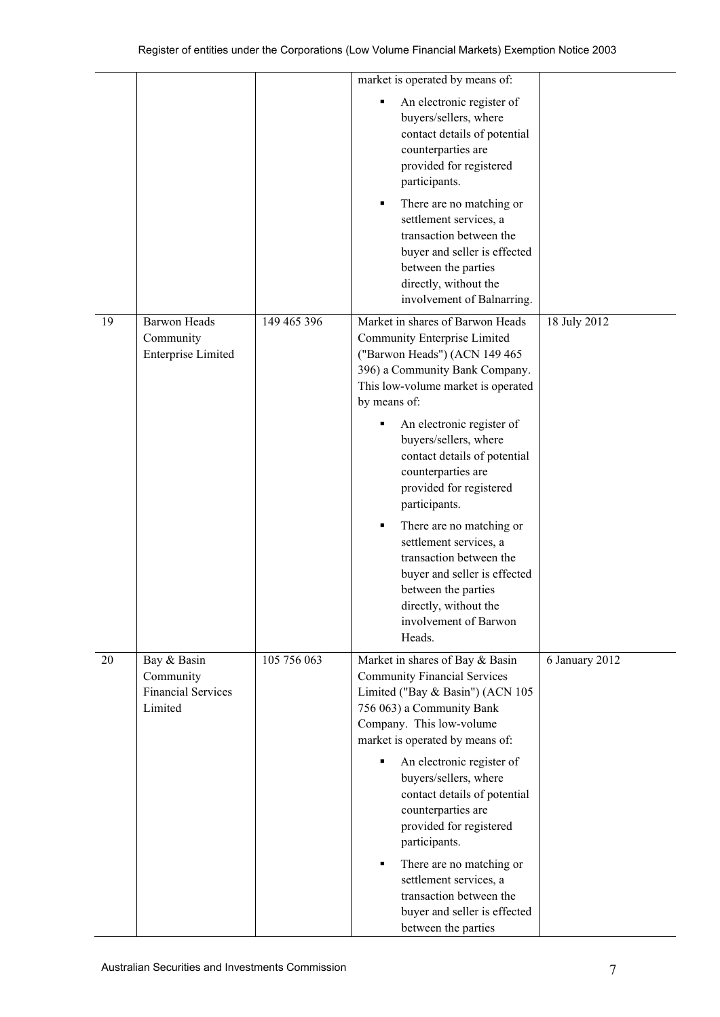|    |                                                                  |             | market is operated by means of:<br>An electronic register of<br>٠<br>buyers/sellers, where<br>contact details of potential<br>counterparties are<br>provided for registered<br>participants.<br>There are no matching or<br>٠<br>settlement services, a<br>transaction between the<br>buyer and seller is effected<br>between the parties<br>directly, without the<br>involvement of Balnarring.                                                                                                                           |                |
|----|------------------------------------------------------------------|-------------|----------------------------------------------------------------------------------------------------------------------------------------------------------------------------------------------------------------------------------------------------------------------------------------------------------------------------------------------------------------------------------------------------------------------------------------------------------------------------------------------------------------------------|----------------|
| 19 | <b>Barwon Heads</b><br>Community<br><b>Enterprise Limited</b>    | 149 465 396 | Market in shares of Barwon Heads<br>Community Enterprise Limited<br>("Barwon Heads") (ACN 149 465<br>396) a Community Bank Company.<br>This low-volume market is operated<br>by means of:                                                                                                                                                                                                                                                                                                                                  | 18 July 2012   |
|    |                                                                  |             | An electronic register of<br>buyers/sellers, where<br>contact details of potential<br>counterparties are<br>provided for registered<br>participants.<br>There are no matching or<br>settlement services, a<br>transaction between the<br>buyer and seller is effected<br>between the parties<br>directly, without the<br>involvement of Barwon                                                                                                                                                                             |                |
| 20 | Bay & Basin<br>Community<br><b>Financial Services</b><br>Limited | 105 756 063 | Heads.<br>Market in shares of Bay & Basin<br><b>Community Financial Services</b><br>Limited ("Bay & Basin") (ACN 105<br>756 063) a Community Bank<br>Company. This low-volume<br>market is operated by means of:<br>An electronic register of<br>п<br>buyers/sellers, where<br>contact details of potential<br>counterparties are<br>provided for registered<br>participants.<br>There are no matching or<br>٠<br>settlement services, a<br>transaction between the<br>buyer and seller is effected<br>between the parties | 6 January 2012 |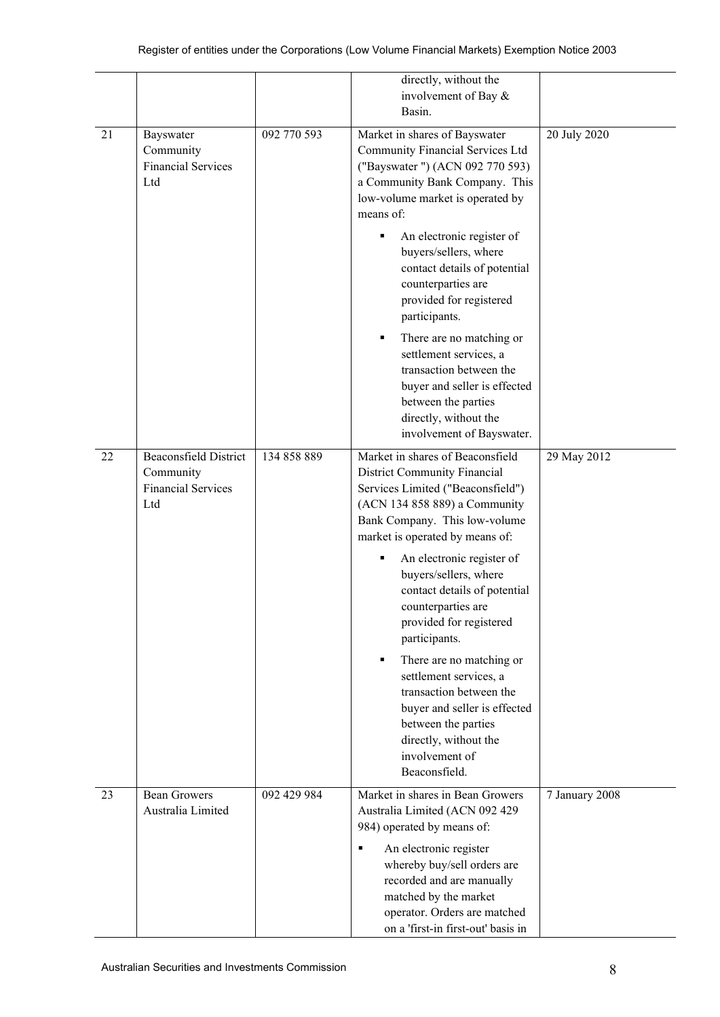|    |                                                                               |             | directly, without the<br>involvement of Bay &<br>Basin.                                                                                                                                                    |                |
|----|-------------------------------------------------------------------------------|-------------|------------------------------------------------------------------------------------------------------------------------------------------------------------------------------------------------------------|----------------|
| 21 | Bayswater<br>Community<br><b>Financial Services</b><br>Ltd                    | 092 770 593 | Market in shares of Bayswater<br>Community Financial Services Ltd<br>("Bayswater") (ACN 092 770 593)<br>a Community Bank Company. This<br>low-volume market is operated by<br>means of:                    | 20 July 2020   |
|    |                                                                               |             | An electronic register of<br>٠<br>buyers/sellers, where<br>contact details of potential<br>counterparties are<br>provided for registered<br>participants.                                                  |                |
|    |                                                                               |             | There are no matching or<br>٠<br>settlement services, a<br>transaction between the<br>buyer and seller is effected<br>between the parties<br>directly, without the<br>involvement of Bayswater.            |                |
| 22 | <b>Beaconsfield District</b><br>Community<br><b>Financial Services</b><br>Ltd | 134 858 889 | Market in shares of Beaconsfield<br>District Community Financial<br>Services Limited ("Beaconsfield")<br>(ACN 134 858 889) a Community<br>Bank Company. This low-volume<br>market is operated by means of: | 29 May 2012    |
|    |                                                                               |             | An electronic register of<br>٠<br>buyers/sellers, where<br>contact details of potential<br>counterparties are<br>provided for registered<br>participants.                                                  |                |
|    |                                                                               |             | There are no matching or<br>٠<br>settlement services, a<br>transaction between the<br>buyer and seller is effected<br>between the parties<br>directly, without the<br>involvement of<br>Beaconsfield.      |                |
| 23 | <b>Bean Growers</b><br>Australia Limited                                      | 092 429 984 | Market in shares in Bean Growers<br>Australia Limited (ACN 092 429<br>984) operated by means of:                                                                                                           | 7 January 2008 |
|    |                                                                               |             | An electronic register<br>٠<br>whereby buy/sell orders are<br>recorded and are manually<br>matched by the market<br>operator. Orders are matched<br>on a 'first-in first-out' basis in                     |                |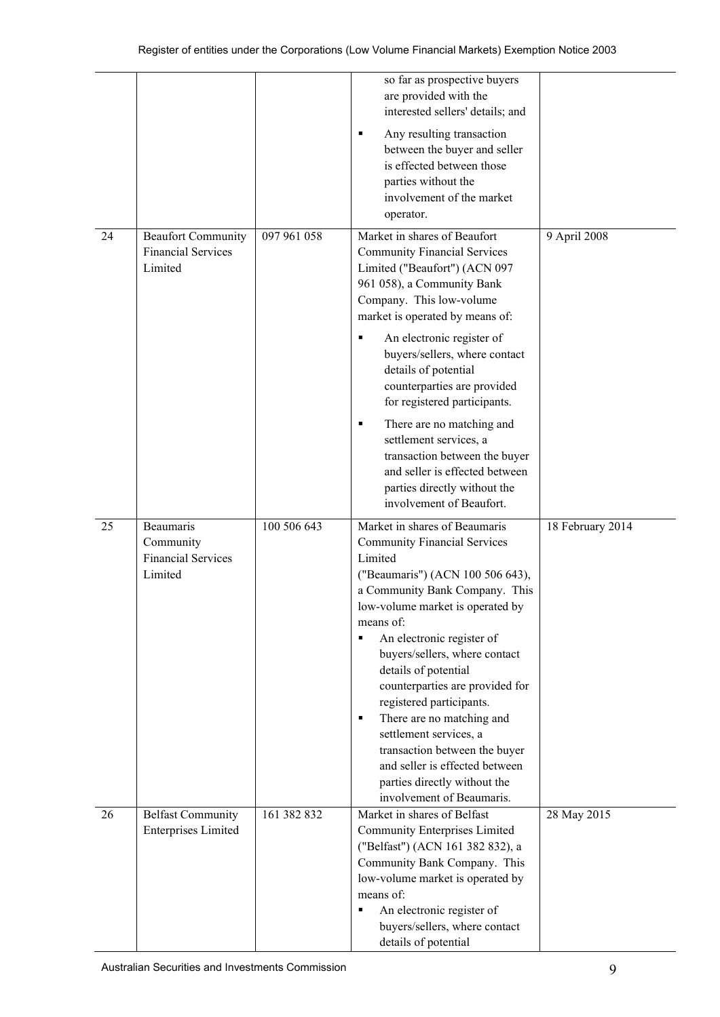|    |                                                                       |             | so far as prospective buyers<br>are provided with the<br>interested sellers' details; and                                                                                                                                                                                                                                                                                                                                                                                                                                                                    |                  |
|----|-----------------------------------------------------------------------|-------------|--------------------------------------------------------------------------------------------------------------------------------------------------------------------------------------------------------------------------------------------------------------------------------------------------------------------------------------------------------------------------------------------------------------------------------------------------------------------------------------------------------------------------------------------------------------|------------------|
|    |                                                                       |             | Any resulting transaction<br>٠<br>between the buyer and seller<br>is effected between those<br>parties without the<br>involvement of the market<br>operator.                                                                                                                                                                                                                                                                                                                                                                                                 |                  |
| 24 | <b>Beaufort Community</b><br><b>Financial Services</b><br>Limited     | 097 961 058 | Market in shares of Beaufort<br><b>Community Financial Services</b><br>Limited ("Beaufort") (ACN 097<br>961 058), a Community Bank<br>Company. This low-volume<br>market is operated by means of:<br>An electronic register of<br>buyers/sellers, where contact<br>details of potential<br>counterparties are provided<br>for registered participants.<br>There are no matching and<br>٠<br>settlement services, a<br>transaction between the buyer<br>and seller is effected between<br>parties directly without the<br>involvement of Beaufort.            | 9 April 2008     |
| 25 | <b>Beaumaris</b><br>Community<br><b>Financial Services</b><br>Limited | 100 506 643 | Market in shares of Beaumaris<br><b>Community Financial Services</b><br>Limited<br>("Beaumaris") (ACN 100 506 643),<br>a Community Bank Company. This<br>low-volume market is operated by<br>means of:<br>An electronic register of<br>٠<br>buyers/sellers, where contact<br>details of potential<br>counterparties are provided for<br>registered participants.<br>There are no matching and<br>٠<br>settlement services, a<br>transaction between the buyer<br>and seller is effected between<br>parties directly without the<br>involvement of Beaumaris. | 18 February 2014 |
| 26 | <b>Belfast Community</b><br><b>Enterprises Limited</b>                | 161 382 832 | Market in shares of Belfast<br><b>Community Enterprises Limited</b><br>("Belfast") (ACN 161 382 832), a<br>Community Bank Company. This<br>low-volume market is operated by<br>means of:<br>An electronic register of<br>٠<br>buyers/sellers, where contact<br>details of potential                                                                                                                                                                                                                                                                          | 28 May 2015      |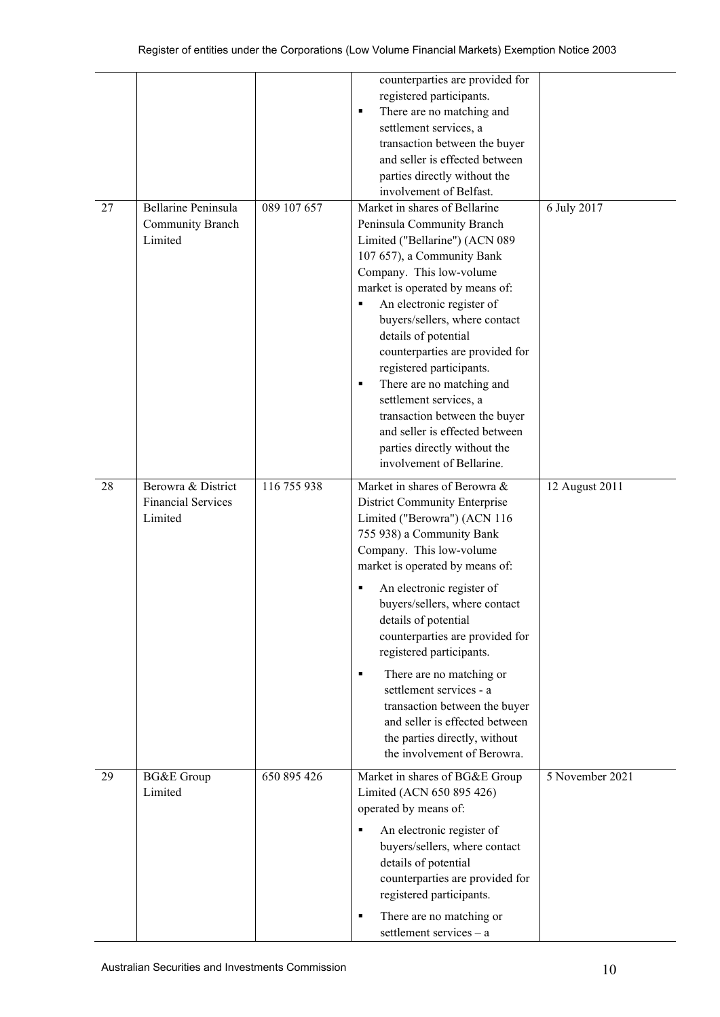|    |                                                            |             | counterparties are provided for<br>registered participants.<br>There are no matching and<br>٠<br>settlement services, a<br>transaction between the buyer<br>and seller is effected between<br>parties directly without the<br>involvement of Belfast.                                                                                                                                                                                                                                                                                                 |                 |
|----|------------------------------------------------------------|-------------|-------------------------------------------------------------------------------------------------------------------------------------------------------------------------------------------------------------------------------------------------------------------------------------------------------------------------------------------------------------------------------------------------------------------------------------------------------------------------------------------------------------------------------------------------------|-----------------|
| 27 | Bellarine Peninsula<br>Community Branch<br>Limited         | 089 107 657 | Market in shares of Bellarine<br>Peninsula Community Branch<br>Limited ("Bellarine") (ACN 089<br>107 657), a Community Bank<br>Company. This low-volume<br>market is operated by means of:<br>An electronic register of<br>٠<br>buyers/sellers, where contact<br>details of potential<br>counterparties are provided for<br>registered participants.<br>There are no matching and<br>٠<br>settlement services, a<br>transaction between the buyer<br>and seller is effected between<br>parties directly without the<br>involvement of Bellarine.      | 6 July 2017     |
| 28 | Berowra & District<br><b>Financial Services</b><br>Limited | 116 755 938 | Market in shares of Berowra &<br><b>District Community Enterprise</b><br>Limited ("Berowra") (ACN 116<br>755 938) a Community Bank<br>Company. This low-volume<br>market is operated by means of:<br>An electronic register of<br>buyers/sellers, where contact<br>details of potential<br>counterparties are provided for<br>registered participants.<br>There are no matching or<br>٠<br>settlement services - a<br>transaction between the buyer<br>and seller is effected between<br>the parties directly, without<br>the involvement of Berowra. | 12 August 2011  |
| 29 | <b>BG&amp;E</b> Group<br>Limited                           | 650 895 426 | Market in shares of BG&E Group<br>Limited (ACN 650 895 426)<br>operated by means of:<br>An electronic register of<br>٠<br>buyers/sellers, where contact<br>details of potential<br>counterparties are provided for<br>registered participants.<br>There are no matching or<br>ш<br>settlement services - a                                                                                                                                                                                                                                            | 5 November 2021 |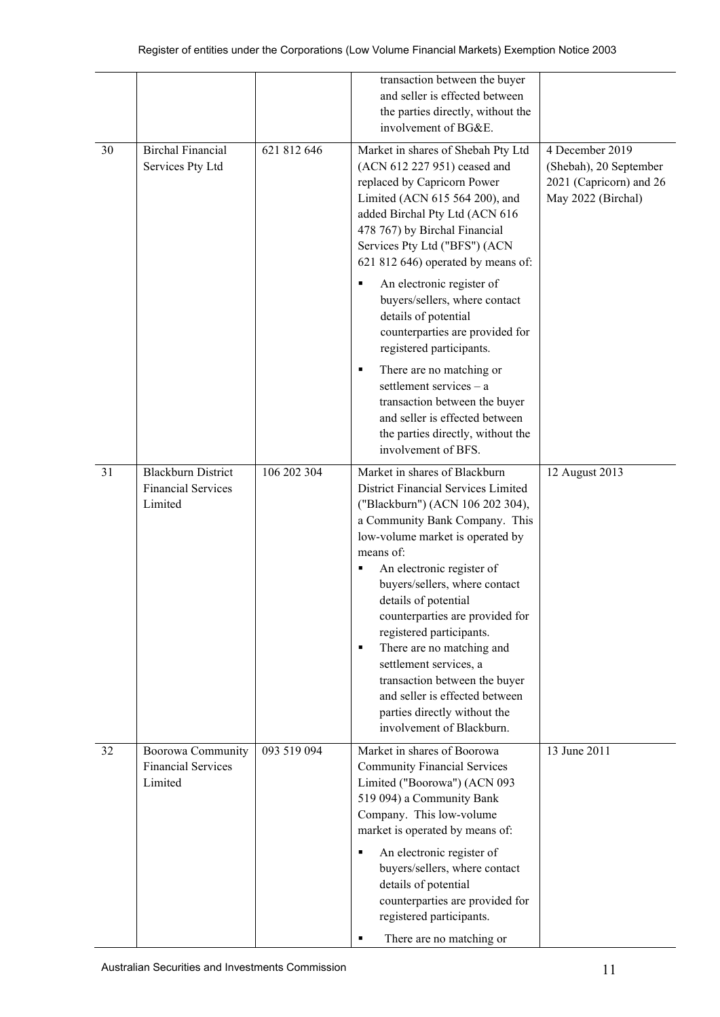|    |                                                                   |             | transaction between the buyer<br>and seller is effected between<br>the parties directly, without the<br>involvement of BG&E.                                                                                                                                                                                                                                                                                                                                                                                                                                                                             |                                                                                            |
|----|-------------------------------------------------------------------|-------------|----------------------------------------------------------------------------------------------------------------------------------------------------------------------------------------------------------------------------------------------------------------------------------------------------------------------------------------------------------------------------------------------------------------------------------------------------------------------------------------------------------------------------------------------------------------------------------------------------------|--------------------------------------------------------------------------------------------|
| 30 | <b>Birchal Financial</b><br>Services Pty Ltd                      | 621 812 646 | Market in shares of Shebah Pty Ltd<br>(ACN 612 227 951) ceased and<br>replaced by Capricorn Power<br>Limited (ACN 615 564 200), and<br>added Birchal Pty Ltd (ACN 616<br>478 767) by Birchal Financial<br>Services Pty Ltd ("BFS") (ACN<br>621 812 646) operated by means of:<br>An electronic register of<br>buyers/sellers, where contact<br>details of potential<br>counterparties are provided for<br>registered participants.<br>There are no matching or<br>٠<br>settlement services $-$ a<br>transaction between the buyer<br>and seller is effected between<br>the parties directly, without the | 4 December 2019<br>(Shebah), 20 September<br>2021 (Capricorn) and 26<br>May 2022 (Birchal) |
| 31 | <b>Blackburn District</b><br><b>Financial Services</b><br>Limited | 106 202 304 | involvement of BFS.<br>Market in shares of Blackburn<br>District Financial Services Limited<br>("Blackburn") (ACN 106 202 304),<br>a Community Bank Company. This<br>low-volume market is operated by<br>means of:<br>An electronic register of<br>п<br>buyers/sellers, where contact<br>details of potential<br>counterparties are provided for<br>registered participants.<br>There are no matching and<br>٠<br>settlement services, a<br>transaction between the buyer<br>and seller is effected between<br>parties directly without the<br>involvement of Blackburn.                                 | 12 August 2013                                                                             |
| 32 | Boorowa Community<br><b>Financial Services</b><br>Limited         | 093 519 094 | Market in shares of Boorowa<br><b>Community Financial Services</b><br>Limited ("Boorowa") (ACN 093<br>519 094) a Community Bank<br>Company. This low-volume<br>market is operated by means of:<br>An electronic register of<br>٠<br>buyers/sellers, where contact<br>details of potential<br>counterparties are provided for<br>registered participants.<br>There are no matching or                                                                                                                                                                                                                     | 13 June 2011                                                                               |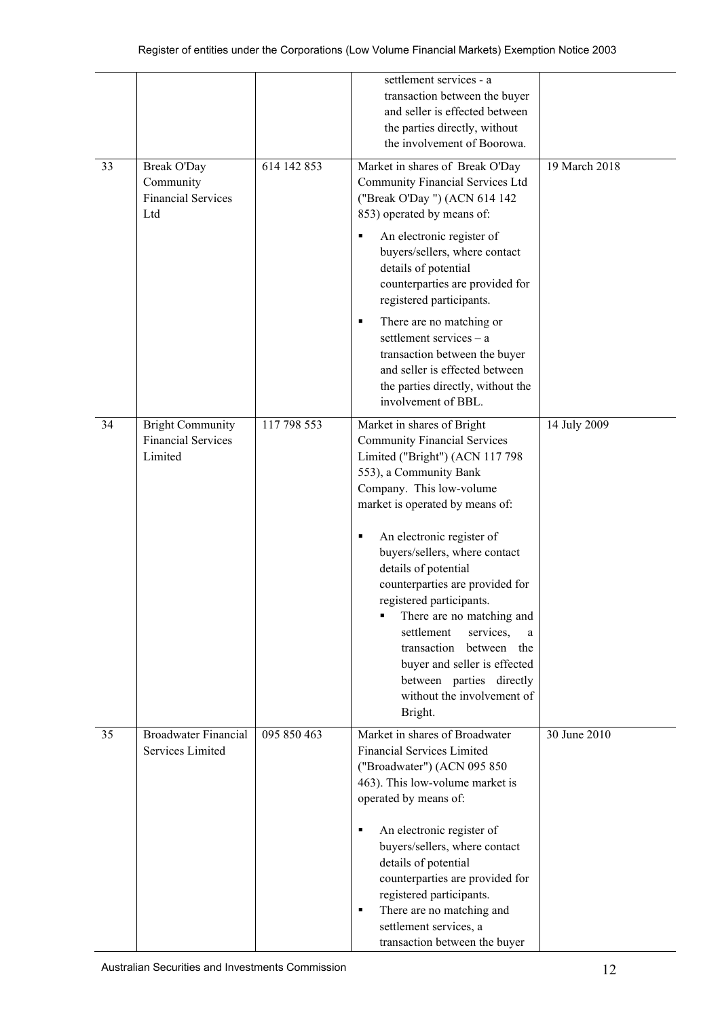|    |                                                                     |             | settlement services - a<br>transaction between the buyer<br>and seller is effected between<br>the parties directly, without<br>the involvement of Boorowa.                                                                                                                                                                                                                                                                                                                                                                                         |               |
|----|---------------------------------------------------------------------|-------------|----------------------------------------------------------------------------------------------------------------------------------------------------------------------------------------------------------------------------------------------------------------------------------------------------------------------------------------------------------------------------------------------------------------------------------------------------------------------------------------------------------------------------------------------------|---------------|
| 33 | <b>Break O'Day</b><br>Community<br><b>Financial Services</b><br>Ltd | 614 142 853 | Market in shares of Break O'Day<br>Community Financial Services Ltd<br>("Break O'Day ") (ACN 614 142<br>853) operated by means of:<br>An electronic register of<br>٠<br>buyers/sellers, where contact<br>details of potential<br>counterparties are provided for<br>registered participants.<br>There are no matching or<br>٠<br>settlement services - a<br>transaction between the buyer<br>and seller is effected between                                                                                                                        | 19 March 2018 |
|    |                                                                     |             | the parties directly, without the<br>involvement of BBL.                                                                                                                                                                                                                                                                                                                                                                                                                                                                                           |               |
| 34 | <b>Bright Community</b><br><b>Financial Services</b><br>Limited     | 117 798 553 | Market in shares of Bright<br><b>Community Financial Services</b><br>Limited ("Bright") (ACN 117 798<br>553), a Community Bank<br>Company. This low-volume<br>market is operated by means of:<br>An electronic register of<br>٠<br>buyers/sellers, where contact<br>details of potential<br>counterparties are provided for<br>registered participants.<br>There are no matching and<br>settlement<br>services,<br>transaction<br>between the<br>buyer and seller is effected<br>between parties directly<br>without the involvement of<br>Bright. | 14 July 2009  |
| 35 | <b>Broadwater Financial</b><br>Services Limited                     | 095 850 463 | Market in shares of Broadwater<br><b>Financial Services Limited</b><br>("Broadwater") (ACN 095 850<br>463). This low-volume market is<br>operated by means of:<br>An electronic register of<br>٠<br>buyers/sellers, where contact<br>details of potential<br>counterparties are provided for<br>registered participants.<br>There are no matching and<br>٠<br>settlement services, a<br>transaction between the buyer                                                                                                                              | 30 June 2010  |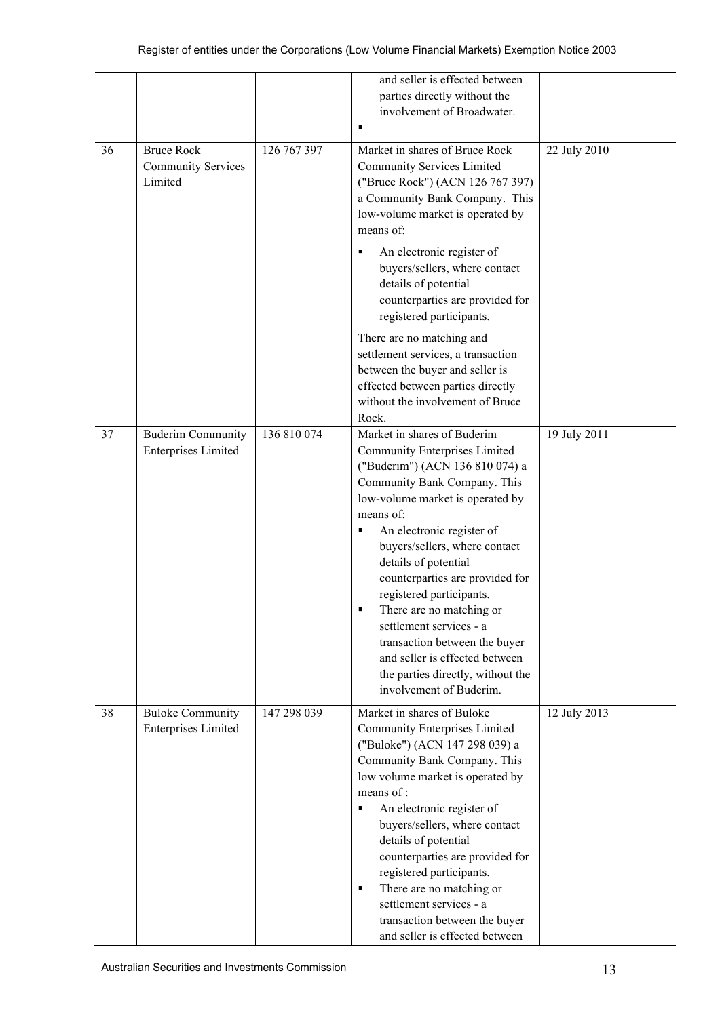|    |                                                           |             | and seller is effected between<br>parties directly without the<br>involvement of Broadwater.                                                                                                                                                                                                                                                                                                                                                                                                                                                |              |
|----|-----------------------------------------------------------|-------------|---------------------------------------------------------------------------------------------------------------------------------------------------------------------------------------------------------------------------------------------------------------------------------------------------------------------------------------------------------------------------------------------------------------------------------------------------------------------------------------------------------------------------------------------|--------------|
| 36 | <b>Bruce Rock</b><br><b>Community Services</b><br>Limited | 126 767 397 | Market in shares of Bruce Rock<br><b>Community Services Limited</b><br>("Bruce Rock") (ACN 126 767 397)<br>a Community Bank Company. This<br>low-volume market is operated by<br>means of:                                                                                                                                                                                                                                                                                                                                                  | 22 July 2010 |
|    |                                                           |             | An electronic register of<br>٠<br>buyers/sellers, where contact<br>details of potential<br>counterparties are provided for<br>registered participants.                                                                                                                                                                                                                                                                                                                                                                                      |              |
|    |                                                           |             | There are no matching and<br>settlement services, a transaction<br>between the buyer and seller is<br>effected between parties directly<br>without the involvement of Bruce<br>Rock.                                                                                                                                                                                                                                                                                                                                                        |              |
| 37 | <b>Buderim Community</b><br><b>Enterprises Limited</b>    | 136 810 074 | Market in shares of Buderim<br><b>Community Enterprises Limited</b><br>("Buderim") (ACN 136 810 074) a<br>Community Bank Company. This<br>low-volume market is operated by<br>means of:<br>An electronic register of<br>Е<br>buyers/sellers, where contact<br>details of potential<br>counterparties are provided for<br>registered participants.<br>There are no matching or<br>settlement services - a<br>transaction between the buyer<br>and seller is effected between<br>the parties directly, without the<br>involvement of Buderim. | 19 July 2011 |
| 38 | <b>Buloke Community</b><br><b>Enterprises Limited</b>     | 147 298 039 | Market in shares of Buloke<br>Community Enterprises Limited<br>("Buloke") (ACN 147 298 039) a<br>Community Bank Company. This<br>low volume market is operated by<br>means of:<br>An electronic register of<br>٠<br>buyers/sellers, where contact<br>details of potential<br>counterparties are provided for<br>registered participants.<br>There are no matching or<br>٠<br>settlement services - a<br>transaction between the buyer<br>and seller is effected between                                                                     | 12 July 2013 |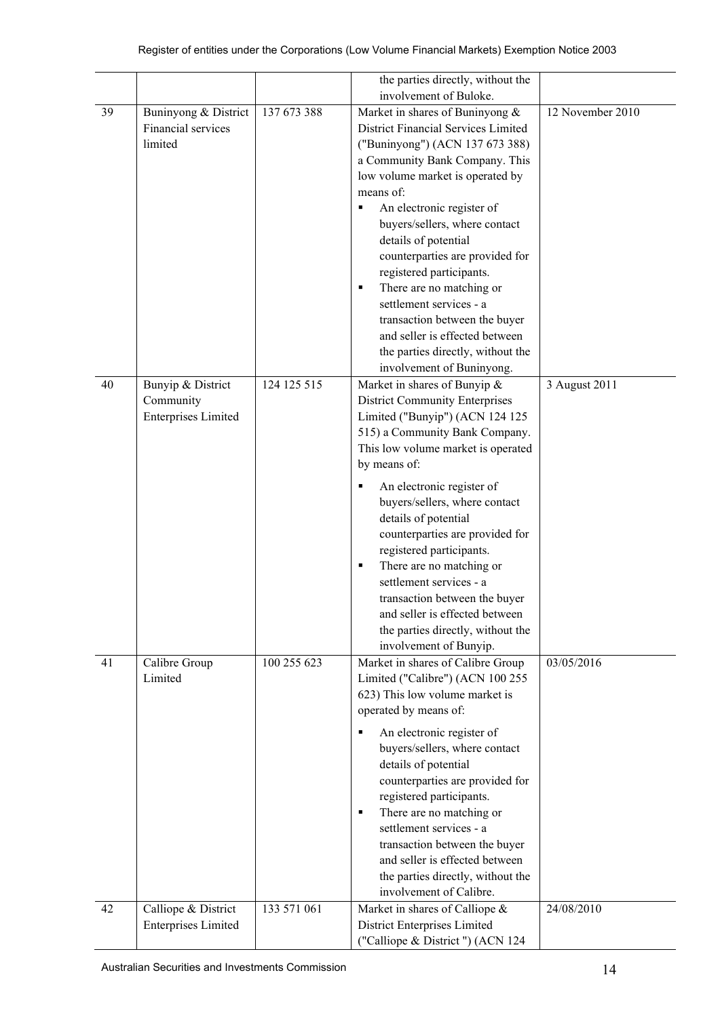|    |                            |             | the parties directly, without the     |                  |
|----|----------------------------|-------------|---------------------------------------|------------------|
|    |                            |             | involvement of Buloke.                |                  |
| 39 | Buninyong & District       | 137 673 388 | Market in shares of Buninyong &       | 12 November 2010 |
|    | Financial services         |             | District Financial Services Limited   |                  |
|    | limited                    |             | ("Buninyong") (ACN 137 673 388)       |                  |
|    |                            |             | a Community Bank Company. This        |                  |
|    |                            |             | low volume market is operated by      |                  |
|    |                            |             | means of:                             |                  |
|    |                            |             | An electronic register of<br>П        |                  |
|    |                            |             | buyers/sellers, where contact         |                  |
|    |                            |             | details of potential                  |                  |
|    |                            |             | counterparties are provided for       |                  |
|    |                            |             | registered participants.              |                  |
|    |                            |             | There are no matching or<br>٠         |                  |
|    |                            |             | settlement services - a               |                  |
|    |                            |             |                                       |                  |
|    |                            |             | transaction between the buyer         |                  |
|    |                            |             | and seller is effected between        |                  |
|    |                            |             | the parties directly, without the     |                  |
|    |                            |             | involvement of Buninyong.             |                  |
| 40 | Bunyip & District          | 124 125 515 | Market in shares of Bunyip &          | 3 August 2011    |
|    | Community                  |             | <b>District Community Enterprises</b> |                  |
|    | <b>Enterprises Limited</b> |             | Limited ("Bunyip") (ACN 124 125       |                  |
|    |                            |             | 515) a Community Bank Company.        |                  |
|    |                            |             | This low volume market is operated    |                  |
|    |                            |             | by means of:                          |                  |
|    |                            |             | An electronic register of<br>٠        |                  |
|    |                            |             | buyers/sellers, where contact         |                  |
|    |                            |             |                                       |                  |
|    |                            |             | details of potential                  |                  |
|    |                            |             | counterparties are provided for       |                  |
|    |                            |             | registered participants.              |                  |
|    |                            |             | There are no matching or<br>٠         |                  |
|    |                            |             | settlement services - a               |                  |
|    |                            |             | transaction between the buyer         |                  |
|    |                            |             | and seller is effected between        |                  |
|    |                            |             | the parties directly, without the     |                  |
|    |                            |             | involvement of Bunyip.                |                  |
| 41 | Calibre Group              | 100 255 623 | Market in shares of Calibre Group     | 03/05/2016       |
|    | Limited                    |             | Limited ("Calibre") (ACN 100 255      |                  |
|    |                            |             | 623) This low volume market is        |                  |
|    |                            |             | operated by means of:                 |                  |
|    |                            |             | ٠                                     |                  |
|    |                            |             | An electronic register of             |                  |
|    |                            |             | buyers/sellers, where contact         |                  |
|    |                            |             | details of potential                  |                  |
|    |                            |             | counterparties are provided for       |                  |
|    |                            |             | registered participants.              |                  |
|    |                            |             | There are no matching or<br>٠         |                  |
|    |                            |             | settlement services - a               |                  |
|    |                            |             | transaction between the buyer         |                  |
|    |                            |             | and seller is effected between        |                  |
|    |                            |             | the parties directly, without the     |                  |
|    |                            |             | involvement of Calibre.               |                  |
| 42 | Calliope & District        | 133 571 061 | Market in shares of Calliope &        | 24/08/2010       |
|    | <b>Enterprises Limited</b> |             | District Enterprises Limited          |                  |
|    |                            |             | ("Calliope & District") (ACN 124      |                  |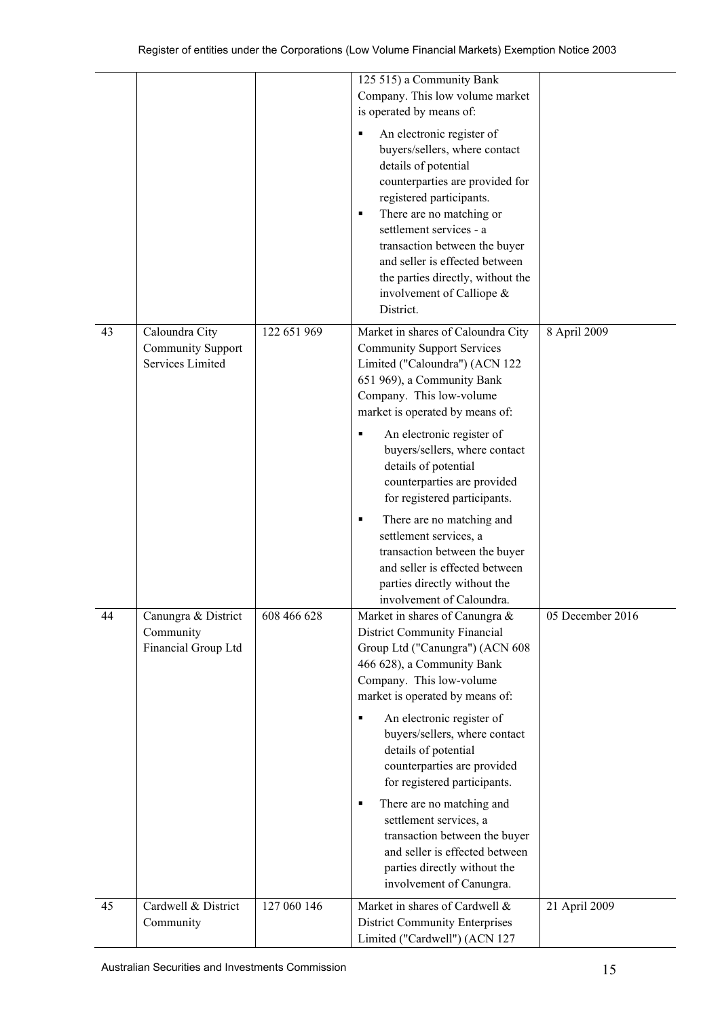|    |                                                         |             | 125 515) a Community Bank<br>Company. This low volume market<br>is operated by means of:                                                                                                                                                                                                                                                                             |                  |
|----|---------------------------------------------------------|-------------|----------------------------------------------------------------------------------------------------------------------------------------------------------------------------------------------------------------------------------------------------------------------------------------------------------------------------------------------------------------------|------------------|
|    |                                                         |             | An electronic register of<br>٠<br>buyers/sellers, where contact<br>details of potential<br>counterparties are provided for<br>registered participants.<br>There are no matching or<br>٠<br>settlement services - a<br>transaction between the buyer<br>and seller is effected between<br>the parties directly, without the<br>involvement of Calliope &<br>District. |                  |
| 43 | Caloundra City<br>Community Support<br>Services Limited | 122 651 969 | Market in shares of Caloundra City<br><b>Community Support Services</b><br>Limited ("Caloundra") (ACN 122<br>651 969), a Community Bank<br>Company. This low-volume<br>market is operated by means of:<br>An electronic register of<br>٠<br>buyers/sellers, where contact<br>details of potential<br>counterparties are provided                                     | 8 April 2009     |
|    |                                                         |             | for registered participants.<br>There are no matching and<br>٠<br>settlement services, a<br>transaction between the buyer<br>and seller is effected between<br>parties directly without the<br>involvement of Caloundra.                                                                                                                                             |                  |
| 44 | Canungra & District<br>Community<br>Financial Group Ltd | 608 466 628 | Market in shares of Canungra &<br>District Community Financial<br>Group Ltd ("Canungra") (ACN 608<br>466 628), a Community Bank<br>Company. This low-volume<br>market is operated by means of:<br>An electronic register of<br>٠                                                                                                                                     | 05 December 2016 |
|    |                                                         |             | buyers/sellers, where contact<br>details of potential<br>counterparties are provided<br>for registered participants.                                                                                                                                                                                                                                                 |                  |
|    |                                                         |             | There are no matching and<br>٠<br>settlement services, a<br>transaction between the buyer<br>and seller is effected between<br>parties directly without the<br>involvement of Canungra.                                                                                                                                                                              |                  |
| 45 | Cardwell & District<br>Community                        | 127 060 146 | Market in shares of Cardwell &<br><b>District Community Enterprises</b><br>Limited ("Cardwell") (ACN 127                                                                                                                                                                                                                                                             | 21 April 2009    |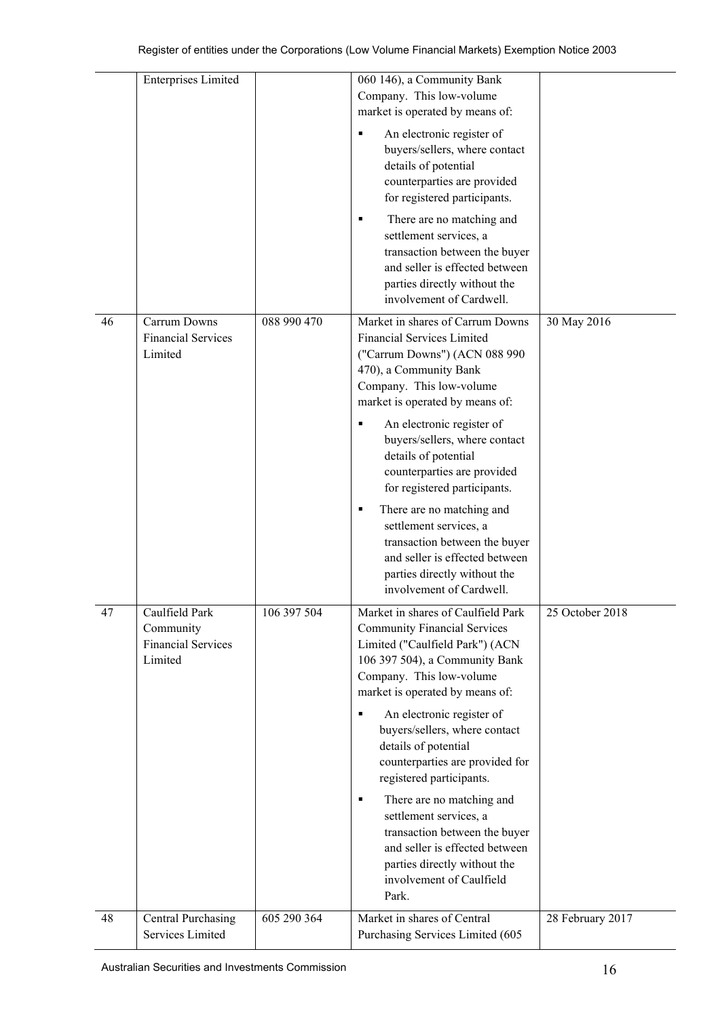|    | <b>Enterprises Limited</b>                                          |             | 060 146), a Community Bank<br>Company. This low-volume<br>market is operated by means of:<br>An electronic register of<br>buyers/sellers, where contact<br>details of potential<br>counterparties are provided<br>for registered participants.<br>There are no matching and<br>٠<br>settlement services, a<br>transaction between the buyer<br>and seller is effected between<br>parties directly without the<br>involvement of Cardwell.                                                                                                                                   |                  |
|----|---------------------------------------------------------------------|-------------|-----------------------------------------------------------------------------------------------------------------------------------------------------------------------------------------------------------------------------------------------------------------------------------------------------------------------------------------------------------------------------------------------------------------------------------------------------------------------------------------------------------------------------------------------------------------------------|------------------|
| 46 | Carrum Downs<br><b>Financial Services</b><br>Limited                | 088 990 470 | Market in shares of Carrum Downs<br><b>Financial Services Limited</b><br>("Carrum Downs") (ACN 088 990<br>470), a Community Bank<br>Company. This low-volume<br>market is operated by means of:<br>An electronic register of<br>buyers/sellers, where contact<br>details of potential<br>counterparties are provided<br>for registered participants.<br>There are no matching and<br>п<br>settlement services, a<br>transaction between the buyer<br>and seller is effected between<br>parties directly without the<br>involvement of Cardwell.                             | 30 May 2016      |
| 47 | Caulfield Park<br>Community<br><b>Financial Services</b><br>Limited | 106 397 504 | Market in shares of Caulfield Park<br><b>Community Financial Services</b><br>Limited ("Caulfield Park") (ACN<br>106 397 504), a Community Bank<br>Company. This low-volume<br>market is operated by means of:<br>An electronic register of<br>٠<br>buyers/sellers, where contact<br>details of potential<br>counterparties are provided for<br>registered participants.<br>There are no matching and<br>٠<br>settlement services, a<br>transaction between the buyer<br>and seller is effected between<br>parties directly without the<br>involvement of Caulfield<br>Park. | 25 October 2018  |
| 48 | <b>Central Purchasing</b><br>Services Limited                       | 605 290 364 | Market in shares of Central<br>Purchasing Services Limited (605                                                                                                                                                                                                                                                                                                                                                                                                                                                                                                             | 28 February 2017 |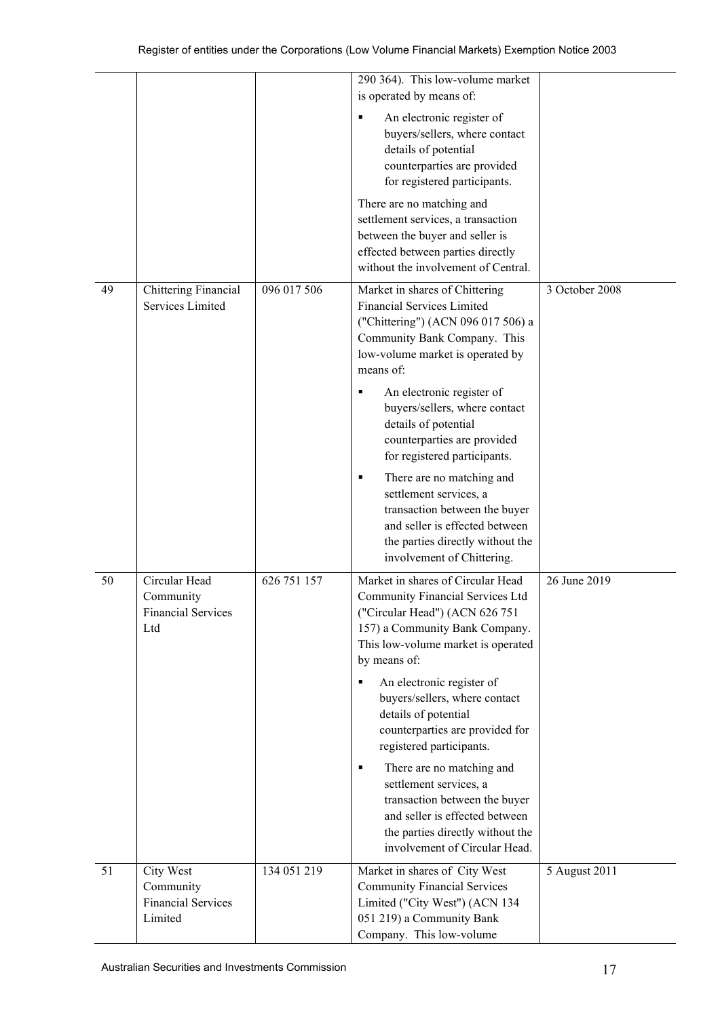|    |                                                                |             | 290 364). This low-volume market<br>is operated by means of:                                                                                                                                                                                                       |                |
|----|----------------------------------------------------------------|-------------|--------------------------------------------------------------------------------------------------------------------------------------------------------------------------------------------------------------------------------------------------------------------|----------------|
|    |                                                                |             | An electronic register of<br>٠<br>buyers/sellers, where contact<br>details of potential<br>counterparties are provided<br>for registered participants.                                                                                                             |                |
|    |                                                                |             | There are no matching and<br>settlement services, a transaction<br>between the buyer and seller is<br>effected between parties directly<br>without the involvement of Central.                                                                                     |                |
| 49 | Chittering Financial<br>Services Limited                       | 096 017 506 | Market in shares of Chittering<br><b>Financial Services Limited</b><br>("Chittering") (ACN 096 017 506) a<br>Community Bank Company. This<br>low-volume market is operated by<br>means of:                                                                         | 3 October 2008 |
|    |                                                                |             | An electronic register of<br>٠<br>buyers/sellers, where contact<br>details of potential<br>counterparties are provided<br>for registered participants.                                                                                                             |                |
|    |                                                                |             | There are no matching and<br>٠<br>settlement services, a<br>transaction between the buyer<br>and seller is effected between<br>the parties directly without the<br>involvement of Chittering.                                                                      |                |
| 50 | Circular Head<br>Community<br><b>Financial Services</b><br>Ltd | 626 751 157 | Market in shares of Circular Head<br>Community Financial Services Ltd<br>("Circular Head") (ACN 626 751<br>157) a Community Bank Company.<br>This low-volume market is operated<br>by means of:<br>An electronic register of<br>٠<br>buyers/sellers, where contact | 26 June 2019   |
|    |                                                                |             | details of potential<br>counterparties are provided for<br>registered participants.                                                                                                                                                                                |                |
|    |                                                                |             | There are no matching and<br>٠<br>settlement services, a<br>transaction between the buyer<br>and seller is effected between<br>the parties directly without the<br>involvement of Circular Head.                                                                   |                |
| 51 | City West<br>Community<br><b>Financial Services</b><br>Limited | 134 051 219 | Market in shares of City West<br><b>Community Financial Services</b><br>Limited ("City West") (ACN 134<br>051 219) a Community Bank<br>Company. This low-volume                                                                                                    | 5 August 2011  |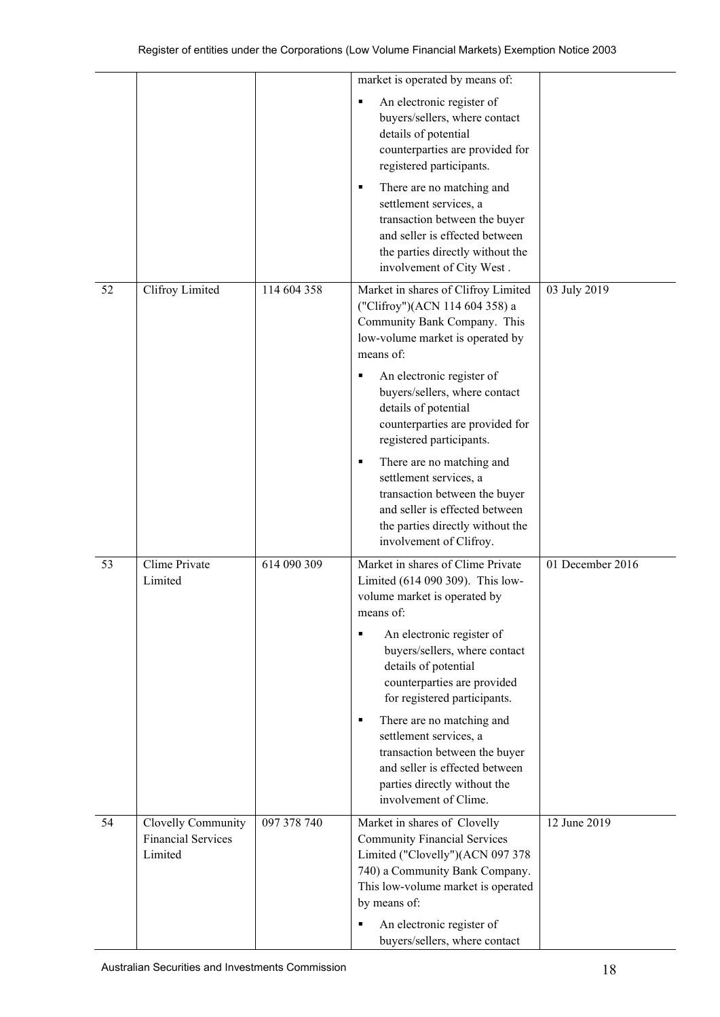|    |                                                            |             | market is operated by means of:<br>An electronic register of<br>٠<br>buyers/sellers, where contact                                                                                              |                  |
|----|------------------------------------------------------------|-------------|-------------------------------------------------------------------------------------------------------------------------------------------------------------------------------------------------|------------------|
|    |                                                            |             | details of potential<br>counterparties are provided for<br>registered participants.                                                                                                             |                  |
|    |                                                            |             | There are no matching and<br>٠<br>settlement services, a<br>transaction between the buyer<br>and seller is effected between<br>the parties directly without the<br>involvement of City West.    |                  |
| 52 | Clifroy Limited                                            | 114 604 358 | Market in shares of Clifroy Limited<br>("Clifroy")(ACN 114 604 358) a<br>Community Bank Company. This<br>low-volume market is operated by<br>means of:                                          | 03 July 2019     |
|    |                                                            |             | An electronic register of<br>٠<br>buyers/sellers, where contact<br>details of potential<br>counterparties are provided for<br>registered participants.                                          |                  |
|    |                                                            |             | There are no matching and<br>٠<br>settlement services, a<br>transaction between the buyer<br>and seller is effected between<br>the parties directly without the<br>involvement of Clifroy.      |                  |
| 53 | Clime Private<br>Limited                                   | 614 090 309 | Market in shares of Clime Private<br>Limited (614 090 309). This low-<br>volume market is operated by<br>means of:                                                                              | 01 December 2016 |
|    |                                                            |             | An electronic register of<br>٠<br>buyers/sellers, where contact<br>details of potential<br>counterparties are provided<br>for registered participants.                                          |                  |
|    |                                                            |             | There are no matching and<br>٠<br>settlement services, a<br>transaction between the buyer<br>and seller is effected between<br>parties directly without the<br>involvement of Clime.            |                  |
| 54 | Clovelly Community<br><b>Financial Services</b><br>Limited | 097 378 740 | Market in shares of Clovelly<br><b>Community Financial Services</b><br>Limited ("Clovelly")(ACN 097 378<br>740) a Community Bank Company.<br>This low-volume market is operated<br>by means of: | 12 June 2019     |
|    |                                                            |             | An electronic register of<br>٠<br>buyers/sellers, where contact                                                                                                                                 |                  |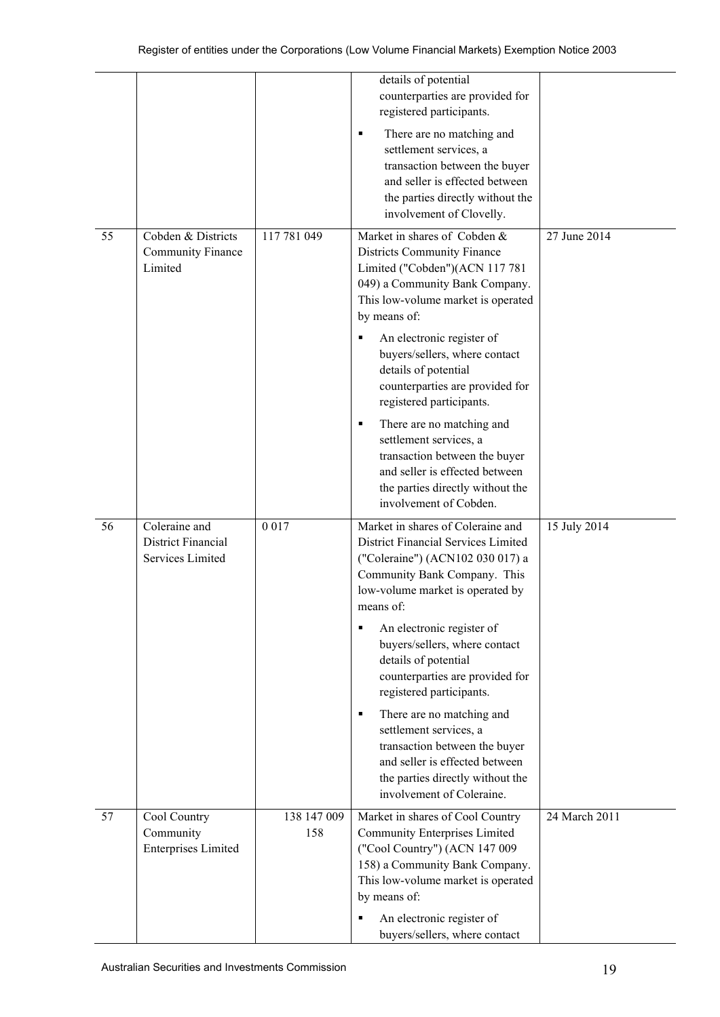|    |                                                           |                    | details of potential<br>counterparties are provided for<br>registered participants.                                                                                                                                                                        |               |
|----|-----------------------------------------------------------|--------------------|------------------------------------------------------------------------------------------------------------------------------------------------------------------------------------------------------------------------------------------------------------|---------------|
|    |                                                           |                    | There are no matching and<br>п<br>settlement services, a<br>transaction between the buyer<br>and seller is effected between<br>the parties directly without the<br>involvement of Clovelly.                                                                |               |
| 55 | Cobden & Districts<br><b>Community Finance</b><br>Limited | 117 781 049        | Market in shares of Cobden &<br><b>Districts Community Finance</b><br>Limited ("Cobden")(ACN 117 781<br>049) a Community Bank Company.<br>This low-volume market is operated<br>by means of:<br>An electronic register of<br>buyers/sellers, where contact | 27 June 2014  |
|    |                                                           |                    | details of potential<br>counterparties are provided for<br>registered participants.                                                                                                                                                                        |               |
|    |                                                           |                    | There are no matching and<br>п<br>settlement services, a<br>transaction between the buyer<br>and seller is effected between<br>the parties directly without the<br>involvement of Cobden.                                                                  |               |
| 56 | Coleraine and<br>District Financial<br>Services Limited   | 0 0 1 7            | Market in shares of Coleraine and<br>District Financial Services Limited<br>("Coleraine") (ACN102 030 017) a<br>Community Bank Company. This<br>low-volume market is operated by<br>means of:                                                              | 15 July 2014  |
|    |                                                           |                    | An electronic register of<br>$\blacksquare$<br>buyers/sellers, where contact<br>details of potential<br>counterparties are provided for<br>registered participants.                                                                                        |               |
|    |                                                           |                    | There are no matching and<br>п<br>settlement services, a<br>transaction between the buyer<br>and seller is effected between<br>the parties directly without the<br>involvement of Coleraine.                                                               |               |
| 57 | Cool Country<br>Community<br><b>Enterprises Limited</b>   | 138 147 009<br>158 | Market in shares of Cool Country<br>Community Enterprises Limited<br>("Cool Country") (ACN 147 009<br>158) a Community Bank Company.<br>This low-volume market is operated<br>by means of:                                                                 | 24 March 2011 |
|    |                                                           |                    | An electronic register of<br>buyers/sellers, where contact                                                                                                                                                                                                 |               |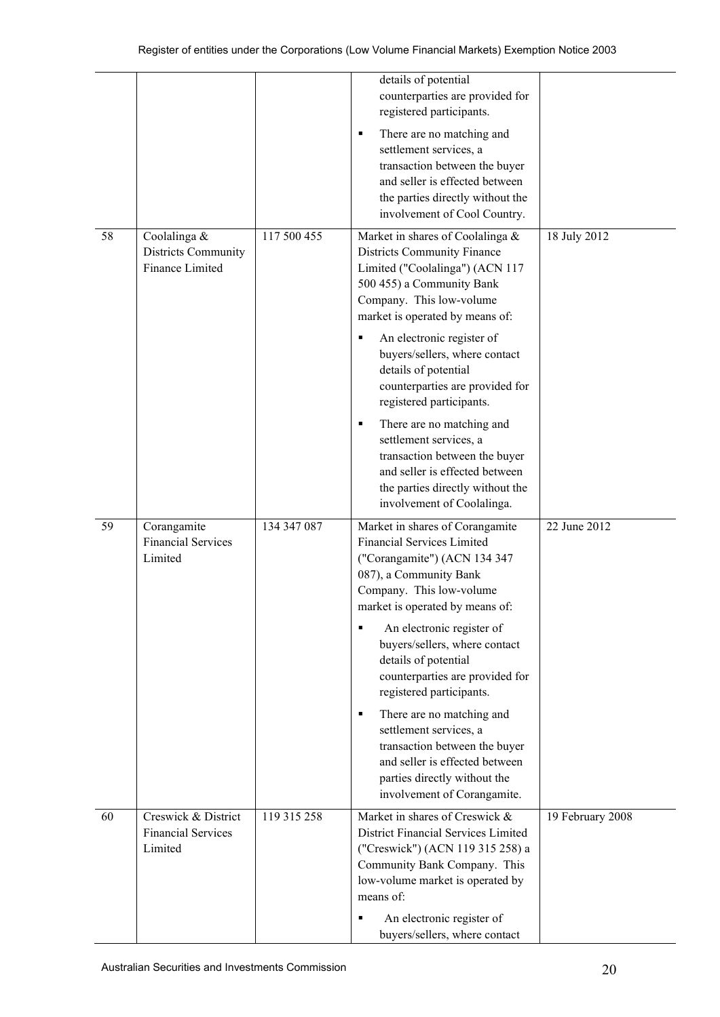|    |                                                             |             | details of potential<br>counterparties are provided for<br>registered participants.<br>There are no matching and<br>٠<br>settlement services, a<br>transaction between the buyer<br>and seller is effected between<br>the parties directly without the<br>involvement of Cool Country.                                                                                                                                                                                                                                                                           |                  |
|----|-------------------------------------------------------------|-------------|------------------------------------------------------------------------------------------------------------------------------------------------------------------------------------------------------------------------------------------------------------------------------------------------------------------------------------------------------------------------------------------------------------------------------------------------------------------------------------------------------------------------------------------------------------------|------------------|
| 58 | Coolalinga &<br>Districts Community<br>Finance Limited      | 117 500 455 | Market in shares of Coolalinga &<br><b>Districts Community Finance</b><br>Limited ("Coolalinga") (ACN 117<br>500 455) a Community Bank<br>Company. This low-volume<br>market is operated by means of:<br>An electronic register of<br>٠<br>buyers/sellers, where contact<br>details of potential<br>counterparties are provided for<br>registered participants.<br>There are no matching and<br>٠<br>settlement services, a<br>transaction between the buyer<br>and seller is effected between<br>the parties directly without the<br>involvement of Coolalinga. | 18 July 2012     |
| 59 | Corangamite<br><b>Financial Services</b><br>Limited         | 134 347 087 | Market in shares of Corangamite<br><b>Financial Services Limited</b><br>("Corangamite") (ACN 134 347<br>087), a Community Bank<br>Company. This low-volume<br>market is operated by means of:<br>An electronic register of<br>٠<br>buyers/sellers, where contact<br>details of potential<br>counterparties are provided for<br>registered participants.<br>There are no matching and<br>٠<br>settlement services, a<br>transaction between the buyer<br>and seller is effected between<br>parties directly without the<br>involvement of Corangamite.            | 22 June 2012     |
| 60 | Creswick & District<br><b>Financial Services</b><br>Limited | 119 315 258 | Market in shares of Creswick &<br>District Financial Services Limited<br>("Creswick") (ACN 119 315 258) a<br>Community Bank Company. This<br>low-volume market is operated by<br>means of:<br>An electronic register of<br>٠<br>buyers/sellers, where contact                                                                                                                                                                                                                                                                                                    | 19 February 2008 |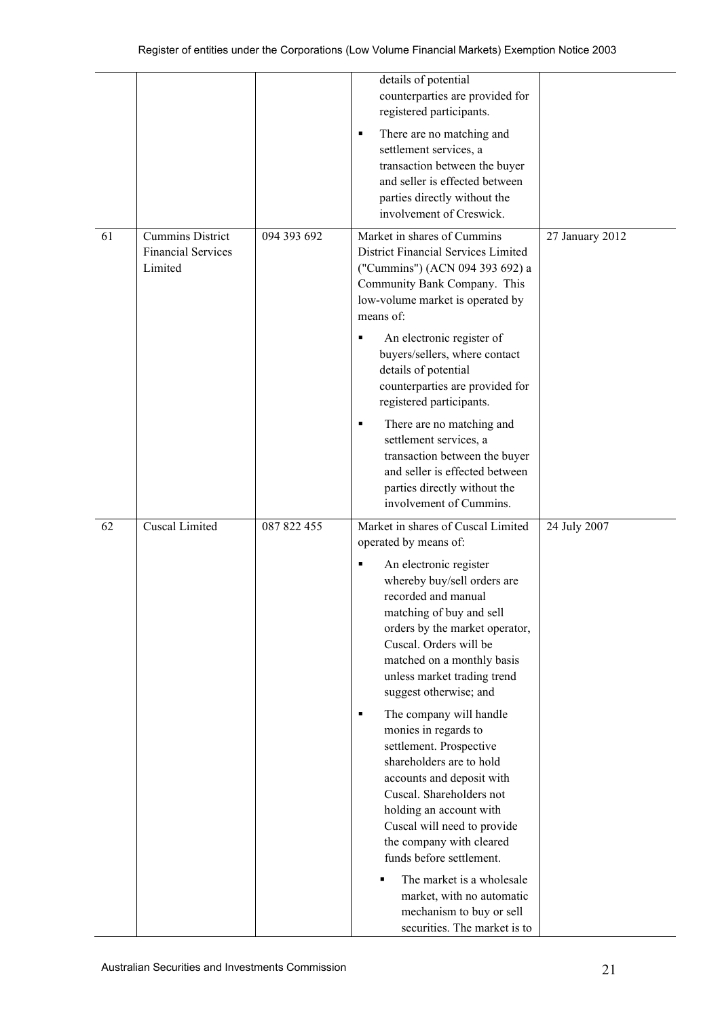|    |                                                                 |             | details of potential<br>counterparties are provided for<br>registered participants.<br>There are no matching and<br>٠<br>settlement services, a<br>transaction between the buyer<br>and seller is effected between<br>parties directly without the<br>involvement of Creswick.                                                                                                                                                                                                                                                                                                                                                                                                                                                                  |                 |
|----|-----------------------------------------------------------------|-------------|-------------------------------------------------------------------------------------------------------------------------------------------------------------------------------------------------------------------------------------------------------------------------------------------------------------------------------------------------------------------------------------------------------------------------------------------------------------------------------------------------------------------------------------------------------------------------------------------------------------------------------------------------------------------------------------------------------------------------------------------------|-----------------|
| 61 | <b>Cummins District</b><br><b>Financial Services</b><br>Limited | 094 393 692 | Market in shares of Cummins<br>District Financial Services Limited<br>("Cummins") (ACN 094 393 692) a<br>Community Bank Company. This<br>low-volume market is operated by<br>means of:<br>An electronic register of<br>$\blacksquare$<br>buyers/sellers, where contact<br>details of potential<br>counterparties are provided for<br>registered participants.<br>There are no matching and<br>٠<br>settlement services, a<br>transaction between the buyer<br>and seller is effected between<br>parties directly without the<br>involvement of Cummins.                                                                                                                                                                                         | 27 January 2012 |
| 62 | <b>Cuscal Limited</b>                                           | 087 822 455 | Market in shares of Cuscal Limited<br>operated by means of:<br>An electronic register<br>٠<br>whereby buy/sell orders are<br>recorded and manual<br>matching of buy and sell<br>orders by the market operator,<br>Cuscal. Orders will be<br>matched on a monthly basis<br>unless market trading trend<br>suggest otherwise; and<br>The company will handle<br>٠<br>monies in regards to<br>settlement. Prospective<br>shareholders are to hold<br>accounts and deposit with<br>Cuscal. Shareholders not<br>holding an account with<br>Cuscal will need to provide<br>the company with cleared<br>funds before settlement.<br>The market is a wholesale<br>market, with no automatic<br>mechanism to buy or sell<br>securities. The market is to | 24 July 2007    |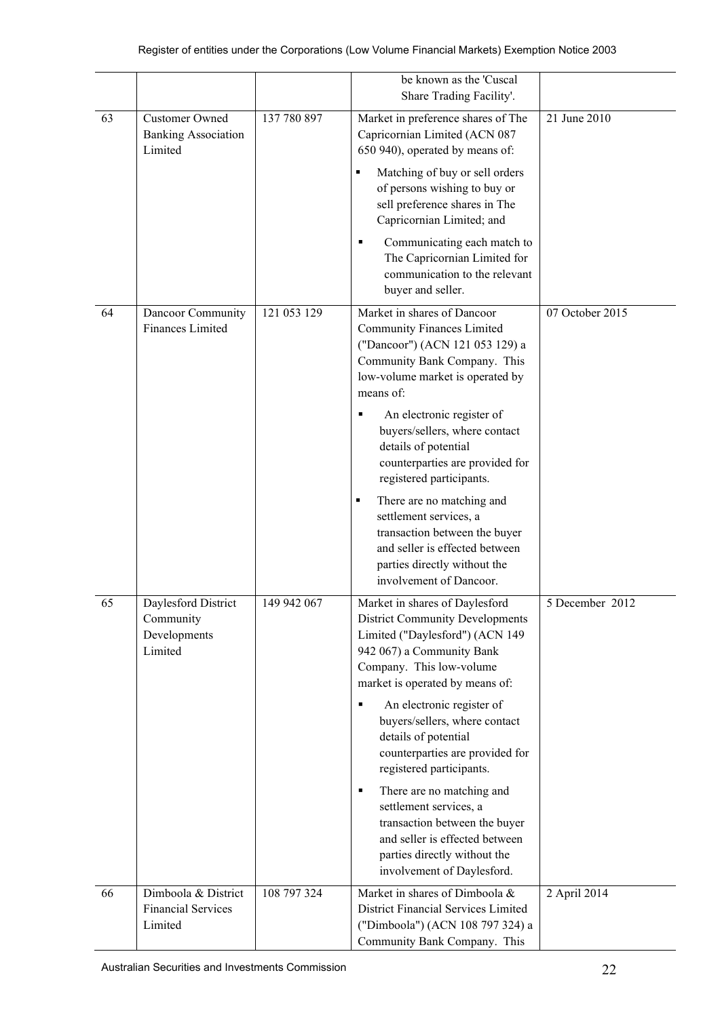|    |                                                                |             | be known as the 'Cuscal<br>Share Trading Facility'.                                                                                                                                                     |                 |
|----|----------------------------------------------------------------|-------------|---------------------------------------------------------------------------------------------------------------------------------------------------------------------------------------------------------|-----------------|
| 63 | <b>Customer Owned</b><br><b>Banking Association</b><br>Limited | 137 780 897 | Market in preference shares of The<br>Capricornian Limited (ACN 087<br>650 940), operated by means of:                                                                                                  | 21 June 2010    |
|    |                                                                |             | Matching of buy or sell orders<br>٠<br>of persons wishing to buy or<br>sell preference shares in The<br>Capricornian Limited; and                                                                       |                 |
|    |                                                                |             | Communicating each match to<br>٠<br>The Capricornian Limited for<br>communication to the relevant<br>buyer and seller.                                                                                  |                 |
| 64 | Dancoor Community<br>Finances Limited                          | 121 053 129 | Market in shares of Dancoor<br><b>Community Finances Limited</b><br>("Dancoor") (ACN 121 053 129) a<br>Community Bank Company. This<br>low-volume market is operated by<br>means of:                    | 07 October 2015 |
|    |                                                                |             | An electronic register of<br>٠<br>buyers/sellers, where contact<br>details of potential<br>counterparties are provided for<br>registered participants.                                                  |                 |
|    |                                                                |             | There are no matching and<br>٠<br>settlement services, a<br>transaction between the buyer<br>and seller is effected between<br>parties directly without the<br>involvement of Dancoor.                  |                 |
| 65 | Daylesford District<br>Community<br>Developments<br>Limited    | 149 942 067 | Market in shares of Daylesford<br><b>District Community Developments</b><br>Limited ("Daylesford") (ACN 149<br>942 067) a Community Bank<br>Company. This low-volume<br>market is operated by means of: | 5 December 2012 |
|    |                                                                |             | An electronic register of<br>٠<br>buyers/sellers, where contact<br>details of potential<br>counterparties are provided for<br>registered participants.                                                  |                 |
|    |                                                                |             | There are no matching and<br>٠<br>settlement services, a<br>transaction between the buyer<br>and seller is effected between<br>parties directly without the<br>involvement of Daylesford.               |                 |
| 66 | Dimboola & District<br><b>Financial Services</b><br>Limited    | 108 797 324 | Market in shares of Dimboola &<br>District Financial Services Limited<br>("Dimboola") (ACN 108 797 324) a<br>Community Bank Company. This                                                               | 2 April 2014    |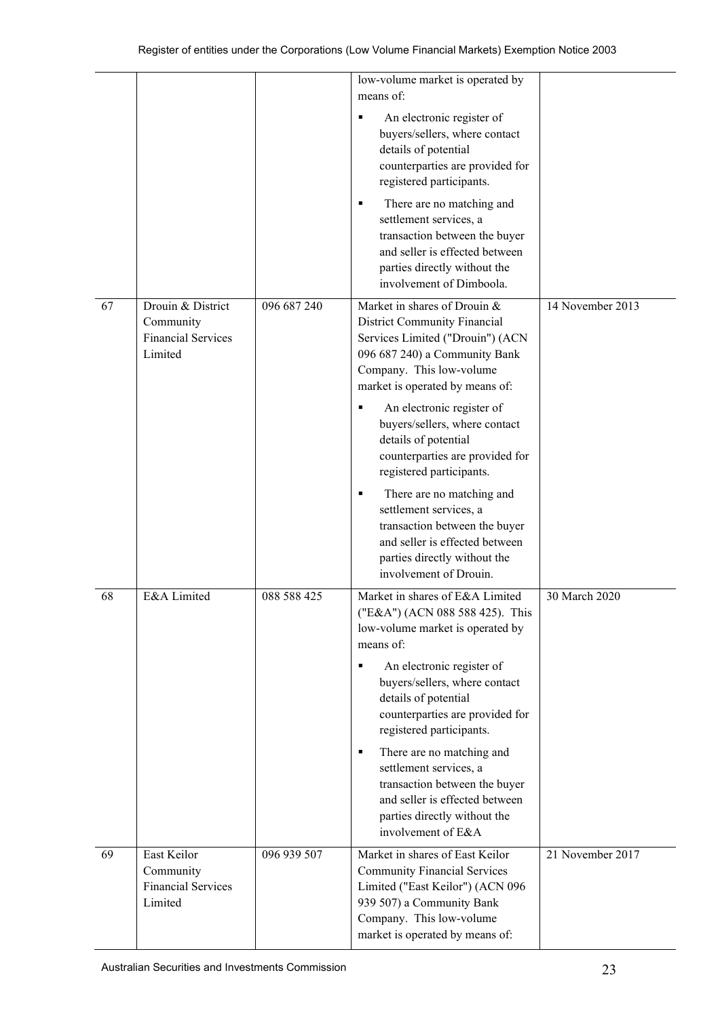|    |                                                                        |             | low-volume market is operated by<br>means of:                                                                                                                                                                                                                                 |                  |
|----|------------------------------------------------------------------------|-------------|-------------------------------------------------------------------------------------------------------------------------------------------------------------------------------------------------------------------------------------------------------------------------------|------------------|
|    |                                                                        |             | An electronic register of<br>٠<br>buyers/sellers, where contact<br>details of potential<br>counterparties are provided for<br>registered participants.                                                                                                                        |                  |
|    |                                                                        |             | There are no matching and<br>٠<br>settlement services, a<br>transaction between the buyer<br>and seller is effected between<br>parties directly without the<br>involvement of Dimboola.                                                                                       |                  |
| 67 | Drouin & District<br>Community<br><b>Financial Services</b><br>Limited | 096 687 240 | Market in shares of Drouin &<br><b>District Community Financial</b><br>Services Limited ("Drouin") (ACN<br>096 687 240) a Community Bank<br>Company. This low-volume<br>market is operated by means of:                                                                       | 14 November 2013 |
|    |                                                                        |             | An electronic register of<br>٠<br>buyers/sellers, where contact<br>details of potential<br>counterparties are provided for<br>registered participants.                                                                                                                        |                  |
|    |                                                                        |             | There are no matching and<br>٠<br>settlement services, a<br>transaction between the buyer<br>and seller is effected between<br>parties directly without the<br>involvement of Drouin.                                                                                         |                  |
| 68 | E&A Limited                                                            | 088 588 425 | Market in shares of E&A Limited<br>("E&A") (ACN 088 588 425). This<br>low-volume market is operated by<br>means of:<br>An electronic register of<br>٠<br>buyers/sellers, where contact<br>details of potential<br>counterparties are provided for<br>registered participants. | 30 March 2020    |
|    |                                                                        |             | There are no matching and<br>٠<br>settlement services, a<br>transaction between the buyer<br>and seller is effected between<br>parties directly without the<br>involvement of E&A                                                                                             |                  |
| 69 | East Keilor<br>Community<br><b>Financial Services</b><br>Limited       | 096 939 507 | Market in shares of East Keilor<br><b>Community Financial Services</b><br>Limited ("East Keilor") (ACN 096<br>939 507) a Community Bank<br>Company. This low-volume<br>market is operated by means of:                                                                        | 21 November 2017 |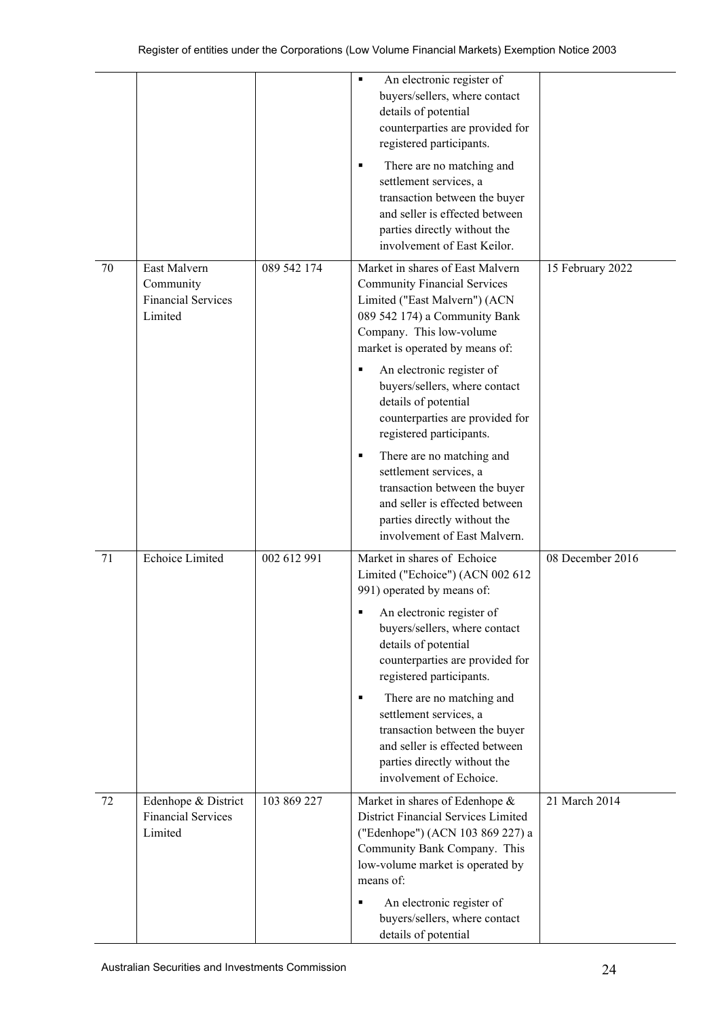|    |                                                                   |             | An electronic register of<br>٠<br>buyers/sellers, where contact<br>details of potential<br>counterparties are provided for<br>registered participants.<br>There are no matching and<br>٠<br>settlement services, a<br>transaction between the buyer<br>and seller is effected between<br>parties directly without the<br>involvement of East Keilor.                                                                                                                                                                                                         |                  |
|----|-------------------------------------------------------------------|-------------|--------------------------------------------------------------------------------------------------------------------------------------------------------------------------------------------------------------------------------------------------------------------------------------------------------------------------------------------------------------------------------------------------------------------------------------------------------------------------------------------------------------------------------------------------------------|------------------|
| 70 | East Malvern<br>Community<br><b>Financial Services</b><br>Limited | 089 542 174 | Market in shares of East Malvern<br><b>Community Financial Services</b><br>Limited ("East Malvern") (ACN<br>089 542 174) a Community Bank<br>Company. This low-volume<br>market is operated by means of:<br>An electronic register of<br>buyers/sellers, where contact<br>details of potential<br>counterparties are provided for<br>registered participants.<br>There are no matching and<br>٠<br>settlement services, a<br>transaction between the buyer<br>and seller is effected between<br>parties directly without the<br>involvement of East Malvern. | 15 February 2022 |
| 71 | Echoice Limited                                                   | 002 612 991 | Market in shares of Echoice<br>Limited ("Echoice") (ACN 002 612<br>991) operated by means of:<br>An electronic register of<br>buyers/sellers, where contact<br>details of potential<br>counterparties are provided for<br>registered participants.<br>There are no matching and<br>٠<br>settlement services, a<br>transaction between the buyer<br>and seller is effected between<br>parties directly without the<br>involvement of Echoice.                                                                                                                 | 08 December 2016 |
| 72 | Edenhope & District<br><b>Financial Services</b><br>Limited       | 103 869 227 | Market in shares of Edenhope &<br>District Financial Services Limited<br>("Edenhope") (ACN 103 869 227) a<br>Community Bank Company. This<br>low-volume market is operated by<br>means of:<br>An electronic register of<br>buyers/sellers, where contact<br>details of potential                                                                                                                                                                                                                                                                             | 21 March 2014    |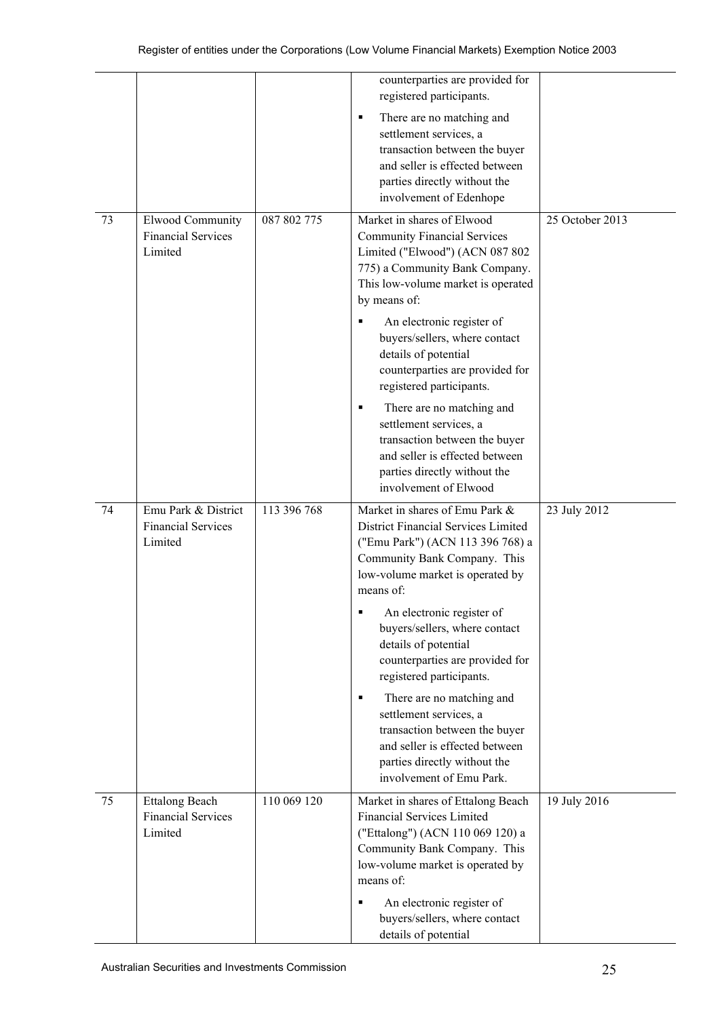|    |                                                                 |             | counterparties are provided for<br>registered participants.<br>There are no matching and<br>٠<br>settlement services, a<br>transaction between the buyer<br>and seller is effected between<br>parties directly without the<br>involvement of Edenhope      |                 |
|----|-----------------------------------------------------------------|-------------|------------------------------------------------------------------------------------------------------------------------------------------------------------------------------------------------------------------------------------------------------------|-----------------|
| 73 | <b>Elwood Community</b><br><b>Financial Services</b><br>Limited | 087 802 775 | Market in shares of Elwood<br><b>Community Financial Services</b><br>Limited ("Elwood") (ACN 087 802<br>775) a Community Bank Company.<br>This low-volume market is operated<br>by means of:<br>An electronic register of<br>buyers/sellers, where contact | 25 October 2013 |
|    |                                                                 |             | details of potential<br>counterparties are provided for<br>registered participants.<br>There are no matching and<br>٠<br>settlement services, a<br>transaction between the buyer<br>and seller is effected between<br>parties directly without the         |                 |
| 74 | Emu Park & District<br><b>Financial Services</b><br>Limited     | 113 396 768 | involvement of Elwood<br>Market in shares of Emu Park &<br>District Financial Services Limited<br>("Emu Park") (ACN 113 396 768) a<br>Community Bank Company. This<br>low-volume market is operated by<br>means of:                                        | 23 July 2012    |
|    |                                                                 |             | An electronic register of<br>٠<br>buyers/sellers, where contact<br>details of potential<br>counterparties are provided for<br>registered participants.                                                                                                     |                 |
|    |                                                                 |             | There are no matching and<br>$\blacksquare$<br>settlement services, a<br>transaction between the buyer<br>and seller is effected between<br>parties directly without the<br>involvement of Emu Park.                                                       |                 |
| 75 | <b>Ettalong Beach</b><br><b>Financial Services</b><br>Limited   | 110 069 120 | Market in shares of Ettalong Beach<br><b>Financial Services Limited</b><br>("Ettalong") (ACN 110 069 120) a<br>Community Bank Company. This<br>low-volume market is operated by<br>means of:                                                               | 19 July 2016    |
|    |                                                                 |             | An electronic register of<br>$\blacksquare$<br>buyers/sellers, where contact<br>details of potential                                                                                                                                                       |                 |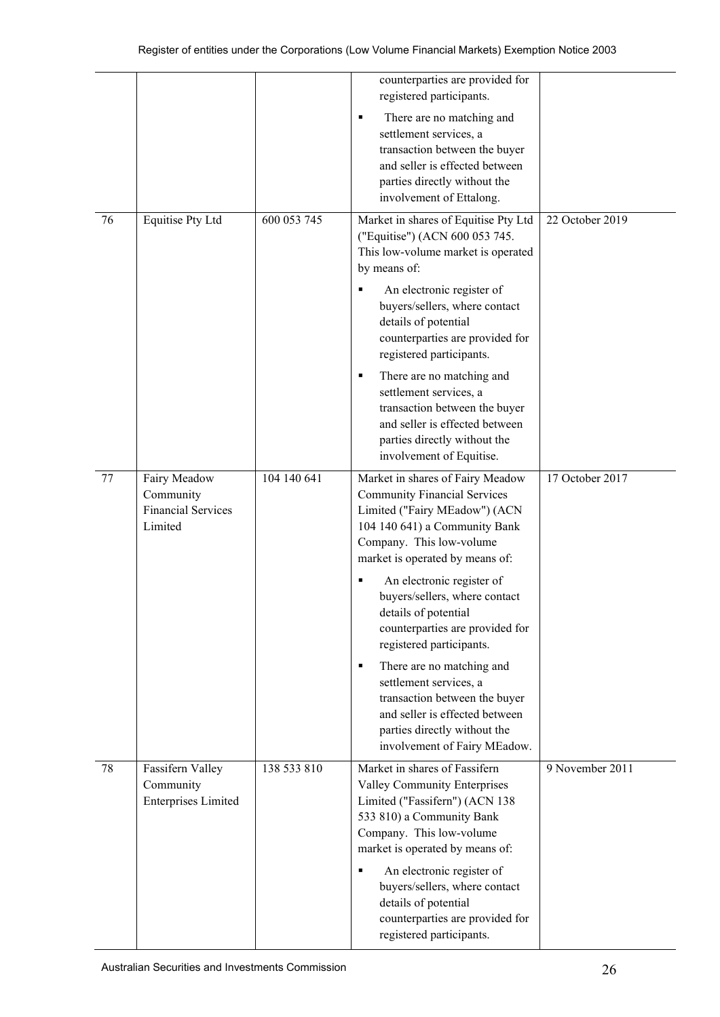|    |                                                                   |             | counterparties are provided for<br>registered participants.                                                                                                                                                                                                                            |                 |
|----|-------------------------------------------------------------------|-------------|----------------------------------------------------------------------------------------------------------------------------------------------------------------------------------------------------------------------------------------------------------------------------------------|-----------------|
|    |                                                                   |             | There are no matching and<br>٠<br>settlement services, a<br>transaction between the buyer<br>and seller is effected between<br>parties directly without the<br>involvement of Ettalong.                                                                                                |                 |
| 76 | <b>Equitise Pty Ltd</b>                                           | 600 053 745 | Market in shares of Equitise Pty Ltd<br>("Equitise") (ACN 600 053 745.<br>This low-volume market is operated<br>by means of:<br>An electronic register of<br>٠<br>buyers/sellers, where contact<br>details of potential<br>counterparties are provided for<br>registered participants. | 22 October 2019 |
|    |                                                                   |             | There are no matching and<br>٠<br>settlement services, a<br>transaction between the buyer<br>and seller is effected between<br>parties directly without the<br>involvement of Equitise.                                                                                                |                 |
| 77 | Fairy Meadow<br>Community<br><b>Financial Services</b><br>Limited | 104 140 641 | Market in shares of Fairy Meadow<br><b>Community Financial Services</b><br>Limited ("Fairy MEadow") (ACN<br>104 140 641) a Community Bank<br>Company. This low-volume<br>market is operated by means of:                                                                               | 17 October 2017 |
|    |                                                                   |             | An electronic register of<br>buyers/sellers, where contact<br>details of potential<br>counterparties are provided for<br>registered participants.                                                                                                                                      |                 |
|    |                                                                   |             | There are no matching and<br>٠<br>settlement services, a<br>transaction between the buyer<br>and seller is effected between<br>parties directly without the<br>involvement of Fairy MEadow.                                                                                            |                 |
| 78 | Fassifern Valley<br>Community<br><b>Enterprises Limited</b>       | 138 533 810 | Market in shares of Fassifern<br>Valley Community Enterprises<br>Limited ("Fassifern") (ACN 138<br>533 810) a Community Bank<br>Company. This low-volume<br>market is operated by means of:                                                                                            | 9 November 2011 |
|    |                                                                   |             | An electronic register of<br>٠<br>buyers/sellers, where contact<br>details of potential<br>counterparties are provided for<br>registered participants.                                                                                                                                 |                 |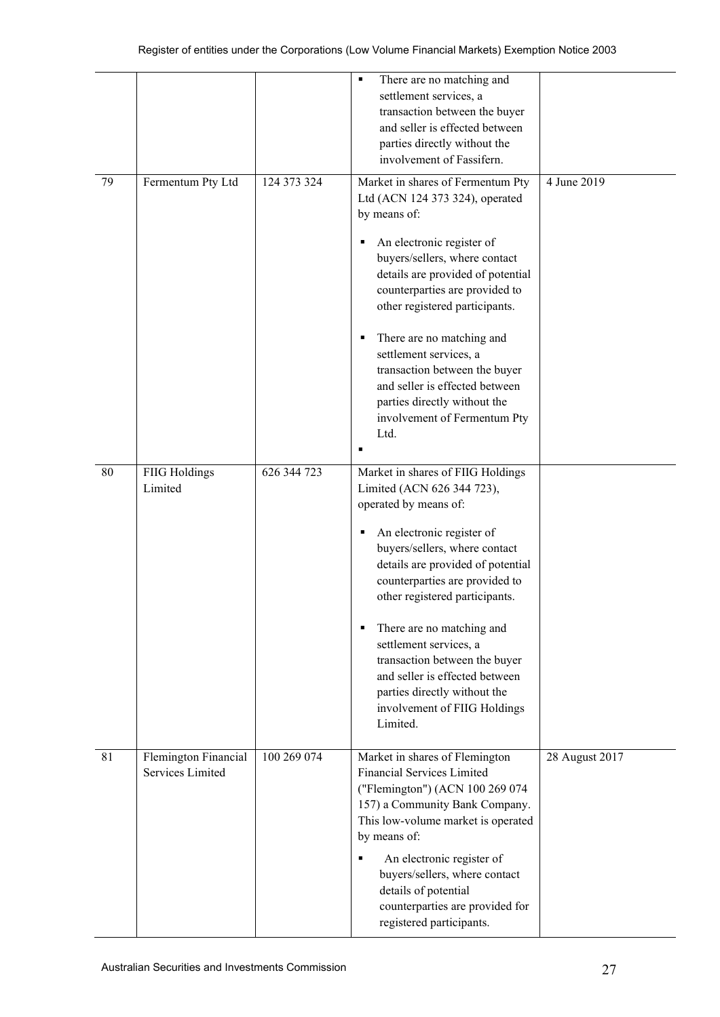|    |                                          |             | There are no matching and<br>٠<br>settlement services, a<br>transaction between the buyer<br>and seller is effected between<br>parties directly without the<br>involvement of Fassifern.                                                                                                                                                                                                                                                                                        |                |
|----|------------------------------------------|-------------|---------------------------------------------------------------------------------------------------------------------------------------------------------------------------------------------------------------------------------------------------------------------------------------------------------------------------------------------------------------------------------------------------------------------------------------------------------------------------------|----------------|
| 79 | Fermentum Pty Ltd                        | 124 373 324 | Market in shares of Fermentum Pty<br>Ltd (ACN 124 373 324), operated<br>by means of:<br>An electronic register of<br>٠<br>buyers/sellers, where contact<br>details are provided of potential<br>counterparties are provided to<br>other registered participants.<br>There are no matching and<br>٠<br>settlement services, a<br>transaction between the buyer<br>and seller is effected between<br>parties directly without the<br>involvement of Fermentum Pty<br>Ltd.<br>п    | 4 June 2019    |
| 80 | <b>FIIG Holdings</b><br>Limited          | 626 344 723 | Market in shares of FIIG Holdings<br>Limited (ACN 626 344 723),<br>operated by means of:<br>An electronic register of<br>٠<br>buyers/sellers, where contact<br>details are provided of potential<br>counterparties are provided to<br>other registered participants.<br>There are no matching and<br>٠<br>settlement services, a<br>transaction between the buyer<br>and seller is effected between<br>parties directly without the<br>involvement of FIIG Holdings<br>Limited. |                |
| 81 | Flemington Financial<br>Services Limited | 100 269 074 | Market in shares of Flemington<br><b>Financial Services Limited</b><br>("Flemington") (ACN 100 269 074<br>157) a Community Bank Company.<br>This low-volume market is operated<br>by means of:<br>An electronic register of<br>٠<br>buyers/sellers, where contact<br>details of potential<br>counterparties are provided for<br>registered participants.                                                                                                                        | 28 August 2017 |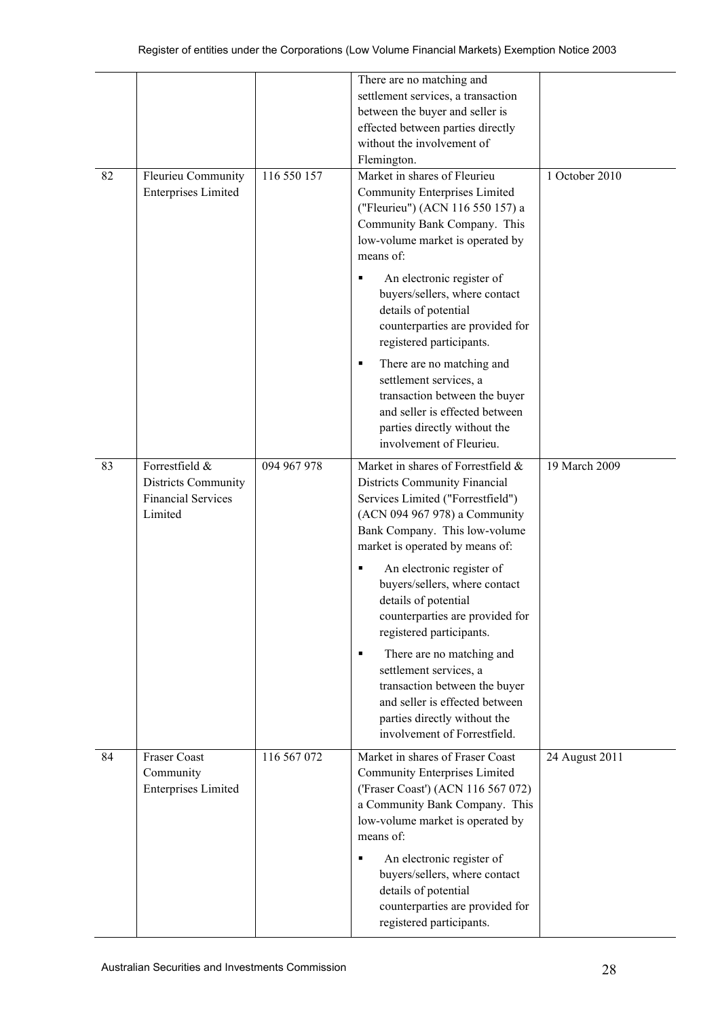|    |                                                                               |             | There are no matching and<br>settlement services, a transaction<br>between the buyer and seller is<br>effected between parties directly<br>without the involvement of<br>Flemington.                                 |                |
|----|-------------------------------------------------------------------------------|-------------|----------------------------------------------------------------------------------------------------------------------------------------------------------------------------------------------------------------------|----------------|
| 82 | Fleurieu Community<br><b>Enterprises Limited</b>                              | 116 550 157 | Market in shares of Fleurieu<br>Community Enterprises Limited<br>("Fleurieu") (ACN 116 550 157) a<br>Community Bank Company. This<br>low-volume market is operated by<br>means of:<br>An electronic register of<br>٠ | 1 October 2010 |
|    |                                                                               |             | buyers/sellers, where contact<br>details of potential<br>counterparties are provided for<br>registered participants.                                                                                                 |                |
|    |                                                                               |             | There are no matching and<br>٠<br>settlement services, a<br>transaction between the buyer<br>and seller is effected between<br>parties directly without the<br>involvement of Fleurieu.                              |                |
| 83 | Forrestfield &<br>Districts Community<br><b>Financial Services</b><br>Limited | 094 967 978 | Market in shares of Forrestfield &<br>Districts Community Financial<br>Services Limited ("Forrestfield")<br>(ACN 094 967 978) a Community<br>Bank Company. This low-volume<br>market is operated by means of:        | 19 March 2009  |
|    |                                                                               |             | An electronic register of<br>п<br>buyers/sellers, where contact<br>details of potential<br>counterparties are provided for<br>registered participants.                                                               |                |
|    |                                                                               |             | There are no matching and<br>٠<br>settlement services, a<br>transaction between the buyer<br>and seller is effected between<br>parties directly without the<br>involvement of Forrestfield.                          |                |
| 84 | <b>Fraser Coast</b><br>Community<br><b>Enterprises Limited</b>                | 116 567 072 | Market in shares of Fraser Coast<br><b>Community Enterprises Limited</b><br>('Fraser Coast') (ACN 116 567 072)<br>a Community Bank Company. This<br>low-volume market is operated by<br>means of:                    | 24 August 2011 |
|    |                                                                               |             | An electronic register of<br>٠<br>buyers/sellers, where contact<br>details of potential<br>counterparties are provided for<br>registered participants.                                                               |                |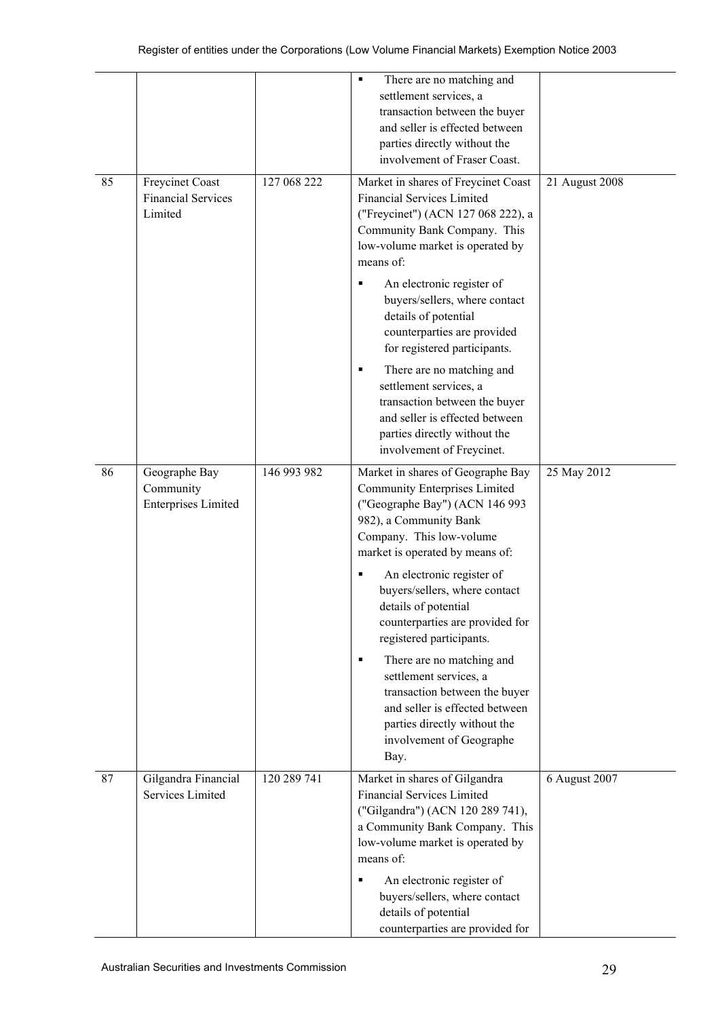|    |                                                          |             | There are no matching and<br>settlement services, a<br>transaction between the buyer<br>and seller is effected between<br>parties directly without the<br>involvement of Fraser Coast.                                                                                                                                                                                                                                                                                                                                                               |                |
|----|----------------------------------------------------------|-------------|------------------------------------------------------------------------------------------------------------------------------------------------------------------------------------------------------------------------------------------------------------------------------------------------------------------------------------------------------------------------------------------------------------------------------------------------------------------------------------------------------------------------------------------------------|----------------|
| 85 | Freycinet Coast<br><b>Financial Services</b><br>Limited  | 127 068 222 | Market in shares of Freycinet Coast<br><b>Financial Services Limited</b><br>("Freycinet") (ACN 127 068 222), a<br>Community Bank Company. This<br>low-volume market is operated by<br>means of:<br>An electronic register of<br>buyers/sellers, where contact<br>details of potential<br>counterparties are provided                                                                                                                                                                                                                                 | 21 August 2008 |
|    |                                                          |             | for registered participants.<br>There are no matching and<br>п<br>settlement services, a<br>transaction between the buyer<br>and seller is effected between<br>parties directly without the<br>involvement of Freycinet.                                                                                                                                                                                                                                                                                                                             |                |
| 86 | Geographe Bay<br>Community<br><b>Enterprises Limited</b> | 146 993 982 | Market in shares of Geographe Bay<br><b>Community Enterprises Limited</b><br>("Geographe Bay") (ACN 146 993<br>982), a Community Bank<br>Company. This low-volume<br>market is operated by means of:<br>An electronic register of<br>buyers/sellers, where contact<br>details of potential<br>counterparties are provided for<br>registered participants.<br>There are no matching and<br>٠<br>settlement services, a<br>transaction between the buyer<br>and seller is effected between<br>parties directly without the<br>involvement of Geographe | 25 May 2012    |
| 87 | Gilgandra Financial<br>Services Limited                  | 120 289 741 | Bay.<br>Market in shares of Gilgandra<br><b>Financial Services Limited</b><br>("Gilgandra") (ACN 120 289 741),<br>a Community Bank Company. This<br>low-volume market is operated by<br>means of:<br>An electronic register of<br>٠<br>buyers/sellers, where contact<br>details of potential<br>counterparties are provided for                                                                                                                                                                                                                      | 6 August 2007  |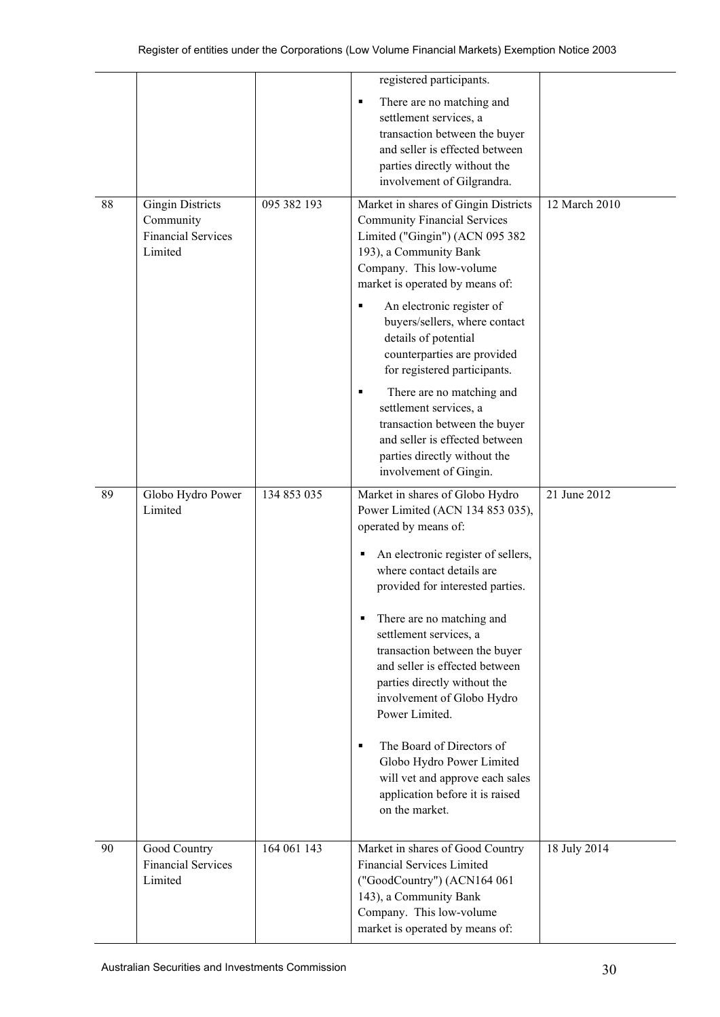|    |                                                                              |             | registered participants.                                                                                                                                                                                                                                                                                                                                                                                                                                                                                                                                                                    |               |
|----|------------------------------------------------------------------------------|-------------|---------------------------------------------------------------------------------------------------------------------------------------------------------------------------------------------------------------------------------------------------------------------------------------------------------------------------------------------------------------------------------------------------------------------------------------------------------------------------------------------------------------------------------------------------------------------------------------------|---------------|
|    |                                                                              |             | There are no matching and<br>٠<br>settlement services, a<br>transaction between the buyer<br>and seller is effected between<br>parties directly without the<br>involvement of Gilgrandra.                                                                                                                                                                                                                                                                                                                                                                                                   |               |
| 88 | <b>Gingin Districts</b><br>Community<br><b>Financial Services</b><br>Limited | 095 382 193 | Market in shares of Gingin Districts<br><b>Community Financial Services</b><br>Limited ("Gingin") (ACN 095 382<br>193), a Community Bank<br>Company. This low-volume<br>market is operated by means of:<br>An electronic register of<br>٠<br>buyers/sellers, where contact<br>details of potential<br>counterparties are provided<br>for registered participants.<br>There are no matching and<br>٠<br>settlement services, a<br>transaction between the buyer<br>and seller is effected between<br>parties directly without the<br>involvement of Gingin.                                  | 12 March 2010 |
| 89 | Globo Hydro Power<br>Limited                                                 | 134 853 035 | Market in shares of Globo Hydro<br>Power Limited (ACN 134 853 035),<br>operated by means of:<br>An electronic register of sellers,<br>٠<br>where contact details are<br>provided for interested parties.<br>There are no matching and<br>п<br>settlement services, a<br>transaction between the buyer<br>and seller is effected between<br>parties directly without the<br>involvement of Globo Hydro<br>Power Limited.<br>The Board of Directors of<br>$\blacksquare$<br>Globo Hydro Power Limited<br>will vet and approve each sales<br>application before it is raised<br>on the market. | 21 June 2012  |
| 90 | Good Country<br><b>Financial Services</b><br>Limited                         | 164 061 143 | Market in shares of Good Country<br><b>Financial Services Limited</b><br>("GoodCountry") (ACN164 061<br>143), a Community Bank<br>Company. This low-volume<br>market is operated by means of:                                                                                                                                                                                                                                                                                                                                                                                               | 18 July 2014  |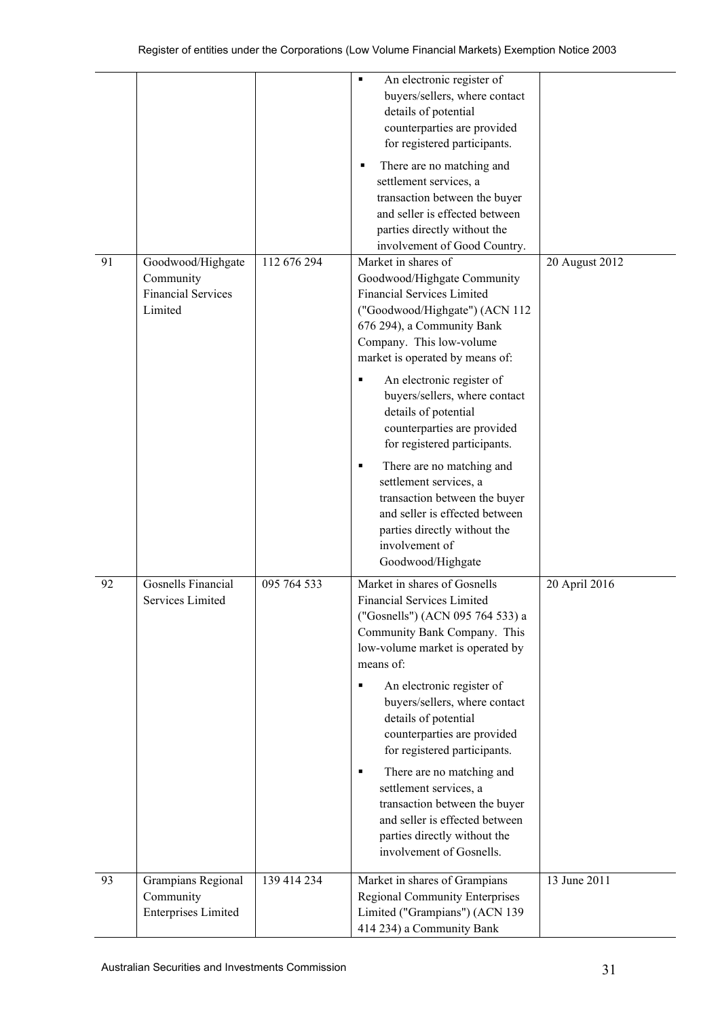| 91 | Goodwood/Highgate                                             | 112 676 294 | An electronic register of<br>٠<br>buyers/sellers, where contact<br>details of potential<br>counterparties are provided<br>for registered participants.<br>There are no matching and<br>٠<br>settlement services, a<br>transaction between the buyer<br>and seller is effected between<br>parties directly without the<br>involvement of Good Country.<br>Market in shares of                                                                                                                                                                               |                |
|----|---------------------------------------------------------------|-------------|------------------------------------------------------------------------------------------------------------------------------------------------------------------------------------------------------------------------------------------------------------------------------------------------------------------------------------------------------------------------------------------------------------------------------------------------------------------------------------------------------------------------------------------------------------|----------------|
|    | Community<br><b>Financial Services</b><br>Limited             |             | Goodwood/Highgate Community<br><b>Financial Services Limited</b><br>("Goodwood/Highgate") (ACN 112<br>676 294), a Community Bank<br>Company. This low-volume<br>market is operated by means of:<br>An electronic register of<br>buyers/sellers, where contact<br>details of potential<br>counterparties are provided<br>for registered participants.<br>There are no matching and<br>٠<br>settlement services, a<br>transaction between the buyer<br>and seller is effected between<br>parties directly without the<br>involvement of<br>Goodwood/Highgate | 20 August 2012 |
| 92 | Gosnells Financial<br>Services Limited                        | 095 764 533 | Market in shares of Gosnells<br><b>Financial Services Limited</b><br>("Gosnells") (ACN 095 764 533) a<br>Community Bank Company. This<br>low-volume market is operated by<br>means of:<br>An electronic register of<br>٠<br>buyers/sellers, where contact<br>details of potential<br>counterparties are provided<br>for registered participants.<br>There are no matching and<br>٠<br>settlement services, a<br>transaction between the buyer<br>and seller is effected between<br>parties directly without the<br>involvement of Gosnells.                | 20 April 2016  |
| 93 | Grampians Regional<br>Community<br><b>Enterprises Limited</b> | 139 414 234 | Market in shares of Grampians<br><b>Regional Community Enterprises</b><br>Limited ("Grampians") (ACN 139<br>414 234) a Community Bank                                                                                                                                                                                                                                                                                                                                                                                                                      | 13 June 2011   |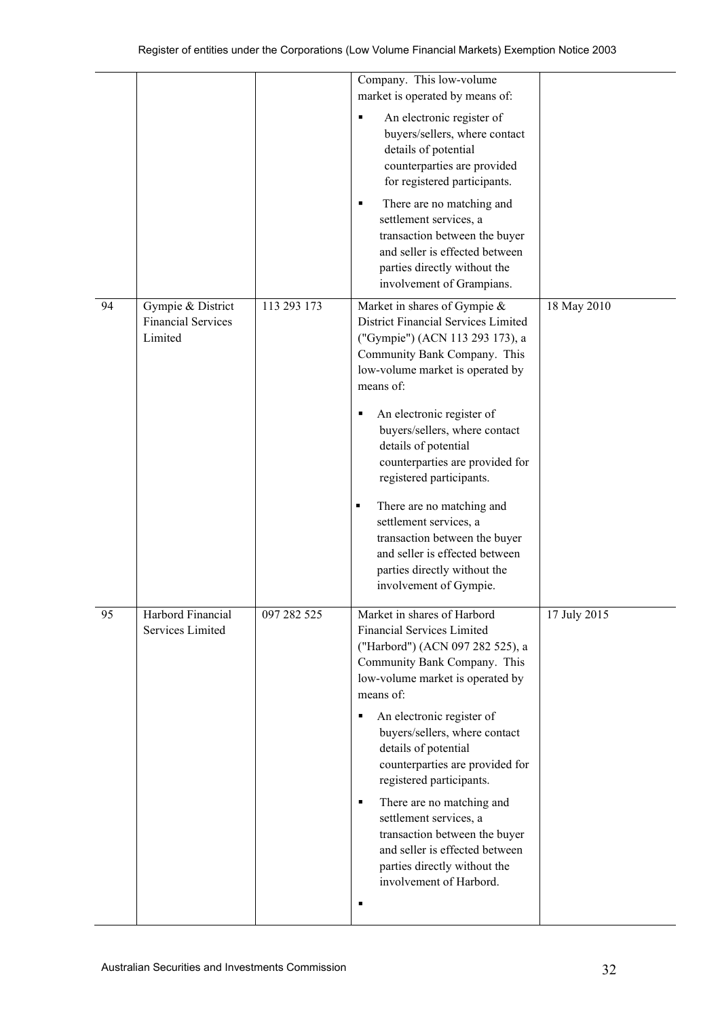|    |                                                           |             | Company. This low-volume<br>market is operated by means of:                                                                                                                                                                                                                                                         |              |
|----|-----------------------------------------------------------|-------------|---------------------------------------------------------------------------------------------------------------------------------------------------------------------------------------------------------------------------------------------------------------------------------------------------------------------|--------------|
|    |                                                           |             | An electronic register of<br>٠<br>buyers/sellers, where contact<br>details of potential<br>counterparties are provided<br>for registered participants.                                                                                                                                                              |              |
|    |                                                           |             | There are no matching and<br>٠<br>settlement services, a<br>transaction between the buyer<br>and seller is effected between<br>parties directly without the<br>involvement of Grampians.                                                                                                                            |              |
| 94 | Gympie & District<br><b>Financial Services</b><br>Limited | 113 293 173 | Market in shares of Gympie &<br>District Financial Services Limited<br>("Gympie") (ACN 113 293 173), a<br>Community Bank Company. This<br>low-volume market is operated by<br>means of:                                                                                                                             | 18 May 2010  |
|    |                                                           |             | An electronic register of<br>٠<br>buyers/sellers, where contact<br>details of potential<br>counterparties are provided for<br>registered participants.                                                                                                                                                              |              |
|    |                                                           |             | There are no matching and<br>$\blacksquare$<br>settlement services, a<br>transaction between the buyer<br>and seller is effected between<br>parties directly without the<br>involvement of Gympie.                                                                                                                  |              |
| 95 | Harbord Financial<br>Services Limited                     | 097 282 525 | Market in shares of Harbord<br><b>Financial Services Limited</b><br>("Harbord") (ACN 097 282 525), a<br>Community Bank Company. This<br>low-volume market is operated by<br>means of:<br>An electronic register of<br>٠<br>buyers/sellers, where contact<br>details of potential<br>counterparties are provided for | 17 July 2015 |
|    |                                                           |             | registered participants.<br>There are no matching and<br>٠<br>settlement services, a<br>transaction between the buyer<br>and seller is effected between<br>parties directly without the<br>involvement of Harbord.<br>п                                                                                             |              |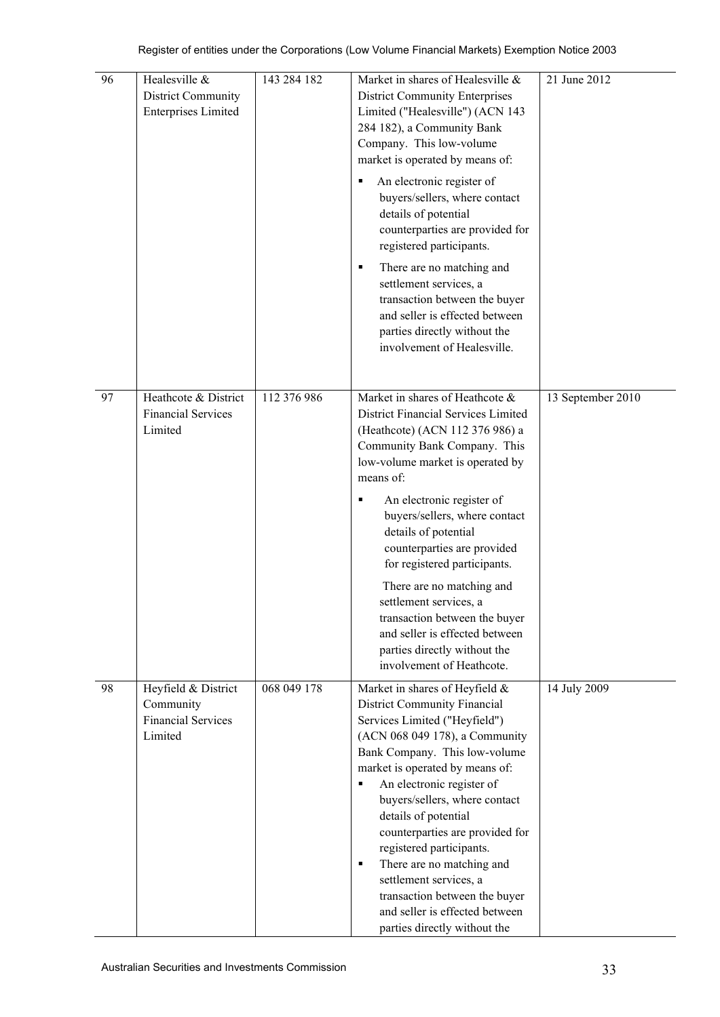| 96 | Healesville &<br>District Community<br><b>Enterprises Limited</b>        | 143 284 182 | Market in shares of Healesville &<br><b>District Community Enterprises</b><br>Limited ("Healesville") (ACN 143<br>284 182), a Community Bank<br>Company. This low-volume<br>market is operated by means of:<br>An electronic register of<br>Е<br>buyers/sellers, where contact<br>details of potential<br>counterparties are provided for<br>registered participants.<br>There are no matching and<br>٠<br>settlement services, a<br>transaction between the buyer<br>and seller is effected between<br>parties directly without the<br>involvement of Healesville. | 21 June 2012      |
|----|--------------------------------------------------------------------------|-------------|---------------------------------------------------------------------------------------------------------------------------------------------------------------------------------------------------------------------------------------------------------------------------------------------------------------------------------------------------------------------------------------------------------------------------------------------------------------------------------------------------------------------------------------------------------------------|-------------------|
| 97 | Heathcote & District<br><b>Financial Services</b><br>Limited             | 112 376 986 | Market in shares of Heathcote &<br>District Financial Services Limited<br>(Heathcote) (ACN 112 376 986) a<br>Community Bank Company. This<br>low-volume market is operated by<br>means of:<br>An electronic register of<br>buyers/sellers, where contact<br>details of potential<br>counterparties are provided<br>for registered participants.<br>There are no matching and<br>settlement services, a<br>transaction between the buyer<br>and seller is effected between<br>parties directly without the<br>involvement of Heathcote.                              | 13 September 2010 |
| 98 | Heyfield & District<br>Community<br><b>Financial Services</b><br>Limited | 068 049 178 | Market in shares of Heyfield &<br><b>District Community Financial</b><br>Services Limited ("Heyfield")<br>(ACN 068 049 178), a Community<br>Bank Company. This low-volume<br>market is operated by means of:<br>An electronic register of<br>٠<br>buyers/sellers, where contact<br>details of potential<br>counterparties are provided for<br>registered participants.<br>There are no matching and<br>٠<br>settlement services, a<br>transaction between the buyer<br>and seller is effected between<br>parties directly without the                               | 14 July 2009      |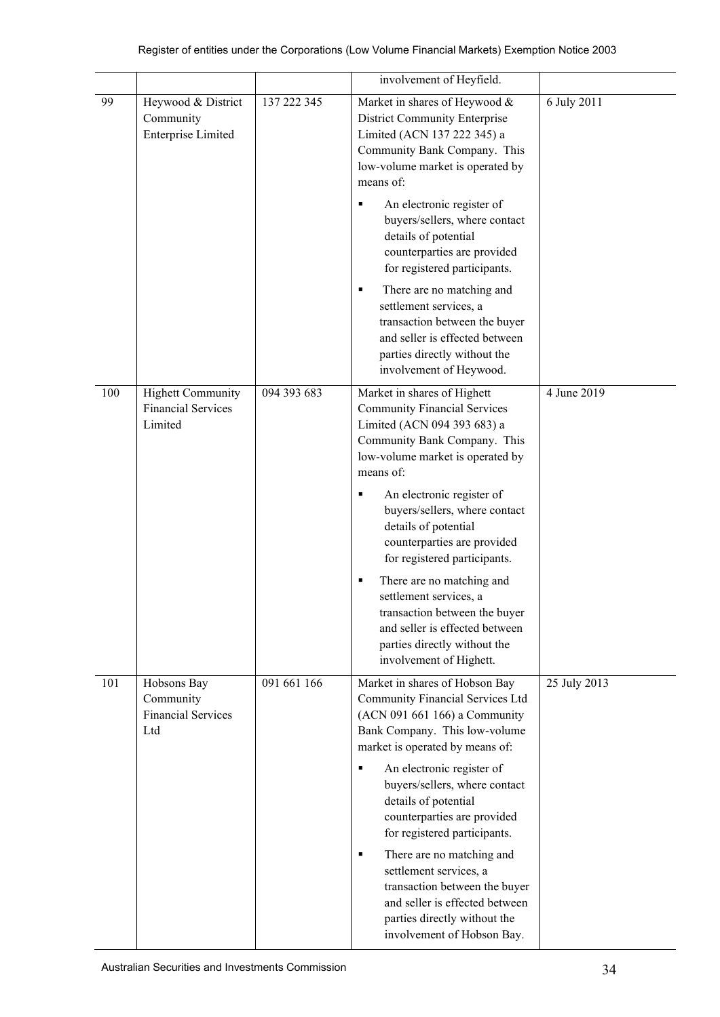|     |                                                                  |             | involvement of Heyfield.                                                                                                                                                                                                                                                                                                                                                                                                                                                                                                               |              |
|-----|------------------------------------------------------------------|-------------|----------------------------------------------------------------------------------------------------------------------------------------------------------------------------------------------------------------------------------------------------------------------------------------------------------------------------------------------------------------------------------------------------------------------------------------------------------------------------------------------------------------------------------------|--------------|
| 99  | Heywood & District<br>Community<br><b>Enterprise Limited</b>     | 137 222 345 | Market in shares of Heywood &<br><b>District Community Enterprise</b><br>Limited (ACN 137 222 345) a<br>Community Bank Company. This<br>low-volume market is operated by<br>means of:<br>An electronic register of<br>٠<br>buyers/sellers, where contact<br>details of potential<br>counterparties are provided<br>for registered participants.<br>There are no matching and<br>٠                                                                                                                                                      | 6 July 2011  |
|     |                                                                  |             | settlement services, a<br>transaction between the buyer<br>and seller is effected between<br>parties directly without the<br>involvement of Heywood.                                                                                                                                                                                                                                                                                                                                                                                   |              |
| 100 | <b>Highett Community</b><br><b>Financial Services</b><br>Limited | 094 393 683 | Market in shares of Highett<br><b>Community Financial Services</b><br>Limited (ACN 094 393 683) a<br>Community Bank Company. This<br>low-volume market is operated by<br>means of:<br>An electronic register of<br>٠<br>buyers/sellers, where contact<br>details of potential<br>counterparties are provided<br>for registered participants.<br>There are no matching and<br>٠<br>settlement services, a<br>transaction between the buyer<br>and seller is effected between<br>parties directly without the<br>involvement of Highett. | 4 June 2019  |
| 101 | Hobsons Bay<br>Community<br><b>Financial Services</b><br>Ltd     | 091 661 166 | Market in shares of Hobson Bay<br>Community Financial Services Ltd<br>(ACN 091 661 166) a Community<br>Bank Company. This low-volume<br>market is operated by means of:<br>An electronic register of<br>п<br>buyers/sellers, where contact<br>details of potential<br>counterparties are provided<br>for registered participants.<br>There are no matching and<br>٠<br>settlement services, a<br>transaction between the buyer<br>and seller is effected between<br>parties directly without the<br>involvement of Hobson Bay.         | 25 July 2013 |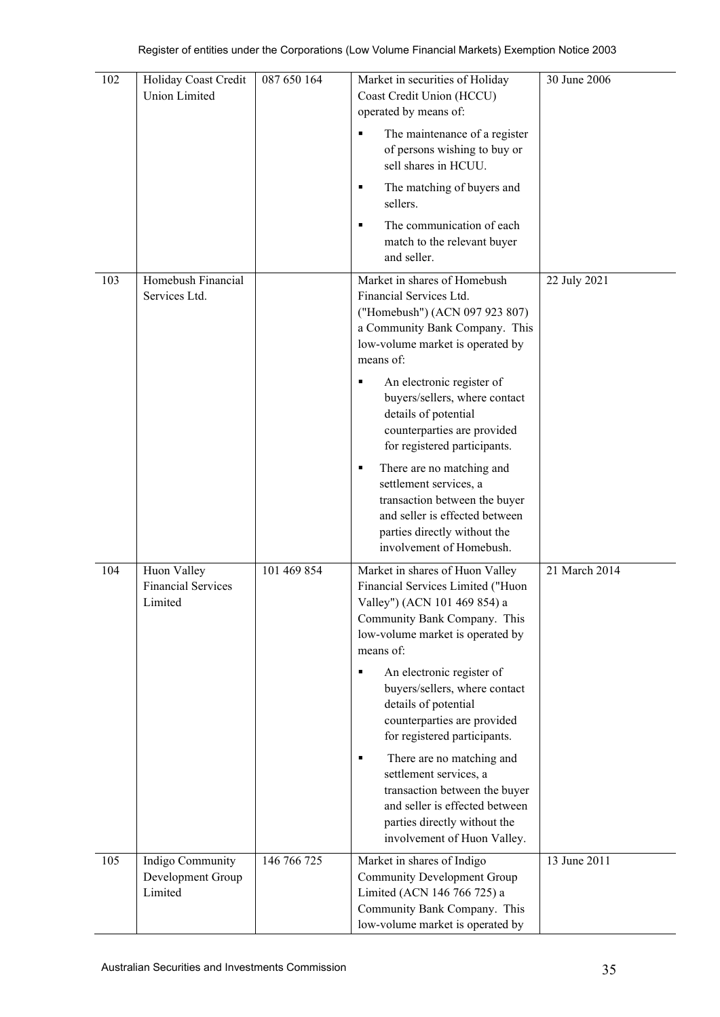| 102 | Holiday Coast Credit                                | 087 650 164 | Market in securities of Holiday                                                                                                                                                                                                                                                  | 30 June 2006  |
|-----|-----------------------------------------------------|-------------|----------------------------------------------------------------------------------------------------------------------------------------------------------------------------------------------------------------------------------------------------------------------------------|---------------|
|     | <b>Union Limited</b>                                |             | Coast Credit Union (HCCU)                                                                                                                                                                                                                                                        |               |
|     |                                                     |             | operated by means of:                                                                                                                                                                                                                                                            |               |
|     |                                                     |             | The maintenance of a register<br>of persons wishing to buy or                                                                                                                                                                                                                    |               |
|     |                                                     |             | sell shares in HCUU.                                                                                                                                                                                                                                                             |               |
|     |                                                     |             | The matching of buyers and<br>٠<br>sellers.                                                                                                                                                                                                                                      |               |
|     |                                                     |             | The communication of each<br>match to the relevant buyer<br>and seller.                                                                                                                                                                                                          |               |
| 103 | Homebush Financial<br>Services Ltd.                 |             | Market in shares of Homebush<br>Financial Services Ltd.<br>("Homebush") (ACN 097 923 807)<br>a Community Bank Company. This<br>low-volume market is operated by<br>means of:                                                                                                     | 22 July 2021  |
|     |                                                     |             | An electronic register of<br>٠<br>buyers/sellers, where contact<br>details of potential<br>counterparties are provided<br>for registered participants.                                                                                                                           |               |
|     |                                                     |             | There are no matching and<br>٠<br>settlement services, a<br>transaction between the buyer<br>and seller is effected between<br>parties directly without the<br>involvement of Homebush.                                                                                          |               |
| 104 | Huon Valley<br><b>Financial Services</b><br>Limited | 101 469 854 | Market in shares of Huon Valley<br>Financial Services Limited ("Huon<br>Valley") (ACN 101 469 854) a<br>Community Bank Company. This<br>low-volume market is operated by<br>means of:<br>An electronic register of<br>٠<br>buyers/sellers, where contact<br>details of potential | 21 March 2014 |
|     |                                                     |             | counterparties are provided<br>for registered participants.                                                                                                                                                                                                                      |               |
|     |                                                     |             | There are no matching and<br>٠<br>settlement services, a<br>transaction between the buyer<br>and seller is effected between<br>parties directly without the<br>involvement of Huon Valley.                                                                                       |               |
| 105 | Indigo Community<br>Development Group<br>Limited    | 146 766 725 | Market in shares of Indigo<br>Community Development Group<br>Limited (ACN 146 766 725) a<br>Community Bank Company. This<br>low-volume market is operated by                                                                                                                     | 13 June 2011  |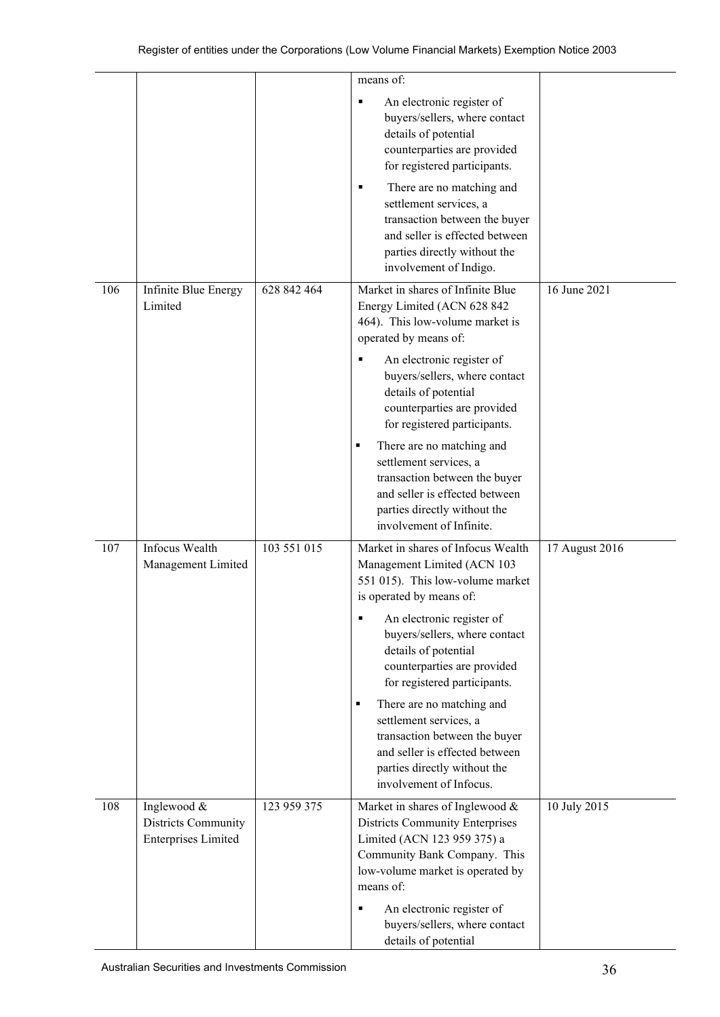|     |                                                                  |             | means of:                                                                                                                                                                                           |                |
|-----|------------------------------------------------------------------|-------------|-----------------------------------------------------------------------------------------------------------------------------------------------------------------------------------------------------|----------------|
|     |                                                                  |             | An electronic register of<br>٠<br>buyers/sellers, where contact<br>details of potential<br>counterparties are provided<br>for registered participants.                                              |                |
|     |                                                                  |             | There are no matching and<br>٠<br>settlement services, a<br>transaction between the buyer<br>and seller is effected between<br>parties directly without the<br>involvement of Indigo.               |                |
| 106 | Infinite Blue Energy<br>Limited                                  | 628 842 464 | Market in shares of Infinite Blue<br>Energy Limited (ACN 628 842<br>464). This low-volume market is<br>operated by means of:                                                                        | 16 June 2021   |
|     |                                                                  |             | An electronic register of<br>buyers/sellers, where contact<br>details of potential<br>counterparties are provided<br>for registered participants.                                                   |                |
|     |                                                                  |             | There are no matching and<br>٠<br>settlement services, a<br>transaction between the buyer<br>and seller is effected between<br>parties directly without the<br>involvement of Infinite.             |                |
| 107 | <b>Infocus Wealth</b><br>Management Limited                      | 103 551 015 | Market in shares of Infocus Wealth<br>Management Limited (ACN 103<br>551 015). This low-volume market<br>is operated by means of:                                                                   | 17 August 2016 |
|     |                                                                  |             | An electronic register of<br>٠<br>buyers/sellers, where contact<br>details of potential<br>counterparties are provided<br>for registered participants.                                              |                |
|     |                                                                  |             | There are no matching and<br>$\blacksquare$<br>settlement services, a<br>transaction between the buyer<br>and seller is effected between<br>parties directly without the<br>involvement of Infocus. |                |
| 108 | Inglewood &<br>Districts Community<br><b>Enterprises Limited</b> | 123 959 375 | Market in shares of Inglewood &<br><b>Districts Community Enterprises</b><br>Limited (ACN 123 959 375) a<br>Community Bank Company. This<br>low-volume market is operated by<br>means of:           | 10 July 2015   |
|     |                                                                  |             | An electronic register of<br>٠<br>buyers/sellers, where contact<br>details of potential                                                                                                             |                |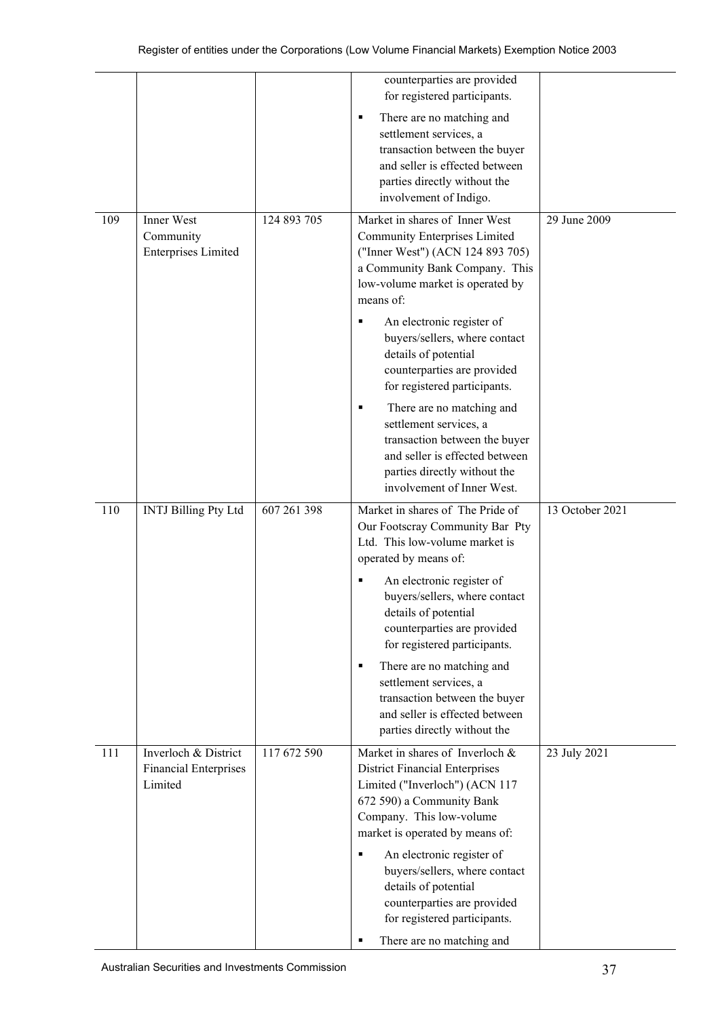|     |                                                                 |             | counterparties are provided<br>for registered participants.                                                                                                                                                                                                                                                                                                                                                    |                 |
|-----|-----------------------------------------------------------------|-------------|----------------------------------------------------------------------------------------------------------------------------------------------------------------------------------------------------------------------------------------------------------------------------------------------------------------------------------------------------------------------------------------------------------------|-----------------|
|     |                                                                 |             | There are no matching and<br>п<br>settlement services, a<br>transaction between the buyer<br>and seller is effected between<br>parties directly without the<br>involvement of Indigo.                                                                                                                                                                                                                          |                 |
| 109 | Inner West<br>Community<br><b>Enterprises Limited</b>           | 124 893 705 | Market in shares of Inner West<br><b>Community Enterprises Limited</b><br>("Inner West") (ACN 124 893 705)<br>a Community Bank Company. This<br>low-volume market is operated by<br>means of:<br>An electronic register of<br>buyers/sellers, where contact<br>details of potential<br>counterparties are provided<br>for registered participants.<br>There are no matching and<br>п<br>settlement services, a | 29 June 2009    |
|     |                                                                 |             | transaction between the buyer<br>and seller is effected between<br>parties directly without the<br>involvement of Inner West.                                                                                                                                                                                                                                                                                  |                 |
| 110 | <b>INTJ Billing Pty Ltd</b>                                     | 607 261 398 | Market in shares of The Pride of<br>Our Footscray Community Bar Pty<br>Ltd. This low-volume market is<br>operated by means of:                                                                                                                                                                                                                                                                                 | 13 October 2021 |
|     |                                                                 |             | An electronic register of<br>buyers/sellers, where contact<br>details of potential<br>counterparties are provided<br>for registered participants.                                                                                                                                                                                                                                                              |                 |
|     |                                                                 |             | There are no matching and<br>٠<br>settlement services, a<br>transaction between the buyer<br>and seller is effected between<br>parties directly without the                                                                                                                                                                                                                                                    |                 |
| 111 | Inverloch & District<br><b>Financial Enterprises</b><br>Limited | 117 672 590 | Market in shares of Inverloch &<br><b>District Financial Enterprises</b><br>Limited ("Inverloch") (ACN 117<br>672 590) a Community Bank<br>Company. This low-volume<br>market is operated by means of:<br>An electronic register of<br>٠                                                                                                                                                                       | 23 July 2021    |
|     |                                                                 |             | buyers/sellers, where contact<br>details of potential<br>counterparties are provided<br>for registered participants.<br>There are no matching and<br>п                                                                                                                                                                                                                                                         |                 |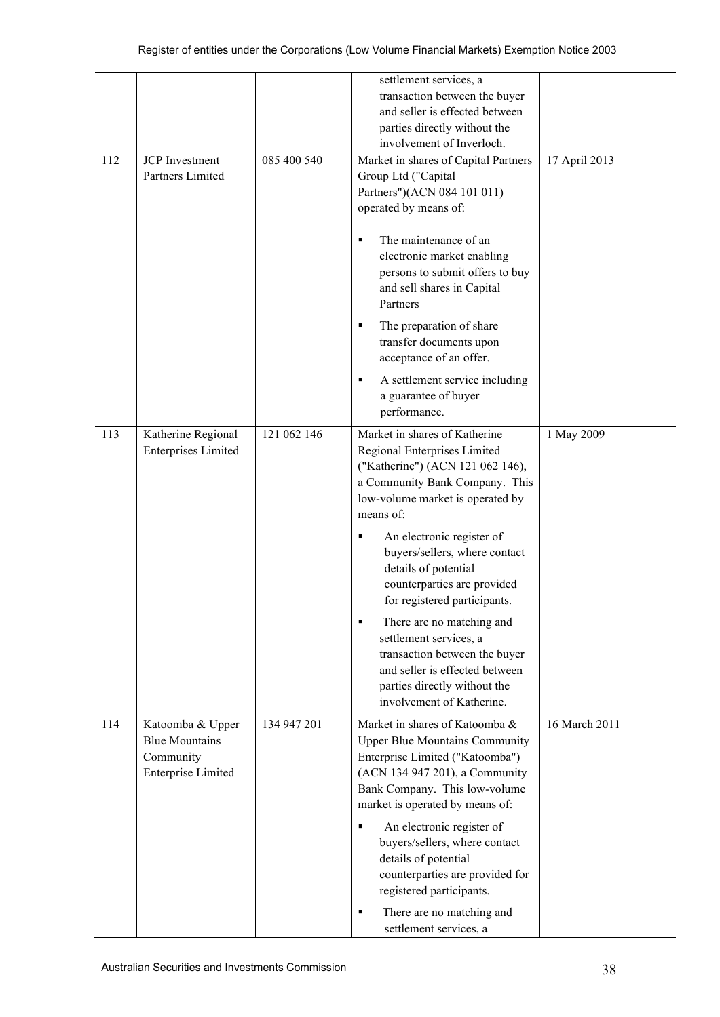|     |                                                                                     |             | settlement services, a<br>transaction between the buyer<br>and seller is effected between<br>parties directly without the<br>involvement of Inverloch.                                                                                                                                                                                                                                                                                                                                                                                                  |               |
|-----|-------------------------------------------------------------------------------------|-------------|---------------------------------------------------------------------------------------------------------------------------------------------------------------------------------------------------------------------------------------------------------------------------------------------------------------------------------------------------------------------------------------------------------------------------------------------------------------------------------------------------------------------------------------------------------|---------------|
| 112 | <b>JCP</b> Investment<br>Partners Limited                                           | 085 400 540 | Market in shares of Capital Partners<br>Group Ltd ("Capital<br>Partners")(ACN 084 101 011)<br>operated by means of:<br>The maintenance of an<br>٠<br>electronic market enabling<br>persons to submit offers to buy<br>and sell shares in Capital<br>Partners<br>The preparation of share<br>٠<br>transfer documents upon<br>acceptance of an offer.<br>A settlement service including<br>٠<br>a guarantee of buyer<br>performance.                                                                                                                      | 17 April 2013 |
| 113 | Katherine Regional<br><b>Enterprises Limited</b>                                    | 121 062 146 | Market in shares of Katherine<br>Regional Enterprises Limited<br>("Katherine") (ACN 121 062 146),<br>a Community Bank Company. This<br>low-volume market is operated by<br>means of:<br>An electronic register of<br>٠<br>buyers/sellers, where contact<br>details of potential<br>counterparties are provided<br>for registered participants.<br>There are no matching and<br>$\blacksquare$<br>settlement services, a<br>transaction between the buyer<br>and seller is effected between<br>parties directly without the<br>involvement of Katherine. | 1 May 2009    |
| 114 | Katoomba & Upper<br><b>Blue Mountains</b><br>Community<br><b>Enterprise Limited</b> | 134 947 201 | Market in shares of Katoomba &<br><b>Upper Blue Mountains Community</b><br>Enterprise Limited ("Katoomba")<br>(ACN 134 947 201), a Community<br>Bank Company. This low-volume<br>market is operated by means of:<br>An electronic register of<br>٠<br>buyers/sellers, where contact<br>details of potential<br>counterparties are provided for<br>registered participants.<br>There are no matching and<br>٠<br>settlement services, a                                                                                                                  | 16 March 2011 |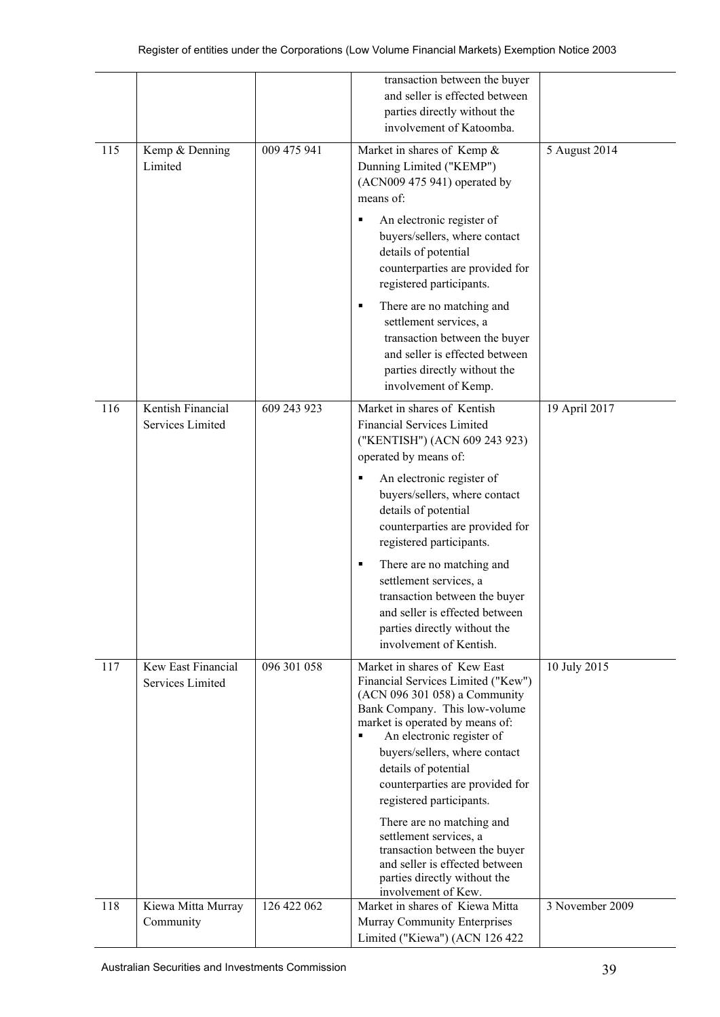|     |                                        |             | transaction between the buyer                                                                                                                                                                                                                                                                                                                                                                                                                                                                                      |                 |
|-----|----------------------------------------|-------------|--------------------------------------------------------------------------------------------------------------------------------------------------------------------------------------------------------------------------------------------------------------------------------------------------------------------------------------------------------------------------------------------------------------------------------------------------------------------------------------------------------------------|-----------------|
|     |                                        |             | and seller is effected between                                                                                                                                                                                                                                                                                                                                                                                                                                                                                     |                 |
|     |                                        |             | parties directly without the                                                                                                                                                                                                                                                                                                                                                                                                                                                                                       |                 |
|     |                                        |             | involvement of Katoomba.                                                                                                                                                                                                                                                                                                                                                                                                                                                                                           |                 |
| 115 | Kemp & Denning<br>Limited              | 009 475 941 | Market in shares of Kemp &<br>Dunning Limited ("KEMP")<br>(ACN009 475 941) operated by<br>means of:<br>An electronic register of<br>٠<br>buyers/sellers, where contact<br>details of potential<br>counterparties are provided for<br>registered participants.<br>There are no matching and<br>٠<br>settlement services, a<br>transaction between the buyer                                                                                                                                                         | 5 August 2014   |
|     |                                        |             | and seller is effected between<br>parties directly without the<br>involvement of Kemp.                                                                                                                                                                                                                                                                                                                                                                                                                             |                 |
| 116 | Kentish Financial<br>Services Limited  | 609 243 923 | Market in shares of Kentish<br><b>Financial Services Limited</b><br>("KENTISH") (ACN 609 243 923)                                                                                                                                                                                                                                                                                                                                                                                                                  | 19 April 2017   |
|     |                                        |             | operated by means of:<br>An electronic register of<br>٠<br>buyers/sellers, where contact<br>details of potential<br>counterparties are provided for<br>registered participants.<br>There are no matching and<br>٠<br>settlement services, a<br>transaction between the buyer<br>and seller is effected between<br>parties directly without the<br>involvement of Kentish.                                                                                                                                          |                 |
| 117 | Kew East Financial<br>Services Limited | 096 301 058 | Market in shares of Kew East<br>Financial Services Limited ("Kew")<br>(ACN 096 301 058) a Community<br>Bank Company. This low-volume<br>market is operated by means of:<br>An electronic register of<br>٠<br>buyers/sellers, where contact<br>details of potential<br>counterparties are provided for<br>registered participants.<br>There are no matching and<br>settlement services, a<br>transaction between the buyer<br>and seller is effected between<br>parties directly without the<br>involvement of Kew. | 10 July 2015    |
| 118 | Kiewa Mitta Murray<br>Community        | 126 422 062 | Market in shares of Kiewa Mitta<br>Murray Community Enterprises<br>Limited ("Kiewa") (ACN 126 422                                                                                                                                                                                                                                                                                                                                                                                                                  | 3 November 2009 |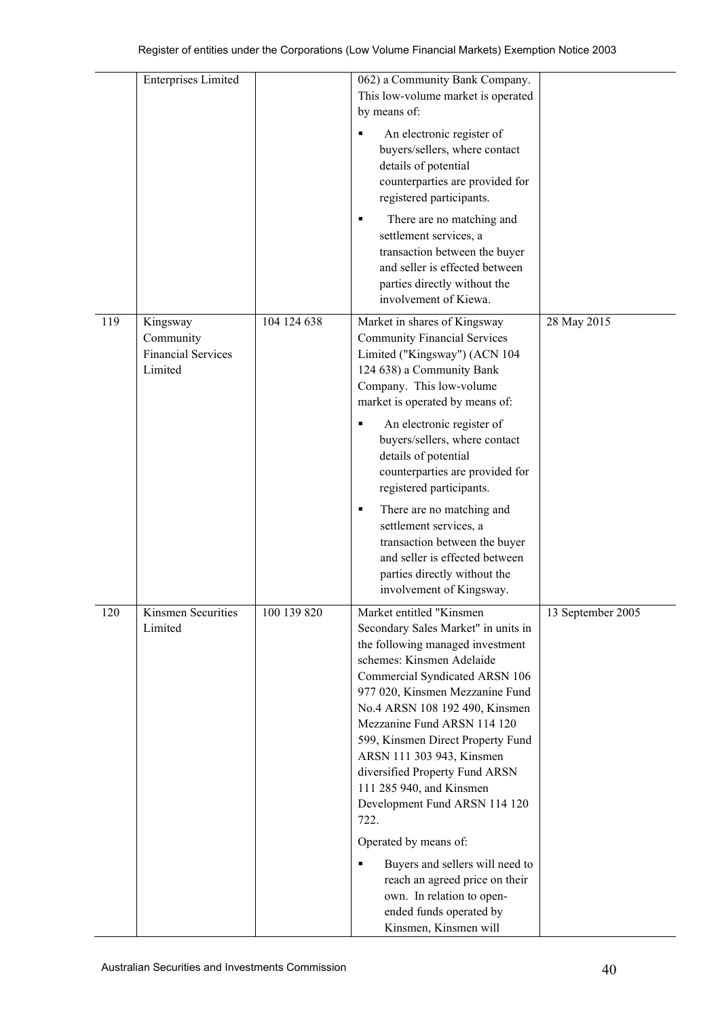|     | <b>Enterprises Limited</b>                                    |             | 062) a Community Bank Company.<br>This low-volume market is operated<br>by means of:<br>An electronic register of<br>buyers/sellers, where contact<br>details of potential<br>counterparties are provided for                                                                                                                                                                                                                                   |                   |
|-----|---------------------------------------------------------------|-------------|-------------------------------------------------------------------------------------------------------------------------------------------------------------------------------------------------------------------------------------------------------------------------------------------------------------------------------------------------------------------------------------------------------------------------------------------------|-------------------|
|     |                                                               |             | registered participants.<br>There are no matching and<br>٠<br>settlement services, a<br>transaction between the buyer<br>and seller is effected between<br>parties directly without the<br>involvement of Kiewa.                                                                                                                                                                                                                                |                   |
| 119 | Kingsway<br>Community<br><b>Financial Services</b><br>Limited | 104 124 638 | Market in shares of Kingsway<br><b>Community Financial Services</b><br>Limited ("Kingsway") (ACN 104<br>124 638) a Community Bank<br>Company. This low-volume<br>market is operated by means of:                                                                                                                                                                                                                                                | 28 May 2015       |
|     |                                                               |             | An electronic register of<br>٠<br>buyers/sellers, where contact<br>details of potential<br>counterparties are provided for<br>registered participants.                                                                                                                                                                                                                                                                                          |                   |
|     |                                                               |             | There are no matching and<br>٠<br>settlement services, a<br>transaction between the buyer<br>and seller is effected between<br>parties directly without the<br>involvement of Kingsway.                                                                                                                                                                                                                                                         |                   |
| 120 | Kinsmen Securities<br>Limited                                 | 100 139 820 | Market entitled "Kinsmen<br>Secondary Sales Market" in units in<br>the following managed investment<br>schemes: Kinsmen Adelaide<br>Commercial Syndicated ARSN 106<br>977 020, Kinsmen Mezzanine Fund<br>No.4 ARSN 108 192 490, Kinsmen<br>Mezzanine Fund ARSN 114 120<br>599, Kinsmen Direct Property Fund<br>ARSN 111 303 943, Kinsmen<br>diversified Property Fund ARSN<br>111 285 940, and Kinsmen<br>Development Fund ARSN 114 120<br>722. | 13 September 2005 |
|     |                                                               |             | Operated by means of:<br>Buyers and sellers will need to<br>٠<br>reach an agreed price on their<br>own. In relation to open-<br>ended funds operated by<br>Kinsmen, Kinsmen will                                                                                                                                                                                                                                                                |                   |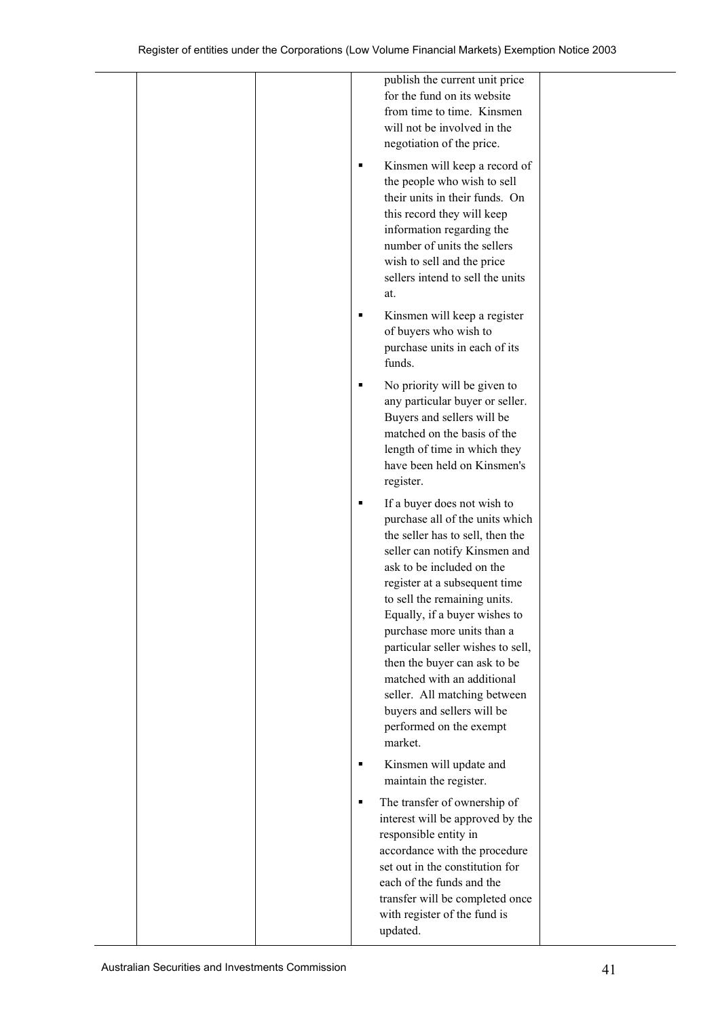| publish the current unit price<br>for the fund on its website                                                                                                                                                                                                                                                                                                                                                                                                                                           |  |
|---------------------------------------------------------------------------------------------------------------------------------------------------------------------------------------------------------------------------------------------------------------------------------------------------------------------------------------------------------------------------------------------------------------------------------------------------------------------------------------------------------|--|
| from time to time. Kinsmen<br>will not be involved in the<br>negotiation of the price.                                                                                                                                                                                                                                                                                                                                                                                                                  |  |
| Kinsmen will keep a record of<br>the people who wish to sell<br>their units in their funds. On<br>this record they will keep<br>information regarding the<br>number of units the sellers<br>wish to sell and the price<br>sellers intend to sell the units<br>at.                                                                                                                                                                                                                                       |  |
| Kinsmen will keep a register<br>of buyers who wish to<br>purchase units in each of its<br>funds.                                                                                                                                                                                                                                                                                                                                                                                                        |  |
| No priority will be given to<br>any particular buyer or seller.<br>Buyers and sellers will be<br>matched on the basis of the<br>length of time in which they<br>have been held on Kinsmen's<br>register.                                                                                                                                                                                                                                                                                                |  |
| If a buyer does not wish to<br>purchase all of the units which<br>the seller has to sell, then the<br>seller can notify Kinsmen and<br>ask to be included on the<br>register at a subsequent time<br>to sell the remaining units.<br>Equally, if a buyer wishes to<br>purchase more units than a<br>particular seller wishes to sell,<br>then the buyer can ask to be<br>matched with an additional<br>seller. All matching between<br>buyers and sellers will be<br>performed on the exempt<br>market. |  |
| Kinsmen will update and<br>maintain the register.                                                                                                                                                                                                                                                                                                                                                                                                                                                       |  |
| The transfer of ownership of<br>interest will be approved by the<br>responsible entity in<br>accordance with the procedure<br>set out in the constitution for<br>each of the funds and the<br>transfer will be completed once<br>with register of the fund is<br>updated.                                                                                                                                                                                                                               |  |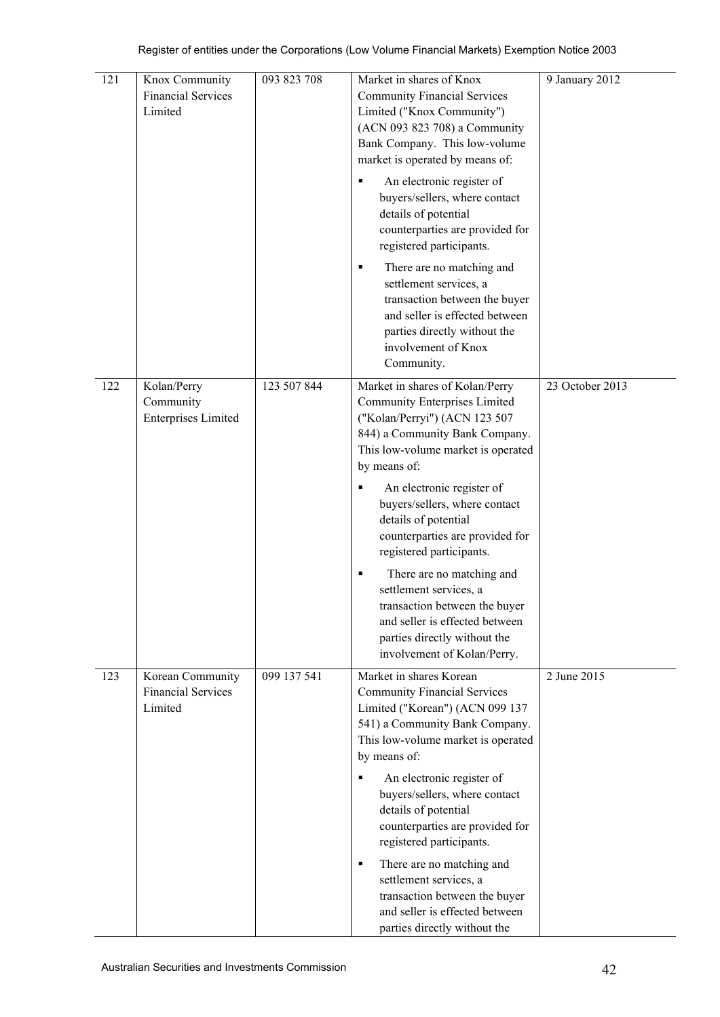| 121 | Knox Community<br><b>Financial Services</b><br>Limited   | 093 823 708 | Market in shares of Knox<br><b>Community Financial Services</b><br>Limited ("Knox Community")<br>(ACN 093 823 708) a Community<br>Bank Company. This low-volume<br>market is operated by means of:<br>An electronic register of<br>buyers/sellers, where contact<br>details of potential<br>counterparties are provided for<br>registered participants.<br>There are no matching and<br>٠<br>settlement services, a<br>transaction between the buyer<br>and seller is effected between<br>parties directly without the<br>involvement of Knox<br>Community. | 9 January 2012  |
|-----|----------------------------------------------------------|-------------|-------------------------------------------------------------------------------------------------------------------------------------------------------------------------------------------------------------------------------------------------------------------------------------------------------------------------------------------------------------------------------------------------------------------------------------------------------------------------------------------------------------------------------------------------------------|-----------------|
| 122 | Kolan/Perry<br>Community<br><b>Enterprises Limited</b>   | 123 507 844 | Market in shares of Kolan/Perry<br><b>Community Enterprises Limited</b><br>("Kolan/Perryi") (ACN 123 507<br>844) a Community Bank Company.<br>This low-volume market is operated<br>by means of:<br>An electronic register of<br>٠<br>buyers/sellers, where contact<br>details of potential<br>counterparties are provided for<br>registered participants.<br>There are no matching and<br>٠<br>settlement services, a<br>transaction between the buyer<br>and seller is effected between<br>parties directly without the<br>involvement of Kolan/Perry.    | 23 October 2013 |
| 123 | Korean Community<br><b>Financial Services</b><br>Limited | 099 137 541 | Market in shares Korean<br><b>Community Financial Services</b><br>Limited ("Korean") (ACN 099 137<br>541) a Community Bank Company.<br>This low-volume market is operated<br>by means of:<br>An electronic register of<br>buyers/sellers, where contact<br>details of potential<br>counterparties are provided for<br>registered participants.<br>There are no matching and<br>٠<br>settlement services, a<br>transaction between the buyer<br>and seller is effected between<br>parties directly without the                                               | 2 June 2015     |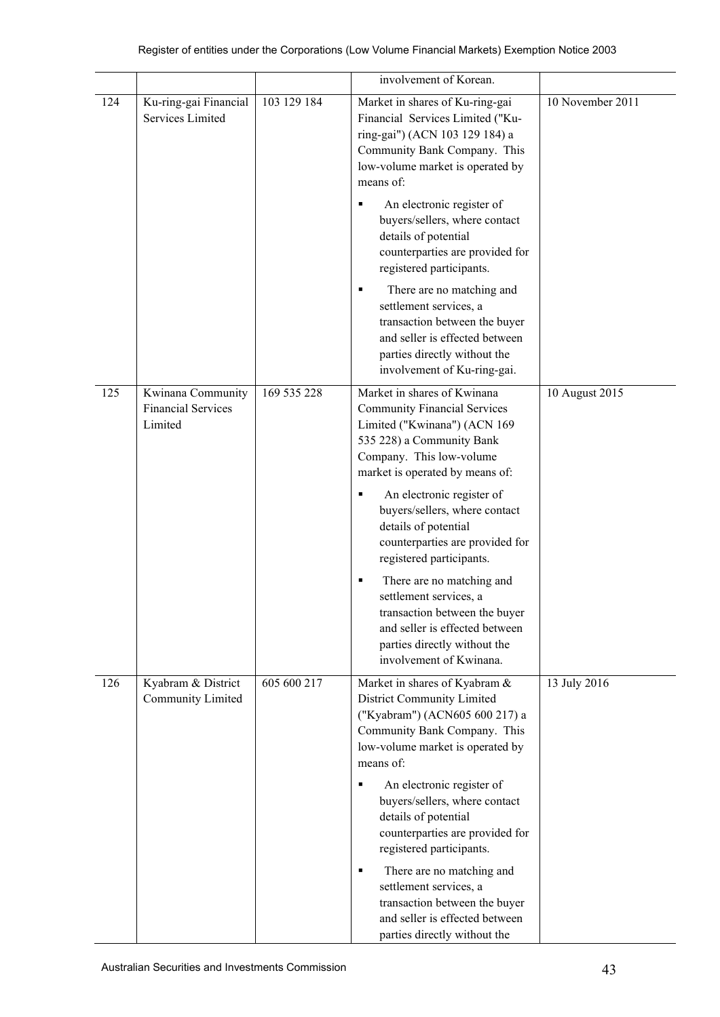|     |                                                           |             | involvement of Korean.                                                                                                                                                                                                                                                                                                                                                                                                                                                                                                                             |                  |
|-----|-----------------------------------------------------------|-------------|----------------------------------------------------------------------------------------------------------------------------------------------------------------------------------------------------------------------------------------------------------------------------------------------------------------------------------------------------------------------------------------------------------------------------------------------------------------------------------------------------------------------------------------------------|------------------|
| 124 | Ku-ring-gai Financial<br>Services Limited                 | 103 129 184 | Market in shares of Ku-ring-gai<br>Financial Services Limited ("Ku-<br>ring-gai") (ACN 103 129 184) a<br>Community Bank Company. This<br>low-volume market is operated by<br>means of:<br>An electronic register of<br>٠<br>buyers/sellers, where contact<br>details of potential<br>counterparties are provided for<br>registered participants.<br>There are no matching and<br>п<br>settlement services, a<br>transaction between the buyer<br>and seller is effected between<br>parties directly without the                                    | 10 November 2011 |
|     |                                                           |             | involvement of Ku-ring-gai.                                                                                                                                                                                                                                                                                                                                                                                                                                                                                                                        |                  |
| 125 | Kwinana Community<br><b>Financial Services</b><br>Limited | 169 535 228 | Market in shares of Kwinana<br><b>Community Financial Services</b><br>Limited ("Kwinana") (ACN 169<br>535 228) a Community Bank<br>Company. This low-volume<br>market is operated by means of:<br>An electronic register of<br>٠<br>buyers/sellers, where contact<br>details of potential<br>counterparties are provided for<br>registered participants.<br>There are no matching and<br>п<br>settlement services, a<br>transaction between the buyer<br>and seller is effected between<br>parties directly without the<br>involvement of Kwinana. | 10 August 2015   |
| 126 | Kyabram & District<br><b>Community Limited</b>            | 605 600 217 | Market in shares of Kyabram &<br>District Community Limited<br>("Kyabram") (ACN605 600 217) a<br>Community Bank Company. This<br>low-volume market is operated by<br>means of:<br>An electronic register of<br>٠<br>buyers/sellers, where contact<br>details of potential<br>counterparties are provided for<br>registered participants.<br>There are no matching and<br>٠<br>settlement services, a<br>transaction between the buyer<br>and seller is effected between<br>parties directly without the                                            | 13 July 2016     |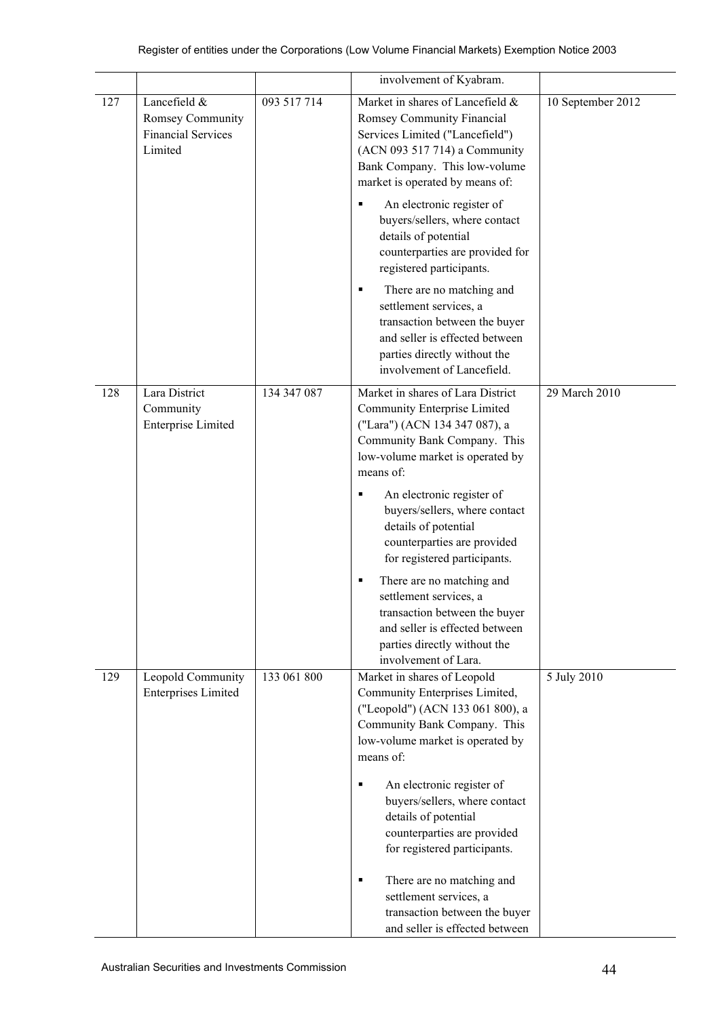|     |                                                                          |             | involvement of Kyabram.                                                                                                                                                                                                                                                                                                                                                                                                                                                                                                              |                   |
|-----|--------------------------------------------------------------------------|-------------|--------------------------------------------------------------------------------------------------------------------------------------------------------------------------------------------------------------------------------------------------------------------------------------------------------------------------------------------------------------------------------------------------------------------------------------------------------------------------------------------------------------------------------------|-------------------|
| 127 | Lancefield &<br>Romsey Community<br><b>Financial Services</b><br>Limited | 093 517 714 | Market in shares of Lancefield &<br>Romsey Community Financial<br>Services Limited ("Lancefield")<br>(ACN 093 517 714) a Community<br>Bank Company. This low-volume<br>market is operated by means of:<br>An electronic register of<br>П<br>buyers/sellers, where contact<br>details of potential<br>counterparties are provided for<br>registered participants.<br>There are no matching and<br>п                                                                                                                                   | 10 September 2012 |
|     |                                                                          |             | settlement services, a<br>transaction between the buyer<br>and seller is effected between<br>parties directly without the<br>involvement of Lancefield.                                                                                                                                                                                                                                                                                                                                                                              |                   |
| 128 | Lara District<br>Community<br><b>Enterprise Limited</b>                  | 134 347 087 | Market in shares of Lara District<br>Community Enterprise Limited<br>("Lara") (ACN 134 347 087), a<br>Community Bank Company. This<br>low-volume market is operated by<br>means of:<br>An electronic register of<br>٠<br>buyers/sellers, where contact<br>details of potential<br>counterparties are provided<br>for registered participants.<br>There are no matching and<br>п<br>settlement services, a<br>transaction between the buyer<br>and seller is effected between<br>parties directly without the<br>involvement of Lara. | 29 March 2010     |
| 129 | Leopold Community<br><b>Enterprises Limited</b>                          | 133 061 800 | Market in shares of Leopold<br>Community Enterprises Limited,<br>("Leopold") (ACN 133 061 800), a<br>Community Bank Company. This<br>low-volume market is operated by<br>means of:<br>An electronic register of<br>buyers/sellers, where contact<br>details of potential<br>counterparties are provided<br>for registered participants.<br>There are no matching and<br>٠<br>settlement services, a<br>transaction between the buyer<br>and seller is effected between                                                               | 5 July 2010       |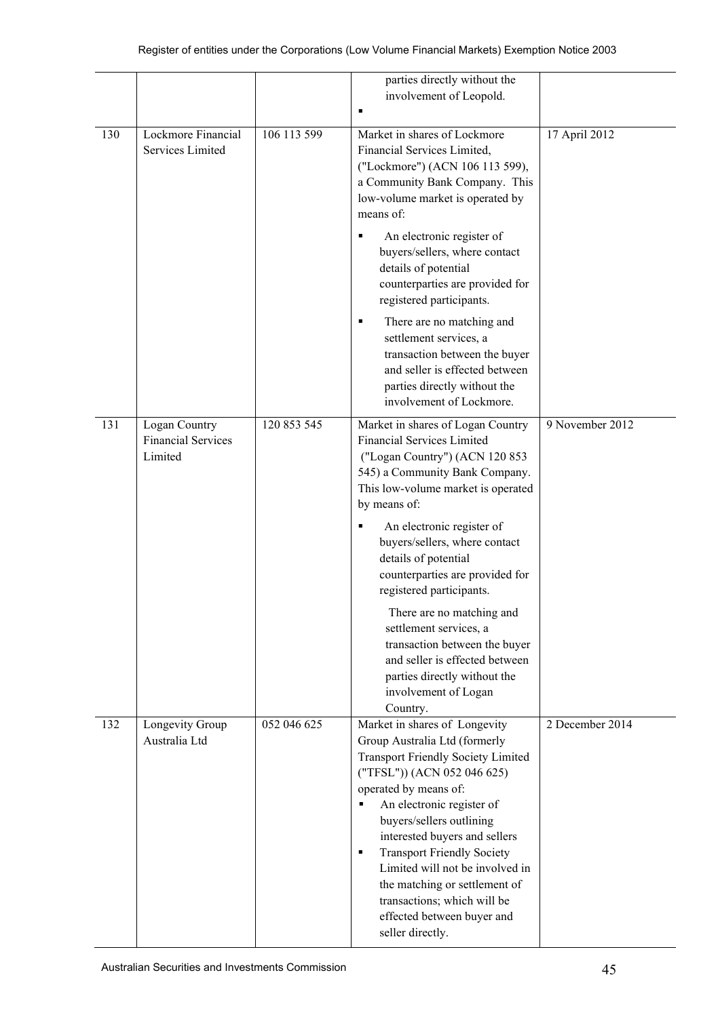|     |                                                       |             | parties directly without the<br>involvement of Leopold.                                                                                                                                                                                                                                                                                                                                                                                                                        |                 |
|-----|-------------------------------------------------------|-------------|--------------------------------------------------------------------------------------------------------------------------------------------------------------------------------------------------------------------------------------------------------------------------------------------------------------------------------------------------------------------------------------------------------------------------------------------------------------------------------|-----------------|
| 130 | Lockmore Financial<br>Services Limited                | 106 113 599 | Market in shares of Lockmore<br>Financial Services Limited,<br>("Lockmore") (ACN 106 113 599),<br>a Community Bank Company. This<br>low-volume market is operated by<br>means of:                                                                                                                                                                                                                                                                                              | 17 April 2012   |
|     |                                                       |             | An electronic register of<br>٠<br>buyers/sellers, where contact<br>details of potential<br>counterparties are provided for<br>registered participants.                                                                                                                                                                                                                                                                                                                         |                 |
|     |                                                       |             | There are no matching and<br>٠<br>settlement services, a<br>transaction between the buyer<br>and seller is effected between<br>parties directly without the<br>involvement of Lockmore.                                                                                                                                                                                                                                                                                        |                 |
| 131 | Logan Country<br><b>Financial Services</b><br>Limited | 120 853 545 | Market in shares of Logan Country<br><b>Financial Services Limited</b><br>("Logan Country") (ACN 120 853<br>545) a Community Bank Company.<br>This low-volume market is operated<br>by means of:<br>An electronic register of<br>п                                                                                                                                                                                                                                             | 9 November 2012 |
|     |                                                       |             | buyers/sellers, where contact<br>details of potential<br>counterparties are provided for<br>registered participants.                                                                                                                                                                                                                                                                                                                                                           |                 |
|     |                                                       |             | There are no matching and<br>settlement services, a<br>transaction between the buyer<br>and seller is effected between<br>parties directly without the<br>involvement of Logan<br>Country.                                                                                                                                                                                                                                                                                     |                 |
| 132 | Longevity Group<br>Australia Ltd                      | 052 046 625 | Market in shares of Longevity<br>Group Australia Ltd (formerly<br><b>Transport Friendly Society Limited</b><br>("TFSL")) (ACN 052 046 625)<br>operated by means of:<br>An electronic register of<br>٠<br>buyers/sellers outlining<br>interested buyers and sellers<br><b>Transport Friendly Society</b><br>$\blacksquare$<br>Limited will not be involved in<br>the matching or settlement of<br>transactions; which will be<br>effected between buyer and<br>seller directly. | 2 December 2014 |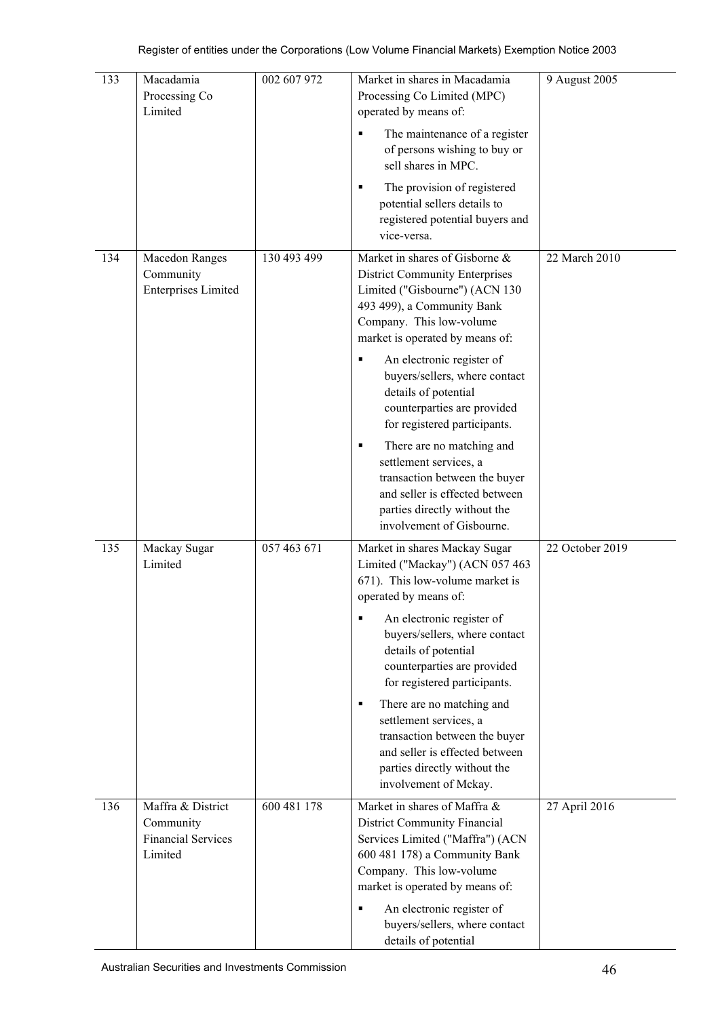| 133 | Macadamia<br>Processing Co<br>Limited                                  | 002 607 972 | Market in shares in Macadamia<br>Processing Co Limited (MPC)<br>operated by means of:                                                                                                                  | 9 August 2005   |
|-----|------------------------------------------------------------------------|-------------|--------------------------------------------------------------------------------------------------------------------------------------------------------------------------------------------------------|-----------------|
|     |                                                                        |             | The maintenance of a register<br>of persons wishing to buy or<br>sell shares in MPC.                                                                                                                   |                 |
|     |                                                                        |             | The provision of registered<br>٠<br>potential sellers details to<br>registered potential buyers and<br>vice-versa.                                                                                     |                 |
| 134 | <b>Macedon Ranges</b><br>Community<br><b>Enterprises Limited</b>       | 130 493 499 | Market in shares of Gisborne &<br><b>District Community Enterprises</b><br>Limited ("Gisbourne") (ACN 130<br>493 499), a Community Bank<br>Company. This low-volume<br>market is operated by means of: | 22 March 2010   |
|     |                                                                        |             | An electronic register of<br>٠<br>buyers/sellers, where contact<br>details of potential<br>counterparties are provided<br>for registered participants.                                                 |                 |
|     |                                                                        |             | There are no matching and<br>٠<br>settlement services, a<br>transaction between the buyer<br>and seller is effected between<br>parties directly without the<br>involvement of Gisbourne.               |                 |
| 135 | Mackay Sugar<br>Limited                                                | 057 463 671 | Market in shares Mackay Sugar<br>Limited ("Mackay") (ACN 057 463<br>671). This low-volume market is<br>operated by means of:                                                                           | 22 October 2019 |
|     |                                                                        |             | An electronic register of<br>п<br>buyers/sellers, where contact<br>details of potential<br>counterparties are provided<br>for registered participants.                                                 |                 |
|     |                                                                        |             | There are no matching and<br>٠<br>settlement services, a<br>transaction between the buyer<br>and seller is effected between<br>parties directly without the<br>involvement of Mckay.                   |                 |
| 136 | Maffra & District<br>Community<br><b>Financial Services</b><br>Limited | 600 481 178 | Market in shares of Maffra &<br>District Community Financial<br>Services Limited ("Maffra") (ACN<br>600 481 178) a Community Bank<br>Company. This low-volume<br>market is operated by means of:       | 27 April 2016   |
|     |                                                                        |             | An electronic register of<br>buyers/sellers, where contact<br>details of potential                                                                                                                     |                 |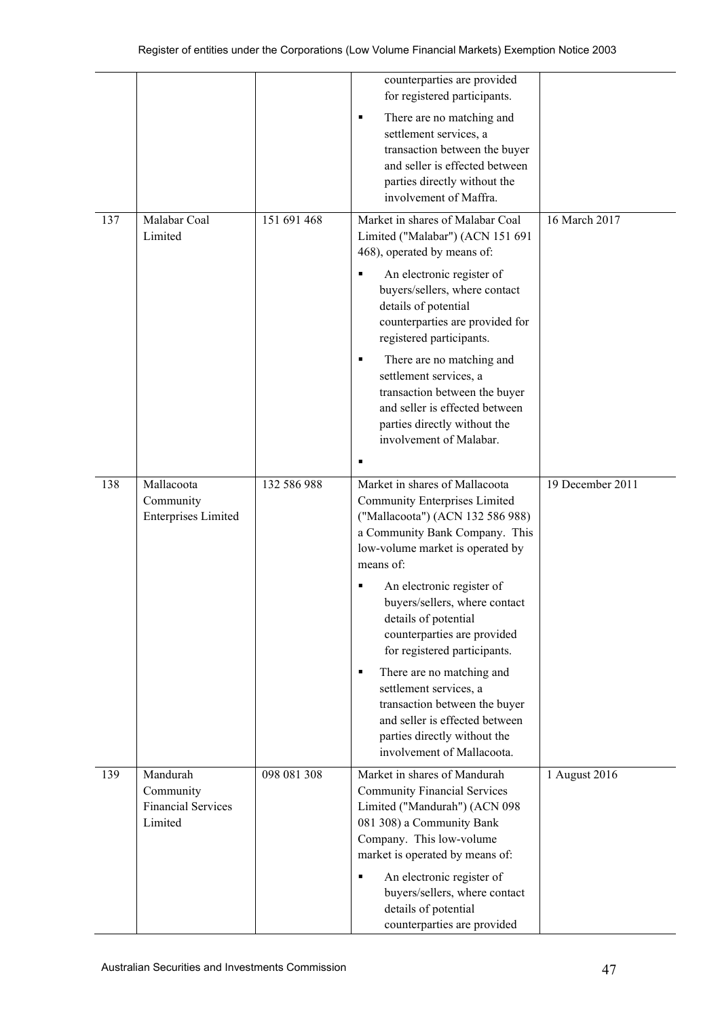|     |                                                               |             | counterparties are provided<br>for registered participants.                                                                                                                                                                                                                                                                                                                                                                                                                                                                                     |                  |
|-----|---------------------------------------------------------------|-------------|-------------------------------------------------------------------------------------------------------------------------------------------------------------------------------------------------------------------------------------------------------------------------------------------------------------------------------------------------------------------------------------------------------------------------------------------------------------------------------------------------------------------------------------------------|------------------|
|     |                                                               |             | There are no matching and<br>٠<br>settlement services, a<br>transaction between the buyer<br>and seller is effected between<br>parties directly without the<br>involvement of Maffra.                                                                                                                                                                                                                                                                                                                                                           |                  |
| 137 | Malabar Coal<br>Limited                                       | 151 691 468 | Market in shares of Malabar Coal<br>Limited ("Malabar") (ACN 151 691<br>468), operated by means of:<br>An electronic register of<br>٠<br>buyers/sellers, where contact<br>details of potential<br>counterparties are provided for<br>registered participants.<br>There are no matching and<br>٠<br>settlement services, a<br>transaction between the buyer<br>and seller is effected between<br>parties directly without the<br>involvement of Malabar.<br>٠                                                                                    | 16 March 2017    |
| 138 | Mallacoota<br>Community<br><b>Enterprises Limited</b>         | 132 586 988 | Market in shares of Mallacoota<br><b>Community Enterprises Limited</b><br>("Mallacoota") (ACN 132 586 988)<br>a Community Bank Company. This<br>low-volume market is operated by<br>means of:<br>An electronic register of<br>buyers/sellers, where contact<br>details of potential<br>counterparties are provided<br>for registered participants.<br>There are no matching and<br>٠<br>settlement services, a<br>transaction between the buyer<br>and seller is effected between<br>parties directly without the<br>involvement of Mallacoota. | 19 December 2011 |
| 139 | Mandurah<br>Community<br><b>Financial Services</b><br>Limited | 098 081 308 | Market in shares of Mandurah<br><b>Community Financial Services</b><br>Limited ("Mandurah") (ACN 098<br>081 308) a Community Bank<br>Company. This low-volume<br>market is operated by means of:<br>An electronic register of<br>٠<br>buyers/sellers, where contact<br>details of potential<br>counterparties are provided                                                                                                                                                                                                                      | 1 August 2016    |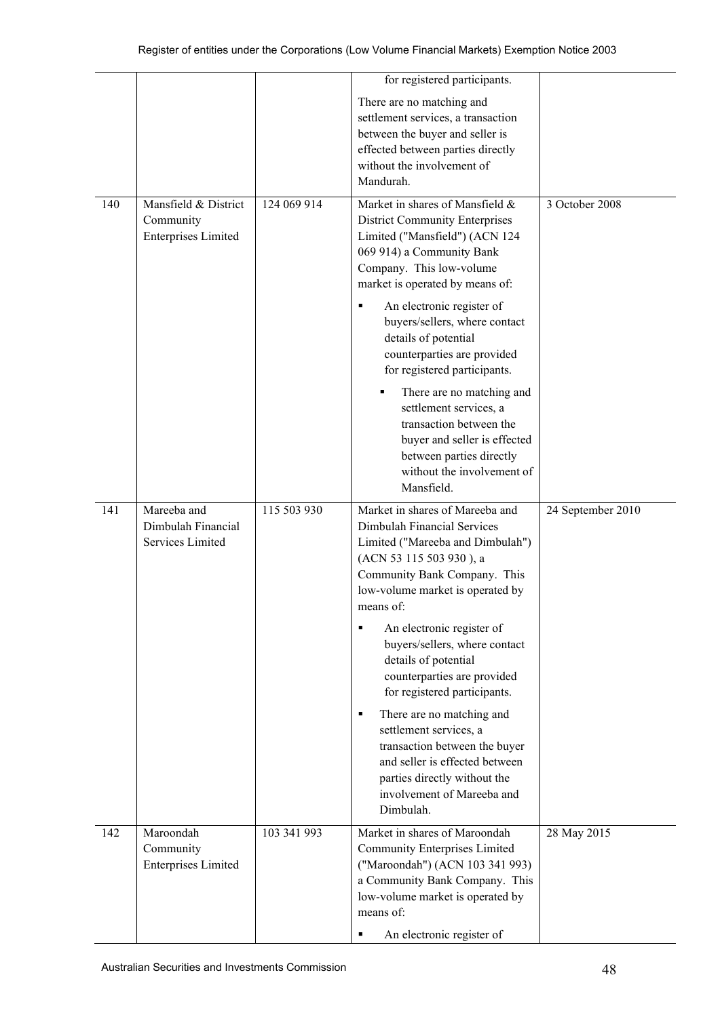|     |                                                                 |             | for registered participants.                                                                                                                                                                                                                                                                                                                                |                   |
|-----|-----------------------------------------------------------------|-------------|-------------------------------------------------------------------------------------------------------------------------------------------------------------------------------------------------------------------------------------------------------------------------------------------------------------------------------------------------------------|-------------------|
|     |                                                                 |             | There are no matching and<br>settlement services, a transaction<br>between the buyer and seller is<br>effected between parties directly<br>without the involvement of<br>Mandurah.                                                                                                                                                                          |                   |
| 140 | Mansfield & District<br>Community<br><b>Enterprises Limited</b> | 124 069 914 | Market in shares of Mansfield &<br><b>District Community Enterprises</b><br>Limited ("Mansfield") (ACN 124<br>069 914) a Community Bank<br>Company. This low-volume<br>market is operated by means of:<br>An electronic register of<br>buyers/sellers, where contact<br>details of potential<br>counterparties are provided<br>for registered participants. | 3 October 2008    |
|     |                                                                 |             | There are no matching and<br>settlement services, a<br>transaction between the<br>buyer and seller is effected<br>between parties directly<br>without the involvement of<br>Mansfield.                                                                                                                                                                      |                   |
| 141 | Mareeba and<br>Dimbulah Financial<br>Services Limited           | 115 503 930 | Market in shares of Mareeba and<br>Dimbulah Financial Services<br>Limited ("Mareeba and Dimbulah")<br>(ACN 53 115 503 930), a<br>Community Bank Company. This<br>low-volume market is operated by<br>means of:<br>An electronic register of<br>٠<br>buyers/sellers, where contact                                                                           | 24 September 2010 |
|     |                                                                 |             | details of potential<br>counterparties are provided<br>for registered participants.<br>There are no matching and<br>$\blacksquare$<br>settlement services, a<br>transaction between the buyer<br>and seller is effected between<br>parties directly without the<br>involvement of Mareeba and<br>Dimbulah.                                                  |                   |
| 142 | Maroondah<br>Community<br><b>Enterprises Limited</b>            | 103 341 993 | Market in shares of Maroondah<br><b>Community Enterprises Limited</b><br>("Maroondah") (ACN 103 341 993)<br>a Community Bank Company. This<br>low-volume market is operated by<br>means of:<br>An electronic register of<br>٠                                                                                                                               | 28 May 2015       |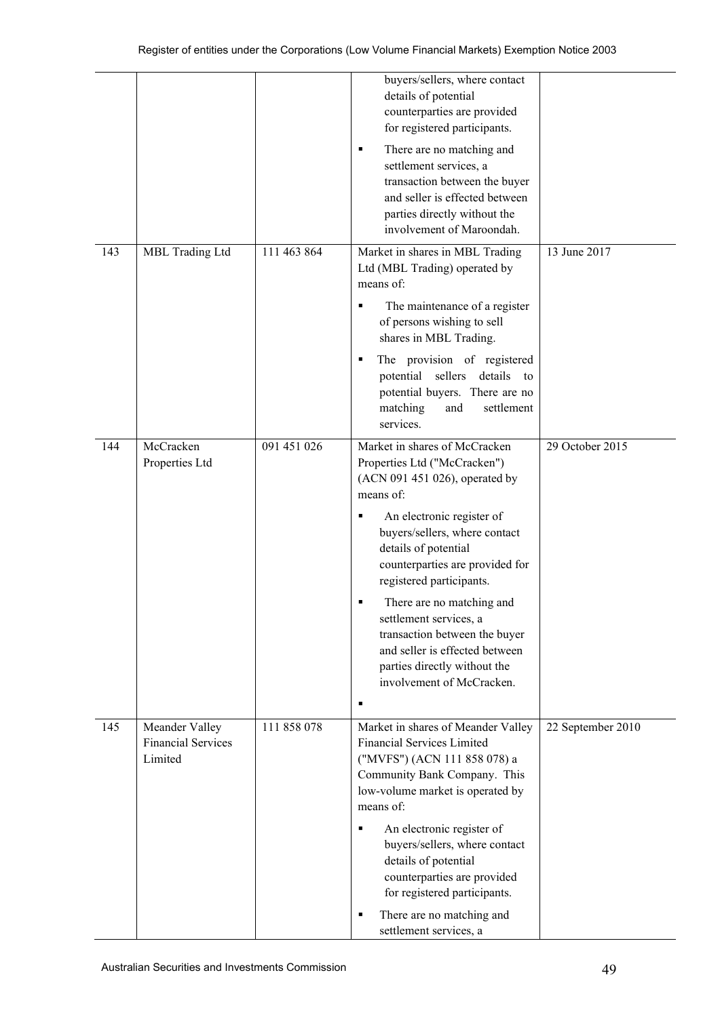|     |                                                        |             | buyers/sellers, where contact<br>details of potential<br>counterparties are provided<br>for registered participants.                                                                                  |                   |
|-----|--------------------------------------------------------|-------------|-------------------------------------------------------------------------------------------------------------------------------------------------------------------------------------------------------|-------------------|
|     |                                                        |             | There are no matching and<br>٠<br>settlement services, a<br>transaction between the buyer<br>and seller is effected between<br>parties directly without the<br>involvement of Maroondah.              |                   |
| 143 | MBL Trading Ltd                                        | 111 463 864 | Market in shares in MBL Trading<br>Ltd (MBL Trading) operated by<br>means of:                                                                                                                         | 13 June 2017      |
|     |                                                        |             | The maintenance of a register<br>٠<br>of persons wishing to sell<br>shares in MBL Trading.                                                                                                            |                   |
|     |                                                        |             | The provision of registered<br>٠<br>potential sellers details to<br>potential buyers. There are no<br>matching<br>and<br>settlement<br>services.                                                      |                   |
| 144 | McCracken<br>Properties Ltd                            | 091 451 026 | Market in shares of McCracken<br>Properties Ltd ("McCracken")<br>(ACN 091 451 026), operated by<br>means of:                                                                                          | 29 October 2015   |
|     |                                                        |             | An electronic register of<br>٠<br>buyers/sellers, where contact<br>details of potential<br>counterparties are provided for<br>registered participants.                                                |                   |
|     |                                                        |             | There are no matching and<br>settlement services, a<br>transaction between the buyer<br>and seller is effected between<br>parties directly without the<br>involvement of McCracken.<br>$\blacksquare$ |                   |
| 145 | Meander Valley<br><b>Financial Services</b><br>Limited | 111 858 078 | Market in shares of Meander Valley<br><b>Financial Services Limited</b><br>("MVFS") (ACN 111 858 078) a<br>Community Bank Company. This<br>low-volume market is operated by<br>means of:              | 22 September 2010 |
|     |                                                        |             | An electronic register of<br>٠<br>buyers/sellers, where contact<br>details of potential<br>counterparties are provided<br>for registered participants.                                                |                   |
|     |                                                        |             | There are no matching and<br>٠<br>settlement services, a                                                                                                                                              |                   |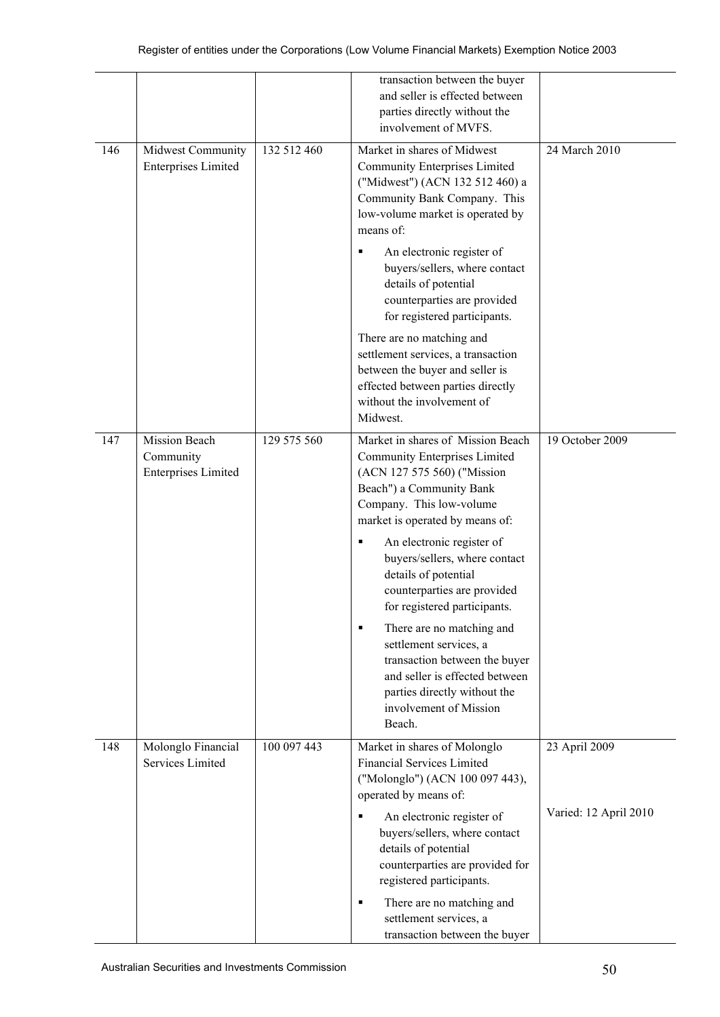|     |                                                          |             | transaction between the buyer<br>and seller is effected between<br>parties directly without the<br>involvement of MVFS.                                                                             |                       |
|-----|----------------------------------------------------------|-------------|-----------------------------------------------------------------------------------------------------------------------------------------------------------------------------------------------------|-----------------------|
| 146 | Midwest Community<br><b>Enterprises Limited</b>          | 132 512 460 | Market in shares of Midwest<br><b>Community Enterprises Limited</b><br>("Midwest") (ACN 132 512 460) a<br>Community Bank Company. This<br>low-volume market is operated by<br>means of:             | 24 March 2010         |
|     |                                                          |             | An electronic register of<br>buyers/sellers, where contact<br>details of potential<br>counterparties are provided<br>for registered participants.                                                   |                       |
|     |                                                          |             | There are no matching and<br>settlement services, a transaction<br>between the buyer and seller is<br>effected between parties directly<br>without the involvement of<br>Midwest.                   |                       |
| 147 | Mission Beach<br>Community<br><b>Enterprises Limited</b> | 129 575 560 | Market in shares of Mission Beach<br><b>Community Enterprises Limited</b><br>(ACN 127 575 560) ("Mission<br>Beach") a Community Bank<br>Company. This low-volume<br>market is operated by means of: | 19 October 2009       |
|     |                                                          |             | An electronic register of<br>٠<br>buyers/sellers, where contact<br>details of potential<br>counterparties are provided<br>for registered participants.                                              |                       |
|     |                                                          |             | There are no matching and<br>٠<br>settlement services, a<br>transaction between the buyer<br>and seller is effected between<br>parties directly without the<br>involvement of Mission<br>Beach.     |                       |
| 148 | Molonglo Financial<br>Services Limited                   | 100 097 443 | Market in shares of Molonglo<br><b>Financial Services Limited</b><br>("Molonglo") (ACN 100 097 443),<br>operated by means of:                                                                       | 23 April 2009         |
|     |                                                          |             | An electronic register of<br>٠<br>buyers/sellers, where contact<br>details of potential<br>counterparties are provided for<br>registered participants.                                              | Varied: 12 April 2010 |
|     |                                                          |             | There are no matching and<br>п<br>settlement services, a<br>transaction between the buyer                                                                                                           |                       |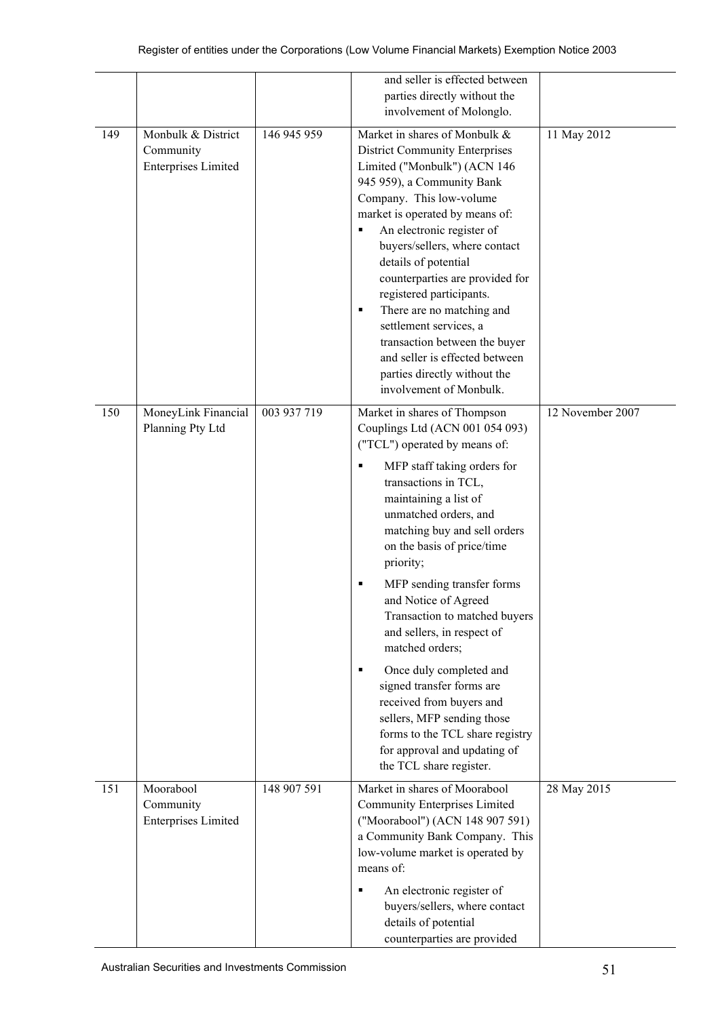|     |                                                      |             | and seller is effected between<br>parties directly without the                                                                                                                                                                                                                                                                                                                                                                                                                                                                                                                                                                                         |                  |
|-----|------------------------------------------------------|-------------|--------------------------------------------------------------------------------------------------------------------------------------------------------------------------------------------------------------------------------------------------------------------------------------------------------------------------------------------------------------------------------------------------------------------------------------------------------------------------------------------------------------------------------------------------------------------------------------------------------------------------------------------------------|------------------|
| 149 | Monbulk & District                                   | 146 945 959 | involvement of Molonglo.<br>Market in shares of Monbulk &                                                                                                                                                                                                                                                                                                                                                                                                                                                                                                                                                                                              | 11 May 2012      |
|     | Community<br><b>Enterprises Limited</b>              |             | <b>District Community Enterprises</b><br>Limited ("Monbulk") (ACN 146<br>945 959), a Community Bank<br>Company. This low-volume<br>market is operated by means of:<br>An electronic register of<br>٠<br>buyers/sellers, where contact<br>details of potential<br>counterparties are provided for<br>registered participants.<br>There are no matching and<br>٠<br>settlement services, a<br>transaction between the buyer<br>and seller is effected between<br>parties directly without the<br>involvement of Monbulk.                                                                                                                                 |                  |
| 150 | MoneyLink Financial<br>Planning Pty Ltd              | 003 937 719 | Market in shares of Thompson<br>Couplings Ltd (ACN 001 054 093)<br>("TCL") operated by means of:<br>MFP staff taking orders for<br>transactions in TCL,<br>maintaining a list of<br>unmatched orders, and<br>matching buy and sell orders<br>on the basis of price/time<br>priority;<br>MFP sending transfer forms<br>٠<br>and Notice of Agreed<br>Transaction to matched buyers<br>and sellers, in respect of<br>matched orders;<br>Once duly completed and<br>٠<br>signed transfer forms are<br>received from buyers and<br>sellers, MFP sending those<br>forms to the TCL share registry<br>for approval and updating of<br>the TCL share register. | 12 November 2007 |
| 151 | Moorabool<br>Community<br><b>Enterprises Limited</b> | 148 907 591 | Market in shares of Moorabool<br><b>Community Enterprises Limited</b><br>("Moorabool") (ACN 148 907 591)<br>a Community Bank Company. This<br>low-volume market is operated by<br>means of:<br>An electronic register of<br>$\blacksquare$<br>buyers/sellers, where contact<br>details of potential<br>counterparties are provided                                                                                                                                                                                                                                                                                                                     | 28 May 2015      |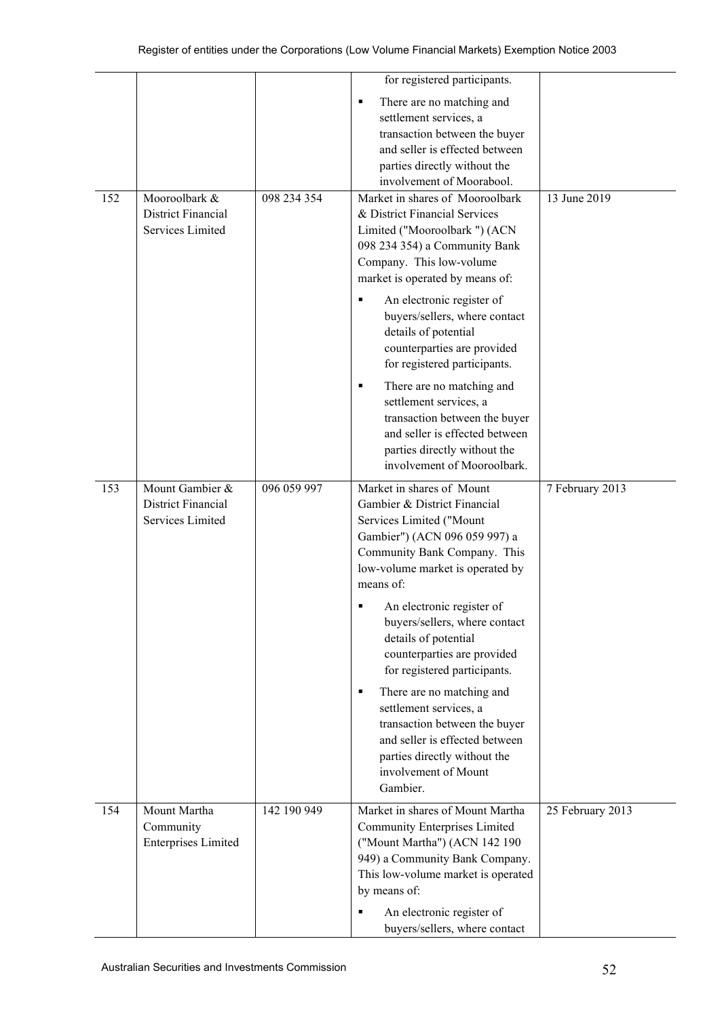|     |                                                                  |             | for registered participants.                                                                                                                                                                                                                                                                                                                           |                  |
|-----|------------------------------------------------------------------|-------------|--------------------------------------------------------------------------------------------------------------------------------------------------------------------------------------------------------------------------------------------------------------------------------------------------------------------------------------------------------|------------------|
|     |                                                                  |             | There are no matching and<br>٠<br>settlement services, a<br>transaction between the buyer<br>and seller is effected between<br>parties directly without the<br>involvement of Moorabool.                                                                                                                                                               |                  |
| 152 | Mooroolbark &<br>District Financial<br>Services Limited          | 098 234 354 | Market in shares of Mooroolbark<br>& District Financial Services<br>Limited ("Mooroolbark ") (ACN<br>098 234 354) a Community Bank<br>Company. This low-volume<br>market is operated by means of:<br>An electronic register of<br>buyers/sellers, where contact<br>details of potential<br>counterparties are provided<br>for registered participants. | 13 June 2019     |
|     |                                                                  |             | There are no matching and<br>٠<br>settlement services, a<br>transaction between the buyer<br>and seller is effected between<br>parties directly without the<br>involvement of Mooroolbark.                                                                                                                                                             |                  |
| 153 | Mount Gambier &<br><b>District Financial</b><br>Services Limited | 096 059 997 | Market in shares of Mount<br>Gambier & District Financial<br>Services Limited ("Mount<br>Gambier") (ACN 096 059 997) a<br>Community Bank Company. This<br>low-volume market is operated by<br>means of:                                                                                                                                                | 7 February 2013  |
|     |                                                                  |             | • An electronic register of<br>buyers/sellers, where contact<br>details of potential<br>counterparties are provided<br>for registered participants.                                                                                                                                                                                                    |                  |
|     |                                                                  |             | There are no matching and<br>٠<br>settlement services, a<br>transaction between the buyer<br>and seller is effected between<br>parties directly without the<br>involvement of Mount<br>Gambier.                                                                                                                                                        |                  |
| 154 | Mount Martha<br>Community<br><b>Enterprises Limited</b>          | 142 190 949 | Market in shares of Mount Martha<br><b>Community Enterprises Limited</b><br>("Mount Martha") (ACN 142 190<br>949) a Community Bank Company.<br>This low-volume market is operated<br>by means of:<br>An electronic register of                                                                                                                         | 25 February 2013 |
|     |                                                                  |             | buyers/sellers, where contact                                                                                                                                                                                                                                                                                                                          |                  |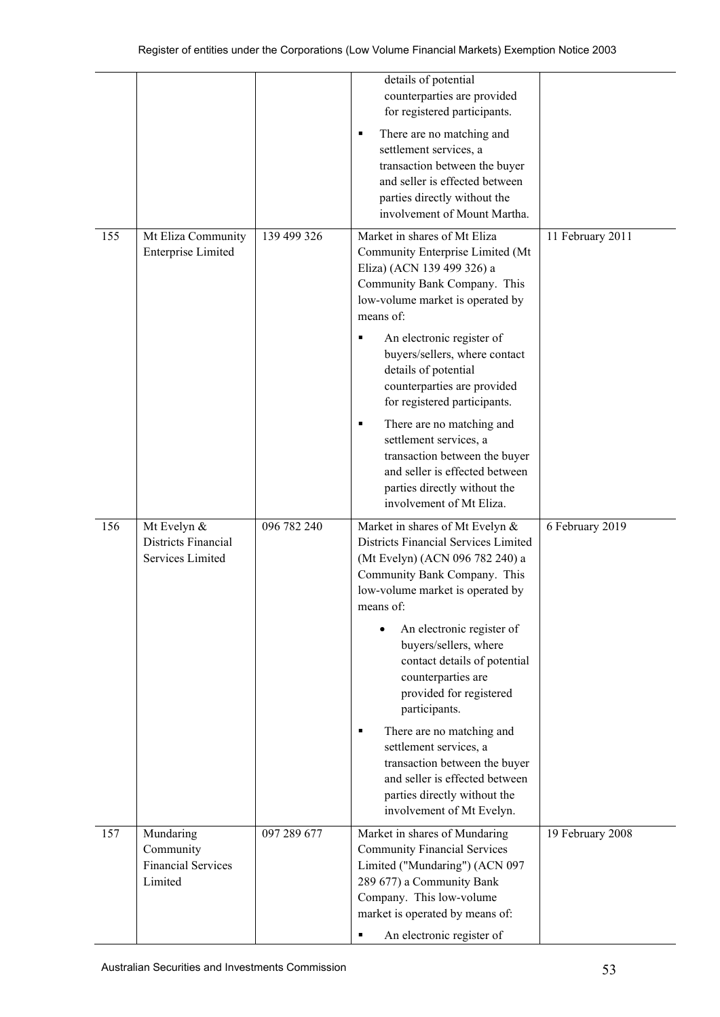|     |                                                                |             | details of potential<br>counterparties are provided<br>for registered participants.                                                                                                                                                                                                                       |                  |
|-----|----------------------------------------------------------------|-------------|-----------------------------------------------------------------------------------------------------------------------------------------------------------------------------------------------------------------------------------------------------------------------------------------------------------|------------------|
|     |                                                                |             | There are no matching and<br>٠<br>settlement services, a<br>transaction between the buyer<br>and seller is effected between<br>parties directly without the<br>involvement of Mount Martha.                                                                                                               |                  |
| 155 | Mt Eliza Community<br><b>Enterprise Limited</b>                | 139 499 326 | Market in shares of Mt Eliza<br>Community Enterprise Limited (Mt<br>Eliza) (ACN 139 499 326) a<br>Community Bank Company. This<br>low-volume market is operated by<br>means of:<br>An electronic register of<br>٠<br>buyers/sellers, where contact<br>details of potential<br>counterparties are provided | 11 February 2011 |
|     |                                                                |             | for registered participants.<br>There are no matching and<br>٠<br>settlement services, a<br>transaction between the buyer<br>and seller is effected between<br>parties directly without the<br>involvement of Mt Eliza.                                                                                   |                  |
| 156 | Mt Evelyn &<br><b>Districts Financial</b><br>Services Limited  | 096 782 240 | Market in shares of Mt Evelyn &<br>Districts Financial Services Limited<br>(Mt Evelyn) (ACN 096 782 240) a<br>Community Bank Company. This<br>low-volume market is operated by<br>means of:                                                                                                               | 6 February 2019  |
|     |                                                                |             | An electronic register of<br>buyers/sellers, where<br>contact details of potential<br>counterparties are<br>provided for registered<br>participants.                                                                                                                                                      |                  |
|     |                                                                |             | There are no matching and<br>٠<br>settlement services, a<br>transaction between the buyer<br>and seller is effected between<br>parties directly without the<br>involvement of Mt Evelyn.                                                                                                                  |                  |
| 157 | Mundaring<br>Community<br><b>Financial Services</b><br>Limited | 097 289 677 | Market in shares of Mundaring<br><b>Community Financial Services</b><br>Limited ("Mundaring") (ACN 097<br>289 677) a Community Bank<br>Company. This low-volume<br>market is operated by means of:<br>An electronic register of<br>٠                                                                      | 19 February 2008 |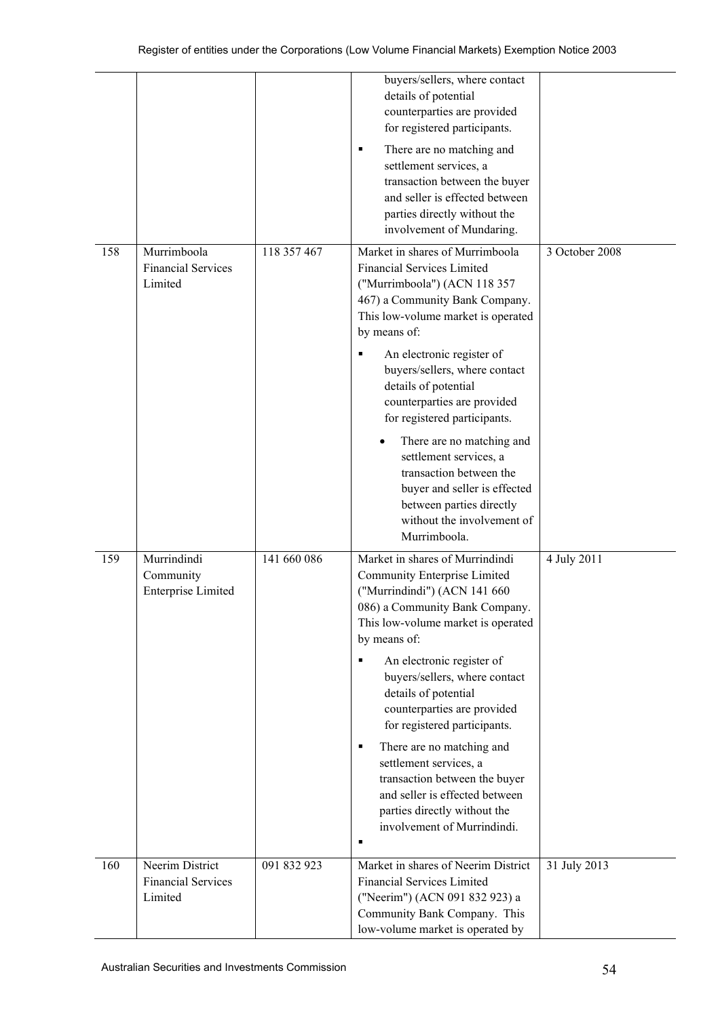|     |                                                         |             | buyers/sellers, where contact<br>details of potential<br>counterparties are provided<br>for registered participants.<br>There are no matching and<br>٠<br>settlement services, a<br>transaction between the buyer<br>and seller is effected between<br>parties directly without the<br>involvement of Mundaring.                                                                                                                                                                                                                                     |                |
|-----|---------------------------------------------------------|-------------|------------------------------------------------------------------------------------------------------------------------------------------------------------------------------------------------------------------------------------------------------------------------------------------------------------------------------------------------------------------------------------------------------------------------------------------------------------------------------------------------------------------------------------------------------|----------------|
| 158 | Murrimboola<br><b>Financial Services</b><br>Limited     | 118 357 467 | Market in shares of Murrimboola<br><b>Financial Services Limited</b><br>("Murrimboola") (ACN 118 357<br>467) a Community Bank Company.<br>This low-volume market is operated<br>by means of:<br>An electronic register of<br>buyers/sellers, where contact<br>details of potential<br>counterparties are provided<br>for registered participants.<br>There are no matching and<br>settlement services, a<br>transaction between the<br>buyer and seller is effected<br>between parties directly<br>without the involvement of<br>Murrimboola.        | 3 October 2008 |
| 159 | Murrindindi<br>Community<br><b>Enterprise Limited</b>   | 141 660 086 | Market in shares of Murrindindi<br>Community Enterprise Limited<br>("Murrindindi") (ACN 141 660<br>086) a Community Bank Company.<br>This low-volume market is operated<br>by means of:<br>An electronic register of<br>п<br>buyers/sellers, where contact<br>details of potential<br>counterparties are provided<br>for registered participants.<br>There are no matching and<br>٠<br>settlement services, a<br>transaction between the buyer<br>and seller is effected between<br>parties directly without the<br>involvement of Murrindindi.<br>٠ | 4 July 2011    |
| 160 | Neerim District<br><b>Financial Services</b><br>Limited | 091 832 923 | Market in shares of Neerim District<br><b>Financial Services Limited</b><br>("Neerim") (ACN 091 832 923) a<br>Community Bank Company. This<br>low-volume market is operated by                                                                                                                                                                                                                                                                                                                                                                       | 31 July 2013   |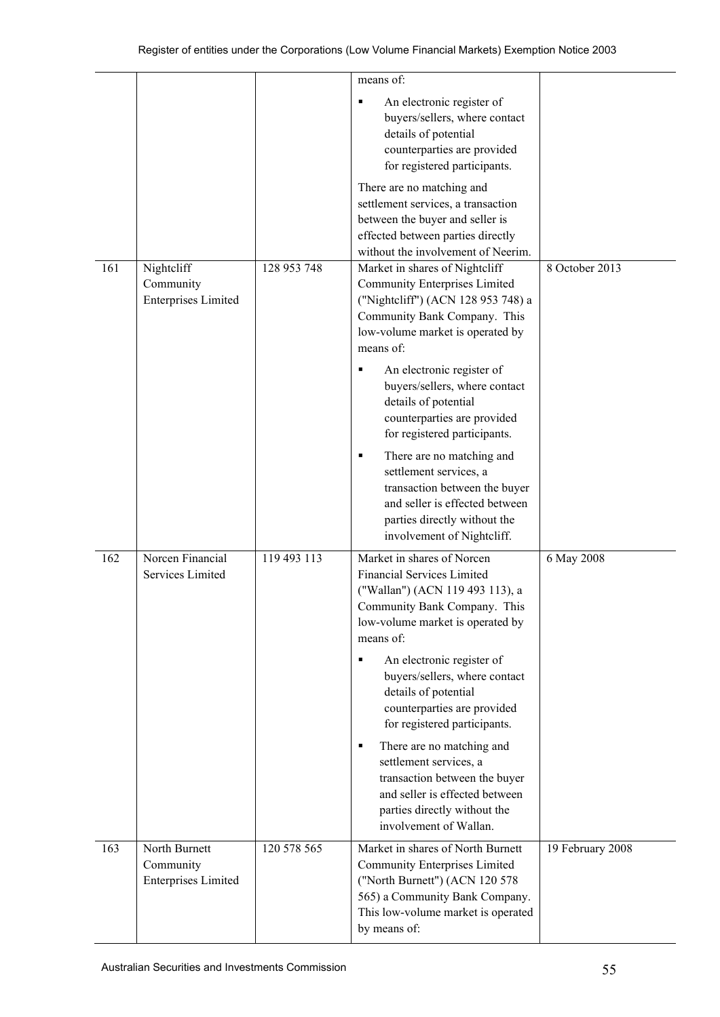|     |                                                          |             | means of:<br>An electronic register of<br>٠<br>buyers/sellers, where contact<br>details of potential<br>counterparties are provided<br>for registered participants.<br>There are no matching and<br>settlement services, a transaction<br>between the buyer and seller is                                                                                                                                                                                                                                                              |                  |
|-----|----------------------------------------------------------|-------------|----------------------------------------------------------------------------------------------------------------------------------------------------------------------------------------------------------------------------------------------------------------------------------------------------------------------------------------------------------------------------------------------------------------------------------------------------------------------------------------------------------------------------------------|------------------|
| 161 | Nightcliff<br>Community<br><b>Enterprises Limited</b>    | 128 953 748 | effected between parties directly<br>without the involvement of Neerim.<br>Market in shares of Nightcliff<br><b>Community Enterprises Limited</b><br>("Nightcliff") (ACN 128 953 748) a<br>Community Bank Company. This<br>low-volume market is operated by<br>means of:                                                                                                                                                                                                                                                               | 8 October 2013   |
|     |                                                          |             | An electronic register of<br>٠<br>buyers/sellers, where contact<br>details of potential<br>counterparties are provided<br>for registered participants.<br>There are no matching and<br>٠<br>settlement services, a<br>transaction between the buyer<br>and seller is effected between<br>parties directly without the<br>involvement of Nightcliff.                                                                                                                                                                                    |                  |
| 162 | Norcen Financial<br>Services Limited                     | 119 493 113 | Market in shares of Norcen<br><b>Financial Services Limited</b><br>("Wallan") (ACN 119 493 113), a<br>Community Bank Company. This<br>low-volume market is operated by<br>means of:<br>An electronic register of<br>٠<br>buyers/sellers, where contact<br>details of potential<br>counterparties are provided<br>for registered participants.<br>There are no matching and<br>٠<br>settlement services, a<br>transaction between the buyer<br>and seller is effected between<br>parties directly without the<br>involvement of Wallan. | 6 May 2008       |
| 163 | North Burnett<br>Community<br><b>Enterprises Limited</b> | 120 578 565 | Market in shares of North Burnett<br><b>Community Enterprises Limited</b><br>("North Burnett") (ACN 120 578<br>565) a Community Bank Company.<br>This low-volume market is operated<br>by means of:                                                                                                                                                                                                                                                                                                                                    | 19 February 2008 |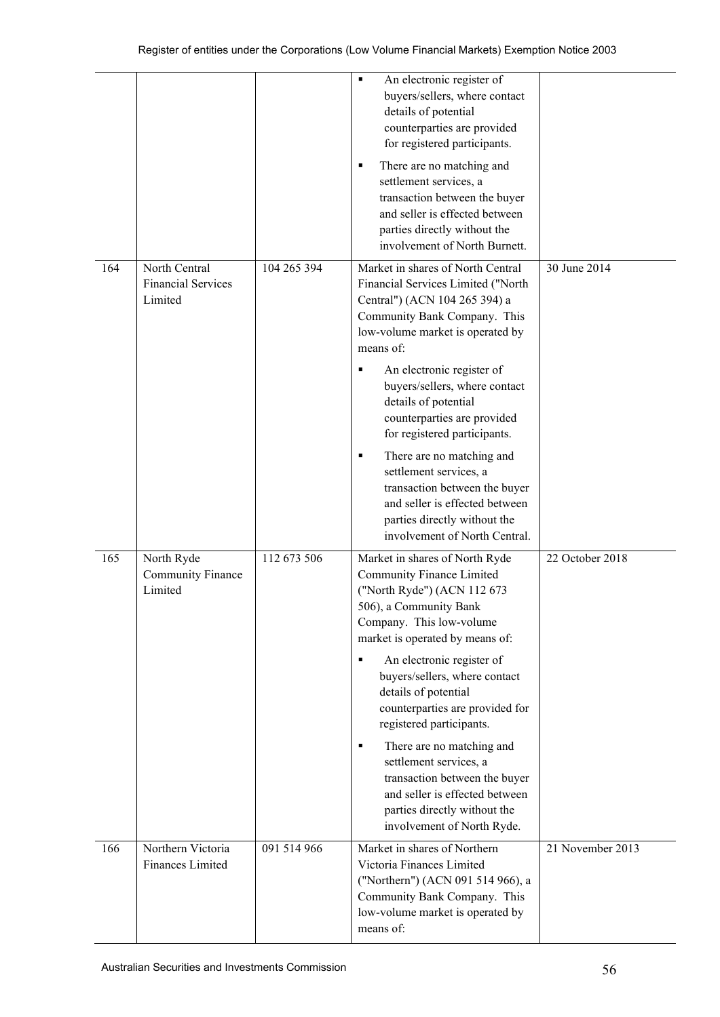|     |                                                       |             | An electronic register of<br>٠<br>buyers/sellers, where contact<br>details of potential<br>counterparties are provided<br>for registered participants.<br>There are no matching and<br>٠<br>settlement services, a<br>transaction between the buyer<br>and seller is effected between<br>parties directly without the<br>involvement of North Burnett.                                                                                                                                                                                              |                  |
|-----|-------------------------------------------------------|-------------|-----------------------------------------------------------------------------------------------------------------------------------------------------------------------------------------------------------------------------------------------------------------------------------------------------------------------------------------------------------------------------------------------------------------------------------------------------------------------------------------------------------------------------------------------------|------------------|
| 164 | North Central<br><b>Financial Services</b><br>Limited | 104 265 394 | Market in shares of North Central<br>Financial Services Limited ("North<br>Central") (ACN 104 265 394) a<br>Community Bank Company. This<br>low-volume market is operated by<br>means of:<br>An electronic register of<br>٠<br>buyers/sellers, where contact<br>details of potential<br>counterparties are provided<br>for registered participants.<br>There are no matching and<br>٠<br>settlement services, a<br>transaction between the buyer<br>and seller is effected between<br>parties directly without the<br>involvement of North Central. | 30 June 2014     |
| 165 | North Ryde<br>Community Finance<br>Limited            | 112 673 506 | Market in shares of North Ryde<br>Community Finance Limited<br>("North Ryde") (ACN 112 673<br>506), a Community Bank<br>Company. This low-volume<br>market is operated by means of:<br>An electronic register of<br>٠<br>buyers/sellers, where contact<br>details of potential<br>counterparties are provided for<br>registered participants.<br>There are no matching and<br>٠<br>settlement services, a<br>transaction between the buyer<br>and seller is effected between<br>parties directly without the<br>involvement of North Ryde.          | 22 October 2018  |
| 166 | Northern Victoria<br>Finances Limited                 | 091 514 966 | Market in shares of Northern<br>Victoria Finances Limited<br>("Northern") (ACN 091 514 966), a<br>Community Bank Company. This<br>low-volume market is operated by<br>means of:                                                                                                                                                                                                                                                                                                                                                                     | 21 November 2013 |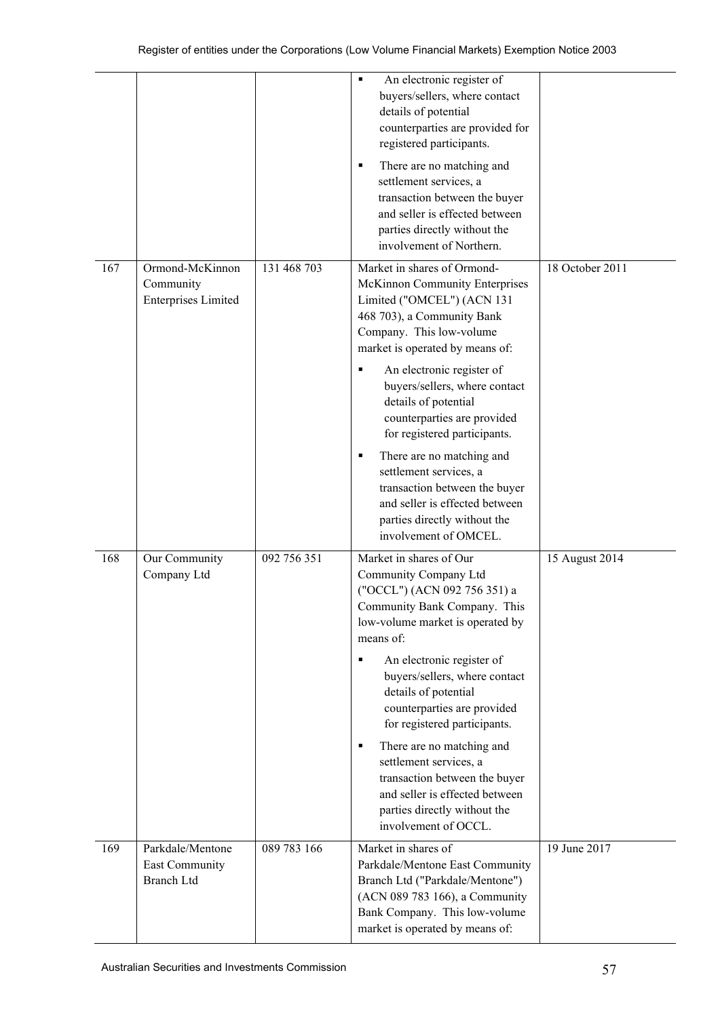|     |                                                                |             | An electronic register of<br>$\blacksquare$<br>buyers/sellers, where contact<br>details of potential<br>counterparties are provided for<br>registered participants.<br>There are no matching and<br>٠<br>settlement services, a<br>transaction between the buyer<br>and seller is effected between<br>parties directly without the<br>involvement of Northern.                                                                                                                                                                        |                 |
|-----|----------------------------------------------------------------|-------------|---------------------------------------------------------------------------------------------------------------------------------------------------------------------------------------------------------------------------------------------------------------------------------------------------------------------------------------------------------------------------------------------------------------------------------------------------------------------------------------------------------------------------------------|-----------------|
| 167 | Ormond-McKinnon<br>Community<br><b>Enterprises Limited</b>     | 131 468 703 | Market in shares of Ormond-<br>McKinnon Community Enterprises<br>Limited ("OMCEL") (ACN 131<br>468 703), a Community Bank<br>Company. This low-volume<br>market is operated by means of:<br>An electronic register of<br>buyers/sellers, where contact<br>details of potential<br>counterparties are provided<br>for registered participants.<br>There are no matching and<br>٠<br>settlement services, a<br>transaction between the buyer<br>and seller is effected between<br>parties directly without the<br>involvement of OMCEL. | 18 October 2011 |
| 168 | Our Community<br>Company Ltd                                   | 092 756 351 | Market in shares of Our<br>Community Company Ltd<br>("OCCL") (ACN 092 756 351) a<br>Community Bank Company. This<br>low-volume market is operated by<br>means of:<br>An electronic register of<br>٠<br>buyers/sellers, where contact<br>details of potential<br>counterparties are provided<br>for registered participants.<br>There are no matching and<br>٠<br>settlement services, a<br>transaction between the buyer<br>and seller is effected between<br>parties directly without the<br>involvement of OCCL.                    | 15 August 2014  |
| 169 | Parkdale/Mentone<br><b>East Community</b><br><b>Branch Ltd</b> | 089 783 166 | Market in shares of<br>Parkdale/Mentone East Community<br>Branch Ltd ("Parkdale/Mentone")<br>(ACN 089 783 166), a Community<br>Bank Company. This low-volume<br>market is operated by means of:                                                                                                                                                                                                                                                                                                                                       | 19 June 2017    |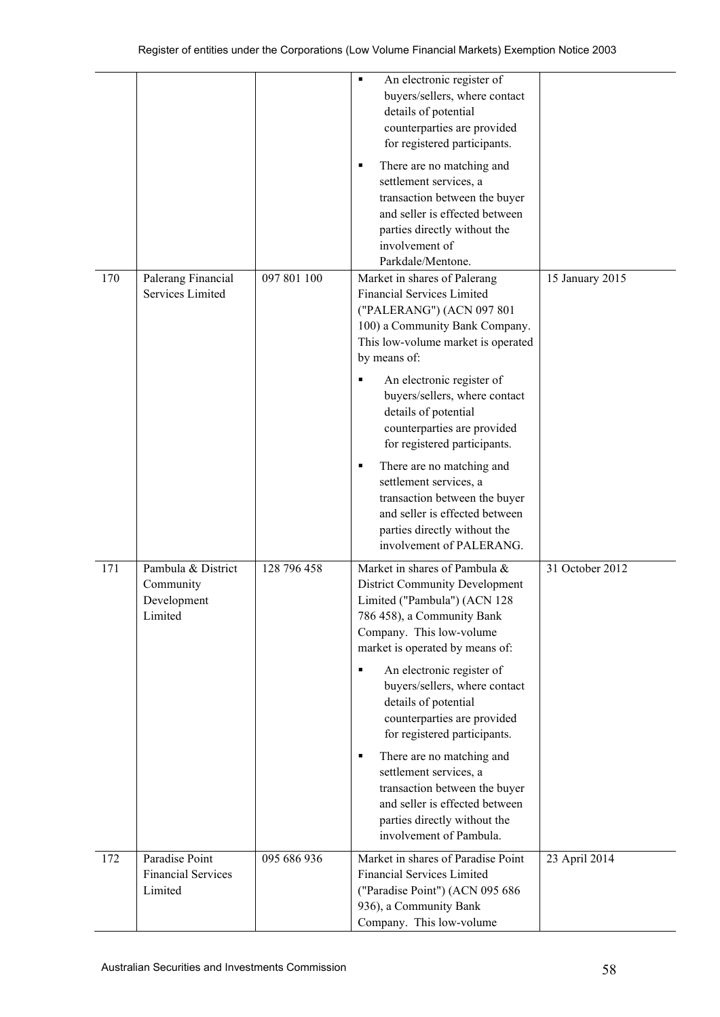|     |                                                           |             | An electronic register of<br>$\blacksquare$<br>buyers/sellers, where contact<br>details of potential<br>counterparties are provided<br>for registered participants.<br>There are no matching and<br>٠<br>settlement services, a<br>transaction between the buyer<br>and seller is effected between<br>parties directly without the<br>involvement of<br>Parkdale/Mentone.                                                                                                                                                                               |                 |
|-----|-----------------------------------------------------------|-------------|---------------------------------------------------------------------------------------------------------------------------------------------------------------------------------------------------------------------------------------------------------------------------------------------------------------------------------------------------------------------------------------------------------------------------------------------------------------------------------------------------------------------------------------------------------|-----------------|
| 170 | Palerang Financial<br>Services Limited                    | 097 801 100 | Market in shares of Palerang<br><b>Financial Services Limited</b><br>("PALERANG") (ACN 097 801<br>100) a Community Bank Company.<br>This low-volume market is operated<br>by means of:<br>An electronic register of<br>buyers/sellers, where contact<br>details of potential<br>counterparties are provided<br>for registered participants.<br>There are no matching and<br>٠<br>settlement services, a<br>transaction between the buyer<br>and seller is effected between<br>parties directly without the<br>involvement of PALERANG.                  | 15 January 2015 |
| 171 | Pambula & District<br>Community<br>Development<br>Limited | 128 796 458 | Market in shares of Pambula &<br><b>District Community Development</b><br>Limited ("Pambula") (ACN 128<br>786 458), a Community Bank<br>Company. This low-volume<br>market is operated by means of:<br>An electronic register of<br>٠<br>buyers/sellers, where contact<br>details of potential<br>counterparties are provided<br>for registered participants.<br>There are no matching and<br>٠<br>settlement services, a<br>transaction between the buyer<br>and seller is effected between<br>parties directly without the<br>involvement of Pambula. | 31 October 2012 |
| 172 | Paradise Point<br><b>Financial Services</b><br>Limited    | 095 686 936 | Market in shares of Paradise Point<br><b>Financial Services Limited</b><br>("Paradise Point") (ACN 095 686<br>936), a Community Bank<br>Company. This low-volume                                                                                                                                                                                                                                                                                                                                                                                        | 23 April 2014   |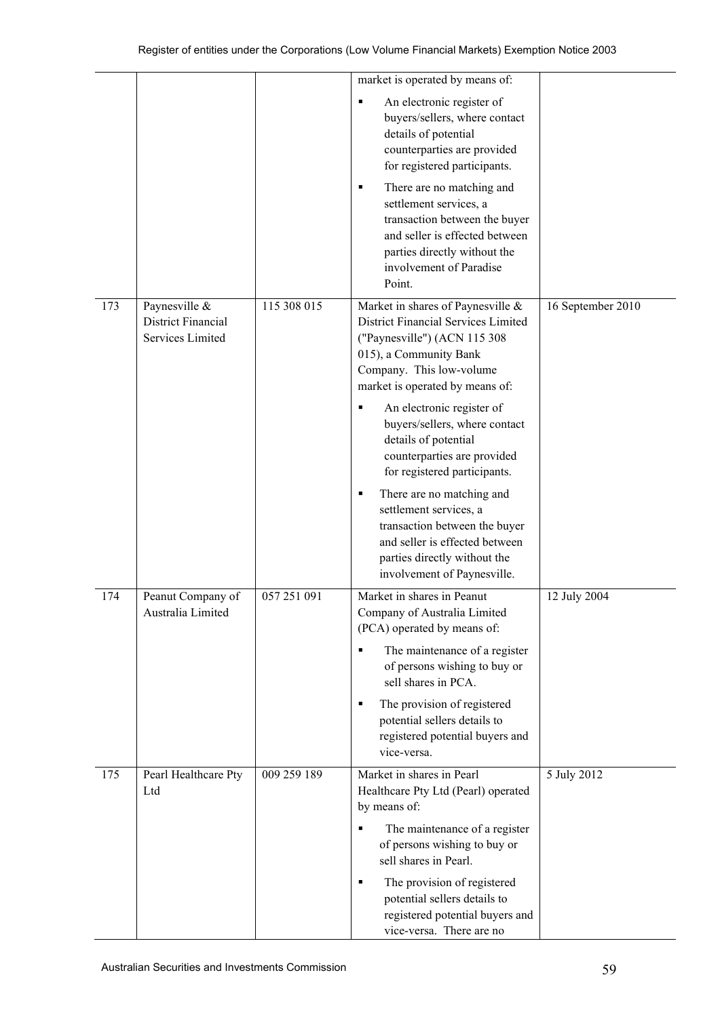|     |                                                         |             | market is operated by means of:                                                                                                                                                                                                                                                                                                                                                                                                                                                                                                                           |                   |
|-----|---------------------------------------------------------|-------------|-----------------------------------------------------------------------------------------------------------------------------------------------------------------------------------------------------------------------------------------------------------------------------------------------------------------------------------------------------------------------------------------------------------------------------------------------------------------------------------------------------------------------------------------------------------|-------------------|
|     |                                                         |             | An electronic register of<br>٠<br>buyers/sellers, where contact<br>details of potential<br>counterparties are provided<br>for registered participants.<br>There are no matching and<br>٠<br>settlement services, a<br>transaction between the buyer<br>and seller is effected between<br>parties directly without the<br>involvement of Paradise<br>Point.                                                                                                                                                                                                |                   |
| 173 | Paynesville &<br>District Financial<br>Services Limited | 115 308 015 | Market in shares of Paynesville &<br>District Financial Services Limited<br>("Paynesville") (ACN 115 308<br>015), a Community Bank<br>Company. This low-volume<br>market is operated by means of:<br>An electronic register of<br>٠<br>buyers/sellers, where contact<br>details of potential<br>counterparties are provided<br>for registered participants.<br>There are no matching and<br>٠<br>settlement services, a<br>transaction between the buyer<br>and seller is effected between<br>parties directly without the<br>involvement of Paynesville. | 16 September 2010 |
| 174 | Peanut Company of<br>Australia Limited                  | 057 251 091 | Market in shares in Peanut<br>Company of Australia Limited<br>(PCA) operated by means of:<br>The maintenance of a register<br>٠<br>of persons wishing to buy or<br>sell shares in PCA.<br>The provision of registered<br>٠<br>potential sellers details to<br>registered potential buyers and<br>vice-versa.                                                                                                                                                                                                                                              | 12 July 2004      |
| 175 | Pearl Healthcare Pty<br>Ltd                             | 009 259 189 | Market in shares in Pearl<br>Healthcare Pty Ltd (Pearl) operated<br>by means of:<br>The maintenance of a register<br>٠<br>of persons wishing to buy or<br>sell shares in Pearl.<br>The provision of registered<br>٠<br>potential sellers details to<br>registered potential buyers and<br>vice-versa. There are no                                                                                                                                                                                                                                        | 5 July 2012       |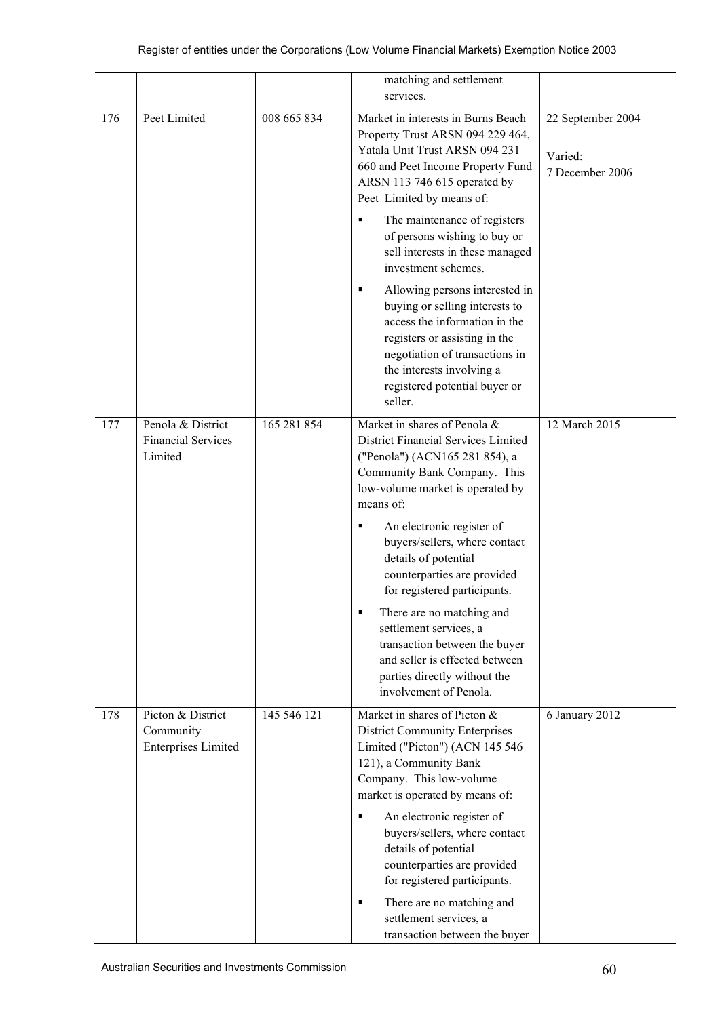|     |                                                              |             | matching and settlement<br>services.                                                                                                                                                                                                                                                                                                                                                                                                                                                                                                                                                            |                                                 |
|-----|--------------------------------------------------------------|-------------|-------------------------------------------------------------------------------------------------------------------------------------------------------------------------------------------------------------------------------------------------------------------------------------------------------------------------------------------------------------------------------------------------------------------------------------------------------------------------------------------------------------------------------------------------------------------------------------------------|-------------------------------------------------|
| 176 | Peet Limited                                                 | 008 665 834 | Market in interests in Burns Beach<br>Property Trust ARSN 094 229 464,<br>Yatala Unit Trust ARSN 094 231<br>660 and Peet Income Property Fund<br>ARSN 113 746 615 operated by<br>Peet Limited by means of:<br>The maintenance of registers<br>٠<br>of persons wishing to buy or<br>sell interests in these managed<br>investment schemes.<br>Allowing persons interested in<br>٠<br>buying or selling interests to<br>access the information in the<br>registers or assisting in the<br>negotiation of transactions in<br>the interests involving a<br>registered potential buyer or<br>seller. | 22 September 2004<br>Varied:<br>7 December 2006 |
| 177 | Penola & District<br><b>Financial Services</b><br>Limited    | 165 281 854 | Market in shares of Penola &<br>District Financial Services Limited<br>("Penola") (ACN165 281 854), a<br>Community Bank Company. This<br>low-volume market is operated by<br>means of:<br>An electronic register of<br>buyers/sellers, where contact<br>details of potential<br>counterparties are provided<br>for registered participants.<br>There are no matching and<br>settlement services, a<br>transaction between the buyer<br>and seller is effected between<br>parties directly without the<br>involvement of Penola.                                                                 | 12 March 2015                                   |
| 178 | Picton & District<br>Community<br><b>Enterprises Limited</b> | 145 546 121 | Market in shares of Picton &<br><b>District Community Enterprises</b><br>Limited ("Picton") (ACN 145 546<br>121), a Community Bank<br>Company. This low-volume<br>market is operated by means of:<br>An electronic register of<br>٠<br>buyers/sellers, where contact<br>details of potential<br>counterparties are provided<br>for registered participants.<br>There are no matching and<br>٠<br>settlement services, a<br>transaction between the buyer                                                                                                                                        | 6 January 2012                                  |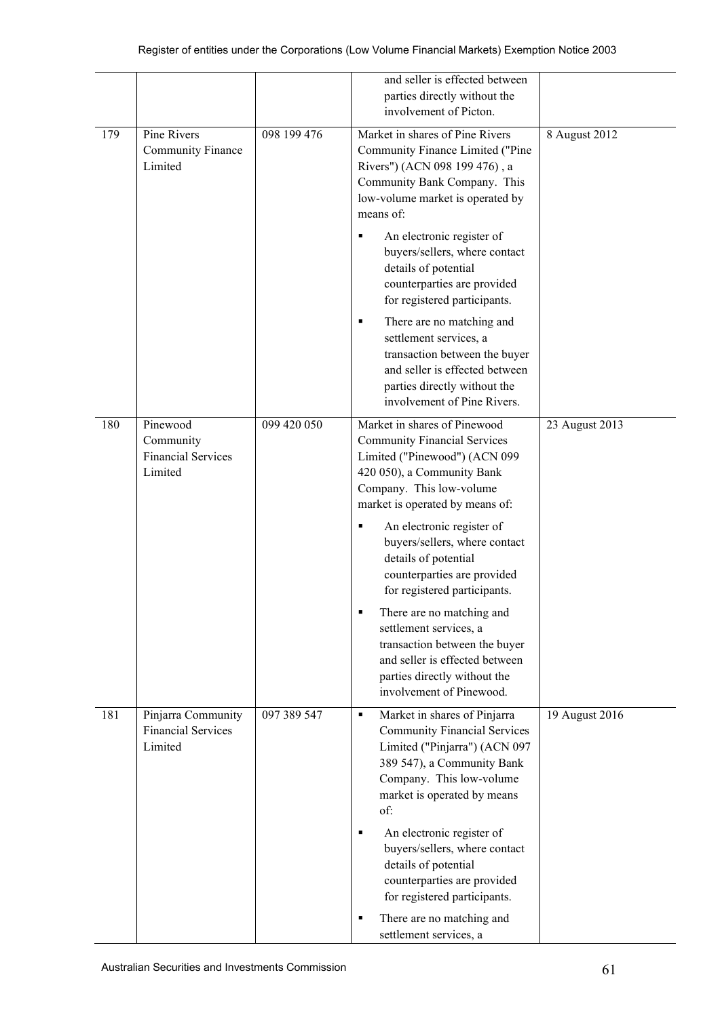|     |                                                               |             | and seller is effected between<br>parties directly without the<br>involvement of Picton.                                                                                                                                                                                  |                |
|-----|---------------------------------------------------------------|-------------|---------------------------------------------------------------------------------------------------------------------------------------------------------------------------------------------------------------------------------------------------------------------------|----------------|
| 179 | Pine Rivers<br><b>Community Finance</b><br>Limited            | 098 199 476 | Market in shares of Pine Rivers<br>Community Finance Limited ("Pine<br>Rivers") (ACN 098 199 476), a<br>Community Bank Company. This<br>low-volume market is operated by<br>means of:                                                                                     | 8 August 2012  |
|     |                                                               |             | An electronic register of<br>п<br>buyers/sellers, where contact<br>details of potential<br>counterparties are provided<br>for registered participants.                                                                                                                    |                |
|     |                                                               |             | There are no matching and<br>п<br>settlement services, a<br>transaction between the buyer<br>and seller is effected between<br>parties directly without the<br>involvement of Pine Rivers.                                                                                |                |
| 180 | Pinewood<br>Community<br><b>Financial Services</b><br>Limited | 099 420 050 | Market in shares of Pinewood<br><b>Community Financial Services</b><br>Limited ("Pinewood") (ACN 099<br>420 050), a Community Bank<br>Company. This low-volume<br>market is operated by means of:<br>An electronic register of<br>buyers/sellers, where contact           | 23 August 2013 |
|     |                                                               |             | details of potential<br>counterparties are provided<br>for registered participants.<br>There are no matching and<br>settlement services, a<br>transaction between the buyer<br>and seller is effected between<br>parties directly without the<br>involvement of Pinewood. |                |
| 181 | Pinjarra Community<br><b>Financial Services</b><br>Limited    | 097 389 547 | Market in shares of Pinjarra<br>٠<br><b>Community Financial Services</b><br>Limited ("Pinjarra") (ACN 097<br>389 547), a Community Bank<br>Company. This low-volume<br>market is operated by means<br>of:                                                                 | 19 August 2016 |
|     |                                                               |             | An electronic register of<br>٠<br>buyers/sellers, where contact<br>details of potential<br>counterparties are provided<br>for registered participants.<br>There are no matching and<br>п                                                                                  |                |
|     |                                                               |             | settlement services, a                                                                                                                                                                                                                                                    |                |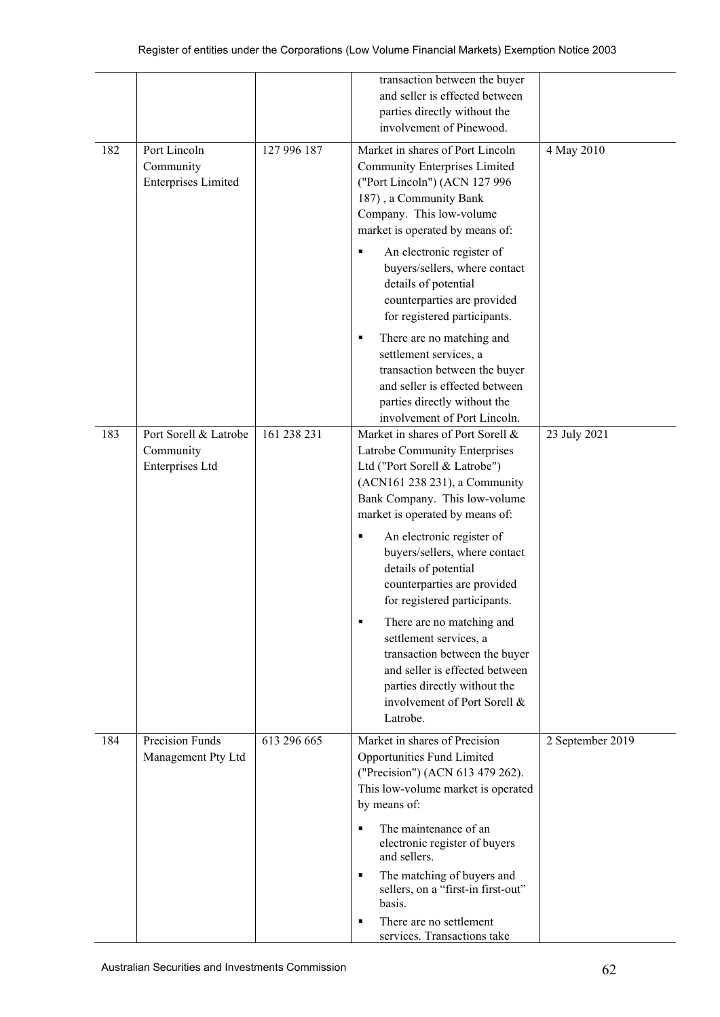|     |                                                         |             | transaction between the buyer<br>and seller is effected between<br>parties directly without the<br>involvement of Pinewood.                                                                              |                  |
|-----|---------------------------------------------------------|-------------|----------------------------------------------------------------------------------------------------------------------------------------------------------------------------------------------------------|------------------|
| 182 | Port Lincoln<br>Community<br><b>Enterprises Limited</b> | 127 996 187 | Market in shares of Port Lincoln<br>Community Enterprises Limited<br>("Port Lincoln") (ACN 127 996<br>187), a Community Bank<br>Company. This low-volume<br>market is operated by means of:              | 4 May 2010       |
|     |                                                         |             | An electronic register of<br>buyers/sellers, where contact<br>details of potential<br>counterparties are provided<br>for registered participants.                                                        |                  |
|     |                                                         |             | There are no matching and<br>٠<br>settlement services, a<br>transaction between the buyer<br>and seller is effected between<br>parties directly without the<br>involvement of Port Lincoln.              |                  |
| 183 | Port Sorell & Latrobe<br>Community<br>Enterprises Ltd   | 161 238 231 | Market in shares of Port Sorell &<br>Latrobe Community Enterprises<br>Ltd ("Port Sorell & Latrobe")<br>(ACN161 238 231), a Community<br>Bank Company. This low-volume<br>market is operated by means of: | 23 July 2021     |
|     |                                                         |             | An electronic register of<br>٠<br>buyers/sellers, where contact<br>details of potential<br>counterparties are provided<br>for registered participants.                                                   |                  |
|     |                                                         |             | There are no matching and<br>٠<br>settlement services, a<br>transaction between the buyer<br>and seller is effected between<br>parties directly without the<br>involvement of Port Sorell &<br>Latrobe.  |                  |
| 184 | <b>Precision Funds</b><br>Management Pty Ltd            | 613 296 665 | Market in shares of Precision<br>Opportunities Fund Limited<br>("Precision") (ACN 613 479 262).<br>This low-volume market is operated<br>by means of:                                                    | 2 September 2019 |
|     |                                                         |             | The maintenance of an<br>electronic register of buyers<br>and sellers.                                                                                                                                   |                  |
|     |                                                         |             | The matching of buyers and<br>٠<br>sellers, on a "first-in first-out"<br>basis.                                                                                                                          |                  |
|     |                                                         |             | There are no settlement<br>٠<br>services. Transactions take                                                                                                                                              |                  |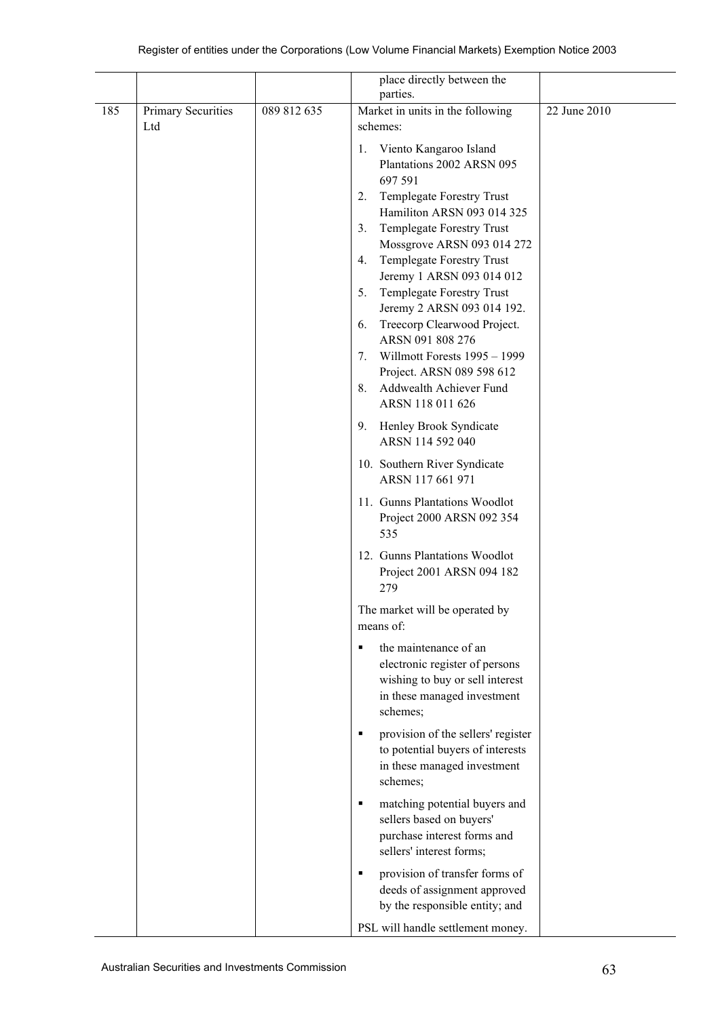|     |                           |             | place directly between the                                      |              |
|-----|---------------------------|-------------|-----------------------------------------------------------------|--------------|
|     |                           |             | parties.                                                        |              |
| 185 | Primary Securities<br>Ltd | 089 812 635 | Market in units in the following<br>schemes:                    | 22 June 2010 |
|     |                           |             | Viento Kangaroo Island<br>1.                                    |              |
|     |                           |             | Plantations 2002 ARSN 095                                       |              |
|     |                           |             | 697 591                                                         |              |
|     |                           |             | Templegate Forestry Trust<br>2.                                 |              |
|     |                           |             | Hamiliton ARSN 093 014 325                                      |              |
|     |                           |             | Templegate Forestry Trust<br>3.                                 |              |
|     |                           |             | Mossgrove ARSN 093 014 272                                      |              |
|     |                           |             | Templegate Forestry Trust<br>4.                                 |              |
|     |                           |             | Jeremy 1 ARSN 093 014 012                                       |              |
|     |                           |             | Templegate Forestry Trust<br>5.                                 |              |
|     |                           |             | Jeremy 2 ARSN 093 014 192.<br>Treecorp Clearwood Project.<br>6. |              |
|     |                           |             | ARSN 091 808 276                                                |              |
|     |                           |             | Willmott Forests 1995 - 1999<br>7.                              |              |
|     |                           |             | Project. ARSN 089 598 612                                       |              |
|     |                           |             | Addwealth Achiever Fund<br>8.                                   |              |
|     |                           |             | ARSN 118 011 626                                                |              |
|     |                           |             | 9.<br>Henley Brook Syndicate                                    |              |
|     |                           |             | ARSN 114 592 040                                                |              |
|     |                           |             | 10. Southern River Syndicate                                    |              |
|     |                           |             | ARSN 117 661 971                                                |              |
|     |                           |             | 11. Gunns Plantations Woodlot<br>Project 2000 ARSN 092 354      |              |
|     |                           |             | 535                                                             |              |
|     |                           |             | 12. Gunns Plantations Woodlot                                   |              |
|     |                           |             | Project 2001 ARSN 094 182                                       |              |
|     |                           |             | 279                                                             |              |
|     |                           |             | The market will be operated by<br>means of:                     |              |
|     |                           |             | the maintenance of an<br>٠                                      |              |
|     |                           |             | electronic register of persons                                  |              |
|     |                           |             | wishing to buy or sell interest                                 |              |
|     |                           |             | in these managed investment                                     |              |
|     |                           |             | schemes;                                                        |              |
|     |                           |             | provision of the sellers' register<br>٠                         |              |
|     |                           |             | to potential buyers of interests                                |              |
|     |                           |             | in these managed investment<br>schemes;                         |              |
|     |                           |             |                                                                 |              |
|     |                           |             | matching potential buyers and<br>п                              |              |
|     |                           |             | sellers based on buyers'                                        |              |
|     |                           |             | purchase interest forms and<br>sellers' interest forms;         |              |
|     |                           |             |                                                                 |              |
|     |                           |             | provision of transfer forms of<br>٠                             |              |
|     |                           |             | deeds of assignment approved                                    |              |
|     |                           |             | by the responsible entity; and                                  |              |
|     |                           |             | PSL will handle settlement money.                               |              |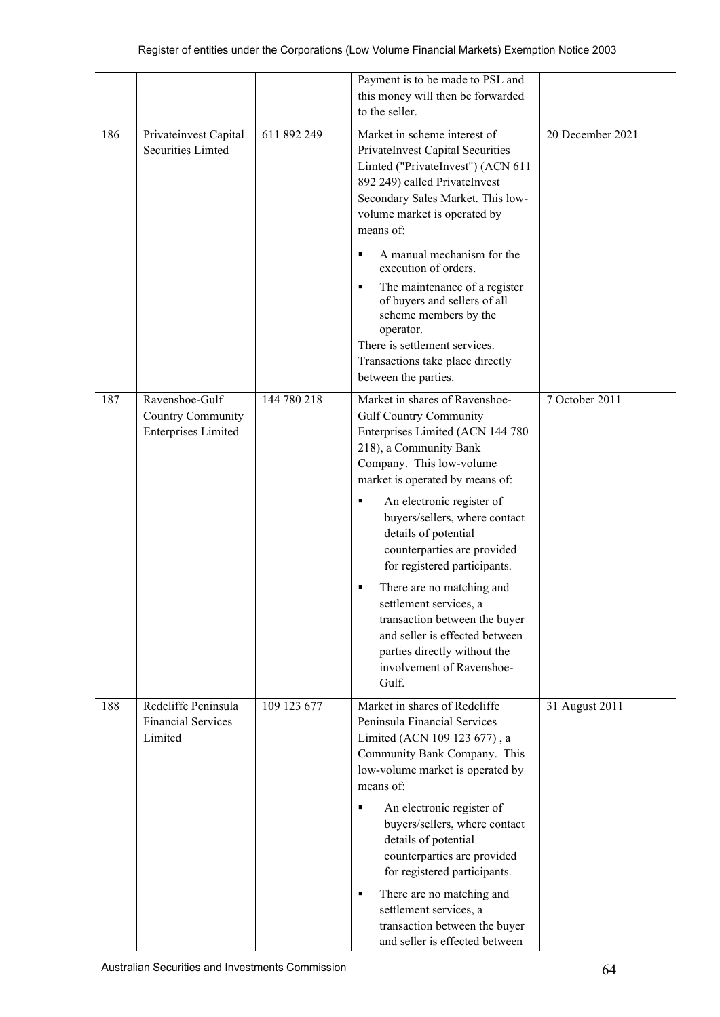|     |                                                                   |             | Payment is to be made to PSL and<br>this money will then be forwarded<br>to the seller.                                                                                                                                                                                                                                                                                                                                                                                                                                                                     |                  |
|-----|-------------------------------------------------------------------|-------------|-------------------------------------------------------------------------------------------------------------------------------------------------------------------------------------------------------------------------------------------------------------------------------------------------------------------------------------------------------------------------------------------------------------------------------------------------------------------------------------------------------------------------------------------------------------|------------------|
| 186 | Privateinvest Capital<br><b>Securities Limted</b>                 | 611 892 249 | Market in scheme interest of<br>PrivateInvest Capital Securities<br>Limted ("PrivateInvest") (ACN 611<br>892 249) called PrivateInvest<br>Secondary Sales Market. This low-<br>volume market is operated by<br>means of:                                                                                                                                                                                                                                                                                                                                    | 20 December 2021 |
|     |                                                                   |             | A manual mechanism for the<br>٠<br>execution of orders.<br>The maintenance of a register<br>٠<br>of buyers and sellers of all<br>scheme members by the<br>operator.<br>There is settlement services.<br>Transactions take place directly<br>between the parties.                                                                                                                                                                                                                                                                                            |                  |
| 187 | Ravenshoe-Gulf<br>Country Community<br><b>Enterprises Limited</b> | 144 780 218 | Market in shares of Ravenshoe-<br><b>Gulf Country Community</b><br>Enterprises Limited (ACN 144 780<br>218), a Community Bank<br>Company. This low-volume<br>market is operated by means of:<br>An electronic register of<br>٠<br>buyers/sellers, where contact<br>details of potential<br>counterparties are provided<br>for registered participants.<br>There are no matching and<br>٠<br>settlement services, a<br>transaction between the buyer<br>and seller is effected between<br>parties directly without the<br>involvement of Ravenshoe-<br>Gulf. | 7 October 2011   |
| 188 | Redcliffe Peninsula<br><b>Financial Services</b><br>Limited       | 109 123 677 | Market in shares of Redcliffe<br>Peninsula Financial Services<br>Limited (ACN 109 123 677), a<br>Community Bank Company. This<br>low-volume market is operated by<br>means of:<br>An electronic register of<br>٠<br>buyers/sellers, where contact<br>details of potential<br>counterparties are provided<br>for registered participants.<br>There are no matching and<br>٠<br>settlement services, a<br>transaction between the buyer<br>and seller is effected between                                                                                     | 31 August 2011   |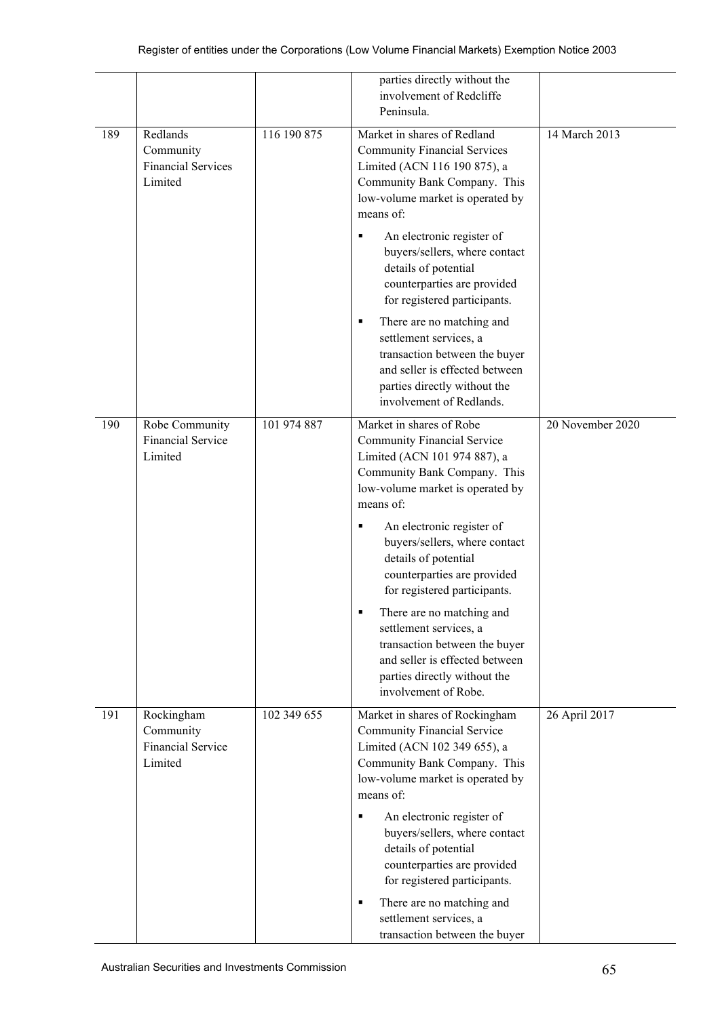|     |                                                                |             | parties directly without the<br>involvement of Redcliffe<br>Peninsula.                                                                                                                                                                                                                                                                    |                  |
|-----|----------------------------------------------------------------|-------------|-------------------------------------------------------------------------------------------------------------------------------------------------------------------------------------------------------------------------------------------------------------------------------------------------------------------------------------------|------------------|
| 189 | Redlands<br>Community<br><b>Financial Services</b><br>Limited  | 116 190 875 | Market in shares of Redland<br><b>Community Financial Services</b><br>Limited (ACN 116 190 875), a<br>Community Bank Company. This<br>low-volume market is operated by<br>means of:                                                                                                                                                       | 14 March 2013    |
|     |                                                                |             | An electronic register of<br>٠<br>buyers/sellers, where contact<br>details of potential<br>counterparties are provided<br>for registered participants.                                                                                                                                                                                    |                  |
|     |                                                                |             | There are no matching and<br>٠<br>settlement services, a<br>transaction between the buyer<br>and seller is effected between<br>parties directly without the<br>involvement of Redlands.                                                                                                                                                   |                  |
| 190 | Robe Community<br><b>Financial Service</b><br>Limited          | 101 974 887 | Market in shares of Robe<br><b>Community Financial Service</b><br>Limited (ACN 101 974 887), a<br>Community Bank Company. This<br>low-volume market is operated by<br>means of:<br>An electronic register of<br>٠<br>buyers/sellers, where contact<br>details of potential<br>counterparties are provided<br>for registered participants. | 20 November 2020 |
|     |                                                                |             | There are no matching and<br>settlement services, a<br>transaction between the buyer<br>and seller is effected between<br>parties directly without the<br>involvement of Robe.                                                                                                                                                            |                  |
| 191 | Rockingham<br>Community<br><b>Financial Service</b><br>Limited | 102 349 655 | Market in shares of Rockingham<br><b>Community Financial Service</b><br>Limited (ACN 102 349 655), a<br>Community Bank Company. This<br>low-volume market is operated by<br>means of:                                                                                                                                                     | 26 April 2017    |
|     |                                                                |             | An electronic register of<br>٠<br>buyers/sellers, where contact<br>details of potential<br>counterparties are provided<br>for registered participants.<br>There are no matching and<br>٠<br>settlement services, a<br>transaction between the buyer                                                                                       |                  |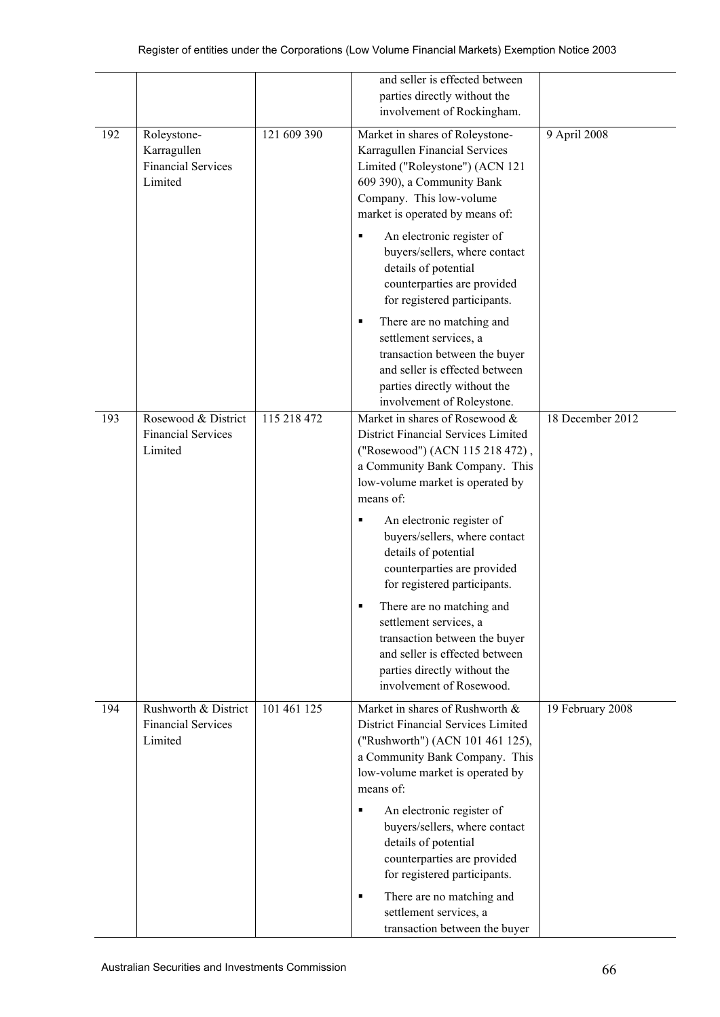|     |                                                                    |             | and seller is effected between<br>parties directly without the<br>involvement of Rockingham.                                                                                                      |                  |
|-----|--------------------------------------------------------------------|-------------|---------------------------------------------------------------------------------------------------------------------------------------------------------------------------------------------------|------------------|
| 192 | Roleystone-<br>Karragullen<br><b>Financial Services</b><br>Limited | 121 609 390 | Market in shares of Roleystone-<br>Karragullen Financial Services<br>Limited ("Roleystone") (ACN 121<br>609 390), a Community Bank<br>Company. This low-volume<br>market is operated by means of: | 9 April 2008     |
|     |                                                                    |             | An electronic register of<br>٠<br>buyers/sellers, where contact<br>details of potential<br>counterparties are provided<br>for registered participants.                                            |                  |
|     |                                                                    |             | There are no matching and<br>٠<br>settlement services, a<br>transaction between the buyer<br>and seller is effected between<br>parties directly without the<br>involvement of Roleystone.         |                  |
| 193 | Rosewood & District<br><b>Financial Services</b><br>Limited        | 115 218 472 | Market in shares of Rosewood &<br>District Financial Services Limited<br>("Rosewood") (ACN 115 218 472),<br>a Community Bank Company. This<br>low-volume market is operated by<br>means of:       | 18 December 2012 |
|     |                                                                    |             | An electronic register of<br>٠<br>buyers/sellers, where contact<br>details of potential<br>counterparties are provided<br>for registered participants.                                            |                  |
|     |                                                                    |             | There are no matching and<br>settlement services, a<br>transaction between the buyer<br>and seller is effected between<br>parties directly without the<br>involvement of Rosewood.                |                  |
| 194 | Rushworth & District<br><b>Financial Services</b><br>Limited       | 101 461 125 | Market in shares of Rushworth &<br>District Financial Services Limited<br>("Rushworth") (ACN 101 461 125),<br>a Community Bank Company. This<br>low-volume market is operated by<br>means of:     | 19 February 2008 |
|     |                                                                    |             | An electronic register of<br>٠<br>buyers/sellers, where contact<br>details of potential<br>counterparties are provided<br>for registered participants.                                            |                  |
|     |                                                                    |             | There are no matching and<br>٠<br>settlement services, a<br>transaction between the buyer                                                                                                         |                  |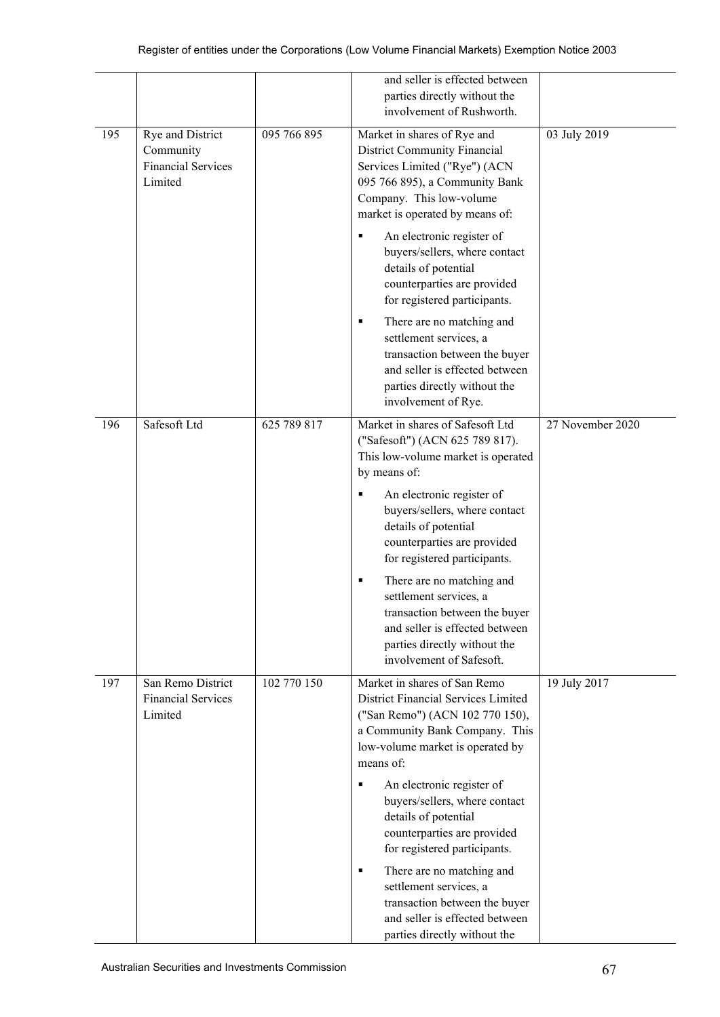|     |                                                                       |             | and seller is effected between<br>parties directly without the<br>involvement of Rushworth.                                                                                                                                                                                                                                                              |                  |
|-----|-----------------------------------------------------------------------|-------------|----------------------------------------------------------------------------------------------------------------------------------------------------------------------------------------------------------------------------------------------------------------------------------------------------------------------------------------------------------|------------------|
| 195 | Rye and District<br>Community<br><b>Financial Services</b><br>Limited | 095 766 895 | Market in shares of Rye and<br><b>District Community Financial</b><br>Services Limited ("Rye") (ACN<br>095 766 895), a Community Bank<br>Company. This low-volume<br>market is operated by means of:                                                                                                                                                     | 03 July 2019     |
|     |                                                                       |             | An electronic register of<br>٠<br>buyers/sellers, where contact<br>details of potential<br>counterparties are provided<br>for registered participants.                                                                                                                                                                                                   |                  |
|     |                                                                       |             | There are no matching and<br>٠<br>settlement services, a<br>transaction between the buyer<br>and seller is effected between<br>parties directly without the<br>involvement of Rye.                                                                                                                                                                       |                  |
| 196 | Safesoft Ltd                                                          | 625 789 817 | Market in shares of Safesoft Ltd<br>("Safesoft") (ACN 625 789 817).<br>This low-volume market is operated<br>by means of:<br>An electronic register of<br>٠<br>buyers/sellers, where contact<br>details of potential<br>counterparties are provided<br>for registered participants.<br>There are no matching and<br>٠                                    | 27 November 2020 |
|     |                                                                       |             | settlement services, a<br>transaction between the buyer<br>and seller is effected between<br>parties directly without the<br>involvement of Safesoft.                                                                                                                                                                                                    |                  |
| 197 | San Remo District<br><b>Financial Services</b><br>Limited             | 102 770 150 | Market in shares of San Remo<br>District Financial Services Limited<br>("San Remo") (ACN 102 770 150),<br>a Community Bank Company. This<br>low-volume market is operated by<br>means of:<br>An electronic register of<br>٠<br>buyers/sellers, where contact<br>details of potential<br>counterparties are provided<br>for registered participants.<br>٠ | 19 July 2017     |
|     |                                                                       |             | There are no matching and<br>settlement services, a<br>transaction between the buyer<br>and seller is effected between<br>parties directly without the                                                                                                                                                                                                   |                  |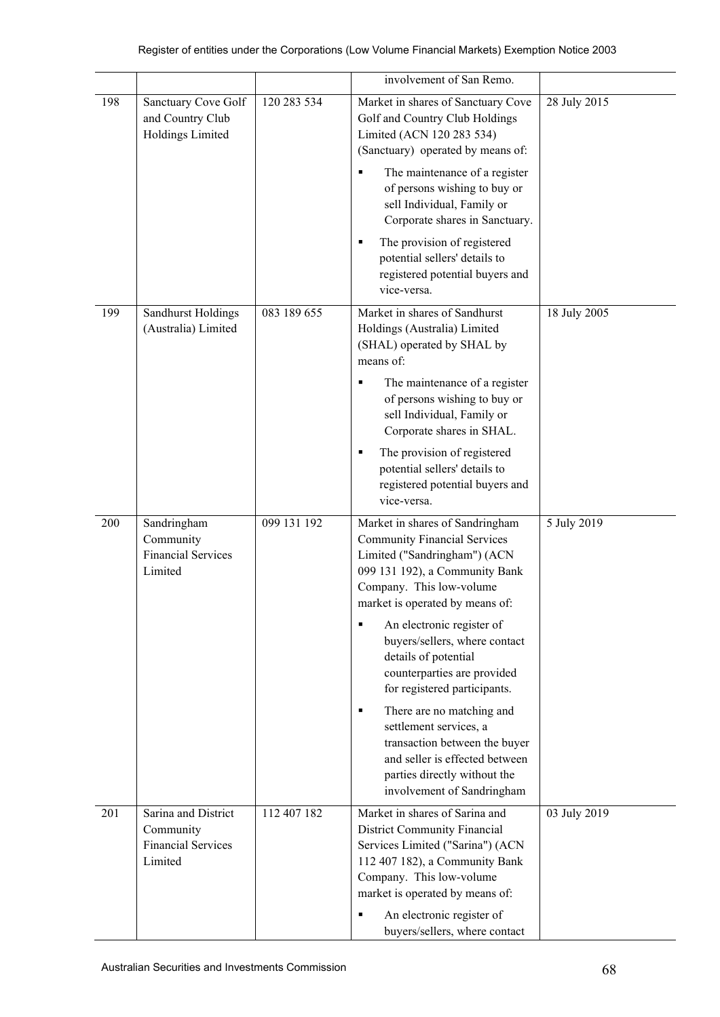|         |                                                                          |             | involvement of San Remo.                                                                                                                                                                                                                                                                                                                                                                                                                                                                                                                                       |              |
|---------|--------------------------------------------------------------------------|-------------|----------------------------------------------------------------------------------------------------------------------------------------------------------------------------------------------------------------------------------------------------------------------------------------------------------------------------------------------------------------------------------------------------------------------------------------------------------------------------------------------------------------------------------------------------------------|--------------|
| 198     | Sanctuary Cove Golf<br>and Country Club<br>Holdings Limited              | 120 283 534 | Market in shares of Sanctuary Cove<br>Golf and Country Club Holdings<br>Limited (ACN 120 283 534)<br>(Sanctuary) operated by means of:<br>The maintenance of a register<br>of persons wishing to buy or<br>sell Individual, Family or<br>Corporate shares in Sanctuary.<br>The provision of registered<br>П<br>potential sellers' details to<br>registered potential buyers and<br>vice-versa.                                                                                                                                                                 | 28 July 2015 |
| 199     | Sandhurst Holdings<br>(Australia) Limited                                | 083 189 655 | Market in shares of Sandhurst<br>Holdings (Australia) Limited<br>(SHAL) operated by SHAL by<br>means of:<br>The maintenance of a register<br>٠<br>of persons wishing to buy or<br>sell Individual, Family or<br>Corporate shares in SHAL.<br>The provision of registered<br>٠<br>potential sellers' details to<br>registered potential buyers and<br>vice-versa.                                                                                                                                                                                               | 18 July 2005 |
| $200\,$ | Sandringham<br>Community<br><b>Financial Services</b><br>Limited         | 099 131 192 | Market in shares of Sandringham<br><b>Community Financial Services</b><br>Limited ("Sandringham") (ACN<br>099 131 192), a Community Bank<br>Company. This low-volume<br>market is operated by means of:<br>An electronic register of<br>٠<br>buyers/sellers, where contact<br>details of potential<br>counterparties are provided<br>for registered participants.<br>There are no matching and<br>٠<br>settlement services, a<br>transaction between the buyer<br>and seller is effected between<br>parties directly without the<br>involvement of Sandringham | 5 July 2019  |
| 201     | Sarina and District<br>Community<br><b>Financial Services</b><br>Limited | 112 407 182 | Market in shares of Sarina and<br><b>District Community Financial</b><br>Services Limited ("Sarina") (ACN<br>112 407 182), a Community Bank<br>Company. This low-volume<br>market is operated by means of:<br>An electronic register of<br>buyers/sellers, where contact                                                                                                                                                                                                                                                                                       | 03 July 2019 |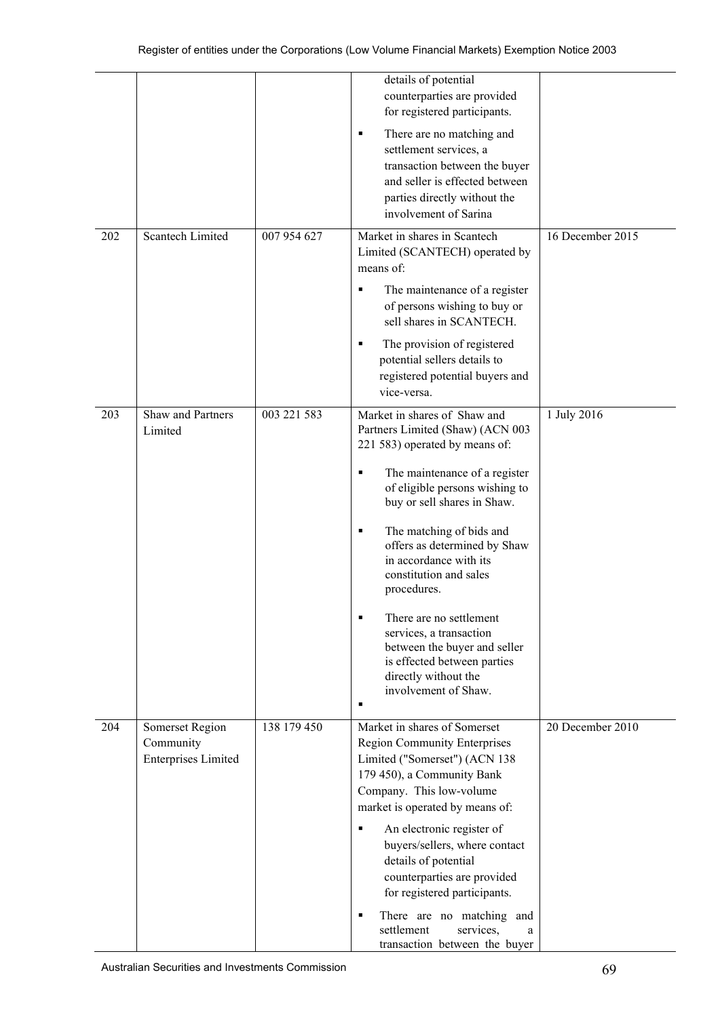|     |                              |             | details of potential<br>counterparties are provided<br>for registered participants.                                                                                                  |                  |
|-----|------------------------------|-------------|--------------------------------------------------------------------------------------------------------------------------------------------------------------------------------------|------------------|
|     |                              |             | There are no matching and<br>٠<br>settlement services, a<br>transaction between the buyer<br>and seller is effected between<br>parties directly without the<br>involvement of Sarina |                  |
| 202 | Scantech Limited             | 007 954 627 | Market in shares in Scantech<br>Limited (SCANTECH) operated by<br>means of:                                                                                                          | 16 December 2015 |
|     |                              |             | The maintenance of a register<br>٠<br>of persons wishing to buy or<br>sell shares in SCANTECH.                                                                                       |                  |
|     |                              |             | The provision of registered<br>٠<br>potential sellers details to<br>registered potential buyers and<br>vice-versa.                                                                   |                  |
| 203 | Shaw and Partners<br>Limited | 003 221 583 | Market in shares of Shaw and<br>Partners Limited (Shaw) (ACN 003<br>221 583) operated by means of:                                                                                   | 1 July 2016      |
|     |                              |             | The maintenance of a register<br>٠<br>of eligible persons wishing to<br>buy or sell shares in Shaw.                                                                                  |                  |
|     |                              |             | The matching of bids and<br>٠<br>offers as determined by Shaw<br>in accordance with its<br>constitution and sales<br>procedures.                                                     |                  |
|     |                              |             | There are no settlement<br>٠<br>services, a transaction<br>between the buyer and seller<br>is effected between parties<br>directly without the<br>involvement of Shaw.               |                  |
| 204 | Somerset Region<br>Community | 138 179 450 | Market in shares of Somerset<br><b>Region Community Enterprises</b>                                                                                                                  | 20 December 2010 |
|     | <b>Enterprises Limited</b>   |             | Limited ("Somerset") (ACN 138<br>179 450), a Community Bank                                                                                                                          |                  |
|     |                              |             | Company. This low-volume<br>market is operated by means of:                                                                                                                          |                  |
|     |                              |             | An electronic register of<br>٠<br>buyers/sellers, where contact<br>details of potential<br>counterparties are provided<br>for registered participants.                               |                  |
|     |                              |             | There are no matching and<br>٠<br>settlement<br>services,<br>a<br>transaction between the buyer                                                                                      |                  |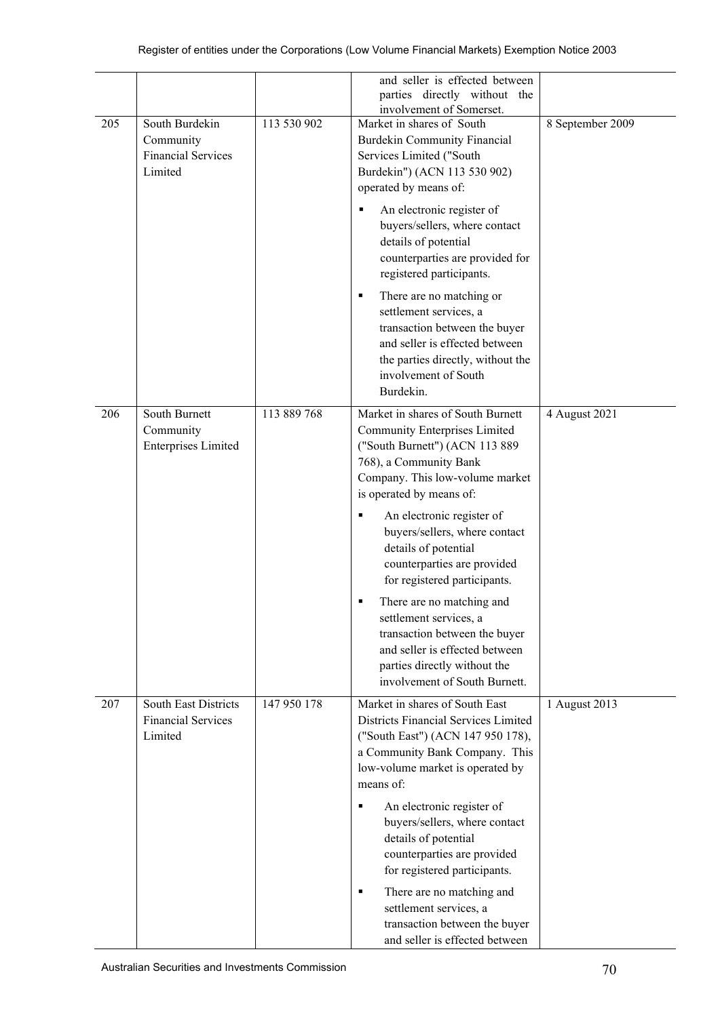|     |                                                                     |             | and seller is effected between<br>parties directly without the<br>involvement of Somerset.                                                                                                           |                  |
|-----|---------------------------------------------------------------------|-------------|------------------------------------------------------------------------------------------------------------------------------------------------------------------------------------------------------|------------------|
| 205 | South Burdekin<br>Community<br><b>Financial Services</b><br>Limited | 113 530 902 | Market in shares of South<br><b>Burdekin Community Financial</b><br>Services Limited ("South<br>Burdekin") (ACN 113 530 902)<br>operated by means of:                                                | 8 September 2009 |
|     |                                                                     |             | An electronic register of<br>٠<br>buyers/sellers, where contact<br>details of potential<br>counterparties are provided for<br>registered participants.                                               |                  |
|     |                                                                     |             | There are no matching or<br>٠<br>settlement services, a<br>transaction between the buyer<br>and seller is effected between<br>the parties directly, without the<br>involvement of South<br>Burdekin. |                  |
| 206 | South Burnett<br>Community<br><b>Enterprises Limited</b>            | 113 889 768 | Market in shares of South Burnett<br><b>Community Enterprises Limited</b><br>("South Burnett") (ACN 113 889<br>768), a Community Bank<br>Company. This low-volume market<br>is operated by means of: | 4 August 2021    |
|     |                                                                     |             | An electronic register of<br>٠<br>buyers/sellers, where contact<br>details of potential<br>counterparties are provided<br>for registered participants.                                               |                  |
|     |                                                                     |             | There are no matching and<br>٠<br>settlement services, a<br>transaction between the buyer<br>and seller is effected between<br>parties directly without the<br>involvement of South Burnett.         |                  |
| 207 | South East Districts<br><b>Financial Services</b><br>Limited        | 147 950 178 | Market in shares of South East<br>Districts Financial Services Limited<br>("South East") (ACN 147 950 178),<br>a Community Bank Company. This<br>low-volume market is operated by<br>means of:       | 1 August 2013    |
|     |                                                                     |             | An electronic register of<br>٠<br>buyers/sellers, where contact<br>details of potential<br>counterparties are provided<br>for registered participants.                                               |                  |
|     |                                                                     |             | There are no matching and<br>٠<br>settlement services, a<br>transaction between the buyer<br>and seller is effected between                                                                          |                  |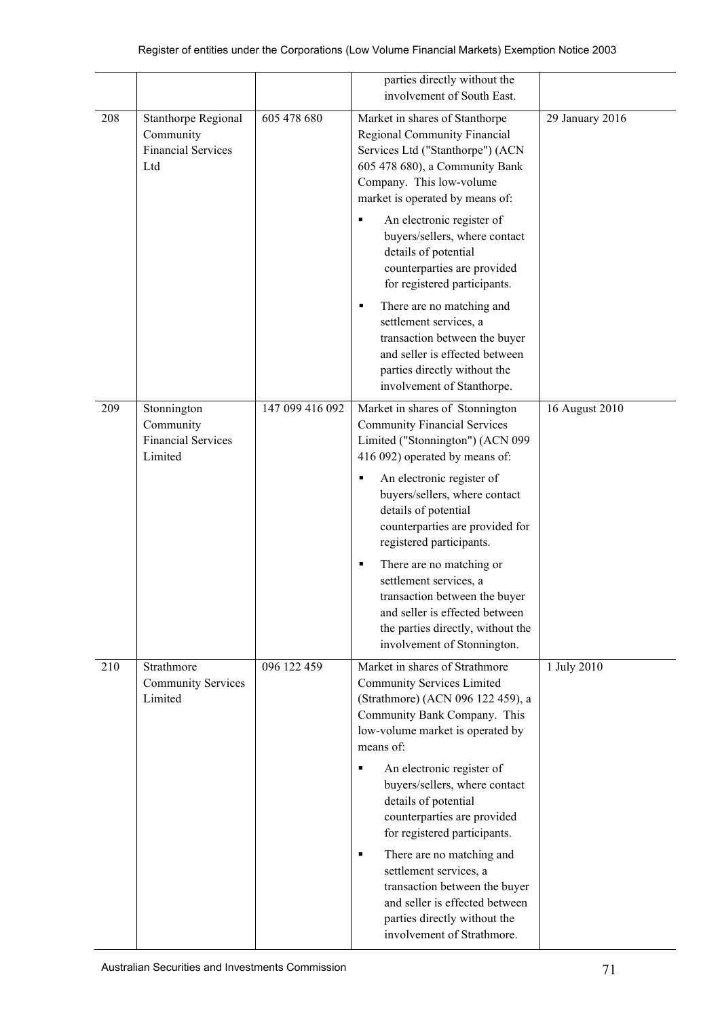|     |                                                                      |                 | parties directly without the                                                                                                                                                                                                                                                                                                                                                                                                                                                                                                                               |                 |
|-----|----------------------------------------------------------------------|-----------------|------------------------------------------------------------------------------------------------------------------------------------------------------------------------------------------------------------------------------------------------------------------------------------------------------------------------------------------------------------------------------------------------------------------------------------------------------------------------------------------------------------------------------------------------------------|-----------------|
|     |                                                                      |                 | involvement of South East.                                                                                                                                                                                                                                                                                                                                                                                                                                                                                                                                 |                 |
| 208 | Stanthorpe Regional<br>Community<br><b>Financial Services</b><br>Ltd | 605 478 680     | Market in shares of Stanthorpe<br>Regional Community Financial<br>Services Ltd ("Stanthorpe") (ACN<br>605 478 680), a Community Bank<br>Company. This low-volume<br>market is operated by means of:<br>An electronic register of<br>п<br>buyers/sellers, where contact<br>details of potential<br>counterparties are provided<br>for registered participants.<br>There are no matching and<br>٠<br>settlement services, a<br>transaction between the buyer<br>and seller is effected between<br>parties directly without the<br>involvement of Stanthorpe. | 29 January 2016 |
| 209 | Stonnington<br>Community<br><b>Financial Services</b><br>Limited     | 147 099 416 092 | Market in shares of Stonnington<br><b>Community Financial Services</b><br>Limited ("Stonnington") (ACN 099<br>416 092) operated by means of:<br>An electronic register of<br>٠<br>buyers/sellers, where contact<br>details of potential<br>counterparties are provided for<br>registered participants.<br>There are no matching or<br>٠<br>settlement services, a<br>transaction between the buyer<br>and seller is effected between<br>the parties directly, without the<br>involvement of Stonnington.                                                   | 16 August 2010  |
| 210 | Strathmore<br><b>Community Services</b><br>Limited                   | 096 122 459     | Market in shares of Strathmore<br><b>Community Services Limited</b><br>(Strathmore) (ACN 096 122 459), a<br>Community Bank Company. This<br>low-volume market is operated by<br>means of:<br>An electronic register of<br>٠<br>buyers/sellers, where contact<br>details of potential<br>counterparties are provided<br>for registered participants.<br>There are no matching and<br>٠<br>settlement services, a<br>transaction between the buyer<br>and seller is effected between<br>parties directly without the<br>involvement of Strathmore.           | 1 July 2010     |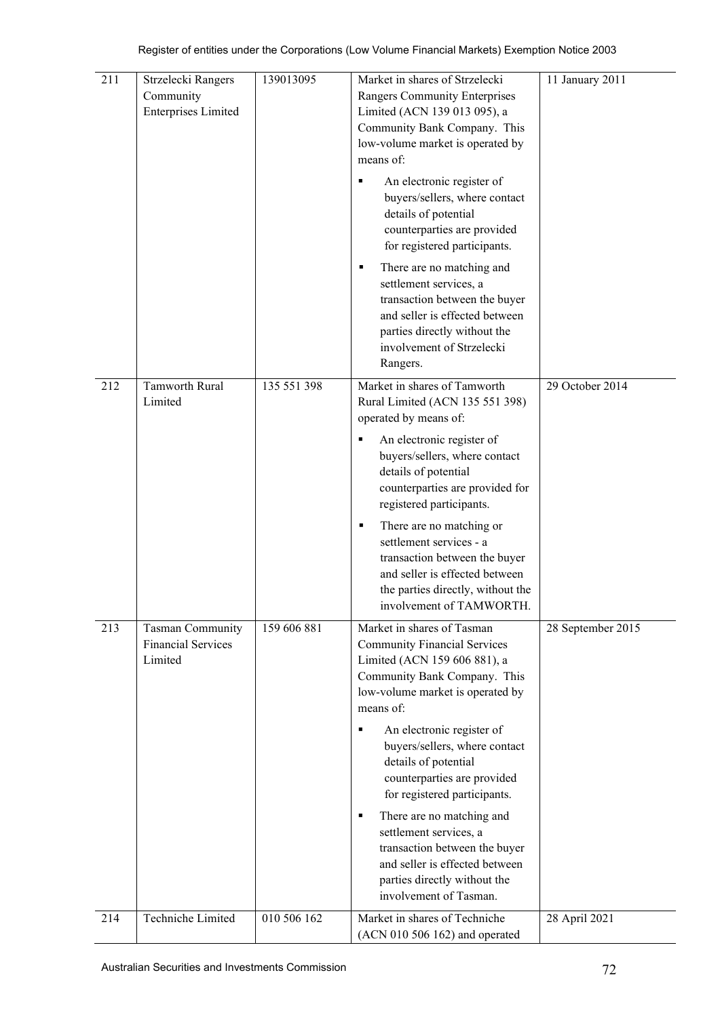| 211 | Strzelecki Rangers<br>Community<br><b>Enterprises Limited</b> | 139013095   | Market in shares of Strzelecki<br>Rangers Community Enterprises<br>Limited (ACN 139 013 095), a<br>Community Bank Company. This<br>low-volume market is operated by<br>means of:<br>An electronic register of<br>٠<br>buyers/sellers, where contact<br>details of potential<br>counterparties are provided<br>for registered participants.<br>There are no matching and<br>٠<br>settlement services, a<br>transaction between the buyer<br>and seller is effected between<br>parties directly without the<br>involvement of Strzelecki<br>Rangers. | 11 January 2011   |
|-----|---------------------------------------------------------------|-------------|----------------------------------------------------------------------------------------------------------------------------------------------------------------------------------------------------------------------------------------------------------------------------------------------------------------------------------------------------------------------------------------------------------------------------------------------------------------------------------------------------------------------------------------------------|-------------------|
| 212 | Tamworth Rural<br>Limited                                     | 135 551 398 | Market in shares of Tamworth<br>Rural Limited (ACN 135 551 398)<br>operated by means of:<br>An electronic register of<br>٠<br>buyers/sellers, where contact<br>details of potential<br>counterparties are provided for<br>registered participants.<br>There are no matching or<br>٠<br>settlement services - a<br>transaction between the buyer<br>and seller is effected between<br>the parties directly, without the<br>involvement of TAMWORTH.                                                                                                 | 29 October 2014   |
| 213 | Tasman Community<br><b>Financial Services</b><br>Limited      | 159 606 881 | Market in shares of Tasman<br><b>Community Financial Services</b><br>Limited (ACN 159 606 881), a<br>Community Bank Company. This<br>low-volume market is operated by<br>means of:<br>An electronic register of<br>٠<br>buyers/sellers, where contact<br>details of potential<br>counterparties are provided<br>for registered participants.<br>There are no matching and<br>٠<br>settlement services, a<br>transaction between the buyer<br>and seller is effected between<br>parties directly without the<br>involvement of Tasman.              | 28 September 2015 |
| 214 | Techniche Limited                                             | 010 506 162 | Market in shares of Techniche<br>(ACN 010 506 162) and operated                                                                                                                                                                                                                                                                                                                                                                                                                                                                                    | 28 April 2021     |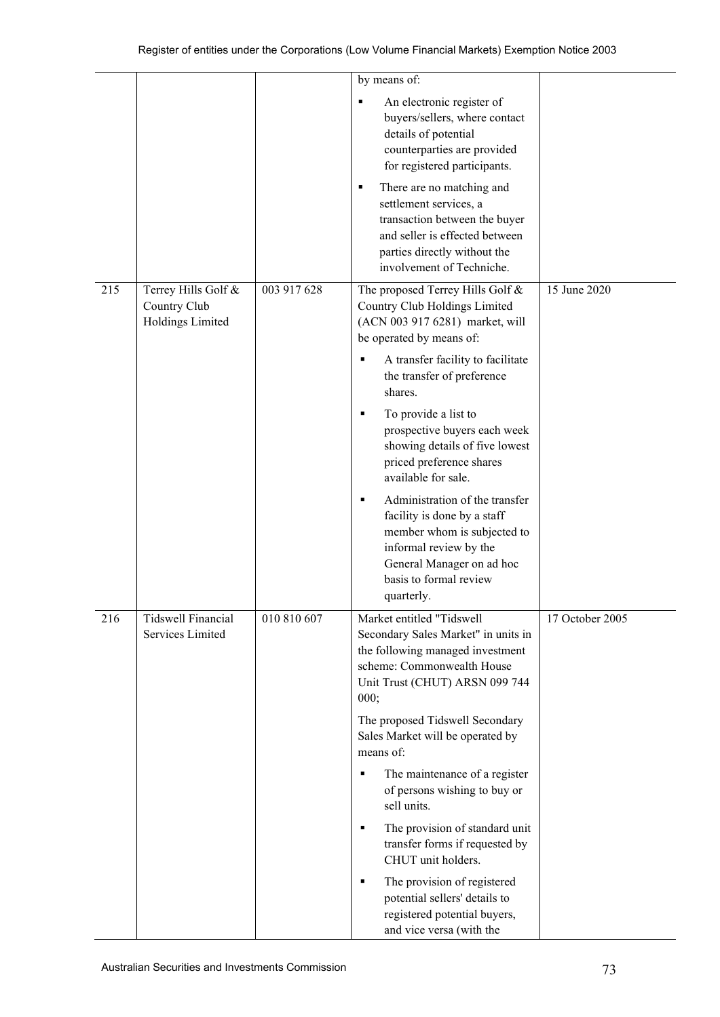|     |                                                         |             | by means of:                                                                                                                                                                                     |                 |
|-----|---------------------------------------------------------|-------------|--------------------------------------------------------------------------------------------------------------------------------------------------------------------------------------------------|-----------------|
|     |                                                         |             | An electronic register of<br>٠<br>buyers/sellers, where contact<br>details of potential<br>counterparties are provided<br>for registered participants.                                           |                 |
|     |                                                         |             | There are no matching and<br>٠<br>settlement services, a<br>transaction between the buyer<br>and seller is effected between<br>parties directly without the<br>involvement of Techniche.         |                 |
| 215 | Terrey Hills Golf &<br>Country Club<br>Holdings Limited | 003 917 628 | The proposed Terrey Hills Golf &<br>Country Club Holdings Limited<br>(ACN 003 917 6281) market, will<br>be operated by means of:                                                                 | 15 June 2020    |
|     |                                                         |             | A transfer facility to facilitate<br>Е<br>the transfer of preference<br>shares.                                                                                                                  |                 |
|     |                                                         |             | To provide a list to<br>٠<br>prospective buyers each week<br>showing details of five lowest<br>priced preference shares<br>available for sale.                                                   |                 |
|     |                                                         |             | Administration of the transfer<br>٠<br>facility is done by a staff<br>member whom is subjected to<br>informal review by the<br>General Manager on ad hoc<br>basis to formal review<br>quarterly. |                 |
| 216 | <b>Tidswell Financial</b><br>Services Limited           | 010 810 607 | Market entitled "Tidswell<br>Secondary Sales Market" in units in<br>the following managed investment<br>scheme: Commonwealth House<br>Unit Trust (CHUT) ARSN 099 744<br>000;                     | 17 October 2005 |
|     |                                                         |             | The proposed Tidswell Secondary<br>Sales Market will be operated by<br>means of:                                                                                                                 |                 |
|     |                                                         |             | The maintenance of a register<br>٠<br>of persons wishing to buy or<br>sell units.                                                                                                                |                 |
|     |                                                         |             | The provision of standard unit<br>٠<br>transfer forms if requested by<br>CHUT unit holders.                                                                                                      |                 |
|     |                                                         |             | The provision of registered<br>٠<br>potential sellers' details to<br>registered potential buyers,<br>and vice versa (with the                                                                    |                 |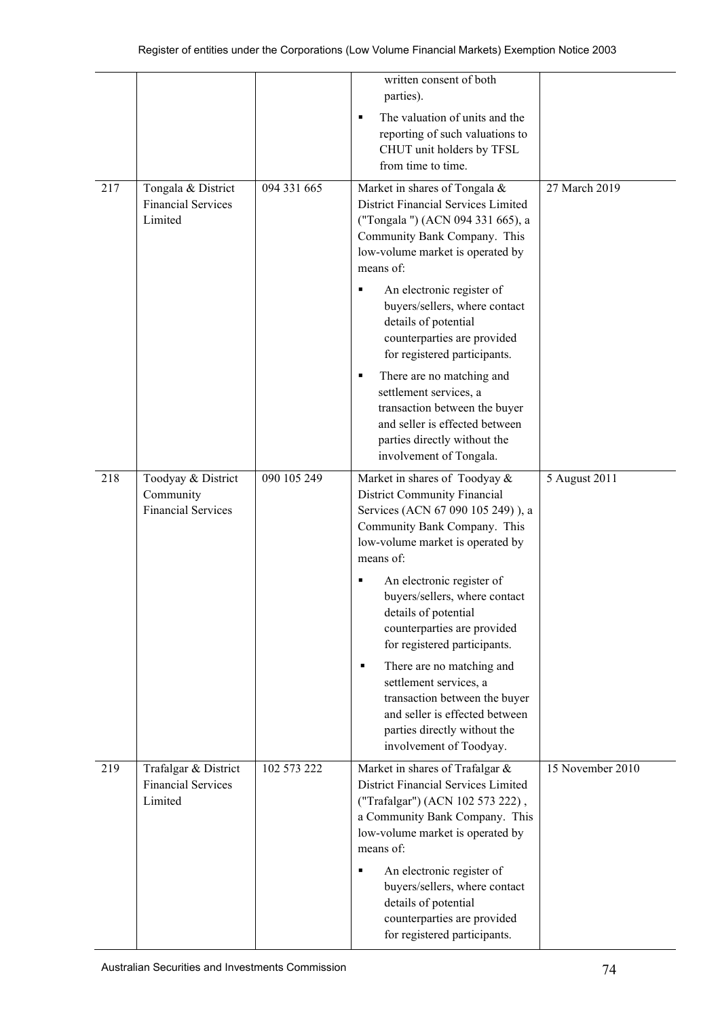|     |                                                              |             | written consent of both<br>parties).                                                                                                                                                          |                  |
|-----|--------------------------------------------------------------|-------------|-----------------------------------------------------------------------------------------------------------------------------------------------------------------------------------------------|------------------|
|     |                                                              |             | The valuation of units and the<br>reporting of such valuations to<br>CHUT unit holders by TFSL<br>from time to time.                                                                          |                  |
| 217 | Tongala & District<br><b>Financial Services</b><br>Limited   | 094 331 665 | Market in shares of Tongala &<br>District Financial Services Limited<br>("Tongala ") (ACN 094 331 665), a<br>Community Bank Company. This<br>low-volume market is operated by<br>means of:    | 27 March 2019    |
|     |                                                              |             | An electronic register of<br>٠<br>buyers/sellers, where contact<br>details of potential<br>counterparties are provided<br>for registered participants.                                        |                  |
|     |                                                              |             | There are no matching and<br>٠<br>settlement services, a<br>transaction between the buyer<br>and seller is effected between<br>parties directly without the<br>involvement of Tongala.        |                  |
| 218 | Toodyay & District<br>Community<br><b>Financial Services</b> | 090 105 249 | Market in shares of Toodyay &<br><b>District Community Financial</b><br>Services (ACN 67 090 105 249)), a<br>Community Bank Company. This<br>low-volume market is operated by<br>means of:    | 5 August 2011    |
|     |                                                              |             | An electronic register of<br>٠<br>buyers/sellers, where contact<br>details of potential<br>counterparties are provided<br>for registered participants.                                        |                  |
|     |                                                              |             | There are no matching and<br>٠<br>settlement services, a<br>transaction between the buyer<br>and seller is effected between<br>parties directly without the<br>involvement of Toodyay.        |                  |
| 219 | Trafalgar & District<br><b>Financial Services</b><br>Limited | 102 573 222 | Market in shares of Trafalgar &<br>District Financial Services Limited<br>("Trafalgar") (ACN 102 573 222),<br>a Community Bank Company. This<br>low-volume market is operated by<br>means of: | 15 November 2010 |
|     |                                                              |             | An electronic register of<br>٠<br>buyers/sellers, where contact<br>details of potential<br>counterparties are provided<br>for registered participants.                                        |                  |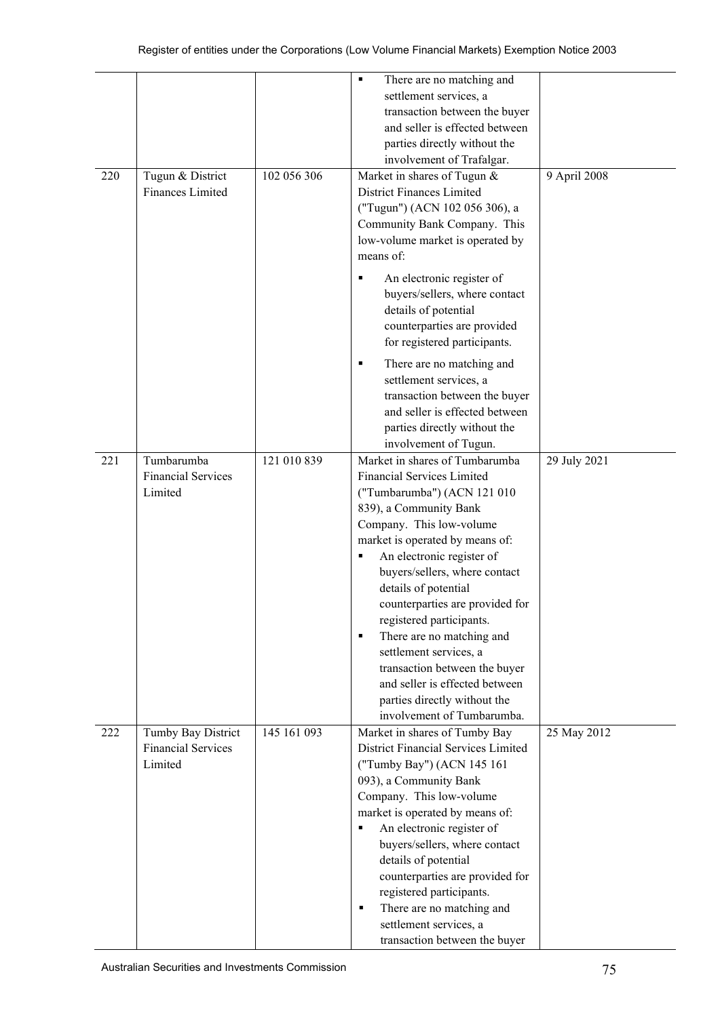|     |                           |             | There are no matching and<br>٠      |              |
|-----|---------------------------|-------------|-------------------------------------|--------------|
|     |                           |             | settlement services, a              |              |
|     |                           |             | transaction between the buyer       |              |
|     |                           |             | and seller is effected between      |              |
|     |                           |             | parties directly without the        |              |
|     |                           |             | involvement of Trafalgar.           |              |
| 220 | Tugun & District          | 102 056 306 | Market in shares of Tugun &         | 9 April 2008 |
|     | Finances Limited          |             | District Finances Limited           |              |
|     |                           |             | ("Tugun") (ACN 102 056 306), a      |              |
|     |                           |             | Community Bank Company. This        |              |
|     |                           |             | low-volume market is operated by    |              |
|     |                           |             | means of:                           |              |
|     |                           |             |                                     |              |
|     |                           |             | An electronic register of           |              |
|     |                           |             | buyers/sellers, where contact       |              |
|     |                           |             | details of potential                |              |
|     |                           |             | counterparties are provided         |              |
|     |                           |             | for registered participants.        |              |
|     |                           |             | There are no matching and           |              |
|     |                           |             | settlement services, a              |              |
|     |                           |             |                                     |              |
|     |                           |             | transaction between the buyer       |              |
|     |                           |             | and seller is effected between      |              |
|     |                           |             | parties directly without the        |              |
|     |                           |             | involvement of Tugun.               |              |
| 221 | Tumbarumba                | 121 010 839 | Market in shares of Tumbarumba      | 29 July 2021 |
|     | <b>Financial Services</b> |             | <b>Financial Services Limited</b>   |              |
|     | Limited                   |             | ("Tumbarumba") (ACN 121 010         |              |
|     |                           |             | 839), a Community Bank              |              |
|     |                           |             | Company. This low-volume            |              |
|     |                           |             | market is operated by means of:     |              |
|     |                           |             | An electronic register of           |              |
|     |                           |             | buyers/sellers, where contact       |              |
|     |                           |             | details of potential                |              |
|     |                           |             | counterparties are provided for     |              |
|     |                           |             | registered participants.            |              |
|     |                           |             | There are no matching and<br>٠      |              |
|     |                           |             | settlement services, a              |              |
|     |                           |             | transaction between the buyer       |              |
|     |                           |             | and seller is effected between      |              |
|     |                           |             | parties directly without the        |              |
|     |                           |             | involvement of Tumbarumba.          |              |
| 222 | Tumby Bay District        | 145 161 093 | Market in shares of Tumby Bay       | 25 May 2012  |
|     | <b>Financial Services</b> |             | District Financial Services Limited |              |
|     | Limited                   |             | ("Tumby Bay") (ACN 145 161          |              |
|     |                           |             | 093), a Community Bank              |              |
|     |                           |             | Company. This low-volume            |              |
|     |                           |             | market is operated by means of:     |              |
|     |                           |             | An electronic register of<br>п      |              |
|     |                           |             | buyers/sellers, where contact       |              |
|     |                           |             | details of potential                |              |
|     |                           |             | counterparties are provided for     |              |
|     |                           |             | registered participants.            |              |
|     |                           |             | There are no matching and<br>٠      |              |
|     |                           |             | settlement services, a              |              |
|     |                           |             | transaction between the buyer       |              |
|     |                           |             |                                     |              |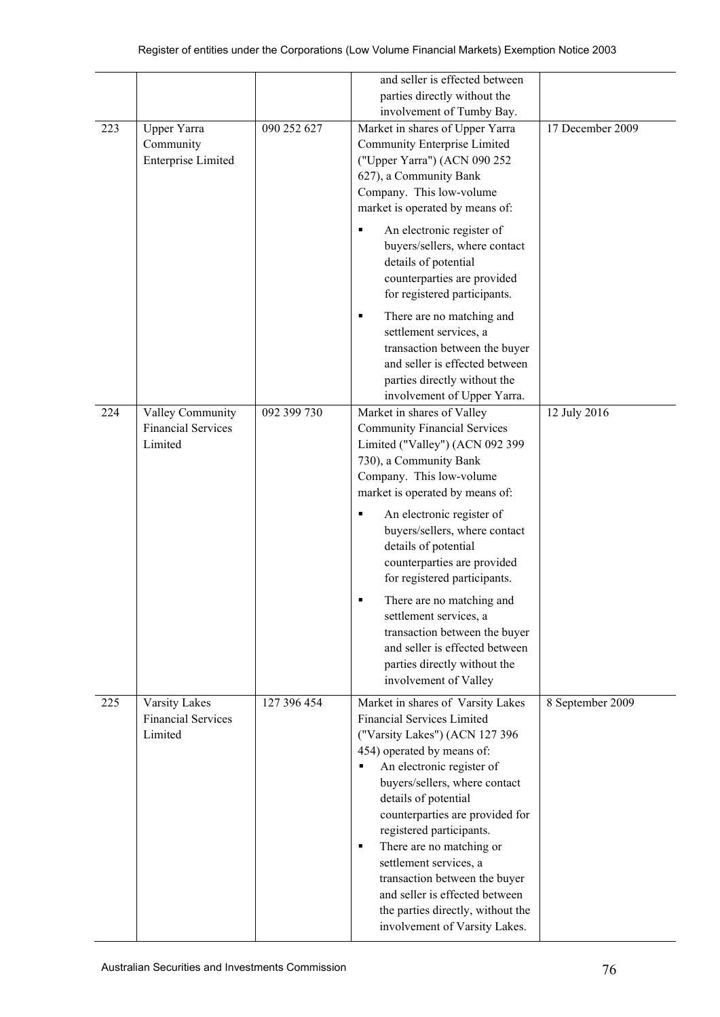|     |                                                          |             | and seller is effected between                                                                                                                                                                                                                                                                                                                                                                                                                                                                                                             |                  |
|-----|----------------------------------------------------------|-------------|--------------------------------------------------------------------------------------------------------------------------------------------------------------------------------------------------------------------------------------------------------------------------------------------------------------------------------------------------------------------------------------------------------------------------------------------------------------------------------------------------------------------------------------------|------------------|
|     |                                                          |             | parties directly without the                                                                                                                                                                                                                                                                                                                                                                                                                                                                                                               |                  |
|     |                                                          |             | involvement of Tumby Bay.                                                                                                                                                                                                                                                                                                                                                                                                                                                                                                                  |                  |
| 223 | Upper Yarra<br>Community<br><b>Enterprise Limited</b>    | 090 252 627 | Market in shares of Upper Yarra<br>Community Enterprise Limited<br>("Upper Yarra") (ACN 090 252<br>627), a Community Bank<br>Company. This low-volume<br>market is operated by means of:                                                                                                                                                                                                                                                                                                                                                   | 17 December 2009 |
|     |                                                          |             | An electronic register of<br>٠<br>buyers/sellers, where contact<br>details of potential<br>counterparties are provided<br>for registered participants.                                                                                                                                                                                                                                                                                                                                                                                     |                  |
|     |                                                          |             | There are no matching and<br>٠<br>settlement services, a<br>transaction between the buyer<br>and seller is effected between<br>parties directly without the<br>involvement of Upper Yarra.                                                                                                                                                                                                                                                                                                                                                 |                  |
| 224 | Valley Community<br><b>Financial Services</b><br>Limited | 092 399 730 | Market in shares of Valley<br><b>Community Financial Services</b><br>Limited ("Valley") (ACN 092 399<br>730), a Community Bank<br>Company. This low-volume<br>market is operated by means of:<br>An electronic register of<br>٠<br>buyers/sellers, where contact<br>details of potential<br>counterparties are provided<br>for registered participants.<br>There are no matching and<br>settlement services, a<br>transaction between the buyer<br>and seller is effected between<br>parties directly without the<br>involvement of Valley | 12 July 2016     |
| 225 | Varsity Lakes<br><b>Financial Services</b><br>Limited    | 127 396 454 | Market in shares of Varsity Lakes<br><b>Financial Services Limited</b><br>("Varsity Lakes") (ACN 127 396<br>454) operated by means of:<br>An electronic register of<br>٠<br>buyers/sellers, where contact<br>details of potential<br>counterparties are provided for<br>registered participants.<br>There are no matching or<br>٠<br>settlement services, a<br>transaction between the buyer<br>and seller is effected between<br>the parties directly, without the<br>involvement of Varsity Lakes.                                       | 8 September 2009 |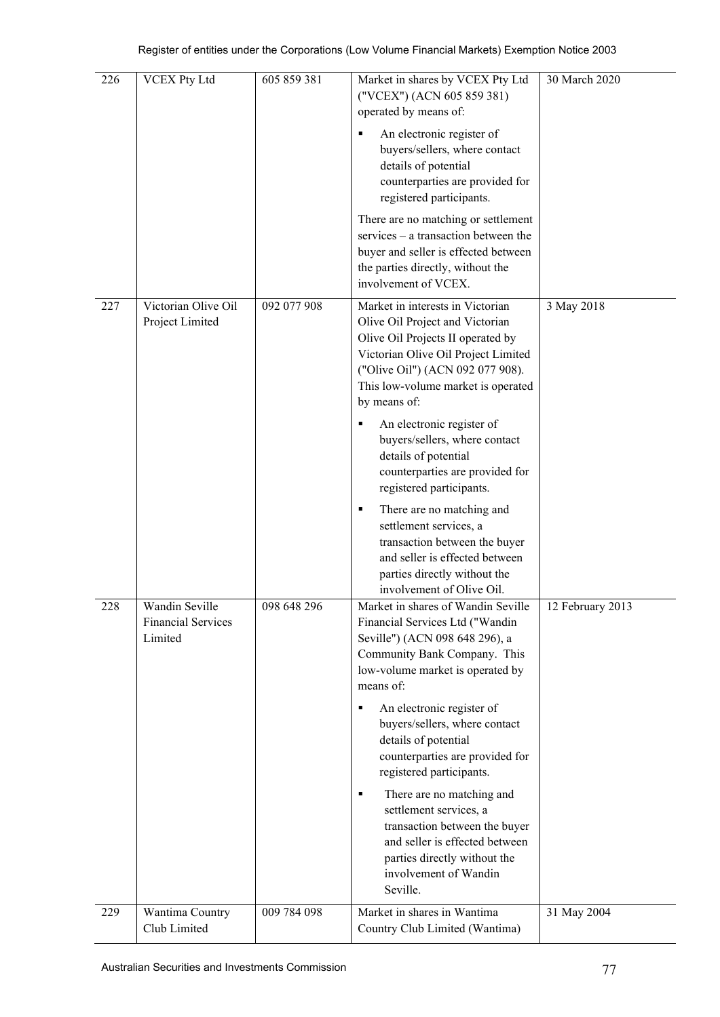| 226 | <b>VCEX Pty Ltd</b>                                    | 605 859 381 | Market in shares by VCEX Pty Ltd<br>("VCEX") (ACN 605 859 381)<br>operated by means of:                                                                                                                                                   | 30 March 2020    |
|-----|--------------------------------------------------------|-------------|-------------------------------------------------------------------------------------------------------------------------------------------------------------------------------------------------------------------------------------------|------------------|
|     |                                                        |             | An electronic register of<br>٠<br>buyers/sellers, where contact<br>details of potential<br>counterparties are provided for<br>registered participants.                                                                                    |                  |
|     |                                                        |             | There are no matching or settlement<br>services $-$ a transaction between the<br>buyer and seller is effected between<br>the parties directly, without the<br>involvement of VCEX.                                                        |                  |
| 227 | Victorian Olive Oil<br>Project Limited                 | 092 077 908 | Market in interests in Victorian<br>Olive Oil Project and Victorian<br>Olive Oil Projects II operated by<br>Victorian Olive Oil Project Limited<br>("Olive Oil") (ACN 092 077 908).<br>This low-volume market is operated<br>by means of: | 3 May 2018       |
|     |                                                        |             | An electronic register of<br>buyers/sellers, where contact<br>details of potential<br>counterparties are provided for<br>registered participants.                                                                                         |                  |
|     |                                                        |             | There are no matching and<br>٠<br>settlement services, a<br>transaction between the buyer<br>and seller is effected between<br>parties directly without the<br>involvement of Olive Oil.                                                  |                  |
| 228 | Wandin Seville<br><b>Financial Services</b><br>Limited | 098 648 296 | Market in shares of Wandin Seville<br>Financial Services Ltd ("Wandin<br>Seville") (ACN 098 648 296), a<br>Community Bank Company. This<br>low-volume market is operated by<br>means of:                                                  | 12 February 2013 |
|     |                                                        |             | An electronic register of<br>٠<br>buyers/sellers, where contact<br>details of potential<br>counterparties are provided for<br>registered participants.                                                                                    |                  |
|     |                                                        |             | There are no matching and<br>٠<br>settlement services, a<br>transaction between the buyer<br>and seller is effected between<br>parties directly without the<br>involvement of Wandin<br>Seville.                                          |                  |
| 229 | Wantima Country<br>Club Limited                        | 009 784 098 | Market in shares in Wantima<br>Country Club Limited (Wantima)                                                                                                                                                                             | 31 May 2004      |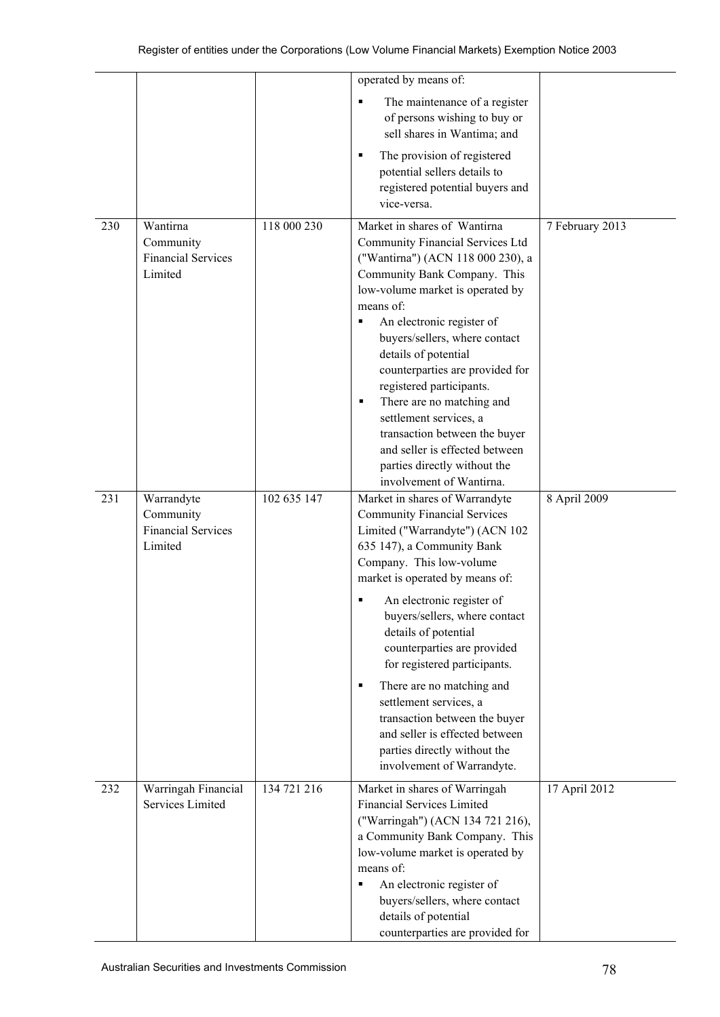|     |                                                                 |             | operated by means of:                                                                                                                                                                                                                                                                                                                                                                                                                                                                                                                                        |                 |
|-----|-----------------------------------------------------------------|-------------|--------------------------------------------------------------------------------------------------------------------------------------------------------------------------------------------------------------------------------------------------------------------------------------------------------------------------------------------------------------------------------------------------------------------------------------------------------------------------------------------------------------------------------------------------------------|-----------------|
|     |                                                                 |             | The maintenance of a register<br>$\blacksquare$<br>of persons wishing to buy or<br>sell shares in Wantima; and                                                                                                                                                                                                                                                                                                                                                                                                                                               |                 |
|     |                                                                 |             | The provision of registered<br>potential sellers details to<br>registered potential buyers and<br>vice-versa.                                                                                                                                                                                                                                                                                                                                                                                                                                                |                 |
| 230 | Wantirna<br>Community<br><b>Financial Services</b><br>Limited   | 118 000 230 | Market in shares of Wantirna<br>Community Financial Services Ltd<br>("Wantirna") (ACN 118 000 230), a<br>Community Bank Company. This<br>low-volume market is operated by<br>means of:<br>An electronic register of<br>buyers/sellers, where contact<br>details of potential<br>counterparties are provided for<br>registered participants.<br>There are no matching and<br>п<br>settlement services, a<br>transaction between the buyer<br>and seller is effected between<br>parties directly without the<br>involvement of Wantirna.                       | 7 February 2013 |
| 231 | Warrandyte<br>Community<br><b>Financial Services</b><br>Limited | 102 635 147 | Market in shares of Warrandyte<br><b>Community Financial Services</b><br>Limited ("Warrandyte") (ACN 102<br>635 147), a Community Bank<br>Company. This low-volume<br>market is operated by means of:<br>An electronic register of<br>٠<br>buyers/sellers, where contact<br>details of potential<br>counterparties are provided<br>for registered participants.<br>There are no matching and<br>٠<br>settlement services, a<br>transaction between the buyer<br>and seller is effected between<br>parties directly without the<br>involvement of Warrandyte. | 8 April 2009    |
| 232 | Warringah Financial<br>Services Limited                         | 134 721 216 | Market in shares of Warringah<br><b>Financial Services Limited</b><br>("Warringah") (ACN 134 721 216),<br>a Community Bank Company. This<br>low-volume market is operated by<br>means of:<br>An electronic register of<br>٠<br>buyers/sellers, where contact<br>details of potential<br>counterparties are provided for                                                                                                                                                                                                                                      | 17 April 2012   |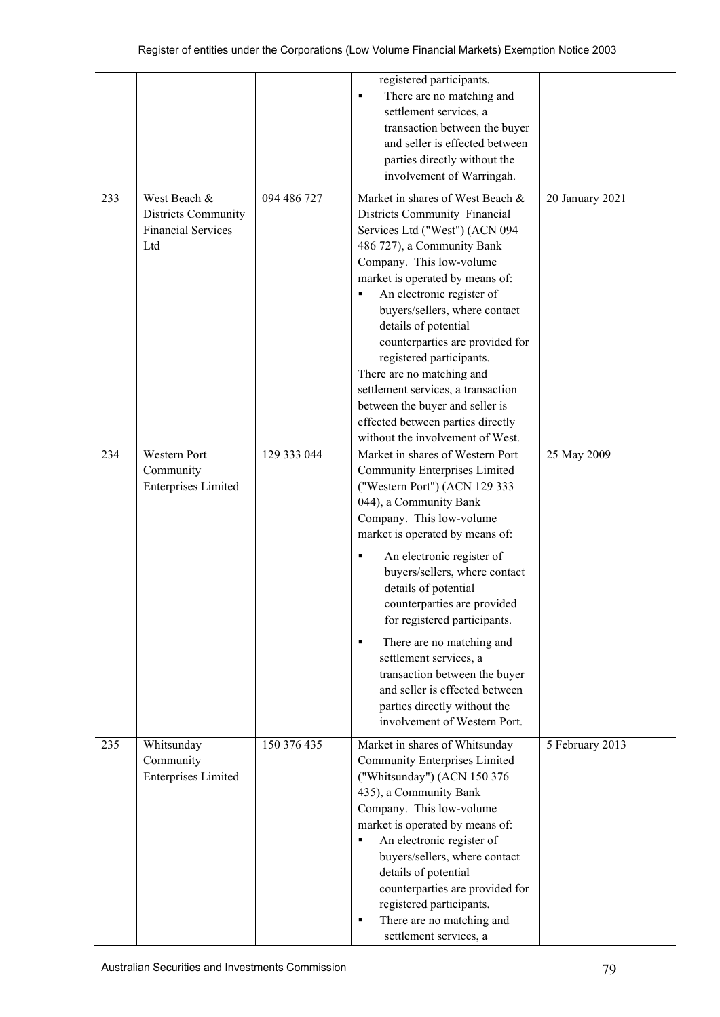|     |                                                                         |             | registered participants.<br>There are no matching and<br>п<br>settlement services, a<br>transaction between the buyer<br>and seller is effected between<br>parties directly without the<br>involvement of Warringah.                                                                                                                                                                                                                                                                                                                                   |                 |
|-----|-------------------------------------------------------------------------|-------------|--------------------------------------------------------------------------------------------------------------------------------------------------------------------------------------------------------------------------------------------------------------------------------------------------------------------------------------------------------------------------------------------------------------------------------------------------------------------------------------------------------------------------------------------------------|-----------------|
| 233 | West Beach &<br>Districts Community<br><b>Financial Services</b><br>Ltd | 094 486 727 | Market in shares of West Beach &<br>Districts Community Financial<br>Services Ltd ("West") (ACN 094<br>486 727), a Community Bank<br>Company. This low-volume<br>market is operated by means of:<br>An electronic register of<br>buyers/sellers, where contact<br>details of potential<br>counterparties are provided for<br>registered participants.<br>There are no matching and<br>settlement services, a transaction<br>between the buyer and seller is<br>effected between parties directly<br>without the involvement of West.                   | 20 January 2021 |
| 234 | Western Port<br>Community<br><b>Enterprises Limited</b>                 | 129 333 044 | Market in shares of Western Port<br><b>Community Enterprises Limited</b><br>("Western Port") (ACN 129 333<br>044), a Community Bank<br>Company. This low-volume<br>market is operated by means of:<br>An electronic register of<br>buyers/sellers, where contact<br>details of potential<br>counterparties are provided<br>for registered participants.<br>There are no matching and<br>٠<br>settlement services, a<br>transaction between the buyer<br>and seller is effected between<br>parties directly without the<br>involvement of Western Port. | 25 May 2009     |
| 235 | Whitsunday<br>Community<br><b>Enterprises Limited</b>                   | 150 376 435 | Market in shares of Whitsunday<br><b>Community Enterprises Limited</b><br>("Whitsunday") (ACN 150 376<br>435), a Community Bank<br>Company. This low-volume<br>market is operated by means of:<br>An electronic register of<br>٠<br>buyers/sellers, where contact<br>details of potential<br>counterparties are provided for<br>registered participants.<br>There are no matching and<br>٠<br>settlement services, a                                                                                                                                   | 5 February 2013 |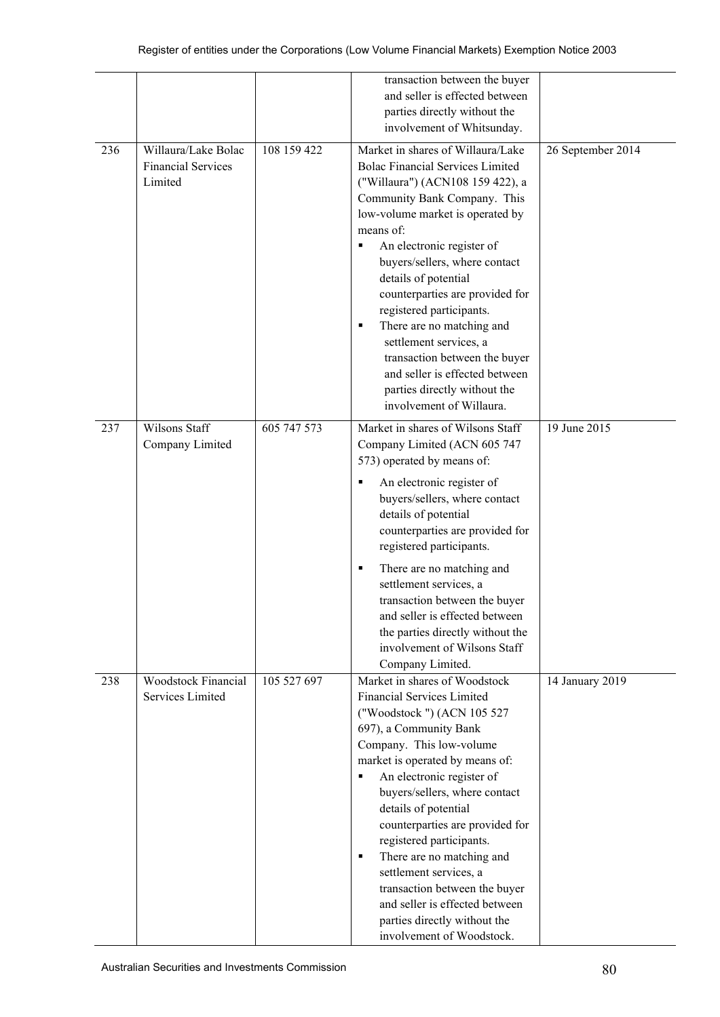|     |                                                             |             | transaction between the buyer                                                                                                                                                                                                                                                                                                                                                                                                                                                                                                                          |                           |
|-----|-------------------------------------------------------------|-------------|--------------------------------------------------------------------------------------------------------------------------------------------------------------------------------------------------------------------------------------------------------------------------------------------------------------------------------------------------------------------------------------------------------------------------------------------------------------------------------------------------------------------------------------------------------|---------------------------|
|     |                                                             |             | and seller is effected between                                                                                                                                                                                                                                                                                                                                                                                                                                                                                                                         |                           |
|     |                                                             |             | parties directly without the                                                                                                                                                                                                                                                                                                                                                                                                                                                                                                                           |                           |
|     |                                                             |             | involvement of Whitsunday.                                                                                                                                                                                                                                                                                                                                                                                                                                                                                                                             |                           |
| 236 | Willaura/Lake Bolac<br><b>Financial Services</b><br>Limited | 108 159 422 | Market in shares of Willaura/Lake<br><b>Bolac Financial Services Limited</b><br>("Willaura") (ACN108 159 422), a<br>Community Bank Company. This<br>low-volume market is operated by<br>means of:<br>An electronic register of<br>٠<br>buyers/sellers, where contact<br>details of potential<br>counterparties are provided for<br>registered participants.<br>There are no matching and<br>٠<br>settlement services, a<br>transaction between the buyer<br>and seller is effected between<br>parties directly without the<br>involvement of Willaura. | 26 September 2014         |
| 237 | <b>Wilsons Staff</b>                                        | 605 747 573 | Market in shares of Wilsons Staff                                                                                                                                                                                                                                                                                                                                                                                                                                                                                                                      | $\overline{19}$ June 2015 |
|     | Company Limited                                             |             | Company Limited (ACN 605 747<br>573) operated by means of:<br>An electronic register of<br>٠<br>buyers/sellers, where contact<br>details of potential<br>counterparties are provided for<br>registered participants.<br>There are no matching and<br>٠<br>settlement services, a                                                                                                                                                                                                                                                                       |                           |
|     |                                                             |             | transaction between the buyer<br>and seller is effected between<br>the parties directly without the<br>involvement of Wilsons Staff<br>Company Limited.                                                                                                                                                                                                                                                                                                                                                                                                |                           |
| 238 | <b>Woodstock Financial</b>                                  | 105 527 697 | Market in shares of Woodstock                                                                                                                                                                                                                                                                                                                                                                                                                                                                                                                          | 14 January 2019           |
|     | Services Limited                                            |             | <b>Financial Services Limited</b><br>("Woodstock ") (ACN 105 527<br>697), a Community Bank<br>Company. This low-volume<br>market is operated by means of:<br>An electronic register of<br>٠<br>buyers/sellers, where contact<br>details of potential<br>counterparties are provided for<br>registered participants.<br>There are no matching and<br>٠<br>settlement services, a<br>transaction between the buyer<br>and seller is effected between<br>parties directly without the                                                                     |                           |
|     |                                                             |             | involvement of Woodstock.                                                                                                                                                                                                                                                                                                                                                                                                                                                                                                                              |                           |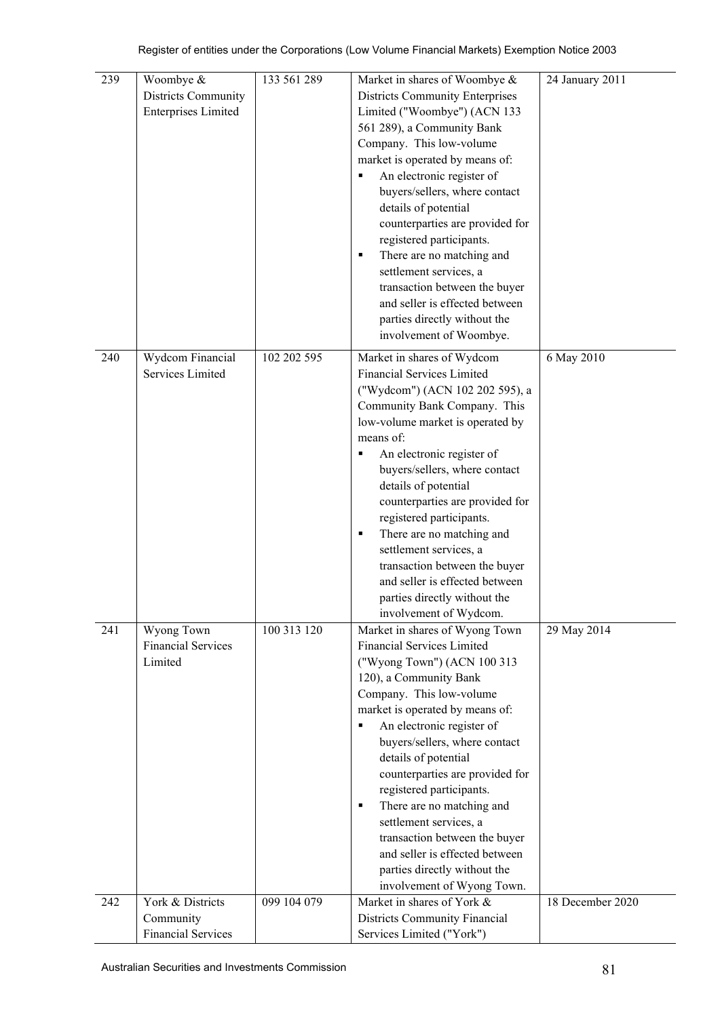| 239 | Woombye &<br>Districts Community<br><b>Enterprises Limited</b> | 133 561 289 | Market in shares of Woombye &<br><b>Districts Community Enterprises</b><br>Limited ("Woombye") (ACN 133<br>561 289), a Community Bank<br>Company. This low-volume<br>market is operated by means of:<br>An electronic register of<br>buyers/sellers, where contact<br>details of potential<br>counterparties are provided for<br>registered participants.<br>There are no matching and<br>٠<br>settlement services, a<br>transaction between the buyer<br>and seller is effected between<br>parties directly without the<br>involvement of Woombye. | 24 January 2011  |
|-----|----------------------------------------------------------------|-------------|-----------------------------------------------------------------------------------------------------------------------------------------------------------------------------------------------------------------------------------------------------------------------------------------------------------------------------------------------------------------------------------------------------------------------------------------------------------------------------------------------------------------------------------------------------|------------------|
| 240 | Wydcom Financial<br>Services Limited                           | 102 202 595 | Market in shares of Wydcom<br><b>Financial Services Limited</b><br>("Wydcom") (ACN 102 202 595), a<br>Community Bank Company. This<br>low-volume market is operated by<br>means of:<br>An electronic register of<br>٠<br>buyers/sellers, where contact<br>details of potential<br>counterparties are provided for<br>registered participants.<br>There are no matching and<br>٠<br>settlement services, a<br>transaction between the buyer<br>and seller is effected between<br>parties directly without the<br>involvement of Wydcom.              | 6 May 2010       |
| 241 | <b>Wyong Town</b><br><b>Financial Services</b><br>Limited      | 100 313 120 | Market in shares of Wyong Town<br>Financial Services Limited<br>("Wyong Town") (ACN 100 313<br>120), a Community Bank<br>Company. This low-volume<br>market is operated by means of:<br>An electronic register of<br>٠<br>buyers/sellers, where contact<br>details of potential<br>counterparties are provided for<br>registered participants.<br>There are no matching and<br>٠<br>settlement services, a<br>transaction between the buyer<br>and seller is effected between<br>parties directly without the<br>involvement of Wyong Town.         | 29 May 2014      |
| 242 | York & Districts<br>Community                                  | 099 104 079 | Market in shares of York &<br>Districts Community Financial                                                                                                                                                                                                                                                                                                                                                                                                                                                                                         | 18 December 2020 |
|     | Financial Services                                             |             | Services Limited ("York")                                                                                                                                                                                                                                                                                                                                                                                                                                                                                                                           |                  |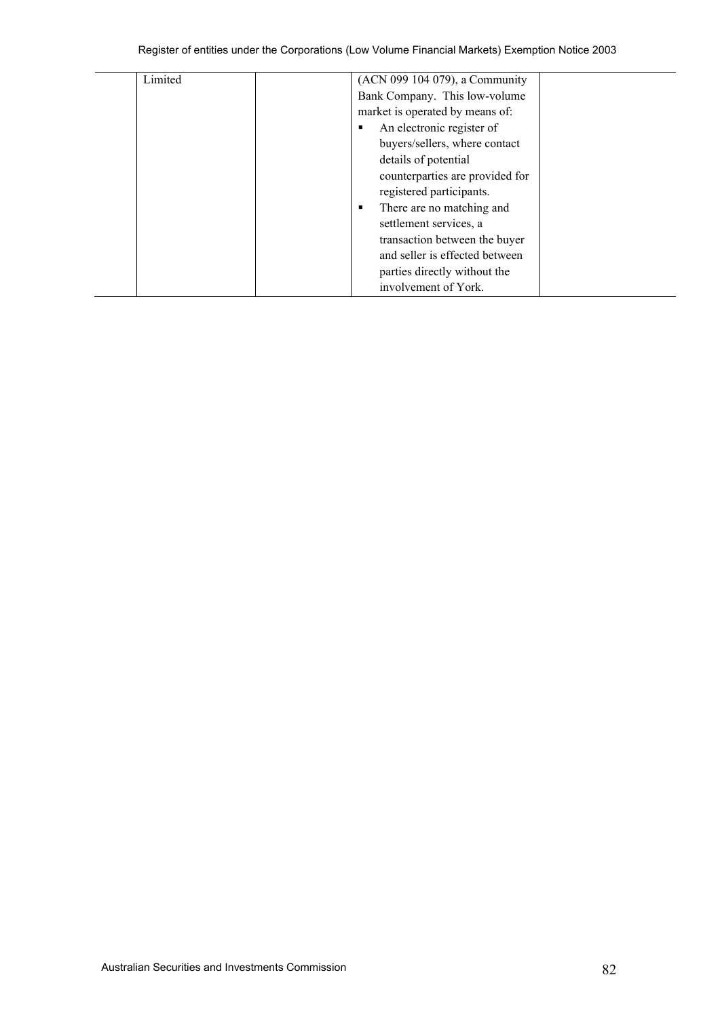| Limited | (ACN 099 104 079), a Community  |  |
|---------|---------------------------------|--|
|         | Bank Company. This low-volume   |  |
|         | market is operated by means of: |  |
|         | An electronic register of       |  |
|         | buyers/sellers, where contact   |  |
|         | details of potential            |  |
|         | counterparties are provided for |  |
|         | registered participants.        |  |
|         | There are no matching and       |  |
|         | settlement services, a          |  |
|         | transaction between the buyer   |  |
|         | and seller is effected between  |  |
|         | parties directly without the    |  |
|         | involvement of York.            |  |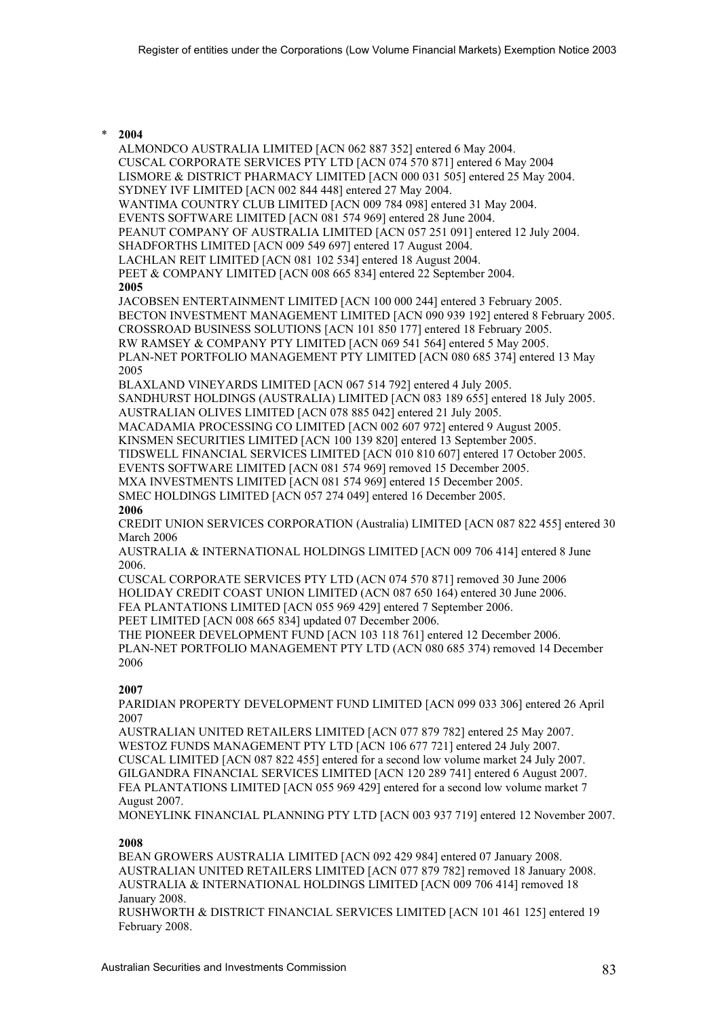#### \* **2004**

ALMONDCO AUSTRALIA LIMITED [ACN 062 887 352] entered 6 May 2004. CUSCAL CORPORATE SERVICES PTY LTD [ACN 074 570 871] entered 6 May 2004 LISMORE & DISTRICT PHARMACY LIMITED [ACN 000 031 505] entered 25 May 2004. SYDNEY IVF LIMITED [ACN 002 844 448] entered 27 May 2004. WANTIMA COUNTRY CLUB LIMITED [ACN 009 784 098] entered 31 May 2004. EVENTS SOFTWARE LIMITED [ACN 081 574 969] entered 28 June 2004. PEANUT COMPANY OF AUSTRALIA LIMITED [ACN 057 251 091] entered 12 July 2004. SHADFORTHS LIMITED [ACN 009 549 697] entered 17 August 2004. LACHLAN REIT LIMITED [ACN 081 102 534] entered 18 August 2004. PEET & COMPANY LIMITED [ACN 008 665 834] entered 22 September 2004. **2005** JACOBSEN ENTERTAINMENT LIMITED [ACN 100 000 244] entered 3 February 2005. BECTON INVESTMENT MANAGEMENT LIMITED [ACN 090 939 192] entered 8 February 2005. CROSSROAD BUSINESS SOLUTIONS [ACN 101 850 177] entered 18 February 2005. RW RAMSEY & COMPANY PTY LIMITED [ACN 069 541 564] entered 5 May 2005. PLAN-NET PORTFOLIO MANAGEMENT PTY LIMITED [ACN 080 685 374] entered 13 May 2005 BLAXLAND VINEYARDS LIMITED [ACN 067 514 792] entered 4 July 2005. SANDHURST HOLDINGS (AUSTRALIA) LIMITED [ACN 083 189 655] entered 18 July 2005. AUSTRALIAN OLIVES LIMITED [ACN 078 885 042] entered 21 July 2005. MACADAMIA PROCESSING CO LIMITED [ACN 002 607 972] entered 9 August 2005. KINSMEN SECURITIES LIMITED [ACN 100 139 820] entered 13 September 2005. TIDSWELL FINANCIAL SERVICES LIMITED [ACN 010 810 607] entered 17 October 2005. EVENTS SOFTWARE LIMITED [ACN 081 574 969] removed 15 December 2005. MXA INVESTMENTS LIMITED [ACN 081 574 969] entered 15 December 2005. SMEC HOLDINGS LIMITED [ACN 057 274 049] entered 16 December 2005. **2006** CREDIT UNION SERVICES CORPORATION (Australia) LIMITED [ACN 087 822 455] entered 30 March 2006 AUSTRALIA & INTERNATIONAL HOLDINGS LIMITED [ACN 009 706 414] entered 8 June 2006. CUSCAL CORPORATE SERVICES PTY LTD (ACN 074 570 871] removed 30 June 2006 HOLIDAY CREDIT COAST UNION LIMITED (ACN 087 650 164) entered 30 June 2006. FEA PLANTATIONS LIMITED [ACN 055 969 429] entered 7 September 2006. PEET LIMITED [ACN 008 665 834] updated 07 December 2006.

THE PIONEER DEVELOPMENT FUND [ACN 103 118 761] entered 12 December 2006. PLAN-NET PORTFOLIO MANAGEMENT PTY LTD (ACN 080 685 374) removed 14 December 2006

## **2007**

PARIDIAN PROPERTY DEVELOPMENT FUND LIMITED [ACN 099 033 306] entered 26 April 2007

AUSTRALIAN UNITED RETAILERS LIMITED [ACN 077 879 782] entered 25 May 2007. WESTOZ FUNDS MANAGEMENT PTY LTD [ACN 106 677 721] entered 24 July 2007. CUSCAL LIMITED [ACN 087 822 455] entered for a second low volume market 24 July 2007. GILGANDRA FINANCIAL SERVICES LIMITED [ACN 120 289 741] entered 6 August 2007. FEA PLANTATIONS LIMITED [ACN 055 969 429] entered for a second low volume market 7 August 2007.

MONEYLINK FINANCIAL PLANNING PTY LTD [ACN 003 937 719] entered 12 November 2007.

# **2008**

BEAN GROWERS AUSTRALIA LIMITED [ACN 092 429 984] entered 07 January 2008. AUSTRALIAN UNITED RETAILERS LIMITED [ACN 077 879 782] removed 18 January 2008. AUSTRALIA & INTERNATIONAL HOLDINGS LIMITED [ACN 009 706 414] removed 18 January 2008.

RUSHWORTH & DISTRICT FINANCIAL SERVICES LIMITED [ACN 101 461 125] entered 19 February 2008.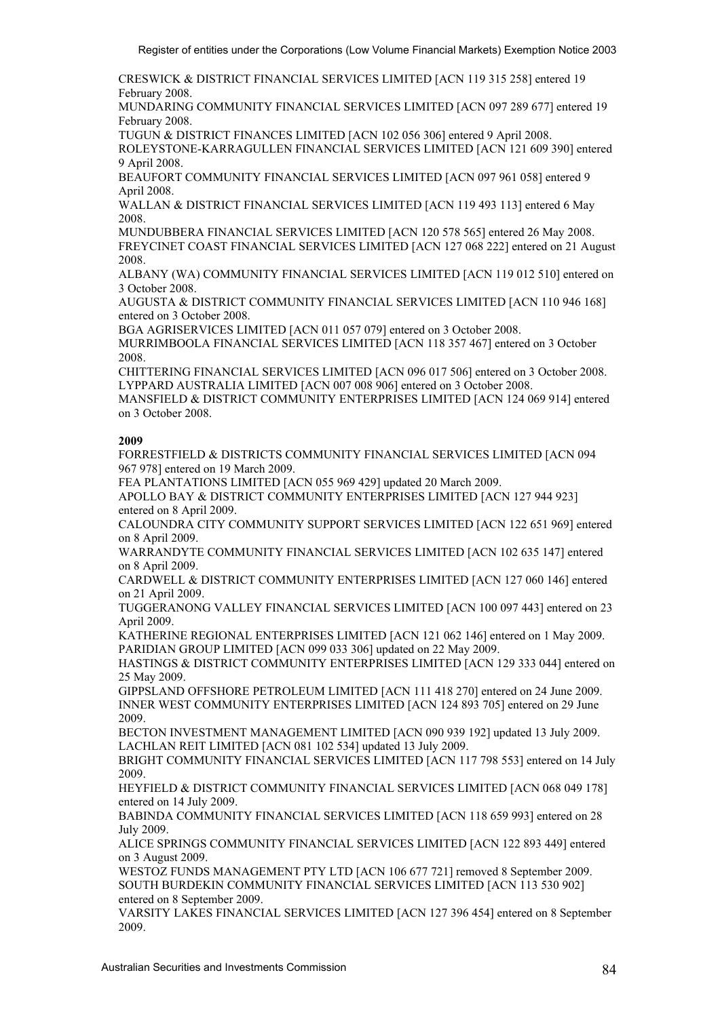CRESWICK & DISTRICT FINANCIAL SERVICES LIMITED [ACN 119 315 258] entered 19 February 2008.

MUNDARING COMMUNITY FINANCIAL SERVICES LIMITED [ACN 097 289 677] entered 19 February 2008.

TUGUN & DISTRICT FINANCES LIMITED [ACN 102 056 306] entered 9 April 2008. ROLEYSTONE-KARRAGULLEN FINANCIAL SERVICES LIMITED [ACN 121 609 390] entered 9 April 2008.

BEAUFORT COMMUNITY FINANCIAL SERVICES LIMITED [ACN 097 961 058] entered 9 April 2008.

WALLAN & DISTRICT FINANCIAL SERVICES LIMITED [ACN 119 493 113] entered 6 May 2008.

MUNDUBBERA FINANCIAL SERVICES LIMITED [ACN 120 578 565] entered 26 May 2008. FREYCINET COAST FINANCIAL SERVICES LIMITED [ACN 127 068 222] entered on 21 August 2008.

ALBANY (WA) COMMUNITY FINANCIAL SERVICES LIMITED [ACN 119 012 510] entered on 3 October 2008.

AUGUSTA & DISTRICT COMMUNITY FINANCIAL SERVICES LIMITED [ACN 110 946 168] entered on 3 October 2008.

BGA AGRISERVICES LIMITED [ACN 011 057 079] entered on 3 October 2008.

MURRIMBOOLA FINANCIAL SERVICES LIMITED [ACN 118 357 467] entered on 3 October 2008.

CHITTERING FINANCIAL SERVICES LIMITED [ACN 096 017 506] entered on 3 October 2008. LYPPARD AUSTRALIA LIMITED [ACN 007 008 906] entered on 3 October 2008.

MANSFIELD & DISTRICT COMMUNITY ENTERPRISES LIMITED [ACN 124 069 914] entered on 3 October 2008.

## **2009**

FORRESTFIELD & DISTRICTS COMMUNITY FINANCIAL SERVICES LIMITED [ACN 094 967 978] entered on 19 March 2009.

FEA PLANTATIONS LIMITED [ACN 055 969 429] updated 20 March 2009.

APOLLO BAY & DISTRICT COMMUNITY ENTERPRISES LIMITED [ACN 127 944 923] entered on 8 April 2009.

CALOUNDRA CITY COMMUNITY SUPPORT SERVICES LIMITED [ACN 122 651 969] entered on 8 April 2009.

WARRANDYTE COMMUNITY FINANCIAL SERVICES LIMITED [ACN 102 635 147] entered on 8 April 2009.

CARDWELL & DISTRICT COMMUNITY ENTERPRISES LIMITED [ACN 127 060 146] entered on 21 April 2009.

TUGGERANONG VALLEY FINANCIAL SERVICES LIMITED [ACN 100 097 443] entered on 23 April 2009.

KATHERINE REGIONAL ENTERPRISES LIMITED [ACN 121 062 146] entered on 1 May 2009. PARIDIAN GROUP LIMITED [ACN 099 033 306] updated on 22 May 2009.

HASTINGS & DISTRICT COMMUNITY ENTERPRISES LIMITED [ACN 129 333 044] entered on 25 May 2009.

GIPPSLAND OFFSHORE PETROLEUM LIMITED [ACN 111 418 270] entered on 24 June 2009. INNER WEST COMMUNITY ENTERPRISES LIMITED [ACN 124 893 705] entered on 29 June 2009.

BECTON INVESTMENT MANAGEMENT LIMITED [ACN 090 939 192] updated 13 July 2009. LACHLAN REIT LIMITED [ACN 081 102 534] updated 13 July 2009.

BRIGHT COMMUNITY FINANCIAL SERVICES LIMITED [ACN 117 798 553] entered on 14 July 2009.

HEYFIELD & DISTRICT COMMUNITY FINANCIAL SERVICES LIMITED [ACN 068 049 178] entered on 14 July 2009.

BABINDA COMMUNITY FINANCIAL SERVICES LIMITED [ACN 118 659 993] entered on 28 July 2009.

ALICE SPRINGS COMMUNITY FINANCIAL SERVICES LIMITED [ACN 122 893 449] entered on 3 August 2009.

WESTOZ FUNDS MANAGEMENT PTY LTD [ACN 106 677 721] removed 8 September 2009. SOUTH BURDEKIN COMMUNITY FINANCIAL SERVICES LIMITED [ACN 113 530 902] entered on 8 September 2009.

VARSITY LAKES FINANCIAL SERVICES LIMITED [ACN 127 396 454] entered on 8 September 2009.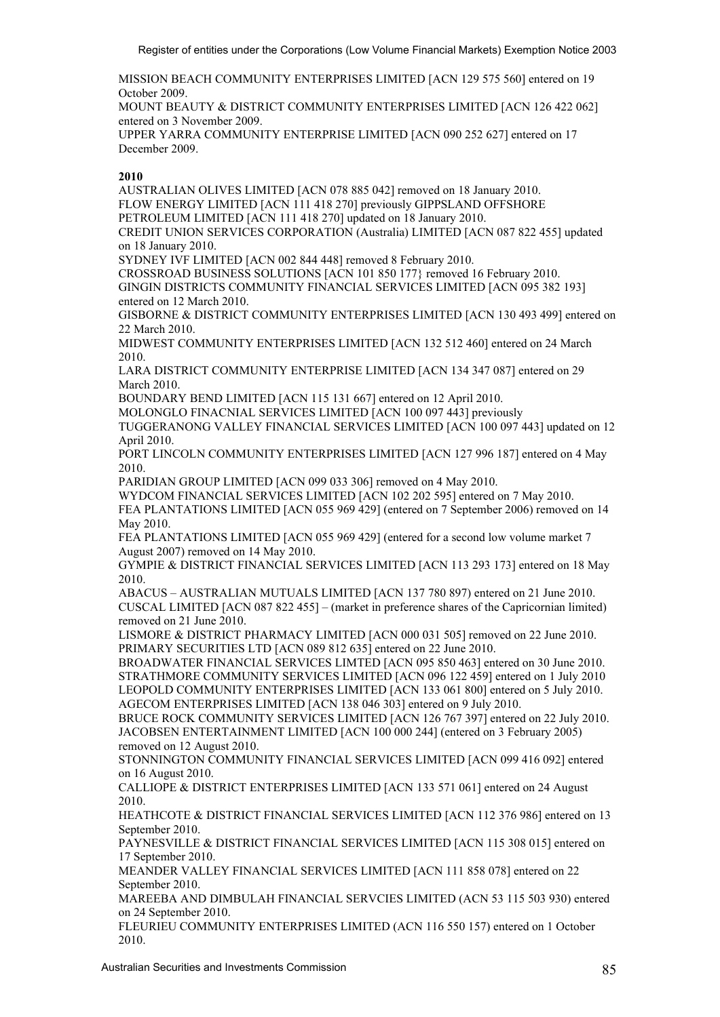MISSION BEACH COMMUNITY ENTERPRISES LIMITED [ACN 129 575 560] entered on 19 October 2009.

MOUNT BEAUTY & DISTRICT COMMUNITY ENTERPRISES LIMITED [ACN 126 422 062] entered on 3 November 2009.

UPPER YARRA COMMUNITY ENTERPRISE LIMITED [ACN 090 252 627] entered on 17 December 2009.

## **2010**

AUSTRALIAN OLIVES LIMITED [ACN 078 885 042] removed on 18 January 2010. FLOW ENERGY LIMITED [ACN 111 418 270] previously GIPPSLAND OFFSHORE PETROLEUM LIMITED [ACN 111 418 270] updated on 18 January 2010. CREDIT UNION SERVICES CORPORATION (Australia) LIMITED [ACN 087 822 455] updated

on 18 January 2010.

SYDNEY IVF LIMITED [ACN 002 844 448] removed 8 February 2010.

CROSSROAD BUSINESS SOLUTIONS [ACN 101 850 177} removed 16 February 2010. GINGIN DISTRICTS COMMUNITY FINANCIAL SERVICES LIMITED [ACN 095 382 193] entered on 12 March 2010.

GISBORNE & DISTRICT COMMUNITY ENTERPRISES LIMITED [ACN 130 493 499] entered on 22 March 2010.

MIDWEST COMMUNITY ENTERPRISES LIMITED [ACN 132 512 460] entered on 24 March 2010.

LARA DISTRICT COMMUNITY ENTERPRISE LIMITED [ACN 134 347 087] entered on 29 March 2010.

BOUNDARY BEND LIMITED [ACN 115 131 667] entered on 12 April 2010.

MOLONGLO FINACNIAL SERVICES LIMITED [ACN 100 097 443] previously

TUGGERANONG VALLEY FINANCIAL SERVICES LIMITED [ACN 100 097 443] updated on 12 April 2010.

PORT LINCOLN COMMUNITY ENTERPRISES LIMITED [ACN 127 996 187] entered on 4 May 2010.

PARIDIAN GROUP LIMITED [ACN 099 033 306] removed on 4 May 2010.

WYDCOM FINANCIAL SERVICES LIMITED [ACN 102 202 595] entered on 7 May 2010. FEA PLANTATIONS LIMITED [ACN 055 969 429] (entered on 7 September 2006) removed on 14 May 2010.

FEA PLANTATIONS LIMITED [ACN 055 969 429] (entered for a second low volume market 7 August 2007) removed on 14 May 2010.

GYMPIE & DISTRICT FINANCIAL SERVICES LIMITED [ACN 113 293 173] entered on 18 May 2010.

ABACUS – AUSTRALIAN MUTUALS LIMITED [ACN 137 780 897) entered on 21 June 2010. CUSCAL LIMITED [ACN 087 822 455] – (market in preference shares of the Capricornian limited) removed on 21 June 2010.

LISMORE & DISTRICT PHARMACY LIMITED [ACN 000 031 505] removed on 22 June 2010. PRIMARY SECURITIES LTD [ACN 089 812 635] entered on 22 June 2010.

BROADWATER FINANCIAL SERVICES LIMTED [ACN 095 850 463] entered on 30 June 2010. STRATHMORE COMMUNITY SERVICES LIMITED [ACN 096 122 459] entered on 1 July 2010 LEOPOLD COMMUNITY ENTERPRISES LIMITED [ACN 133 061 800] entered on 5 July 2010. AGECOM ENTERPRISES LIMITED [ACN 138 046 303] entered on 9 July 2010.

BRUCE ROCK COMMUNITY SERVICES LIMITED [ACN 126 767 397] entered on 22 July 2010. JACOBSEN ENTERTAINMENT LIMITED [ACN 100 000 244] (entered on 3 February 2005) removed on 12 August 2010.

STONNINGTON COMMUNITY FINANCIAL SERVICES LIMITED [ACN 099 416 092] entered on 16 August 2010.

CALLIOPE & DISTRICT ENTERPRISES LIMITED [ACN 133 571 061] entered on 24 August 2010.

HEATHCOTE & DISTRICT FINANCIAL SERVICES LIMITED [ACN 112 376 986] entered on 13 September 2010.

PAYNESVILLE & DISTRICT FINANCIAL SERVICES LIMITED [ACN 115 308 015] entered on 17 September 2010.

MEANDER VALLEY FINANCIAL SERVICES LIMITED [ACN 111 858 078] entered on 22 September 2010.

MAREEBA AND DIMBULAH FINANCIAL SERVCIES LIMITED (ACN 53 115 503 930) entered on 24 September 2010.

FLEURIEU COMMUNITY ENTERPRISES LIMITED (ACN 116 550 157) entered on 1 October 2010.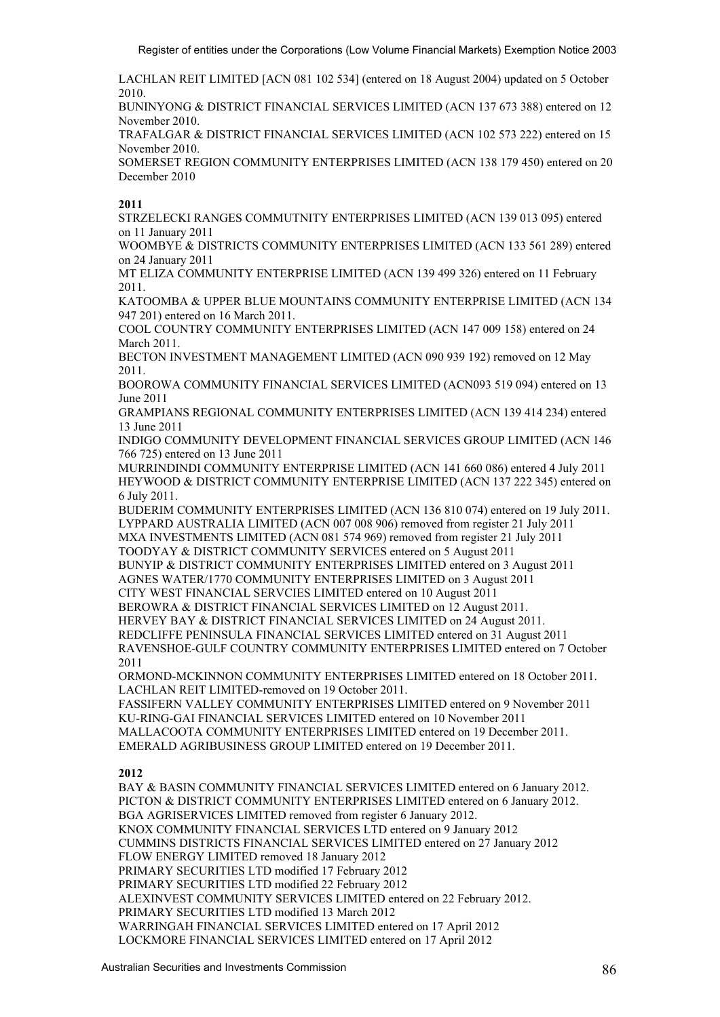LACHLAN REIT LIMITED [ACN 081 102 534] (entered on 18 August 2004) updated on 5 October 2010.

BUNINYONG & DISTRICT FINANCIAL SERVICES LIMITED (ACN 137 673 388) entered on 12 November 2010.

TRAFALGAR & DISTRICT FINANCIAL SERVICES LIMITED (ACN 102 573 222) entered on 15 November 2010.

SOMERSET REGION COMMUNITY ENTERPRISES LIMITED (ACN 138 179 450) entered on 20 December 2010

## **2011**

STRZELECKI RANGES COMMUTNITY ENTERPRISES LIMITED (ACN 139 013 095) entered on 11 January 2011

WOOMBYE & DISTRICTS COMMUNITY ENTERPRISES LIMITED (ACN 133 561 289) entered on 24 January 2011

MT ELIZA COMMUNITY ENTERPRISE LIMITED (ACN 139 499 326) entered on 11 February 2011.

KATOOMBA & UPPER BLUE MOUNTAINS COMMUNITY ENTERPRISE LIMITED (ACN 134 947 201) entered on 16 March 2011.

COOL COUNTRY COMMUNITY ENTERPRISES LIMITED (ACN 147 009 158) entered on 24 March 2011.

BECTON INVESTMENT MANAGEMENT LIMITED (ACN 090 939 192) removed on 12 May 2011.

BOOROWA COMMUNITY FINANCIAL SERVICES LIMITED (ACN093 519 094) entered on 13 June 2011

GRAMPIANS REGIONAL COMMUNITY ENTERPRISES LIMITED (ACN 139 414 234) entered 13 June 2011

INDIGO COMMUNITY DEVELOPMENT FINANCIAL SERVICES GROUP LIMITED (ACN 146 766 725) entered on 13 June 2011

MURRINDINDI COMMUNITY ENTERPRISE LIMITED (ACN 141 660 086) entered 4 July 2011 HEYWOOD & DISTRICT COMMUNITY ENTERPRISE LIMITED (ACN 137 222 345) entered on 6 July 2011.

BUDERIM COMMUNITY ENTERPRISES LIMITED (ACN 136 810 074) entered on 19 July 2011. LYPPARD AUSTRALIA LIMITED (ACN 007 008 906) removed from register 21 July 2011 MXA INVESTMENTS LIMITED (ACN 081 574 969) removed from register 21 July 2011 TOODYAY & DISTRICT COMMUNITY SERVICES entered on 5 August 2011 BUNYIP & DISTRICT COMMUNITY ENTERPRISES LIMITED entered on 3 August 2011 AGNES WATER/1770 COMMUNITY ENTERPRISES LIMITED on 3 August 2011 CITY WEST FINANCIAL SERVCIES LIMITED entered on 10 August 2011 BEROWRA & DISTRICT FINANCIAL SERVICES LIMITED on 12 August 2011. HERVEY BAY & DISTRICT FINANCIAL SERVICES LIMITED on 24 August 2011. REDCLIFFE PENINSULA FINANCIAL SERVICES LIMITED entered on 31 August 2011 RAVENSHOE-GULF COUNTRY COMMUNITY ENTERPRISES LIMITED entered on 7 October

2011

ORMOND-MCKINNON COMMUNITY ENTERPRISES LIMITED entered on 18 October 2011. LACHLAN REIT LIMITED-removed on 19 October 2011.

FASSIFERN VALLEY COMMUNITY ENTERPRISES LIMITED entered on 9 November 2011 KU-RING-GAI FINANCIAL SERVICES LIMITED entered on 10 November 2011 MALLACOOTA COMMUNITY ENTERPRISES LIMITED entered on 19 December 2011. EMERALD AGRIBUSINESS GROUP LIMITED entered on 19 December 2011.

# **2012**

BAY & BASIN COMMUNITY FINANCIAL SERVICES LIMITED entered on 6 January 2012. PICTON & DISTRICT COMMUNITY ENTERPRISES LIMITED entered on 6 January 2012. BGA AGRISERVICES LIMITED removed from register 6 January 2012. KNOX COMMUNITY FINANCIAL SERVICES LTD entered on 9 January 2012 CUMMINS DISTRICTS FINANCIAL SERVICES LIMITED entered on 27 January 2012 FLOW ENERGY LIMITED removed 18 January 2012 PRIMARY SECURITIES LTD modified 17 February 2012 PRIMARY SECURITIES LTD modified 22 February 2012 ALEXINVEST COMMUNITY SERVICES LIMITED entered on 22 February 2012. PRIMARY SECURITIES LTD modified 13 March 2012 WARRINGAH FINANCIAL SERVICES LIMITED entered on 17 April 2012 LOCKMORE FINANCIAL SERVICES LIMITED entered on 17 April 2012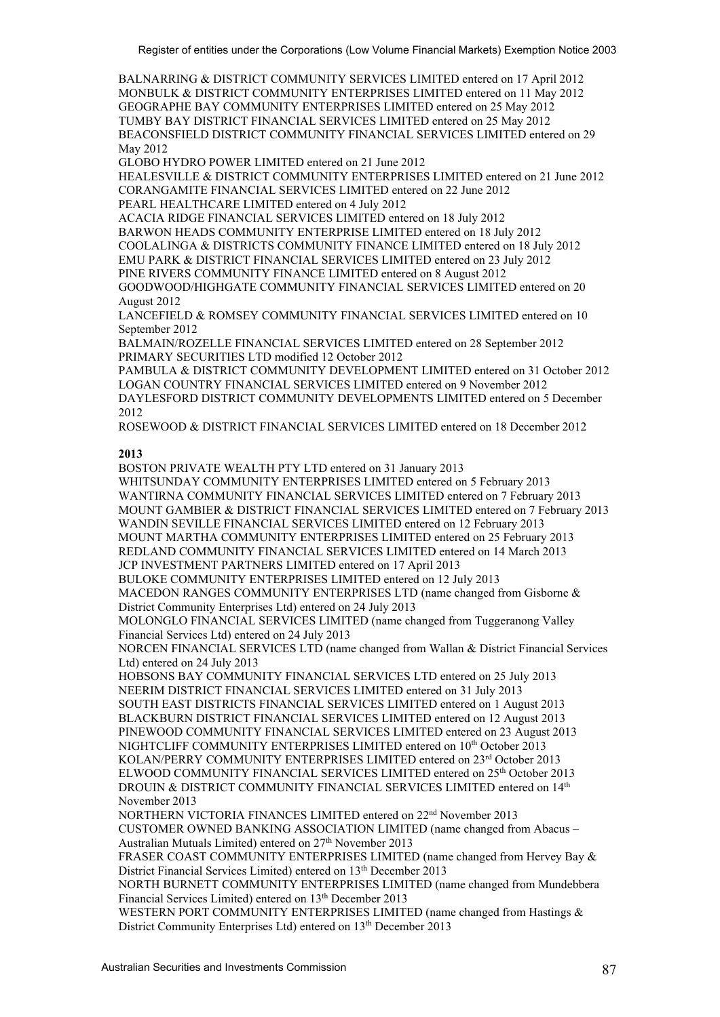BALNARRING & DISTRICT COMMUNITY SERVICES LIMITED entered on 17 April 2012 MONBULK & DISTRICT COMMUNITY ENTERPRISES LIMITED entered on 11 May 2012 GEOGRAPHE BAY COMMUNITY ENTERPRISES LIMITED entered on 25 May 2012 TUMBY BAY DISTRICT FINANCIAL SERVICES LIMITED entered on 25 May 2012 BEACONSFIELD DISTRICT COMMUNITY FINANCIAL SERVICES LIMITED entered on 29 May 2012

GLOBO HYDRO POWER LIMITED entered on 21 June 2012

HEALESVILLE & DISTRICT COMMUNITY ENTERPRISES LIMITED entered on 21 June 2012 CORANGAMITE FINANCIAL SERVICES LIMITED entered on 22 June 2012 PEARL HEALTHCARE LIMITED entered on 4 July 2012

ACACIA RIDGE FINANCIAL SERVICES LIMITED entered on 18 July 2012

BARWON HEADS COMMUNITY ENTERPRISE LIMITED entered on 18 July 2012 COOLALINGA & DISTRICTS COMMUNITY FINANCE LIMITED entered on 18 July 2012 EMU PARK & DISTRICT FINANCIAL SERVICES LIMITED entered on 23 July 2012 PINE RIVERS COMMUNITY FINANCE LIMITED entered on 8 August 2012 GOODWOOD/HIGHGATE COMMUNITY FINANCIAL SERVICES LIMITED entered on 20 August 2012

LANCEFIELD & ROMSEY COMMUNITY FINANCIAL SERVICES LIMITED entered on 10 September 2012

BALMAIN/ROZELLE FINANCIAL SERVICES LIMITED entered on 28 September 2012 PRIMARY SECURITIES LTD modified 12 October 2012

PAMBULA & DISTRICT COMMUNITY DEVELOPMENT LIMITED entered on 31 October 2012 LOGAN COUNTRY FINANCIAL SERVICES LIMITED entered on 9 November 2012 DAYLESFORD DISTRICT COMMUNITY DEVELOPMENTS LIMITED entered on 5 December 2012

ROSEWOOD & DISTRICT FINANCIAL SERVICES LIMITED entered on 18 December 2012

#### **2013**

BOSTON PRIVATE WEALTH PTY LTD entered on 31 January 2013 WHITSUNDAY COMMUNITY ENTERPRISES LIMITED entered on 5 February 2013 WANTIRNA COMMUNITY FINANCIAL SERVICES LIMITED entered on 7 February 2013 MOUNT GAMBIER & DISTRICT FINANCIAL SERVICES LIMITED entered on 7 February 2013 WANDIN SEVILLE FINANCIAL SERVICES LIMITED entered on 12 February 2013 MOUNT MARTHA COMMUNITY ENTERPRISES LIMITED entered on 25 February 2013 REDLAND COMMUNITY FINANCIAL SERVICES LIMITED entered on 14 March 2013 JCP INVESTMENT PARTNERS LIMITED entered on 17 April 2013 BULOKE COMMUNITY ENTERPRISES LIMITED entered on 12 July 2013 MACEDON RANGES COMMUNITY ENTERPRISES LTD (name changed from Gisborne & District Community Enterprises Ltd) entered on 24 July 2013 MOLONGLO FINANCIAL SERVICES LIMITED (name changed from Tuggeranong Valley Financial Services Ltd) entered on 24 July 2013 NORCEN FINANCIAL SERVICES LTD (name changed from Wallan & District Financial Services Ltd) entered on 24 July 2013 HOBSONS BAY COMMUNITY FINANCIAL SERVICES LTD entered on 25 July 2013 NEERIM DISTRICT FINANCIAL SERVICES LIMITED entered on 31 July 2013 SOUTH EAST DISTRICTS FINANCIAL SERVICES LIMITED entered on 1 August 2013 BLACKBURN DISTRICT FINANCIAL SERVICES LIMITED entered on 12 August 2013 PINEWOOD COMMUNITY FINANCIAL SERVICES LIMITED entered on 23 August 2013 NIGHTCLIFF COMMUNITY ENTERPRISES LIMITED entered on 10<sup>th</sup> October 2013 KOLAN/PERRY COMMUNITY ENTERPRISES LIMITED entered on 23rd October 2013 ELWOOD COMMUNITY FINANCIAL SERVICES LIMITED entered on 25<sup>th</sup> October 2013 DROUIN & DISTRICT COMMUNITY FINANCIAL SERVICES LIMITED entered on 14th November 2013 NORTHERN VICTORIA FINANCES LIMITED entered on 22nd November 2013 CUSTOMER OWNED BANKING ASSOCIATION LIMITED (name changed from Abacus – Australian Mutuals Limited) entered on 27<sup>th</sup> November 2013 FRASER COAST COMMUNITY ENTERPRISES LIMITED (name changed from Hervey Bay & District Financial Services Limited) entered on 13<sup>th</sup> December 2013 NORTH BURNETT COMMUNITY ENTERPRISES LIMITED (name changed from Mundebbera Financial Services Limited) entered on 13th December 2013

WESTERN PORT COMMUNITY ENTERPRISES LIMITED (name changed from Hastings & District Community Enterprises Ltd) entered on 13<sup>th</sup> December 2013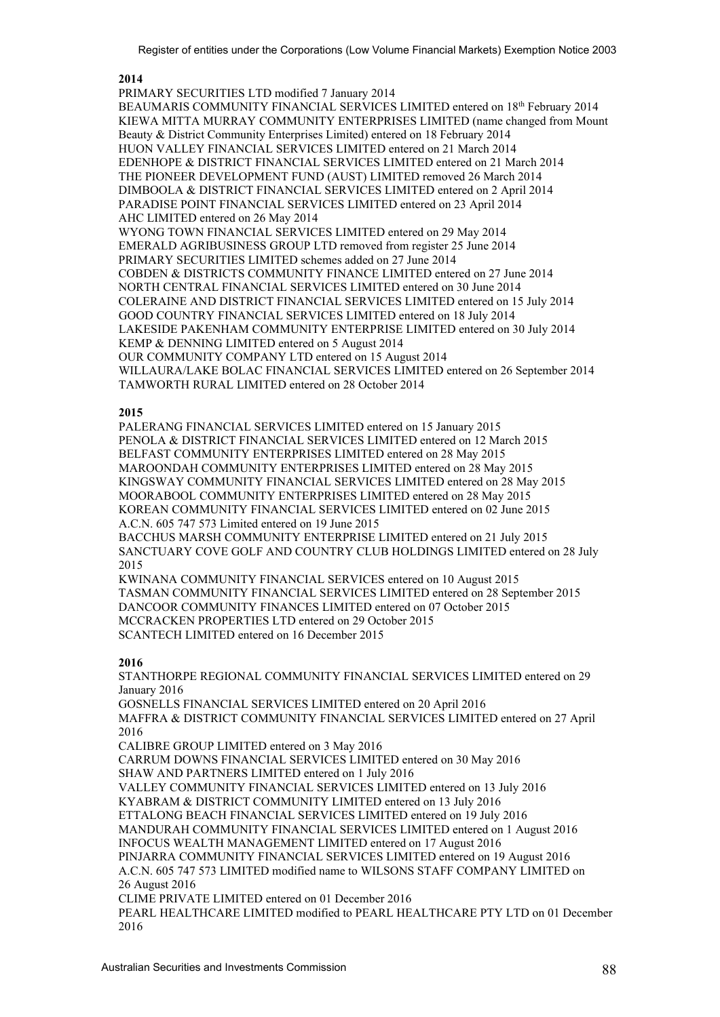#### **2014**

PRIMARY SECURITIES LTD modified 7 January 2014

BEAUMARIS COMMUNITY FINANCIAL SERVICES LIMITED entered on 18<sup>th</sup> February 2014 KIEWA MITTA MURRAY COMMUNITY ENTERPRISES LIMITED (name changed from Mount Beauty & District Community Enterprises Limited) entered on 18 February 2014 HUON VALLEY FINANCIAL SERVICES LIMITED entered on 21 March 2014 EDENHOPE & DISTRICT FINANCIAL SERVICES LIMITED entered on 21 March 2014 THE PIONEER DEVELOPMENT FUND (AUST) LIMITED removed 26 March 2014 DIMBOOLA & DISTRICT FINANCIAL SERVICES LIMITED entered on 2 April 2014 PARADISE POINT FINANCIAL SERVICES LIMITED entered on 23 April 2014 AHC LIMITED entered on 26 May 2014 WYONG TOWN FINANCIAL SERVICES LIMITED entered on 29 May 2014 EMERALD AGRIBUSINESS GROUP LTD removed from register 25 June 2014 PRIMARY SECURITIES LIMITED schemes added on 27 June 2014 COBDEN & DISTRICTS COMMUNITY FINANCE LIMITED entered on 27 June 2014 NORTH CENTRAL FINANCIAL SERVICES LIMITED entered on 30 June 2014 COLERAINE AND DISTRICT FINANCIAL SERVICES LIMITED entered on 15 July 2014 GOOD COUNTRY FINANCIAL SERVICES LIMITED entered on 18 July 2014 LAKESIDE PAKENHAM COMMUNITY ENTERPRISE LIMITED entered on 30 July 2014 KEMP & DENNING LIMITED entered on 5 August 2014 OUR COMMUNITY COMPANY LTD entered on 15 August 2014 WILLAURA/LAKE BOLAC FINANCIAL SERVICES LIMITED entered on 26 September 2014 TAMWORTH RURAL LIMITED entered on 28 October 2014

#### **2015**

PALERANG FINANCIAL SERVICES LIMITED entered on 15 January 2015 PENOLA & DISTRICT FINANCIAL SERVICES LIMITED entered on 12 March 2015 BELFAST COMMUNITY ENTERPRISES LIMITED entered on 28 May 2015 MAROONDAH COMMUNITY ENTERPRISES LIMITED entered on 28 May 2015 KINGSWAY COMMUNITY FINANCIAL SERVICES LIMITED entered on 28 May 2015 MOORABOOL COMMUNITY ENTERPRISES LIMITED entered on 28 May 2015 KOREAN COMMUNITY FINANCIAL SERVICES LIMITED entered on 02 June 2015 A.C.N. 605 747 573 Limited entered on 19 June 2015 BACCHUS MARSH COMMUNITY ENTERPRISE LIMITED entered on 21 July 2015 SANCTUARY COVE GOLF AND COUNTRY CLUB HOLDINGS LIMITED entered on 28 July 2015 KWINANA COMMUNITY FINANCIAL SERVICES entered on 10 August 2015 TASMAN COMMUNITY FINANCIAL SERVICES LIMITED entered on 28 September 2015

DANCOOR COMMUNITY FINANCES LIMITED entered on 07 October 2015 MCCRACKEN PROPERTIES LTD entered on 29 October 2015 SCANTECH LIMITED entered on 16 December 2015

#### **2016**

STANTHORPE REGIONAL COMMUNITY FINANCIAL SERVICES LIMITED entered on 29 January 2016 GOSNELLS FINANCIAL SERVICES LIMITED entered on 20 April 2016 MAFFRA & DISTRICT COMMUNITY FINANCIAL SERVICES LIMITED entered on 27 April 2016 CALIBRE GROUP LIMITED entered on 3 May 2016 CARRUM DOWNS FINANCIAL SERVICES LIMITED entered on 30 May 2016 SHAW AND PARTNERS LIMITED entered on 1 July 2016 VALLEY COMMUNITY FINANCIAL SERVICES LIMITED entered on 13 July 2016 KYABRAM & DISTRICT COMMUNITY LIMITED entered on 13 July 2016 ETTALONG BEACH FINANCIAL SERVICES LIMITED entered on 19 July 2016 MANDURAH COMMUNITY FINANCIAL SERVICES LIMITED entered on 1 August 2016 INFOCUS WEALTH MANAGEMENT LIMITED entered on 17 August 2016 PINJARRA COMMUNITY FINANCIAL SERVICES LIMITED entered on 19 August 2016 A.C.N. 605 747 573 LIMITED modified name to WILSONS STAFF COMPANY LIMITED on 26 August 2016 CLIME PRIVATE LIMITED entered on 01 December 2016 PEARL HEALTHCARE LIMITED modified to PEARL HEALTHCARE PTY LTD on 01 December 2016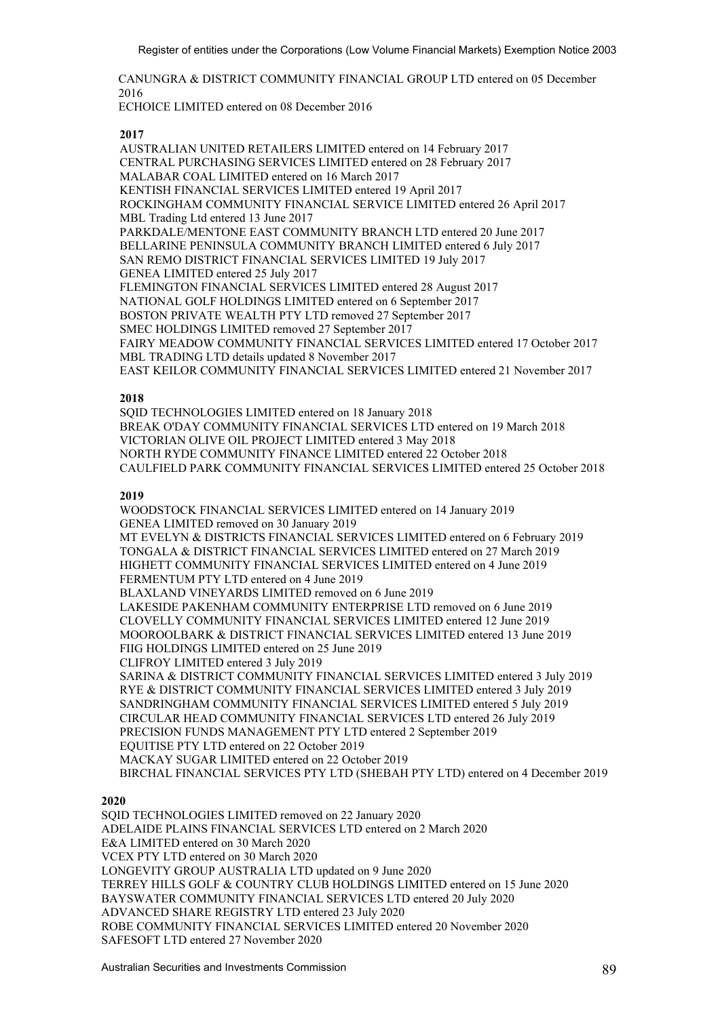CANUNGRA & DISTRICT COMMUNITY FINANCIAL GROUP LTD entered on 05 December 2016

ECHOICE LIMITED entered on 08 December 2016

**2017** 

AUSTRALIAN UNITED RETAILERS LIMITED entered on 14 February 2017 CENTRAL PURCHASING SERVICES LIMITED entered on 28 February 2017 MALABAR COAL LIMITED entered on 16 March 2017 KENTISH FINANCIAL SERVICES LIMITED entered 19 April 2017 ROCKINGHAM COMMUNITY FINANCIAL SERVICE LIMITED entered 26 April 2017 MBL Trading Ltd entered 13 June 2017 PARKDALE/MENTONE EAST COMMUNITY BRANCH LTD entered 20 June 2017 BELLARINE PENINSULA COMMUNITY BRANCH LIMITED entered 6 July 2017 SAN REMO DISTRICT FINANCIAL SERVICES LIMITED 19 July 2017 GENEA LIMITED entered 25 July 2017 FLEMINGTON FINANCIAL SERVICES LIMITED entered 28 August 2017 NATIONAL GOLF HOLDINGS LIMITED entered on 6 September 2017 BOSTON PRIVATE WEALTH PTY LTD removed 27 September 2017 SMEC HOLDINGS LIMITED removed 27 September 2017 FAIRY MEADOW COMMUNITY FINANCIAL SERVICES LIMITED entered 17 October 2017 MBL TRADING LTD details updated 8 November 2017 EAST KEILOR COMMUNITY FINANCIAL SERVICES LIMITED entered 21 November 2017

## **2018**

SQID TECHNOLOGIES LIMITED entered on 18 January 2018 BREAK O'DAY COMMUNITY FINANCIAL SERVICES LTD entered on 19 March 2018 VICTORIAN OLIVE OIL PROJECT LIMITED entered 3 May 2018 NORTH RYDE COMMUNITY FINANCE LIMITED entered 22 October 2018 CAULFIELD PARK COMMUNITY FINANCIAL SERVICES LIMITED entered 25 October 2018

## **2019**

 WOODSTOCK FINANCIAL SERVICES LIMITED entered on 14 January 2019 GENEA LIMITED removed on 30 January 2019 MT EVELYN & DISTRICTS FINANCIAL SERVICES LIMITED entered on 6 February 2019 TONGALA & DISTRICT FINANCIAL SERVICES LIMITED entered on 27 March 2019 HIGHETT COMMUNITY FINANCIAL SERVICES LIMITED entered on 4 June 2019 FERMENTUM PTY LTD entered on 4 June 2019 BLAXLAND VINEYARDS LIMITED removed on 6 June 2019 LAKESIDE PAKENHAM COMMUNITY ENTERPRISE LTD removed on 6 June 2019 CLOVELLY COMMUNITY FINANCIAL SERVICES LIMITED entered 12 June 2019 MOOROOLBARK & DISTRICT FINANCIAL SERVICES LIMITED entered 13 June 2019 FIIG HOLDINGS LIMITED entered on 25 June 2019 CLIFROY LIMITED entered 3 July 2019 SARINA & DISTRICT COMMUNITY FINANCIAL SERVICES LIMITED entered 3 July 2019 RYE & DISTRICT COMMUNITY FINANCIAL SERVICES LIMITED entered 3 July 2019 SANDRINGHAM COMMUNITY FINANCIAL SERVICES LIMITED entered 5 July 2019 CIRCULAR HEAD COMMUNITY FINANCIAL SERVICES LTD entered 26 July 2019 PRECISION FUNDS MANAGEMENT PTY LTD entered 2 September 2019 EQUITISE PTY LTD entered on 22 October 2019 MACKAY SUGAR LIMITED entered on 22 October 2019 BIRCHAL FINANCIAL SERVICES PTY LTD (SHEBAH PTY LTD) entered on 4 December 2019

## **2020**

SQID TECHNOLOGIES LIMITED removed on 22 January 2020 ADELAIDE PLAINS FINANCIAL SERVICES LTD entered on 2 March 2020 E&A LIMITED entered on 30 March 2020 VCEX PTY LTD entered on 30 March 2020 LONGEVITY GROUP AUSTRALIA LTD updated on 9 June 2020 TERREY HILLS GOLF & COUNTRY CLUB HOLDINGS LIMITED entered on 15 June 2020 BAYSWATER COMMUNITY FINANCIAL SERVICES LTD entered 20 July 2020 ADVANCED SHARE REGISTRY LTD entered 23 July 2020 ROBE COMMUNITY FINANCIAL SERVICES LIMITED entered 20 November 2020 SAFESOFT LTD entered 27 November 2020